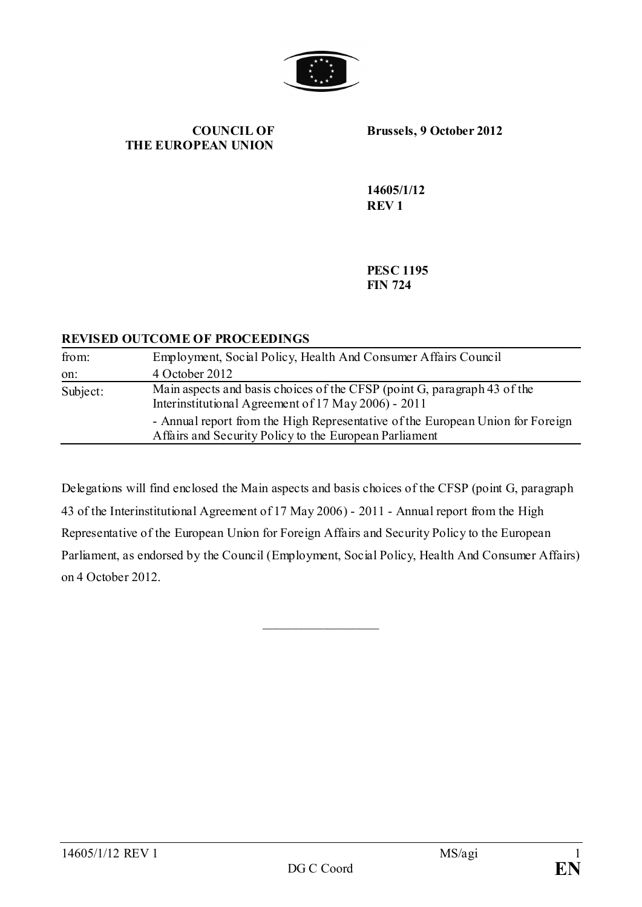

#### **COUNCIL OF THE EUROPEAN UNION**

**Brussels, 9 October 2012**

**14605/1/12 REV 1**

**PESC 1195 FIN 724**

### **REVISED OUTCOME OF PROCEEDINGS**

| from:    | Employment, Social Policy, Health And Consumer Affairs Council                                                                           |
|----------|------------------------------------------------------------------------------------------------------------------------------------------|
| on:      | 4 October 2012                                                                                                                           |
| Subject: | Main aspects and basis choices of the CFSP (point G, paragraph 43 of the<br>Interinstitutional Agreement of 17 May 2006) - 2011          |
|          | - Annual report from the High Representative of the European Union for Foreign<br>Affairs and Security Policy to the European Parliament |

Delegations will find enclosed the Main aspects and basis choices of the CFSP (point G, paragraph 43 of the Interinstitutional Agreement of 17 May 2006) - 2011 - Annual report from the High Representative of the European Union for Foreign Affairs and Security Policy to the European Parliament, as endorsed by the Council (Employment, Social Policy, Health And Consumer Affairs) on 4 October 2012.

\_\_\_\_\_\_\_\_\_\_\_\_\_\_\_\_\_\_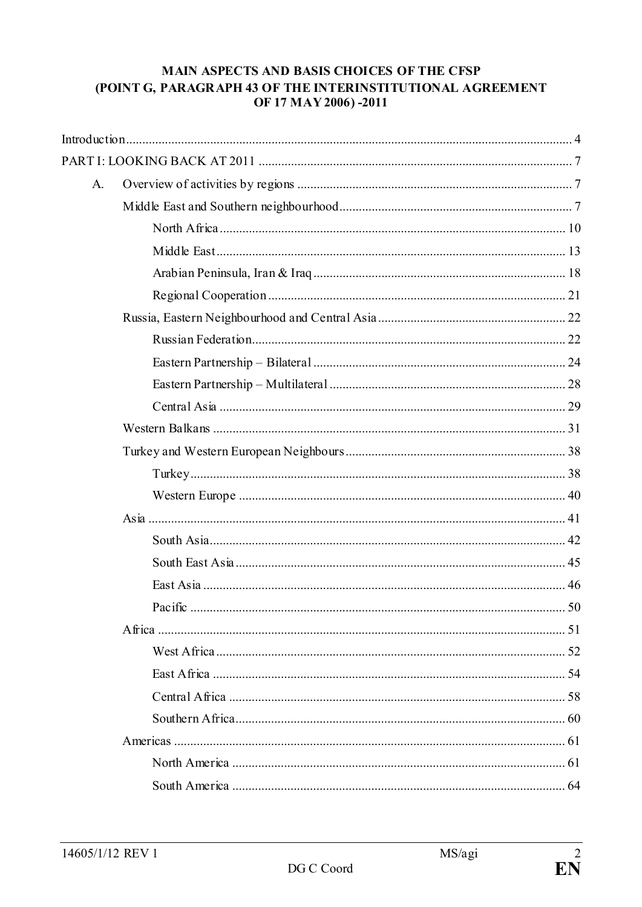# MAIN ASPECTS AND BASIS CHOICES OF THE CFSP (POINT G, PARAGRAPH 43 OF THE INTERINSTITUTIONAL AGREEMENT OF 17 MAY 2006) -2011

| A. |  |
|----|--|
|    |  |
|    |  |
|    |  |
|    |  |
|    |  |
|    |  |
|    |  |
|    |  |
|    |  |
|    |  |
|    |  |
|    |  |
|    |  |
|    |  |
|    |  |
|    |  |
|    |  |
|    |  |
|    |  |
|    |  |
|    |  |
|    |  |
|    |  |
|    |  |
|    |  |
|    |  |
|    |  |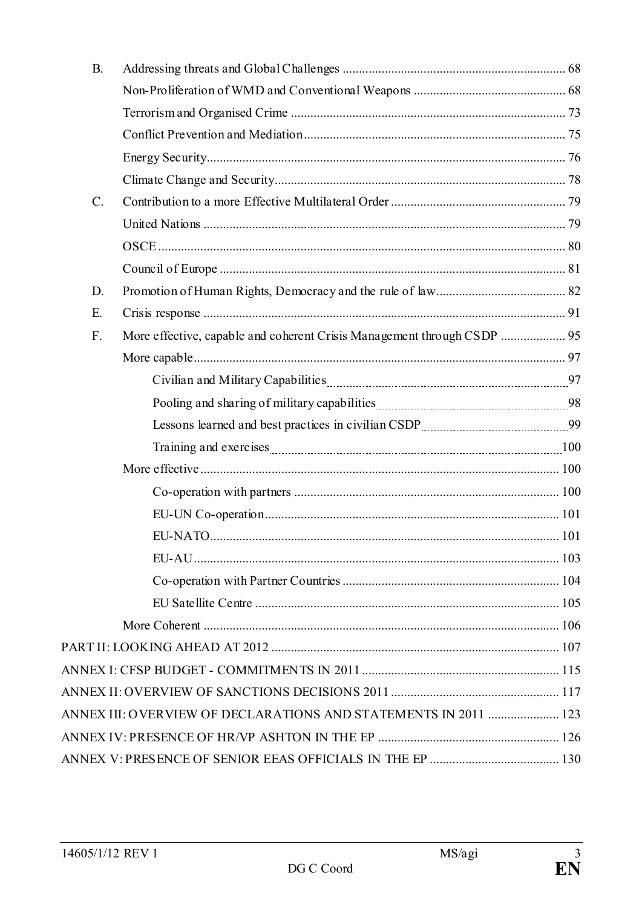| B <sub>r</sub> |                                                                 |  |
|----------------|-----------------------------------------------------------------|--|
|                |                                                                 |  |
|                |                                                                 |  |
|                |                                                                 |  |
|                |                                                                 |  |
|                |                                                                 |  |
| $C$ .          |                                                                 |  |
|                |                                                                 |  |
|                |                                                                 |  |
|                |                                                                 |  |
| D.             |                                                                 |  |
| Ε.             |                                                                 |  |
| $F_{\cdot}$    |                                                                 |  |
|                |                                                                 |  |
|                | Civilian and Military Capabilities [100] Marsen (100) 37        |  |
|                |                                                                 |  |
|                |                                                                 |  |
|                |                                                                 |  |
|                |                                                                 |  |
|                |                                                                 |  |
|                |                                                                 |  |
|                |                                                                 |  |
|                |                                                                 |  |
|                |                                                                 |  |
|                |                                                                 |  |
|                |                                                                 |  |
|                |                                                                 |  |
|                |                                                                 |  |
|                |                                                                 |  |
|                | ANNEX III: OVERVIEW OF DECLARATIONS AND STATEMENTS IN 2011  123 |  |
|                |                                                                 |  |
|                |                                                                 |  |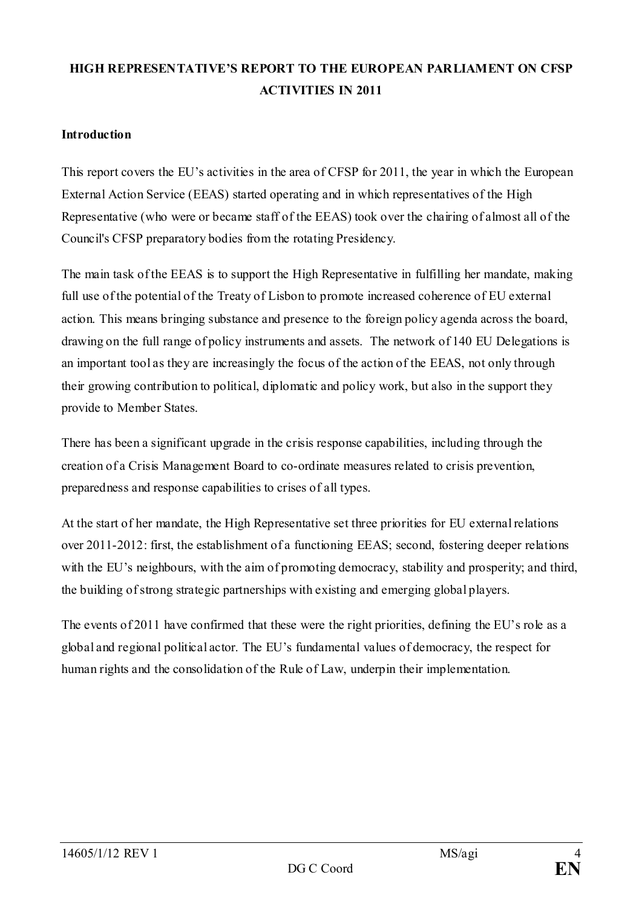# **HIGH REPRESENTATIVE'S REPORT TO THE EUROPEAN PARLIAMENT ON CFSP ACTIVITIES IN 2011**

## <span id="page-3-0"></span>**Introduction**

This report covers the EU's activities in the area of CFSP for 2011, the year in which the European External Action Service (EEAS) started operating and in which representatives of the High Representative (who were or became staff of the EEAS) took over the chairing of almost all of the Council's CFSP preparatory bodies from the rotating Presidency.

The main task of the EEAS is to support the High Representative in fulfilling her mandate, making full use of the potential of the Treaty of Lisbon to promote increased coherence of EU external action. This means bringing substance and presence to the foreign policy agenda across the board, drawing on the full range of policy instruments and assets. The network of 140 EU Delegations is an important tool as they are increasingly the focus of the action of the EEAS, not only through their growing contribution to political, diplomatic and policy work, but also in the support they provide to Member States.

There has been a significant upgrade in the crisis response capabilities, including through the creation of a Crisis Management Board to co-ordinate measures related to crisis prevention, preparedness and response capabilities to crises of all types.

At the start of her mandate, the High Representative set three priorities for EU external relations over 2011-2012: first, the establishment of a functioning EEAS; second, fostering deeper relations with the EU's neighbours, with the aim of promoting democracy, stability and prosperity; and third, the building of strong strategic partnerships with existing and emerging global players.

The events of 2011 have confirmed that these were the right priorities, defining the EU's role as a global and regional political actor. The EU's fundamental values of democracy, the respect for human rights and the consolidation of the Rule of Law, underpin their implementation.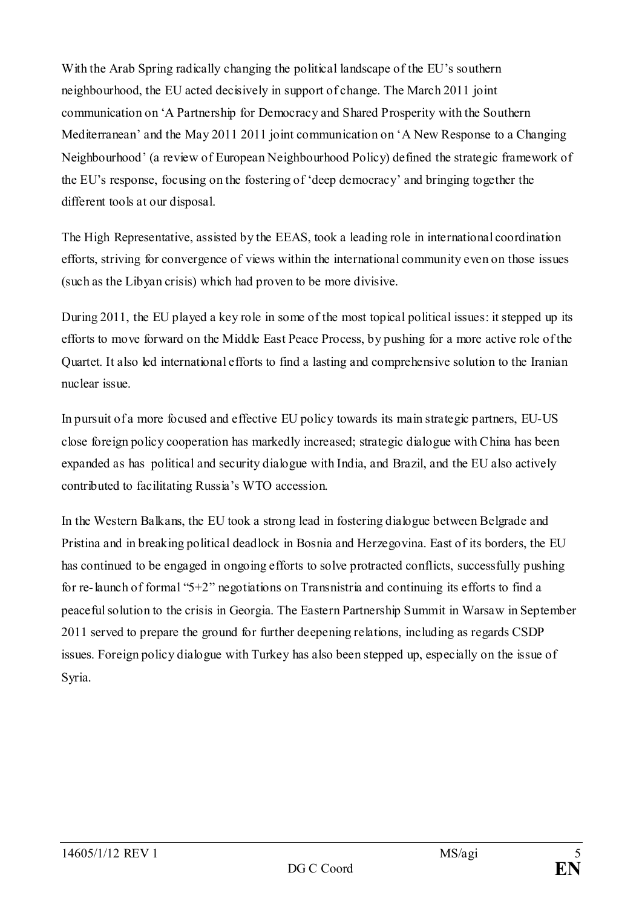With the Arab Spring radically changing the political landscape of the EU's southern neighbourhood, the EU acted decisively in support of change. The March 2011 joint communication on 'A Partnership for Democracy and Shared Prosperity with the Southern Mediterranean' and the May 2011 2011 joint communication on 'A New Response to a Changing Neighbourhood' (a review of European Neighbourhood Policy) defined the strategic framework of the EU's response, focusing on the fostering of 'deep democracy' and bringing together the different tools at our disposal.

The High Representative, assisted by the EEAS, took a leading role in international coordination efforts, striving for convergence of views within the international community even on those issues (such as the Libyan crisis) which had proven to be more divisive.

During 2011, the EU played a key role in some of the most topical political issues: it stepped up its efforts to move forward on the Middle East Peace Process, by pushing for a more active role of the Quartet. It also led international efforts to find a lasting and comprehensive solution to the Iranian nuclear issue.

In pursuit of a more focused and effective EU policy towards its main strategic partners, EU-US close foreign policy cooperation has markedly increased; strategic dialogue with China has been expanded as has political and security dialogue with India, and Brazil, and the EU also actively contributed to facilitating Russia's WTO accession.

In the Western Balkans, the EU took a strong lead in fostering dialogue between Belgrade and Pristina and in breaking political deadlock in Bosnia and Herzegovina. East of its borders, the EU has continued to be engaged in ongoing efforts to solve protracted conflicts, successfully pushing for re-launch of formal "5+2" negotiations on Transnistria and continuing its efforts to find a peaceful solution to the crisis in Georgia. The Eastern Partnership Summit in Warsaw in September 2011 served to prepare the ground for further deepening relations, including as regards CSDP issues. Foreign policy dialogue with Turkey has also been stepped up, especially on the issue of Syria.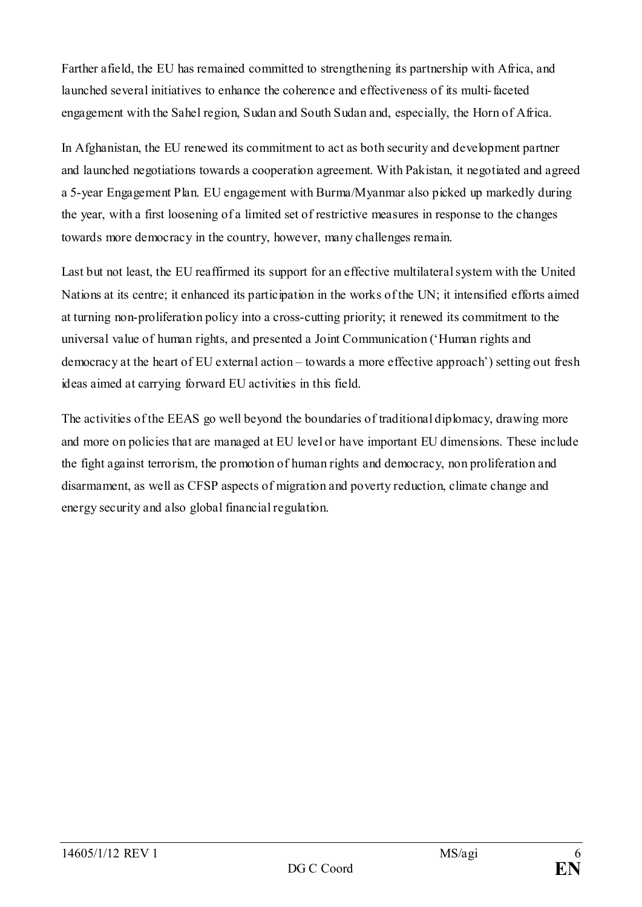Farther afield, the EU has remained committed to strengthening its partnership with Africa, and launched several initiatives to enhance the coherence and effectiveness of its multi-faceted engagement with the Sahel region, Sudan and South Sudan and, especially, the Horn of Africa.

In Afghanistan, the EU renewed its commitment to act as both security and development partner and launched negotiations towards a cooperation agreement. With Pakistan, it negotiated and agreed a 5-year Engagement Plan. EU engagement with Burma/Myanmar also picked up markedly during the year, with a first loosening of a limited set of restrictive measures in response to the changes towards more democracy in the country, however, many challenges remain.

Last but not least, the EU reaffirmed its support for an effective multilateral system with the United Nations at its centre; it enhanced its participation in the works of the UN; it intensified efforts aimed at turning non-proliferation policy into a cross-cutting priority; it renewed its commitment to the universal value of human rights, and presented a Joint Communication ('Human rights and democracy at the heart of EU external action – towards a more effective approach') setting out fresh ideas aimed at carrying forward EU activities in this field.

The activities of the EEAS go well beyond the boundaries of traditional diplomacy, drawing more and more on policies that are managed at EU level or have important EU dimensions. These include the fight against terrorism, the promotion of human rights and democracy, non proliferation and disarmament, as well as CFSP aspects of migration and poverty reduction, climate change and energy security and also global financial regulation.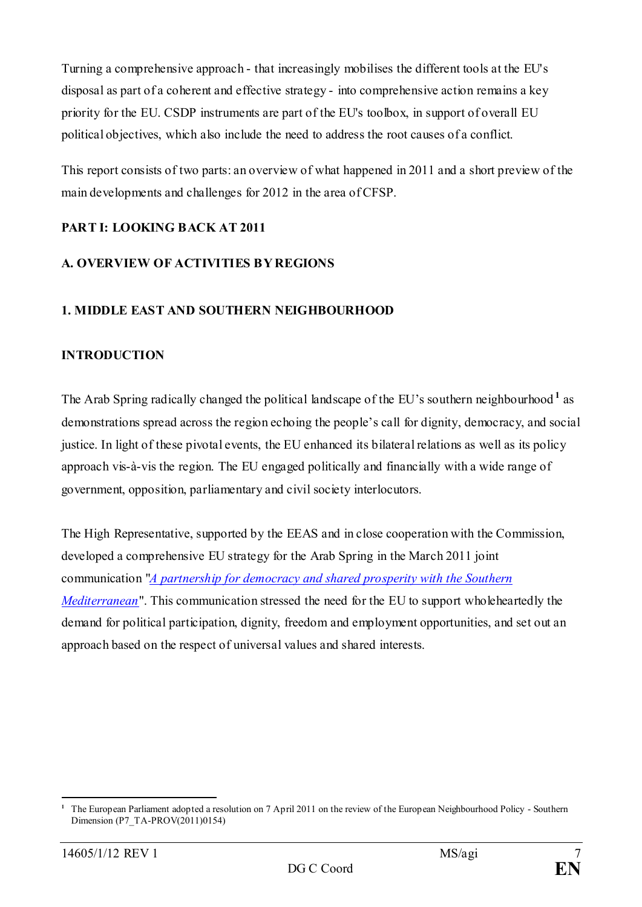Turning a comprehensive approach - that increasingly mobilises the different tools at the EU's disposal as part of a coherent and effective strategy - into comprehensive action remains a key priority for the EU. CSDP instruments are part of the EU's toolbox, in support of overall EU political objectives, which also include the need to address the root causes of a conflict.

This report consists of two parts: an overview of what happened in 2011 and a short preview of the main developments and challenges for 2012 in the area of CFSP.

# <span id="page-6-0"></span>**PART I: LOOKING BACK AT 2011**

# <span id="page-6-1"></span>**A. OVERVIEW OF ACTIVITIES BY REGIONS**

### <span id="page-6-2"></span>**1. MIDDLE EAST AND SOUTHERN NEIGHBOURHOOD**

### **INTRODUCTION**

The Arab Spring radically changed the political landscape of the EU's southern neighbourhood **[1](#page-6-3)** as demonstrations spread across the region echoing the people's call for dignity, democracy, and social justice. In light of these pivotal events, the EU enhanced its bilateral relations as well as its policy approach vis-à-vis the region. The EU engaged politically and financially with a wide range of government, opposition, parliamentary and civil society interlocutors.

The High Representative, supported by the EEAS and in close cooperation with the Commission, developed a comprehensive EU strategy for the Arab Spring in the March 2011 joint communication "*[A partnership for democracy and shared prosperity with the Southern](http://eeas.europa.eu/euromed/docs/com2011_200_en.pdf)  [Mediterranean](http://eeas.europa.eu/euromed/docs/com2011_200_en.pdf)*". This communication stressed the need for the EU to support wholeheartedly the demand for political participation, dignity, freedom and employment opportunities, and set out an approach based on the respect of universal values and shared interests.

<span id="page-6-3"></span><sup>&</sup>lt;u>.</u> **<sup>1</sup>** The European Parliament adopted a resolution on 7 April 2011 on the review of the European Neighbourhood Policy - Southern Dimension (P7\_TA-PROV(2011)0154)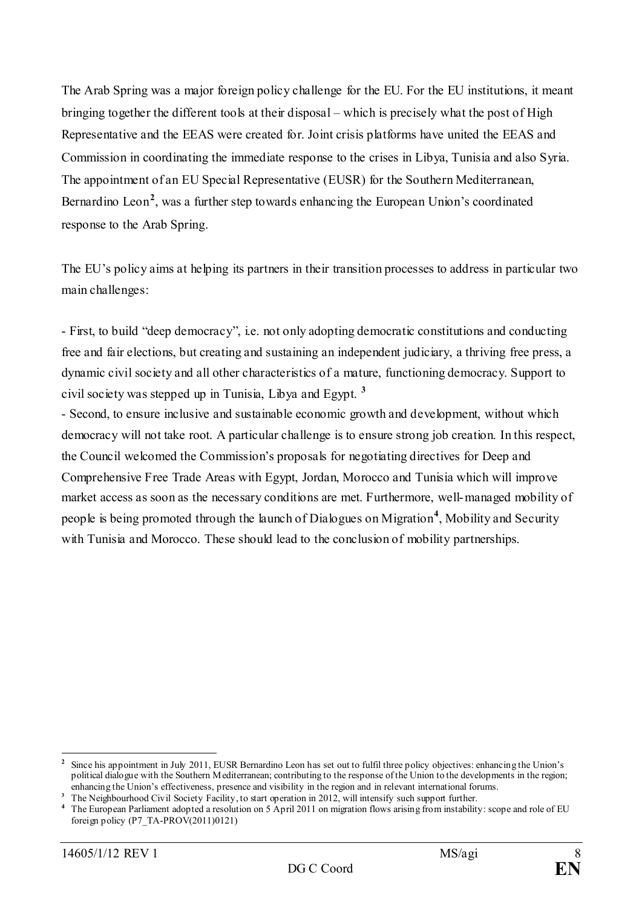The Arab Spring was a major foreign policy challenge for the EU. For the EU institutions, it meant bringing together the different tools at their disposal – which is precisely what the post of High Representative and the EEAS were created for. Joint crisis platforms have united the EEAS and Commission in coordinating the immediate response to the crises in Libya, Tunisia and also Syria. The appointment of an EU Special Representative (EUSR) for the Southern Mediterranean, Bernardino Leon<sup>[2](#page-7-0)</sup>, was a further step towards enhancing the European Union's coordinated response to the Arab Spring.

The EU's policy aims at helping its partners in their transition processes to address in particular two main challenges:

- First, to build "deep democracy", i.e. not only adopting democratic constitutions and conducting free and fair elections, but creating and sustaining an independent judiciary, a thriving free press, a dynamic civil society and all other characteristics of a mature, functioning democracy. Support to civil society was stepped up in Tunisia, Libya and Egypt. **[3](#page-7-1)**

- Second, to ensure inclusive and sustainable economic growth and development, without which democracy will not take root. A particular challenge is to ensure strong job creation. In this respect, the Council welcomed the Commission's proposals for negotiating directives for Deep and Comprehensive Free Trade Areas with Egypt, Jordan, Morocco and Tunisia which will improve market access as soon as the necessary conditions are met. Furthermore, well-managed mobility of people is being promoted through the launch of Dialogues on Migration**[4](#page-7-2)** , Mobility and Security with Tunisia and Morocco. These should lead to the conclusion of mobility partnerships.

<span id="page-7-0"></span><sup>-</sup>**<sup>2</sup>** Since his appointment in July 2011, EUSR Bernardino Leon has set out to fulfil three policy objectives: enhancing the Union's political dialogue with the Southern Mediterranean; contributing to the response of the Union to the developments in the region; enhancing the Union's effectiveness, presence and visibility in the region and in relevant international forums.

<span id="page-7-1"></span><sup>&</sup>lt;sup>3</sup> The Neighbourhood Civil Society Facility, to start operation in 2012, will intensify such support further.

<span id="page-7-2"></span>**<sup>4</sup>** The European Parliament adopted a resolution on 5 April 2011 on migration flows arising from instability: scope and role of EU foreign policy (P7\_TA-PROV(2011)0121)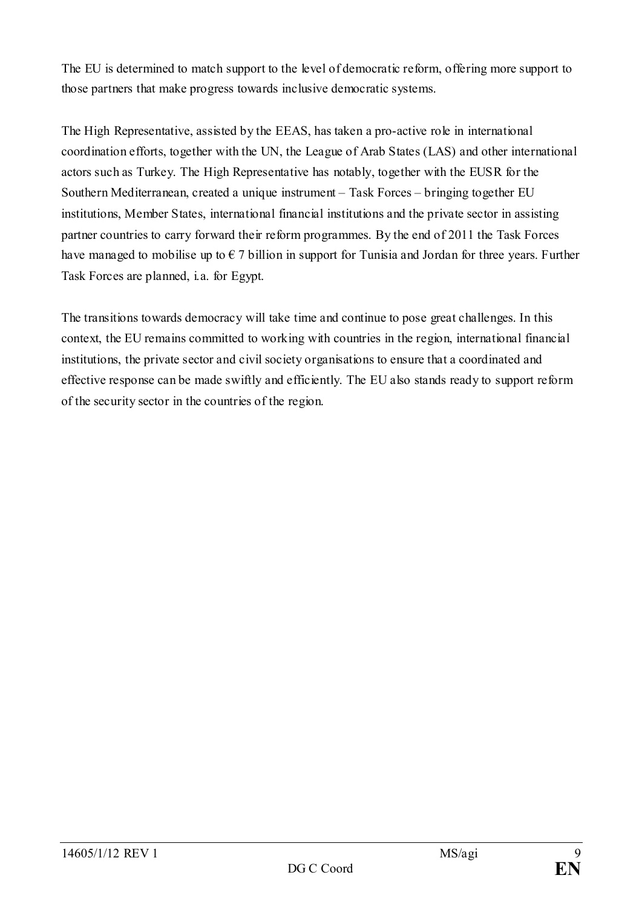The EU is determined to match support to the level of democratic reform, offering more support to those partners that make progress towards inclusive democratic systems.

The High Representative, assisted by the EEAS, has taken a pro-active role in international coordination efforts, together with the UN, the League of Arab States (LAS) and other international actors such as Turkey. The High Representative has notably, together with the EUSR for the Southern Mediterranean, created a unique instrument – Task Forces – bringing together EU institutions, Member States, international financial institutions and the private sector in assisting partner countries to carry forward their reform programmes. By the end of 2011 the Task Forces have managed to mobilise up to  $\epsilon$  7 billion in support for Tunisia and Jordan for three years. Further Task Forces are planned, i.a. for Egypt.

The transitions towards democracy will take time and continue to pose great challenges. In this context, the EU remains committed to working with countries in the region, international financial institutions, the private sector and civil society organisations to ensure that a coordinated and effective response can be made swiftly and efficiently. The EU also stands ready to support reform of the security sector in the countries of the region.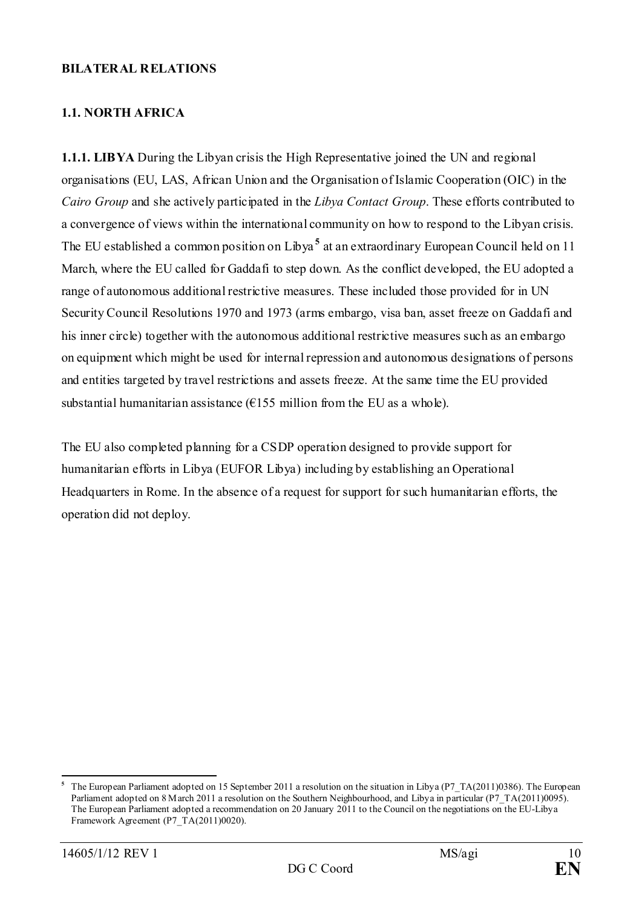#### **BILATERAL RELATIONS**

# <span id="page-9-0"></span>**1.1. NORTH AFRICA**

**1.1.1. LIBYA** During the Libyan crisis the High Representative joined the UN and regional organisations (EU, LAS, African Union and the Organisation of Islamic Cooperation (OIC) in the *Cairo Group* and she actively participated in the *Libya Contact Group*. These efforts contributed to a convergence of views within the international community on how to respond to the Libyan crisis. The EU established a common position on Libya **[5](#page-9-1)** at an extraordinary European Council held on 11 March, where the EU called for Gaddafi to step down. As the conflict developed, the EU adopted a range of autonomous additional restrictive measures. These included those provided for in UN Security Council Resolutions 1970 and 1973 (arms embargo, visa ban, asset freeze on Gaddafi and his inner circle) together with the autonomous additional restrictive measures such as an embargo on equipment which might be used for internal repression and autonomous designations of persons and entities targeted by travel restrictions and assets freeze. At the same time the EU provided substantial humanitarian assistance ( $\epsilon$ 155 million from the EU as a whole).

The EU also completed planning for a CSDP operation designed to provide support for humanitarian efforts in Libya (EUFOR Libya) including by establishing an Operational Headquarters in Rome. In the absence of a request for support for such humanitarian efforts, the operation did not deploy.

<span id="page-9-1"></span>**<sup>5</sup>** The European Parliament adopted on 15 September 2011 a resolution on the situation in Libya [\(P7\\_TA\(2011\)0386\)](http://www.europarl.europa.eu/sides/getDoc.do?type=TA&reference=P7-TA-2011-0386&language=EN&ring=P7-RC-2011-0513). The European Parliament adopted on 8 March 2011 a resolution on the Southern Neighbourhood, and Libya in particular [\(P7\\_TA\(2011\)0095\)](http://www.europarl.europa.eu/sides/getDoc.do?type=TA&reference=P7-TA-2011-0095&language=EN&ring=P7-RC-2011-0169). The European Parliament adopted a recommendation on 20 January 2011 to the Council on the negotiations on the EU-Libya Framework Agreement (P7\_TA(2011)0020).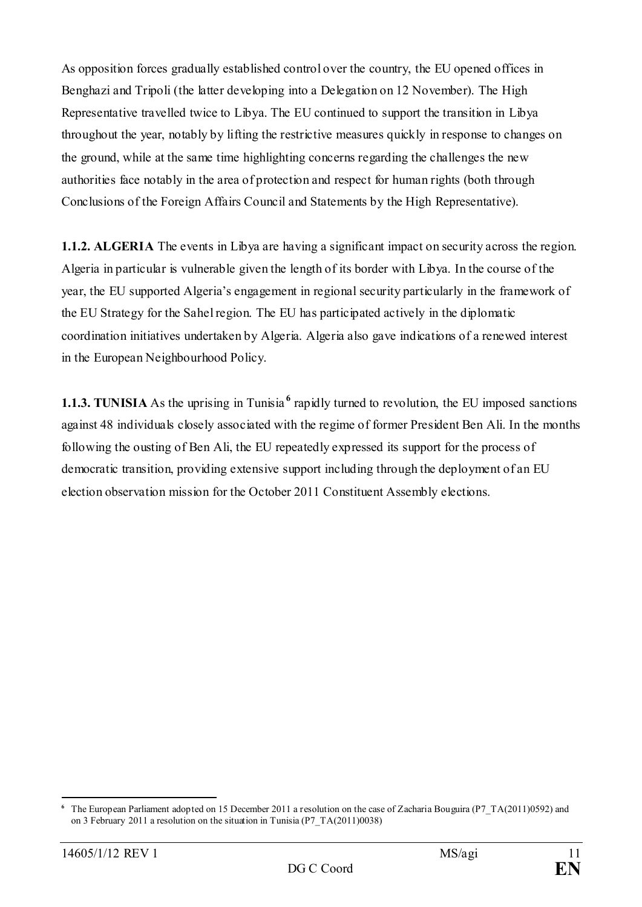As opposition forces gradually established control over the country, the EU opened offices in Benghazi and Tripoli (the latter developing into a Delegation on 12 November). The High Representative travelled twice to Libya. The EU continued to support the transition in Libya throughout the year, notably by lifting the restrictive measures quickly in response to changes on the ground, while at the same time highlighting concerns regarding the challenges the new authorities face notably in the area of protection and respect for human rights (both through Conclusions of the Foreign Affairs Council and Statements by the High Representative).

**1.1.2. ALGERIA** The events in Libya are having a significant impact on security across the region. Algeria in particular is vulnerable given the length of its border with Libya. In the course of the year, the EU supported Algeria's engagement in regional security particularly in the framework of the EU Strategy for the Sahel region. The EU has participated actively in the diplomatic coordination initiatives undertaken by Algeria. Algeria also gave indications of a renewed interest in the European Neighbourhood Policy.

**1.1.3. TUNISIA** As the uprising in Tunisia<sup>[6](#page-10-0)</sup> rapidly turned to revolution, the EU imposed sanctions against 48 individuals closely associated with the regime of former President Ben Ali. In the months following the ousting of Ben Ali, the EU repeatedly expressed its support for the process of democratic transition, providing extensive support including through the deployment of an EU election observation mission for the October 2011 Constituent Assembly elections.

<span id="page-10-0"></span><sup>&</sup>lt;u>.</u> The European Parliament adopted on 15 December 2011 a resolution on the case of Zacharia Bouguira [\(P7\\_TA\(2011\)0592\)](http://www.europarl.europa.eu/sides/getDoc.do?type=TA&reference=P7-TA-2011-0592&language=EN&ring=P7-RC-2011-0712) and on 3 February 2011 a resolution on the situation in Tunisia [\(P7\\_TA\(2011\)0038\)](http://www.europarl.europa.eu/sides/getDoc.do?type=TA&reference=P7-TA-2011-0038&language=EN&ring=P7-RC-2011-0078)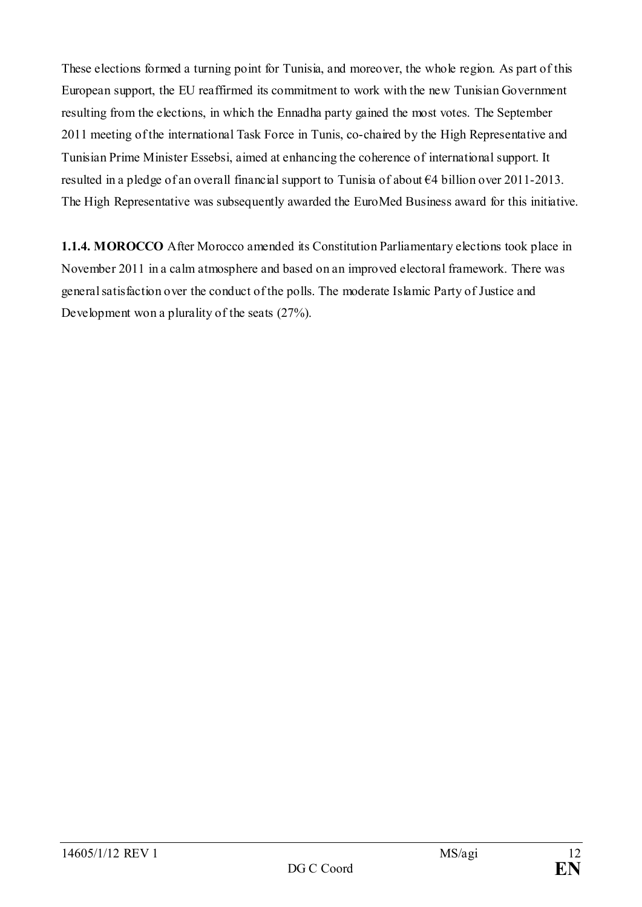These elections formed a turning point for Tunisia, and moreover, the whole region. As part of this European support, the EU reaffirmed its commitment to work with the new Tunisian Government resulting from the elections, in which the Ennadha party gained the most votes. The September 2011 meeting of the international Task Force in Tunis, co-chaired by the High Representative and Tunisian Prime Minister Essebsi, aimed at enhancing the coherence of international support. It resulted in a pledge of an overall financial support to Tunisia of about €4 billion over 2011-2013. The High Representative was subsequently awarded the EuroMed Business award for this initiative.

**1.1.4. MOROCCO** After Morocco amended its Constitution Parliamentary elections took place in November 2011 in a calm atmosphere and based on an improved electoral framework. There was general satisfaction over the conduct of the polls. The moderate Islamic Party of Justice and Development won a plurality of the seats (27%).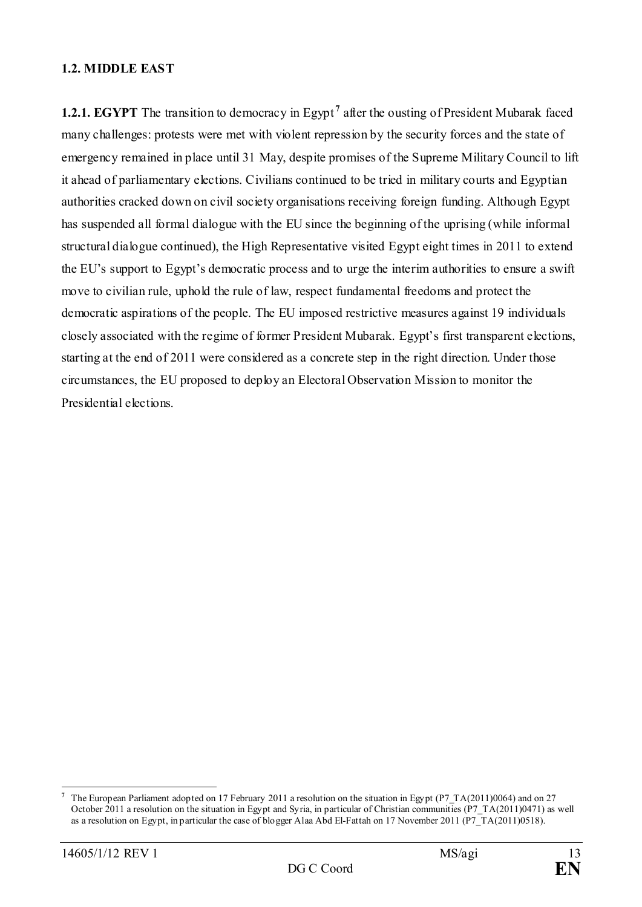#### <span id="page-12-0"></span>**1.2. MIDDLE EAST**

**1.2.1. EGYPT** The transition to democracy in Egypt<sup>[7](#page-12-1)</sup> after the ousting of President Mubarak faced many challenges: protests were met with violent repression by the security forces and the state of emergency remained in place until 31 May, despite promises of the Supreme Military Council to lift it ahead of parliamentary elections. Civilians continued to be tried in military courts and Egyptian authorities cracked down on civil society organisations receiving foreign funding. Although Egypt has suspended all formal dialogue with the EU since the beginning of the uprising (while informal structural dialogue continued), the High Representative visited Egypt eight times in 2011 to extend the EU's support to Egypt's democratic process and to urge the interim authorities to ensure a swift move to civilian rule, uphold the rule of law, respect fundamental freedoms and protect the democratic aspirations of the people. The EU imposed restrictive measures against 19 individuals closely associated with the regime of former President Mubarak. Egypt's first transparent elections, starting at the end of 2011 were considered as a concrete step in the right direction. Under those circumstances, the EU proposed to deploy an Electoral Observation Mission to monitor the Presidential elections.

<span id="page-12-1"></span>**<sup>7</sup>** The European Parliament adopted on 17 February 2011 a resolution on the situation in Egypt [\(P7\\_TA\(2011\)0064\)](http://www.europarl.europa.eu/sides/getDoc.do?type=TA&reference=P7-TA-2011-0064&language=EN&ring=P7-RC-2011-0120) and on 27 October 2011 [a resolution on the situation in Egypt and Syria, in particular of Christian communities](http://www.europarl.europa.eu/sides/getDoc.do?pubRef=-%2f%2fEP%2f%2fTEXT%2bMOTION%2bP7-RC-2011-0542%2b0%2bDOC%2bXML%2bV0%2f%2fEN&language=EN) [\(P7\\_TA\(2011\)0471\)](http://www.europarl.europa.eu/sides/getDoc.do?type=TA&reference=P7-TA-2011-0471&language=EN&ring=P7-RC-2011-0542) as well as a resolution [on Egypt, in particular the case of blogger Alaa Abd El-Fattah](http://www.europarl.europa.eu/sides/getDoc.do?pubRef=-%2f%2fEP%2f%2fTEXT%2bMOTION%2bP7-RC-2011-0595%2b0%2bDOC%2bXML%2bV0%2f%2fEN&language=EN) on 17 November 2011 (P7 $T(A(2011)0518)$ ).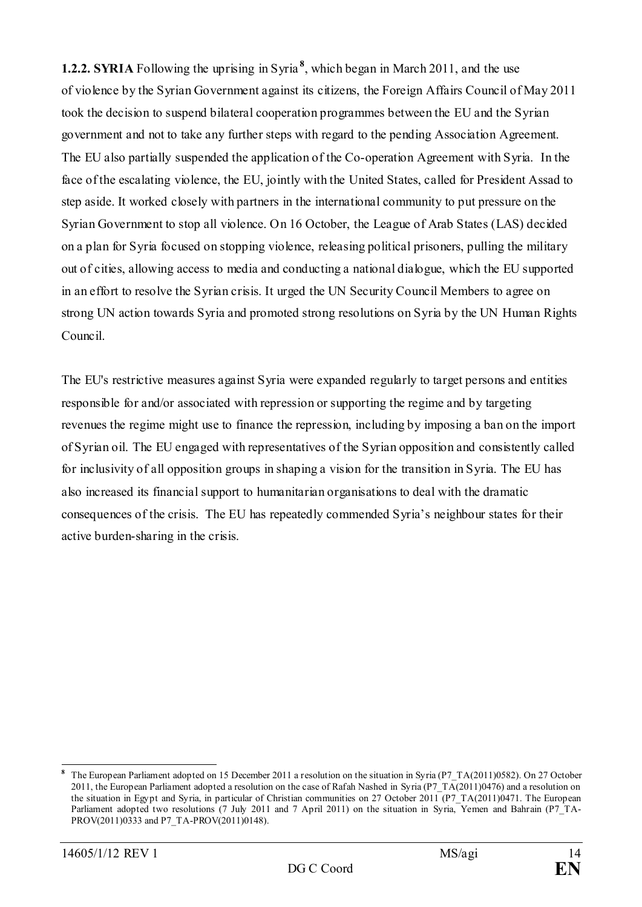**1.2.2. SYRIA** Following the uprising in Syria **[8](#page-13-0)** , which began in March 2011, and the use of violence by the Syrian Government against its citizens, the Foreign Affairs Council of May 2011 took the decision to suspend bilateral cooperation programmes between the EU and the Syrian government and not to take any further steps with regard to the pending Association Agreement. The EU also partially suspended the application of the Co-operation Agreement with Syria. In the face of the escalating violence, the EU, jointly with the United States, called for President Assad to step aside. It worked closely with partners in the international community to put pressure on the Syrian Government to stop all violence. On 16 October, the League of Arab States (LAS) decided on a plan for Syria focused on stopping violence, releasing political prisoners, pulling the military out of cities, allowing access to media and conducting a national dialogue, which the EU supported in an effort to resolve the Syrian crisis. It urged the UN Security Council Members to agree on strong UN action towards Syria and promoted strong resolutions on Syria by the UN Human Rights Council.

The EU's restrictive measures against Syria were expanded regularly to target persons and entities responsible for and/or associated with repression or supporting the regime and by targeting revenues the regime might use to finance the repression, including by imposing a ban on the import of Syrian oil. The EU engaged with representatives of the Syrian opposition and consistently called for inclusivity of all opposition groups in shaping a vision for the transition in Syria. The EU has also increased its financial support to humanitarian organisations to deal with the dramatic consequences of the crisis. The EU has repeatedly commended Syria's neighbour states for their active burden-sharing in the crisis.

<span id="page-13-0"></span>**<sup>8</sup>** The European Parliament adopted on 15 December 2011 a resolution on the situation in Syria [\(P7\\_TA\(2011\)0582\)](http://www.europarl.europa.eu/sides/getDoc.do?type=TA&reference=P7-TA-2011-0582&language=EN&ring=P7-RC-2011-0721). On 27 October 2011, the European Parliament adopted a resolution on the case o[f Rafah Nashed in Syria](http://www.europarl.europa.eu/sides/getDoc.do?pubRef=-%2f%2fEP%2f%2fTEXT%2bMOTION%2bP7-RC-2011-0565%2b0%2bDOC%2bXML%2bV0%2f%2fEN&language=EN) [\(P7\\_TA\(2011\)0476\)](http://www.europarl.europa.eu/sides/getDoc.do?type=TA&reference=P7-TA-2011-0476&language=EN&ring=P7-RC-2011-0565) and a resolution on [the situation in Egypt and Syria, in particular of Christian communities](http://www.europarl.europa.eu/sides/getDoc.do?pubRef=-%2f%2fEP%2f%2fTEXT%2bMOTION%2bP7-RC-2011-0542%2b0%2bDOC%2bXML%2bV0%2f%2fEN&language=EN) on 27 October 2011 [\(P7\\_TA\(2011\)0471.](http://www.europarl.europa.eu/sides/getDoc.do?type=TA&reference=P7-TA-2011-0471&language=EN&ring=P7-RC-2011-0542) The European Parliament adopted two resolutions (7 July 2011 and 7 April 2011) on the situation in Syria, Yemen and Bahrain (P7 TA-PROV(2011)0333 and P7\_TA-PROV(2011)0148).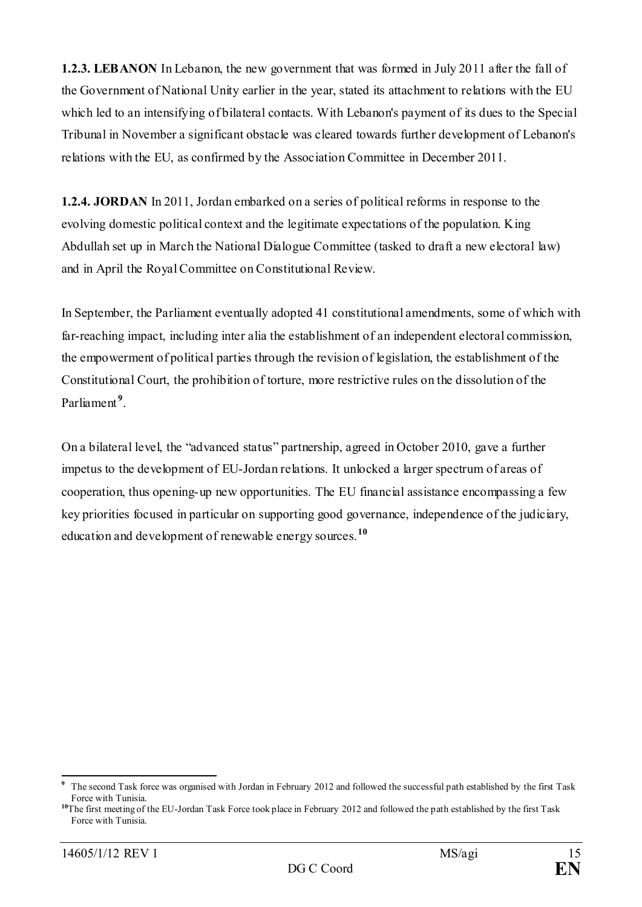**1.2.3. LEBANON** In Lebanon, the new government that was formed in July 2011 after the fall of the Government of National Unity earlier in the year, stated its attachment to relations with the EU which led to an intensifying of bilateral contacts. With Lebanon's payment of its dues to the Special Tribunal in November a significant obstacle was cleared towards further development of Lebanon's relations with the EU, as confirmed by the Association Committee in December 2011.

**1.2.4. JORDAN** In 2011, Jordan embarked on a series of political reforms in response to the evolving domestic political context and the legitimate expectations of the population. King Abdullah set up in March the National Dialogue Committee (tasked to draft a new electoral law) and in April the Royal Committee on Constitutional Review.

In September, the Parliament eventually adopted 41 constitutional amendments, some of which with far-reaching impact, including inter alia the establishment of an independent electoral commission, the empowerment of political parties through the revision of legislation, the establishment of the Constitutional Court, the prohibition of torture, more restrictive rules on the dissolution of the Parliament **[9](#page-14-0)** .

On a bilateral level, the "advanced status" partnership, agreed in October 2010, gave a further impetus to the development of EU-Jordan relations. It unlocked a larger spectrum of areas of cooperation, thus opening-up new opportunities. The EU financial assistance encompassing a few key priorities focused in particular on supporting good governance, independence of the judiciary, education and development of renewable energy sources.**[10](#page-14-1)**

<span id="page-14-0"></span>**<sup>9</sup>** The second Task force was organised with Jordan in February 2012 and followed the successful path established by the first Task Force with Tunisia.

<span id="page-14-1"></span>**<sup>10</sup>**The first meeting of the EU-Jordan Task Force took place in February 2012 and followed the path established by the first Task Force with Tunisia.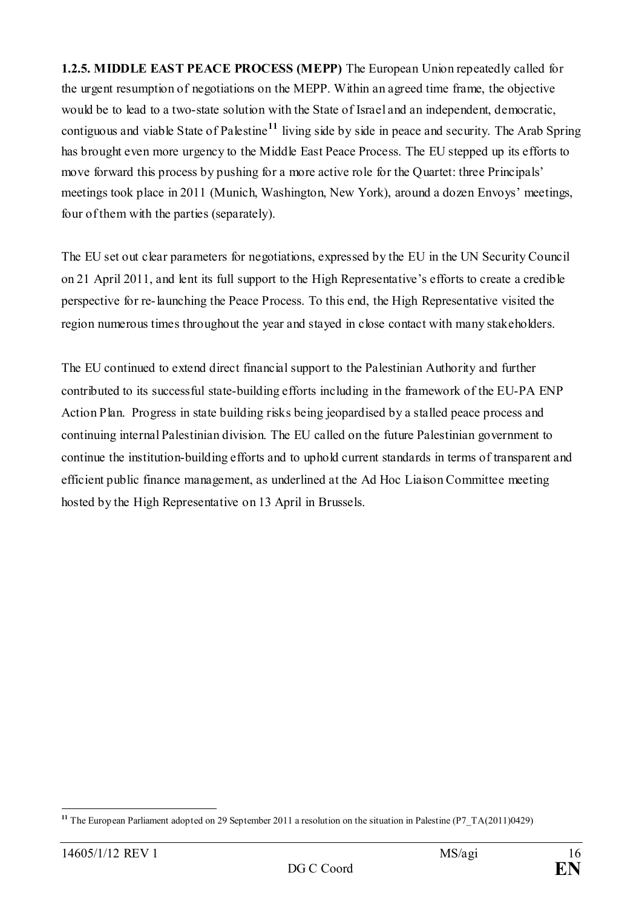**1.2.5. MIDDLE EAST PEACE PROCESS (MEPP)** The European Union repeatedly called for the urgent resumption of negotiations on the MEPP. Within an agreed time frame, the objective would be to lead to a two-state solution with the State of Israel and an independent, democratic, contiguous and viable State of Palestine**[11](#page-15-0)** living side by side in peace and security. The Arab Spring has brought even more urgency to the Middle East Peace Process. The EU stepped up its efforts to move forward this process by pushing for a more active role for the Quartet: three Principals' meetings took place in 2011 (Munich, Washington, New York), around a dozen Envoys' meetings, four of them with the parties (separately).

The EU set out clear parameters for negotiations, expressed by the EU in the UN Security Council on 21 April 2011, and lent its full support to the High Representative's efforts to create a credible perspective for re-launching the Peace Process. To this end, the High Representative visited the region numerous times throughout the year and stayed in close contact with many stakeholders.

The EU continued to extend direct financial support to the Palestinian Authority and further contributed to its successful state-building efforts including in the framework of the EU-PA ENP Action Plan. Progress in state building risks being jeopardised by a stalled peace process and continuing internal Palestinian division. The EU called on the future Palestinian government to continue the institution-building efforts and to uphold current standards in terms of transparent and efficient public finance management, as underlined at the Ad Hoc Liaison Committee meeting hosted by the High Representative on 13 April in Brussels.

<span id="page-15-0"></span><sup>-</sup>**<sup>11</sup>** The European Parliament adopted on 29 September 2011 a resolution on the situation in Palestine [\(P7\\_TA\(2011\)0429\)](http://www.europarl.europa.eu/sides/getDoc.do?type=TA&reference=P7-TA-2011-0429&language=EN&ring=P7-RC-2011-0525)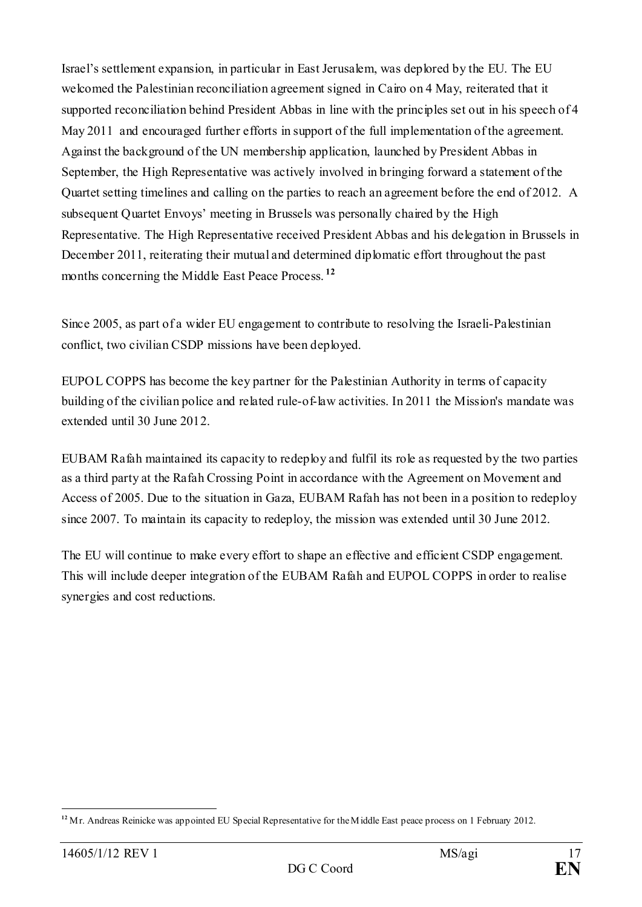Israel's settlement expansion, in particular in East Jerusalem, was deplored by the EU. The EU welcomed the Palestinian reconciliation agreement signed in Cairo on 4 May, reiterated that it supported reconciliation behind President Abbas in line with the principles set out in his speech of 4 May 2011 and encouraged further efforts in support of the full implementation of the agreement. Against the background of the UN membership application, launched by President Abbas in September, the High Representative was actively involved in bringing forward a statement of the Quartet setting timelines and calling on the parties to reach an agreement before the end of 2012. A subsequent Quartet Envoys' meeting in Brussels was personally chaired by the High Representative. The High Representative received President Abbas and his delegation in Brussels in December 2011, reiterating their mutual and determined diplomatic effort throughout the past months concerning the Middle East Peace Process.<sup>[12](#page-16-0)</sup>

Since 2005, as part of a wider EU engagement to contribute to resolving the Israeli-Palestinian conflict, two civilian CSDP missions have been deployed.

EUPOL COPPS has become the key partner for the Palestinian Authority in terms of capacity building of the civilian police and related rule-of-law activities. In 2011 the Mission's mandate was extended until 30 June 2012.

EUBAM Rafah maintained its capacity to redeploy and fulfil its role as requested by the two parties as a third party at the Rafah Crossing Point in accordance with the Agreement on Movement and Access of 2005. Due to the situation in Gaza, EUBAM Rafah has not been in a position to redeploy since 2007. To maintain its capacity to redeploy, the mission was extended until 30 June 2012.

The EU will continue to make every effort to shape an effective and efficient CSDP engagement. This will include deeper integration of the EUBAM Rafah and EUPOL COPPS in order to realise synergies and cost reductions.

<span id="page-16-0"></span><sup>-</sup><sup>12</sup> Mr. Andreas Reinicke was appointed EU Special Representative for the Middle East peace process on 1 February 2012.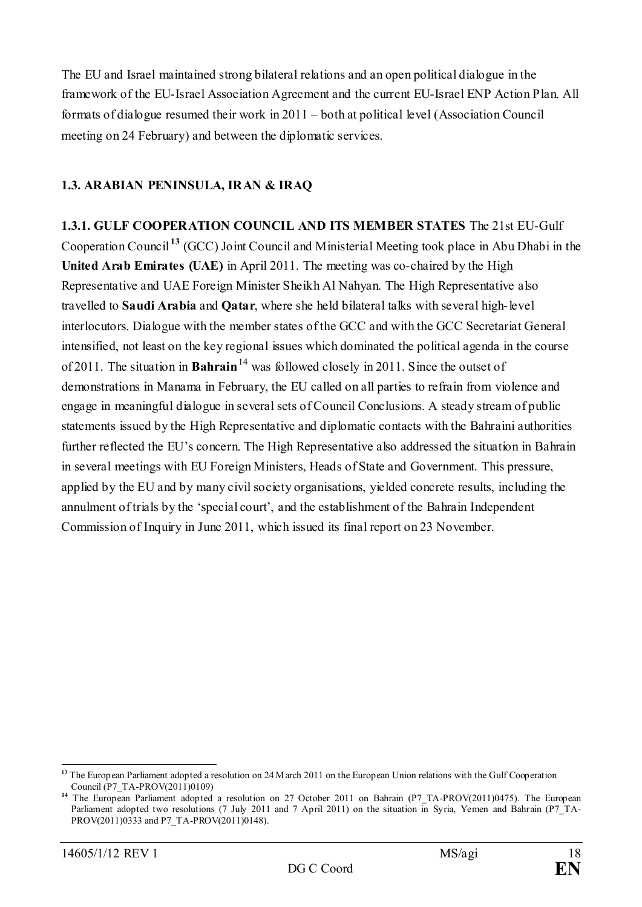The EU and Israel maintained strong bilateral relations and an open political dialogue in the framework of the EU-Israel Association Agreement and the current EU-Israel ENP Action Plan. All formats of dialogue resumed their work in 2011 – both at political level (Association Council meeting on 24 February) and between the diplomatic services.

# <span id="page-17-0"></span>**1.3. ARABIAN PENINSULA, IRAN & IRAQ**

**1.3.1. GULF COOPERATION COUNCIL AND ITS MEMBER STATES** The 21st EU-Gulf Cooperation Council **[13](#page-17-1)** (GCC) Joint Council and Ministerial Meeting took place in Abu Dhabi in the **United Arab Emirates (UAE)** in April 2011. The meeting was co-chaired by the High Representative and UAE Foreign Minister Sheikh Al Nahyan. The High Representative also travelled to **Saudi Arabia** and **Qatar**, where she held bilateral talks with several high-level interlocutors. Dialogue with the member states of the GCC and with the GCC Secretariat General intensified, not least on the key regional issues which dominated the political agenda in the course of 2011. The situation in **Bahrain**<sup>[14](#page-17-2)</sup> was followed closely in 2011. Since the outset of demonstrations in Manama in February, the EU called on all parties to refrain from violence and engage in meaningful dialogue in several sets of Council Conclusions. A steady stream of public statements issued by the High Representative and diplomatic contacts with the Bahraini authorities further reflected the EU's concern. The High Representative also addressed the situation in Bahrain in several meetings with EU Foreign Ministers, Heads of State and Government. This pressure, applied by the EU and by many civil society organisations, yielded concrete results, including the annulment of trials by the 'special court', and the establishment of the Bahrain Independent Commission of Inquiry in June 2011, which issued its final report on 23 November.

<span id="page-17-1"></span><sup>&</sup>lt;sup>13</sup> The European Parliament adopted a resolution on 24 M arch 2011 on the European Union relations with the Gulf Cooperation Council (P7\_TA-PROV(2011)0109)

<span id="page-17-2"></span>**<sup>14</sup>** The European Parliament adopted a resolution on 27 October 2011 on Bahrain (P7\_TA-PROV(2011)0475). The European Parliament adopted two resolutions (7 July 2011 and 7 April 2011) on the situation in Syria, Yemen and Bahrain (P7\_TA-PROV(2011)0333 and P7\_TA-PROV(2011)0148).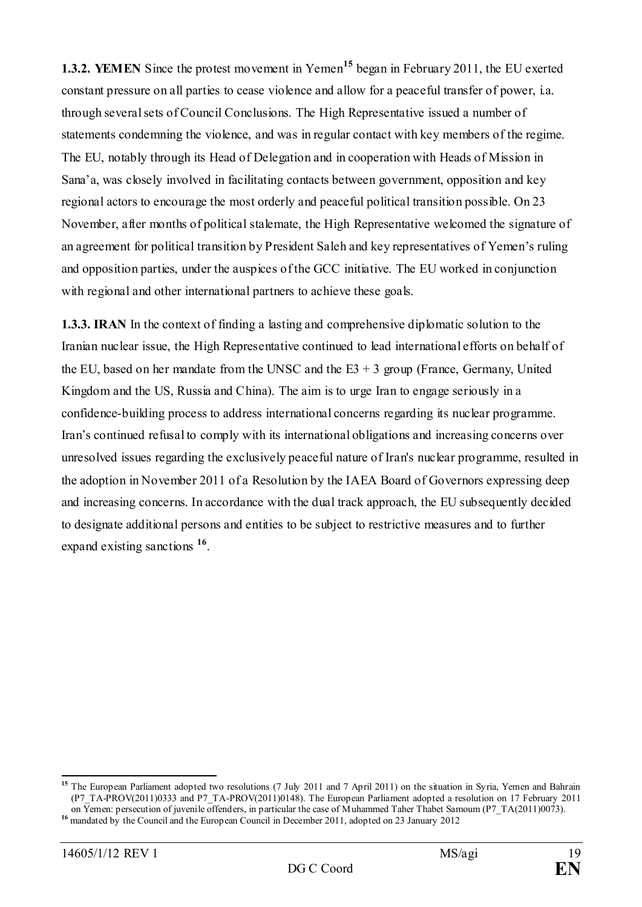**1.3.2. YEMEN** Since the protest movement in Yemen**[15](#page-18-0)** began in February 2011, the EU exerted constant pressure on all parties to cease violence and allow for a peaceful transfer of power, i.a. through several sets of Council Conclusions. The High Representative issued a number of statements condemning the violence, and was in regular contact with key members of the regime. The EU, notably through its Head of Delegation and in cooperation with Heads of Mission in Sana'a, was closely involved in facilitating contacts between government, opposition and key regional actors to encourage the most orderly and peaceful political transition possible. On 23 November, after months of political stalemate, the High Representative welcomed the signature of an agreement for political transition by President Saleh and key representatives of Yemen's ruling and opposition parties, under the auspices of the GCC initiative. The EU worked in conjunction with regional and other international partners to achieve these goals.

**1.3.3. IRAN** In the context of finding a lasting and comprehensive diplomatic solution to the Iranian nuclear issue, the High Representative continued to lead international efforts on behalf of the EU, based on her mandate from the UNSC and the  $E3 + 3$  group (France, Germany, United Kingdom and the US, Russia and China). The aim is to urge Iran to engage seriously in a confidence-building process to address international concerns regarding its nuclear programme. Iran's continued refusal to comply with its international obligations and increasing concerns over unresolved issues regarding the exclusively peaceful nature of Iran's nuclear programme, resulted in the adoption in November 2011 of a Resolution by the IAEA Board of Governors expressing deep and increasing concerns. In accordance with the dual track approach, the EU subsequently decided to designate additional persons and entities to be subject to restrictive measures and to further expand existing sanctions **[16](#page-18-1)**.

<span id="page-18-0"></span>**<sup>15</sup>** The European Parliament adopted two resolutions (7 July 2011 and 7 April 2011) on the situation in Syria, Yemen and Bahrain (P7\_TA-PROV(2011)0333 and P7\_TA-PROV(2011)0148). The European Parliament adopted a resolution on 17 February 2011 on Yemen: persecution of juvenile offenders, in particular the case of Muhammed Taher Thabet Samoum (P7\_TA(2011)0073).

<span id="page-18-1"></span><sup>&</sup>lt;sup>16</sup> mandated by the Council and the European Council in December 2011, adopted on 23 January 2012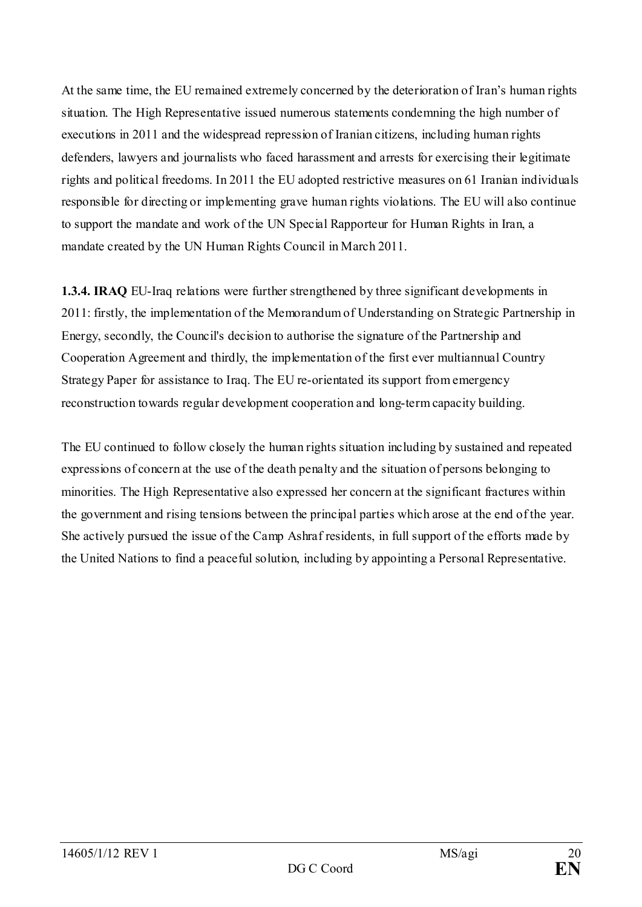At the same time, the EU remained extremely concerned by the deterioration of Iran's human rights situation. The High Representative issued numerous statements condemning the high number of executions in 2011 and the widespread repression of Iranian citizens, including human rights defenders, lawyers and journalists who faced harassment and arrests for exercising their legitimate rights and political freedoms. In 2011 the EU adopted restrictive measures on 61 Iranian individuals responsible for directing or implementing grave human rights violations. The EU will also continue to support the mandate and work of the UN Special Rapporteur for Human Rights in Iran, a mandate created by the UN Human Rights Council in March 2011.

**1.3.4. IRAQ** EU-Iraq relations were further strengthened by three significant developments in 2011: firstly, the implementation of the Memorandum of Understanding on Strategic Partnership in Energy, secondly, the Council's decision to authorise the signature of the Partnership and Cooperation Agreement and thirdly, the implementation of the first ever multiannual Country Strategy Paper for assistance to Iraq. The EU re-orientated its support from emergency reconstruction towards regular development cooperation and long-term capacity building.

The EU continued to follow closely the human rights situation including by sustained and repeated expressions of concern at the use of the death penalty and the situation of persons belonging to minorities. The High Representative also expressed her concern at the significant fractures within the government and rising tensions between the principal parties which arose at the end of the year. She actively pursued the issue of the Camp Ashraf residents, in full support of the efforts made by the United Nations to find a peaceful solution, including by appointing a Personal Representative.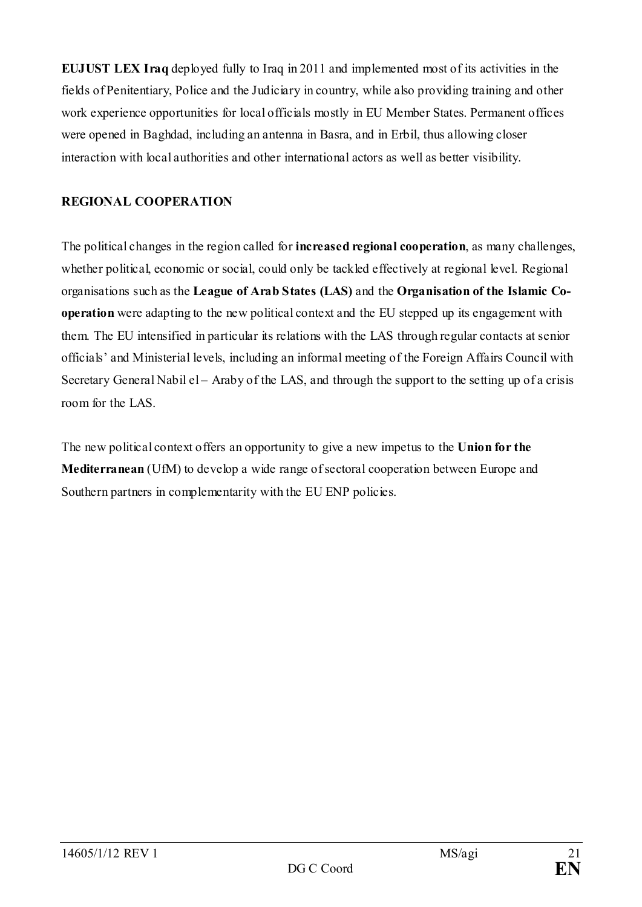**EUJUST LEX Iraq** deployed fully to Iraq in 2011 and implemented most of its activities in the fields of Penitentiary, Police and the Judiciary in country, while also providing training and other work experience opportunities for local officials mostly in EU Member States. Permanent offices were opened in Baghdad, including an antenna in Basra, and in Erbil, thus allowing closer interaction with local authorities and other international actors as well as better visibility.

# <span id="page-20-0"></span>**REGIONAL COOPERATION**

The political changes in the region called for **increased regional cooperation**, as many challenges, whether political, economic or social, could only be tackled effectively at regional level. Regional organisations such as the **League of Arab States (LAS)** and the **Organisation of the Islamic Cooperation** were adapting to the new political context and the EU stepped up its engagement with them. The EU intensified in particular its relations with the LAS through regular contacts at senior officials' and Ministerial levels, including an informal meeting of the Foreign Affairs Council with Secretary General Nabil el – Araby of the LAS, and through the support to the setting up of a crisis room for the LAS

The new political context offers an opportunity to give a new impetus to the **Union for the Mediterranean** (UfM) to develop a wide range of sectoral cooperation between Europe and Southern partners in complementarity with the EU ENP policies.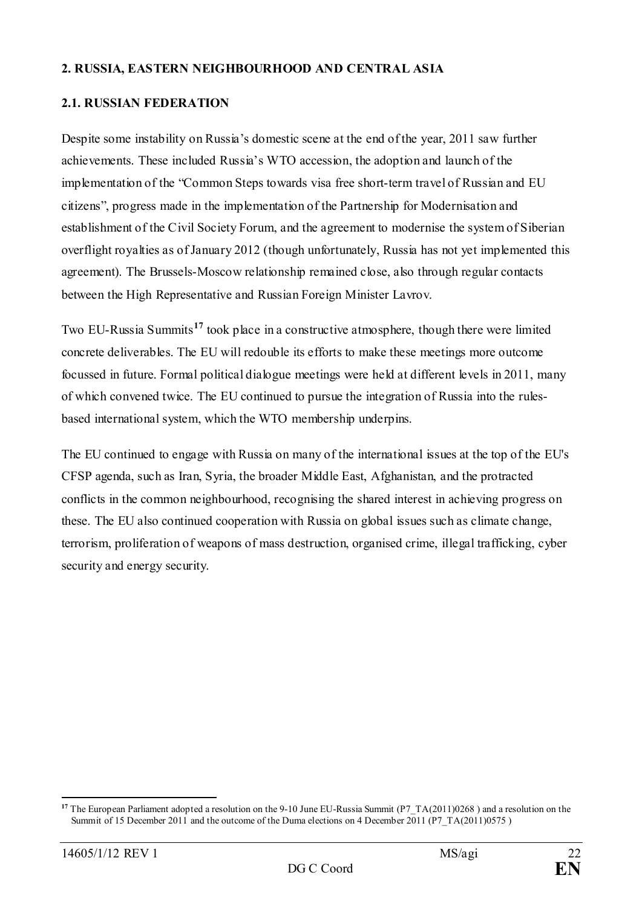## <span id="page-21-0"></span>**2. RUSSIA, EASTERN NEIGHBOURHOOD AND CENTRAL ASIA**

### <span id="page-21-1"></span>**2.1. RUSSIAN FEDERATION**

Despite some instability on Russia's domestic scene at the end of the year, 2011 saw further achievements. These included Russia's WTO accession, the adoption and launch of the implementation of the "Common Steps towards visa free short-term travel of Russian and EU citizens", progress made in the implementation of the Partnership for Modernisation and establishment of the Civil Society Forum, and the agreement to modernise the system of Siberian overflight royalties as of January 2012 (though unfortunately, Russia has not yet implemented this agreement). The Brussels-Moscow relationship remained close, also through regular contacts between the High Representative and Russian Foreign Minister Lavrov.

Two EU-Russia Summits**[17](#page-21-2)** took place in a constructive atmosphere, though there were limited concrete deliverables. The EU will redouble its efforts to make these meetings more outcome focussed in future. Formal political dialogue meetings were held at different levels in 2011, many of which convened twice. The EU continued to pursue the integration of Russia into the rulesbased international system, which the WTO membership underpins.

The EU continued to engage with Russia on many of the international issues at the top of the EU's CFSP agenda, such as Iran, Syria, the broader Middle East, Afghanistan, and the protracted conflicts in the common neighbourhood, recognising the shared interest in achieving progress on these. The EU also continued cooperation with Russia on global issues such as climate change, terrorism, proliferation of weapons of mass destruction, organised crime, illegal trafficking, cyber security and energy security.

<span id="page-21-2"></span><sup>&</sup>lt;u>.</u> **<sup>17</sup>** The European Parliament adopted a resolution on the 9-10 June EU-Russia Summit (P7\_TA(2011)0268 ) and a resolution on the Summit of 15 December 2011 and the outcome of the Duma elections on 4 December 2011 (P7\_TA(2011)0575 )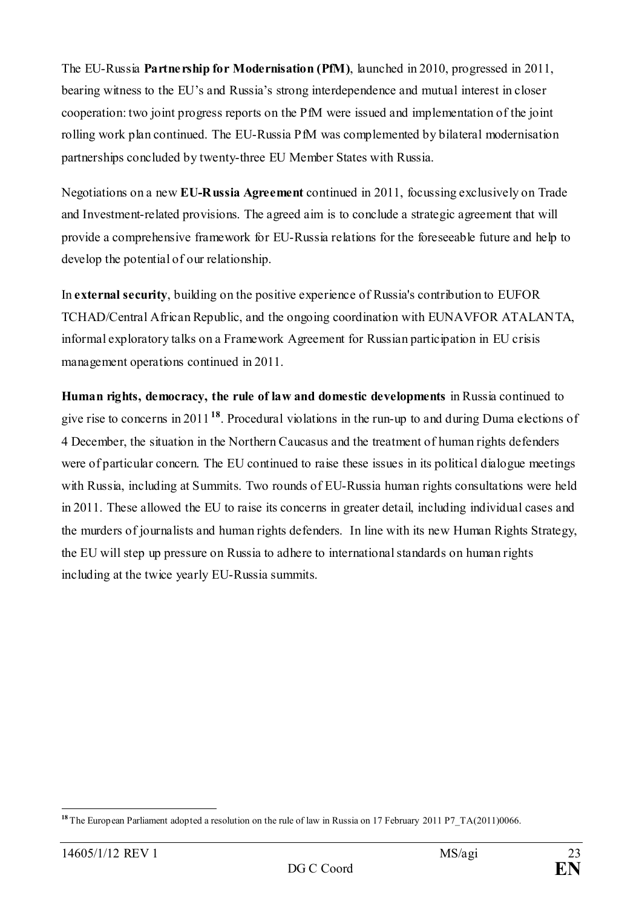The EU-Russia **Partnership for Modernisation (PfM)**, launched in 2010, progressed in 2011, bearing witness to the EU's and Russia's strong interdependence and mutual interest in closer cooperation: two joint progress reports on the PfM were issued and implementation of the joint rolling work plan continued. The EU-Russia PfM was complemented by bilateral modernisation partnerships concluded by twenty-three EU Member States with Russia.

Negotiations on a new **EU-Russia Agreement** continued in 2011, focussing exclusively on Trade and Investment-related provisions. The agreed aim is to conclude a strategic agreement that will provide a comprehensive framework for EU-Russia relations for the foreseeable future and help to develop the potential of our relationship.

In **external security**, building on the positive experience of Russia's contribution to EUFOR TCHAD/Central African Republic, and the ongoing coordination with EUNAVFOR ATALANTA, informal exploratory talks on a Framework Agreement for Russian participation in EU crisis management operations continued in 2011.

**Human rights, democracy, the rule of law and domestic developments** in Russia continued to give rise to concerns in 2011**[18](#page-22-0)**. Procedural violations in the run-up to and during Duma elections of 4 December, the situation in the Northern Caucasus and the treatment of human rights defenders were of particular concern. The EU continued to raise these issues in its political dialogue meetings with Russia, including at Summits. Two rounds of EU-Russia human rights consultations were held in 2011. These allowed the EU to raise its concerns in greater detail, including individual cases and the murders of journalists and human rights defenders. In line with its new Human Rights Strategy, the EU will step up pressure on Russia to adhere to international standards on human rights including at the twice yearly EU-Russia summits.

<span id="page-22-0"></span><sup>-</sup>**<sup>18</sup>** The European Parliament adopted a resolution on the rule of law in Russia on 17 February 2011 P7\_TA(2011)0066.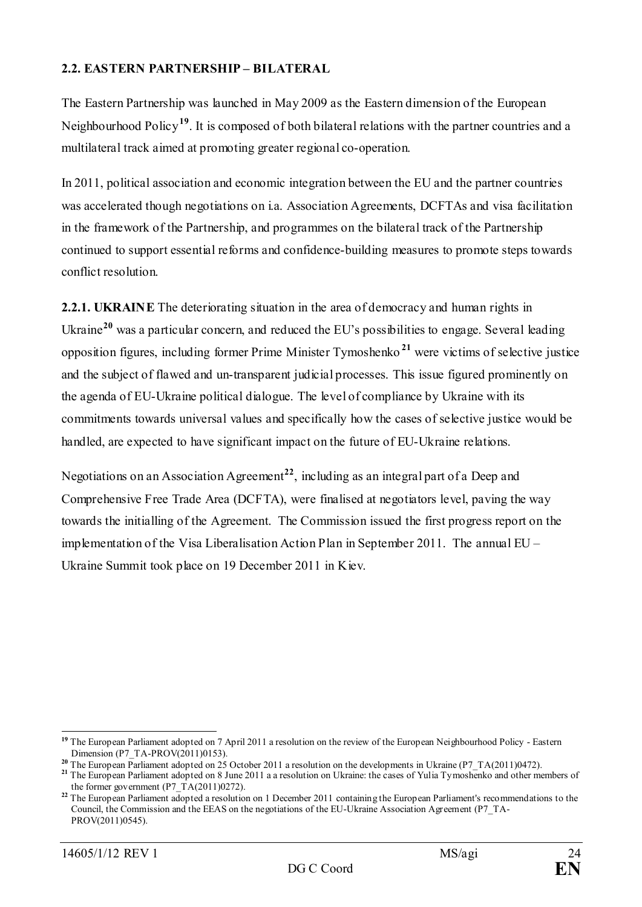# <span id="page-23-0"></span>**2.2. EASTERN PARTNERSHIP – BILATERAL**

The Eastern Partnership was launched in May 2009 as the Eastern dimension of the European Neighbourhood Policy**[19](#page-23-1)**. It is composed of both bilateral relations with the partner countries and a multilateral track aimed at promoting greater regional co-operation.

In 2011, political association and economic integration between the EU and the partner countries was accelerated though negotiations on i.a. Association Agreements, DCFTAs and visa facilitation in the framework of the Partnership, and programmes on the bilateral track of the Partnership continued to support essential reforms and confidence-building measures to promote steps towards conflict resolution.

**2.2.1. UKRAINE** The deteriorating situation in the area of democracy and human rights in Ukraine<sup>[20](#page-23-2)</sup> was a particular concern, and reduced the EU's possibilities to engage. Several leading opposition figures, including former Prime Minister Tymoshenko **[21](#page-23-3)** were victims of selective justice and the subject of flawed and un-transparent judicial processes. This issue figured prominently on the agenda of EU-Ukraine political dialogue. The level of compliance by Ukraine with its commitments towards universal values and specifically how the cases of selective justice would be handled, are expected to have significant impact on the future of EU-Ukraine relations.

Negotiations on an Association Agreement**[22](#page-23-4)**, including as an integral part of a Deep and Comprehensive Free Trade Area (DCFTA), were finalised at negotiators level, paving the way towards the initialling of the Agreement. The Commission issued the first progress report on the implementation of the Visa Liberalisation Action Plan in September 2011. The annual EU – Ukraine Summit took place on 19 December 2011 in Kiev.

<span id="page-23-1"></span><sup>&</sup>lt;sup>19</sup> The European Parliament adopted on 7 April 2011 a resolution on the review of the European Neighbourhood Policy - Eastern Dimension (P7\_TA-PROV(2011)0153).<br><sup>20</sup> The European Parliament adopted on 25 October 2011 a resolution on the developments in Ukraine (P7\_TA(2011)0472).

<span id="page-23-3"></span><span id="page-23-2"></span><sup>&</sup>lt;sup>21</sup> The European Parliament adopted on 8 June 2011 a a resolution on Ukraine: the cases of Yulia Tymoshenko and other members of [the former government](http://www.europarl.europa.eu/sides/getDoc.do?pubRef=-%2f%2fEP%2f%2fTEXT%2bMOTION%2bP7-RC-2011-0370%2b0%2bDOC%2bXML%2bV0%2f%2fEN&language=EN)  $(P7_TA(2011)0272)$ .

<span id="page-23-4"></span><sup>&</sup>lt;sup>22</sup> The European Parliament adopted a resolution on 1 December 2011 containing the European Parliament's recommendations to the Council, the Commission and the EEAS on the negotiations of the EU-Ukraine Association Agreement (P7\_TA-PROV(2011)0545).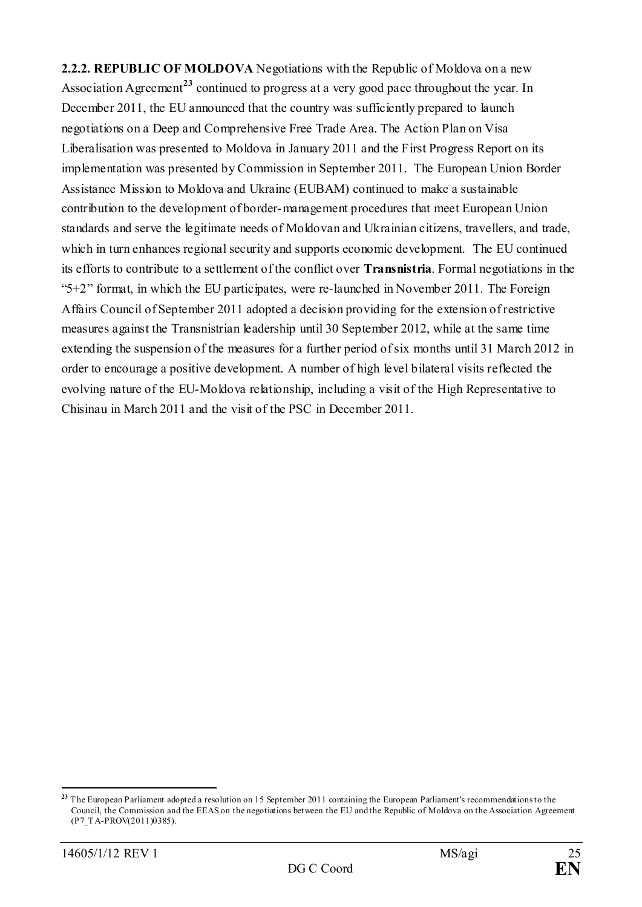**2.2.2. REPUBLIC OF MOLDOVA** Negotiations with the Republic of Moldova on a new Association Agreement<sup>[23](#page-24-0)</sup> continued to progress at a very good pace throughout the year. In December 2011, the EU announced that the country was sufficiently prepared to launch negotiations on a Deep and Comprehensive Free Trade Area. The Action Plan on Visa Liberalisation was presented to Moldova in January 2011 and the First Progress Report on its implementation was presented by Commission in September 2011. The European Union Border Assistance Mission to Moldova and Ukraine (EUBAM) continued to make a sustainable contribution to the development of border-management procedures that meet European Union standards and serve the legitimate needs of Moldovan and Ukrainian citizens, travellers, and trade, which in turn enhances regional security and supports economic development. The EU continued its efforts to contribute to a settlement of the conflict over **Transnistria**. Formal negotiations in the "5+2" format, in which the EU participates, were re-launched in November 2011. The Foreign Affairs Council of September 2011 adopted a decision providing for the extension of restrictive measures against the Transnistrian leadership until 30 September 2012, while at the same time extending the suspension of the measures for a further period of six months until 31 March 2012 in order to encourage a positive development. A number of high level bilateral visits reflected the evolving nature of the EU-Moldova relationship, including a visit of the High Representative to Chisinau in March 2011 and the visit of the PSC in December 2011.

<span id="page-24-0"></span><sup>&</sup>lt;u>.</u> **<sup>23</sup>** The European Parliament adopted a resolution on 15 September 2011 containing the European Parliament's recommendations to the Council, the Commission and the EEAS on the negotiations between the EU and the Republic of Moldova on the Association Agreement (P7\_TA-PROV(2011)0385).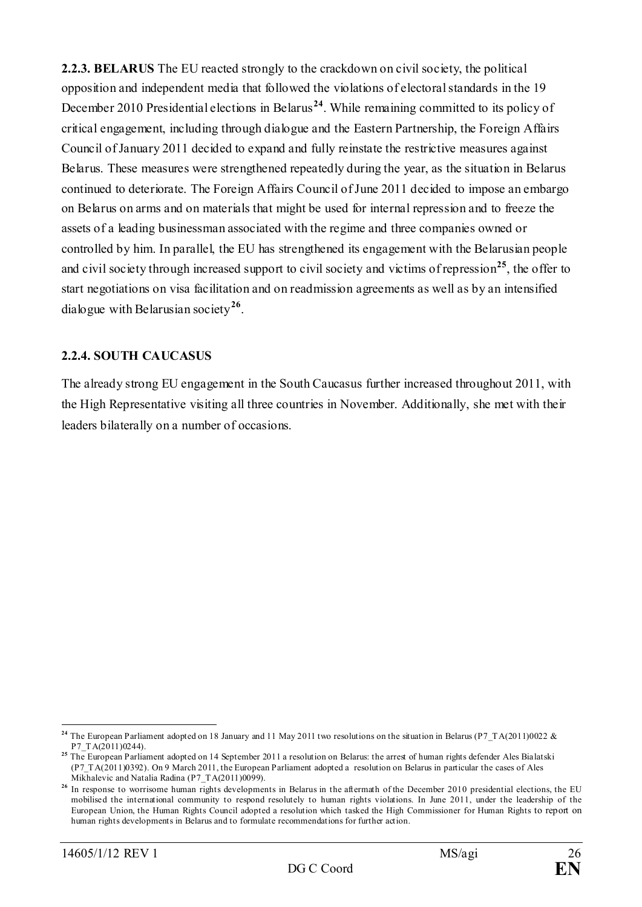**2.2.3. BELARUS** The EU reacted strongly to the crackdown on civil society, the political opposition and independent media that followed the violations of electoral standards in the 19 December 2010 Presidential elections in Belarus<sup>[24](#page-25-0)</sup>. While remaining committed to its policy of critical engagement, including through dialogue and the Eastern Partnership, the Foreign Affairs Council of January 2011 decided to expand and fully reinstate the restrictive measures against Belarus. These measures were strengthened repeatedly during the year, as the situation in Belarus continued to deteriorate. The Foreign Affairs Council of June 2011 decided to impose an embargo on Belarus on arms and on materials that might be used for internal repression and to freeze the assets of a leading businessman associated with the regime and three companies owned or controlled by him. In parallel, the EU has strengthened its engagement with the Belarusian people and civil society through increased support to civil society and victims of repression**[25](#page-25-1)**, the offer to start negotiations on visa facilitation and on readmission agreements as well as by an intensified dialogue with Belarusian society**[26](#page-25-2)**.

# **2.2.4. SOUTH CAUCASUS**

The already strong EU engagement in the South Caucasus further increased throughout 2011, with the High Representative visiting all three countries in November. Additionally, she met with their leaders bilaterally on a number of occasions.

<span id="page-25-0"></span>**<sup>24</sup>** The European Parliament adopted on 18 January and 11 May 2011 two resolutions on the situation in Belarus [\(P7\\_TA\(2011\)0022](http://www.europarl.europa.eu/sides/getDoc.do?type=TA&reference=P7-TA-2011-0022&language=EN&ring=P7-RC-2011-0044) & [P7\\_TA\(2011\)0244\)](http://www.europarl.europa.eu/sides/getDoc.do?type=TA&reference=P7-TA-2011-0244&language=EN&ring=P7-RC-2011-0334).

<span id="page-25-1"></span><sup>&</sup>lt;sup>25</sup> The European Parliament adopted on 14 September 2011 [a resolution on Belarus: the arrest of human rights defender Ales Bialatski](http://www.europarl.europa.eu/sides/getDoc.do?pubRef=-%2f%2fEP%2f%2fTEXT%2bMOTION%2bP7-RC-2011-0496%2b0%2bDOC%2bXML%2bV0%2f%2fEN&language=EN) [\(P7\\_TA\(2011\)0392\)](http://www.europarl.europa.eu/sides/getDoc.do?type=TA&reference=P7-TA-2011-0392&language=EN&ring=P7-RC-2011-0496). On 9 March 2011, the European Parliament adopted [a resolution on Belarus in particular the cases of Ales](http://www.europarl.europa.eu/sides/getDoc.do?pubRef=-%2f%2fEP%2f%2fTEXT%2bMOTION%2bP7-RC-2011-0167%2b0%2bDOC%2bXML%2bV0%2f%2fEN&language=EN)  [Mikhalevic and Natalia Radina](http://www.europarl.europa.eu/sides/getDoc.do?pubRef=-%2f%2fEP%2f%2fTEXT%2bMOTION%2bP7-RC-2011-0167%2b0%2bDOC%2bXML%2bV0%2f%2fEN&language=EN) [\(P7\\_TA\(2011\)0099\)](http://www.europarl.europa.eu/sides/getDoc.do?type=TA&reference=P7-TA-2011-0099&language=EN&ring=P7-RC-2011-0167).

<span id="page-25-2"></span><sup>&</sup>lt;sup>26</sup> In response to worrisome human rights developments in Belarus in the aftermath of the December 2010 presidential elections, the EU mobilised the international community to respond resolutely to human rights violations. In June 2011, under the leadership of the European Union, the Human Rights Council adopted a resolution which tasked the High Commissioner for Human Rights to report on human rights developments in Belarus and to formulate recommendations for further action.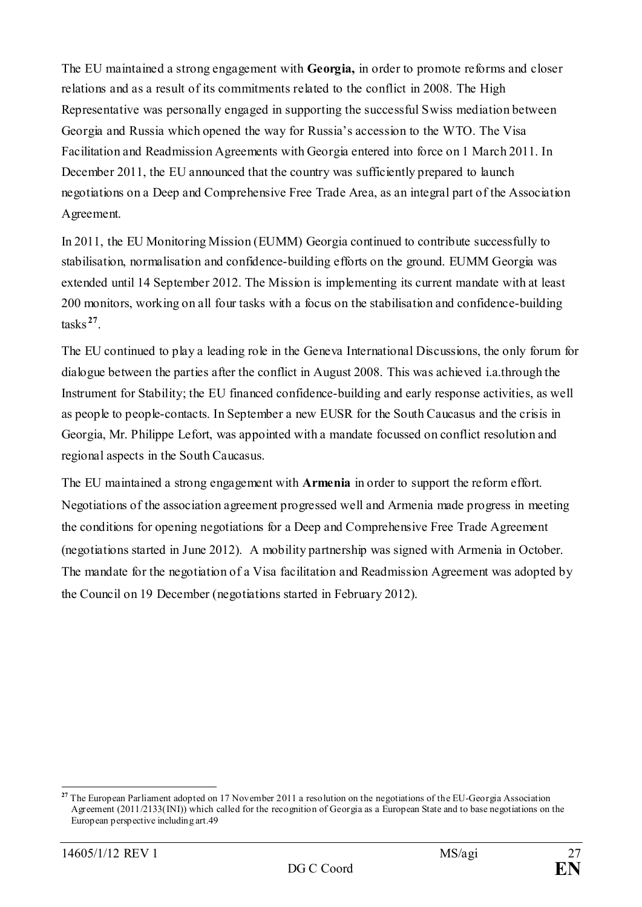The EU maintained a strong engagement with **Georgia,** in order to promote reforms and closer relations and as a result of its commitments related to the conflict in 2008. The High Representative was personally engaged in supporting the successful Swiss mediation between Georgia and Russia which opened the way for Russia's accession to the WTO. The Visa Facilitation and Readmission Agreements with Georgia entered into force on 1 March 2011. In December 2011, the EU announced that the country was sufficiently prepared to launch negotiations on a Deep and Comprehensive Free Trade Area, as an integral part of the Association Agreement.

In 2011, the EU Monitoring Mission (EUMM) Georgia continued to contribute successfully to stabilisation, normalisation and confidence-building efforts on the ground. EUMM Georgia was extended until 14 September 2012. The Mission is implementing its current mandate with at least 200 monitors, working on all four tasks with a focus on the stabilisation and confidence-building tasks **[27](#page-26-0)**.

The EU continued to play a leading role in the Geneva International Discussions, the only forum for dialogue between the parties after the conflict in August 2008. This was achieved i.a.through the Instrument for Stability; the EU financed confidence-building and early response activities, as well as people to people-contacts. In September a new EUSR for the South Caucasus and the crisis in Georgia, Mr. Philippe Lefort, was appointed with a mandate focussed on conflict resolution and regional aspects in the South Caucasus.

The EU maintained a strong engagement with **Armenia** in order to support the reform effort. Negotiations of the association agreement progressed well and Armenia made progress in meeting the conditions for opening negotiations for a Deep and Comprehensive Free Trade Agreement (negotiations started in June 2012). A mobility partnership was signed with Armenia in October. The mandate for the negotiation of a Visa facilitation and Readmission Agreement was adopted by the Council on 19 December (negotiations started in February 2012).

<span id="page-26-0"></span><sup>&</sup>lt;sup>27</sup> The European Parliament adopted on 17 November 2011 a resolution on the negotiations of the EU-Georgia Association Agreement (2011/2133(INI)) which called for the recognition of Georgia as a European State and to base negotiations on the European perspective including art.49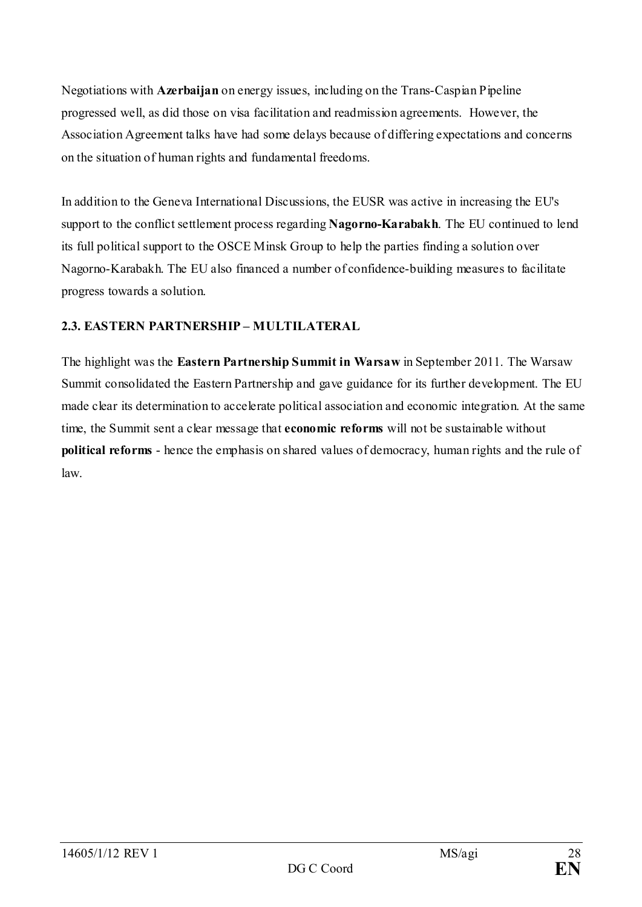Negotiations with **Azerbaijan** on energy issues, including on the Trans-Caspian Pipeline progressed well, as did those on visa facilitation and readmission agreements. However, the Association Agreement talks have had some delays because of differing expectations and concerns on the situation of human rights and fundamental freedoms.

In addition to the Geneva International Discussions, the EUSR was active in increasing the EU's support to the conflict settlement process regarding **Nagorno-Karabakh**. The EU continued to lend its full political support to the OSCE Minsk Group to help the parties finding a solution over Nagorno-Karabakh. The EU also financed a number of confidence-building measures to facilitate progress towards a solution.

# <span id="page-27-0"></span>**2.3. EASTERN PARTNERSHIP – MULTILATERAL**

The highlight was the **Eastern Partnership Summit in Warsaw** in September 2011. The Warsaw Summit consolidated the Eastern Partnership and gave guidance for its further development. The EU made clear its determination to accelerate political association and economic integration. At the same time, the Summit sent a clear message that **economic reforms** will not be sustainable without **political reforms** - hence the emphasis on shared values of democracy, human rights and the rule of law.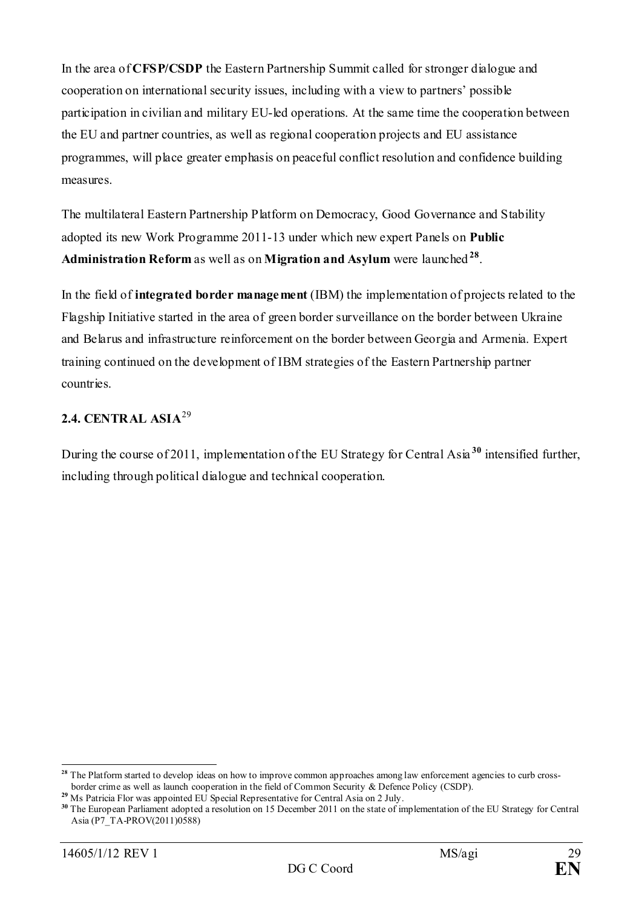In the area of **CFSP/CSDP** the Eastern Partnership Summit called for stronger dialogue and cooperation on international security issues, including with a view to partners' possible participation in civilian and military EU-led operations. At the same time the cooperation between the EU and partner countries, as well as regional cooperation projects and EU assistance programmes, will place greater emphasis on peaceful conflict resolution and confidence building measures.

The multilateral Eastern Partnership Platform on Democracy, Good Governance and Stability adopted its new Work Programme 2011-13 under which new expert Panels on **Public Administration Reform** as well as on **Migration and Asylum** were launched **[28](#page-28-1)**.

In the field of **integrated border management** (IBM) the implementation of projects related to the Flagship Initiative started in the area of green border surveillance on the border between Ukraine and Belarus and infrastructure reinforcement on the border between Georgia and Armenia. Expert training continued on the development of IBM strategies of the Eastern Partnership partner countries.

# <span id="page-28-0"></span>**2.4. CENTRAL ASIA**[29](#page-28-2)

During the course of 2011, implementation of the EU Strategy for Central Asia **[30](#page-28-3)** intensified further, including through political dialogue and technical cooperation.

<span id="page-28-1"></span><sup>&</sup>lt;sup>28</sup> The Platform started to develop ideas on how to improve common approaches among law enforcement agencies to curb crossborder crime as well as launch cooperation in the field of Common Security & Defence Policy (CSDP).

<span id="page-28-2"></span><sup>&</sup>lt;sup>29</sup> Ms Patricia Flor was appointed EU Special Representative for Central Asia on 2 July.

<span id="page-28-3"></span>**<sup>30</sup>** The European Parliament adopted a resolution on 15 December 2011 on the state of implementation of the EU Strategy for Central Asia (P7\_TA-PROV(2011)0588)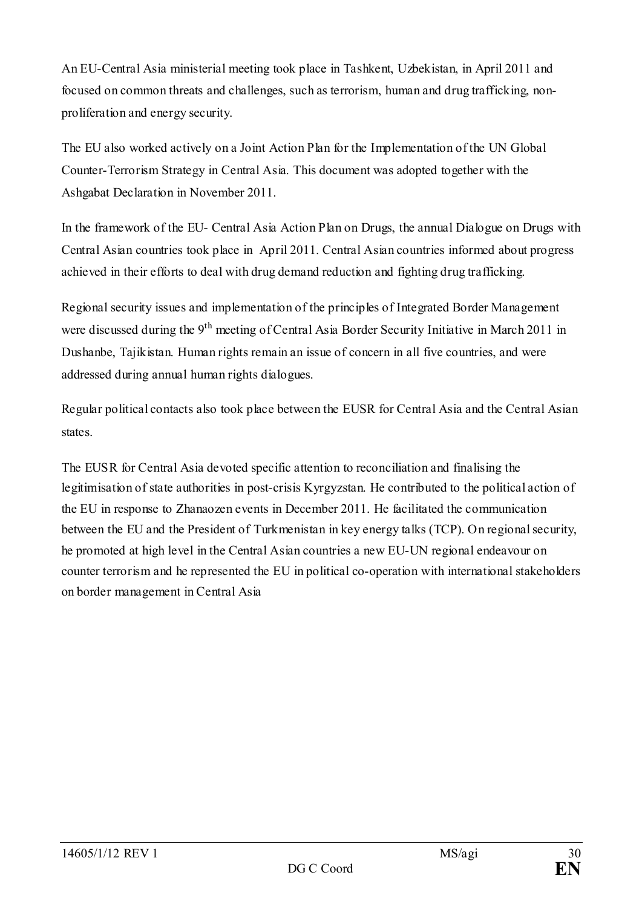An EU-Central Asia ministerial meeting took place in Tashkent, Uzbekistan, in April 2011 and focused on common threats and challenges, such as terrorism, human and drug trafficking, nonproliferation and energy security.

The EU also worked actively on a Joint Action Plan for the Implementation of the UN Global Counter-Terrorism Strategy in Central Asia. This document was adopted together with the Ashgabat Declaration in November 2011.

In the framework of the EU- Central Asia Action Plan on Drugs, the annual Dialogue on Drugs with Central Asian countries took place in April 2011. Central Asian countries informed about progress achieved in their efforts to deal with drug demand reduction and fighting drug trafficking.

Regional security issues and implementation of the principles of Integrated Border Management were discussed during the 9<sup>th</sup> meeting of Central Asia Border Security Initiative in March 2011 in Dushanbe, Tajikistan. Human rights remain an issue of concern in all five countries, and were addressed during annual human rights dialogues.

Regular political contacts also took place between the EUSR for Central Asia and the Central Asian states.

The EUSR for Central Asia devoted specific attention to reconciliation and finalising the legitimisation of state authorities in post-crisis Kyrgyzstan. He contributed to the political action of the EU in response to Zhanaozen events in December 2011. He facilitated the communication between the EU and the President of Turkmenistan in key energy talks (TCP). On regional security, he promoted at high level in the Central Asian countries a new EU-UN regional endeavour on counter terrorism and he represented the EU in political co-operation with international stakeholders on border management in Central Asia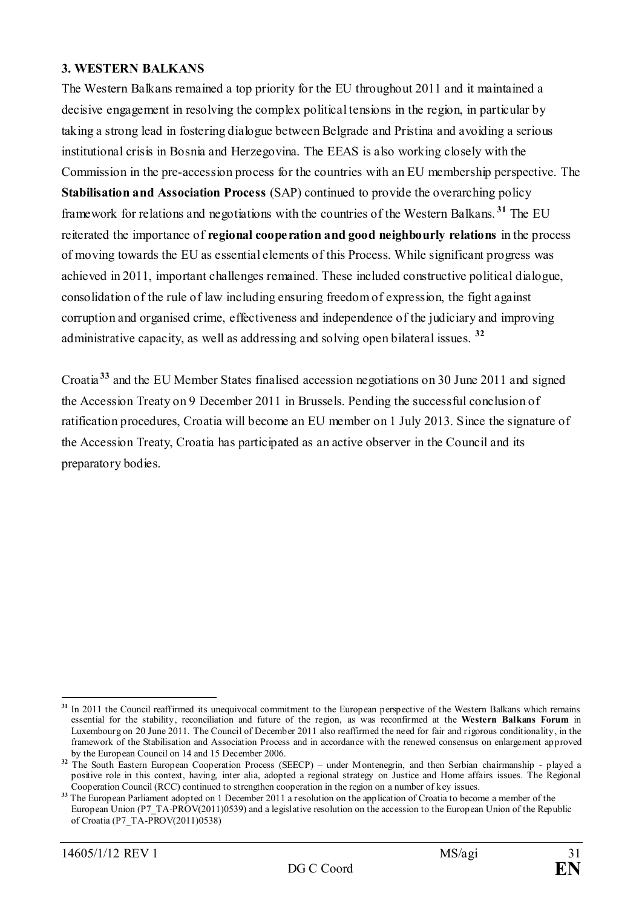#### <span id="page-30-0"></span>**3. WESTERN BALKANS**

The Western Balkans remained a top priority for the EU throughout 2011 and it maintained a decisive engagement in resolving the complex political tensions in the region, in particular by taking a strong lead in fostering dialogue between Belgrade and Pristina and avoiding a serious institutional crisis in Bosnia and Herzegovina. The EEAS is also working closely with the Commission in the pre-accession process for the countries with an EU membership perspective. The **Stabilisation and Association Process** (SAP) continued to provide the overarching policy framework for relations and negotiations with the countries of the Western Balkans. **[31](#page-30-1)** The EU reiterated the importance of **regional cooperation and good neighbourly relations** in the process of moving towards the EU as essential elements of this Process. While significant progress was achieved in 2011, important challenges remained. These included constructive political dialogue, consolidation of the rule of law including ensuring freedom of expression, the fight against corruption and organised crime, effectiveness and independence of the judiciary and improving administrative capacity, as well as addressing and solving open bilateral issues. **[32](#page-30-2)**

Croatia **[33](#page-30-3)** and the EU Member States finalised accession negotiations on 30 June 2011 and signed the Accession Treaty on 9 December 2011 in Brussels. Pending the successful conclusion of ratification procedures, Croatia will become an EU member on 1 July 2013. Since the signature of the Accession Treaty, Croatia has participated as an active observer in the Council and its preparatory bodies.

<span id="page-30-1"></span><sup>-</sup>**<sup>31</sup>** In 2011 the Council reaffirmed its unequivocal commitment to the European perspective of the Western Balkans which remains essential for the stability, reconciliation and future of the region, as was reconfirmed at the **Western Balkans Forum** in Luxembourg on 20 June 2011. The Council of December 2011 also reaffirmed the need for fair and rigorous conditionality, in the framework of the Stabilisation and Association Process and in accordance with the renewed consensus on enlargement approved by the European Council on 14 and 15 December 2006.

<span id="page-30-2"></span><sup>&</sup>lt;sup>32</sup> The South Eastern European Cooperation Process (SEECP) – under Montenegrin, and then Serbian chairmanship - played a positive role in this context, having, inter alia, adopted a regional strategy on Justice and Home affairs issues. The Regional Cooperation Council (RCC) continued to strengthen cooperation in the region on a number of key issues.

<span id="page-30-3"></span><sup>&</sup>lt;sup>33</sup> The European Parliament adopted on 1 December 2011 a resolution on the application of Croatia to become a member of the European Union (P7\_TA-PROV(2011)0539) and a legislative resolution on the accession to the European Union of the Republic of Croatia (P7\_TA-PROV(2011)0538)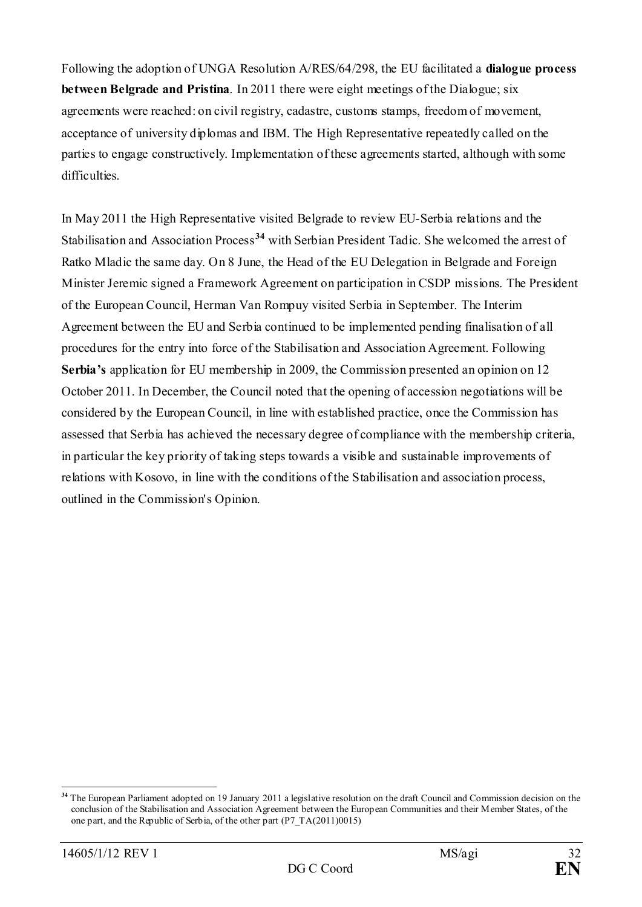Following the adoption of UNGA Resolution A/RES/64/298, the EU facilitated a **dialogue process between Belgrade and Pristina**. In 2011 there were eight meetings of the Dialogue; six agreements were reached: on civil registry, cadastre, customs stamps, freedom of movement, acceptance of university diplomas and IBM. The High Representative repeatedly called on the parties to engage constructively. Implementation of these agreements started, although with some difficulties.

In May 2011 the High Representative visited Belgrade to review EU-Serbia relations and the Stabilisation and Association Process**[34](#page-31-0)** with Serbian President Tadic. She welcomed the arrest of Ratko Mladic the same day. On 8 June, the Head of the EU Delegation in Belgrade and Foreign Minister Jeremic signed a Framework Agreement on participation in CSDP missions. The President of the European Council, Herman Van Rompuy visited Serbia in September. The Interim Agreement between the EU and Serbia continued to be implemented pending finalisation of all procedures for the entry into force of the Stabilisation and Association Agreement. Following **Serbia's** application for EU membership in 2009, the Commission presented an opinion on 12 October 2011. In December, the Council noted that the opening of accession negotiations will be considered by the European Council, in line with established practice, once the Commission has assessed that Serbia has achieved the necessary degree of compliance with the membership criteria, in particular the key priority of taking steps towards a visible and sustainable improvements of relations with Kosovo, in line with the conditions of the Stabilisation and association process, outlined in the Commission's Opinion.

<span id="page-31-0"></span>**<sup>34</sup>** The European Parliament adopted on 19 January 2011 a legislative resolution on the draft Council and Commission decision on the conclusion of the Stabilisation and Association Agreement between the European Communities and their Member States, of the one part, and the Republic of Serbia, of the other part (P7\_TA(2011)0015)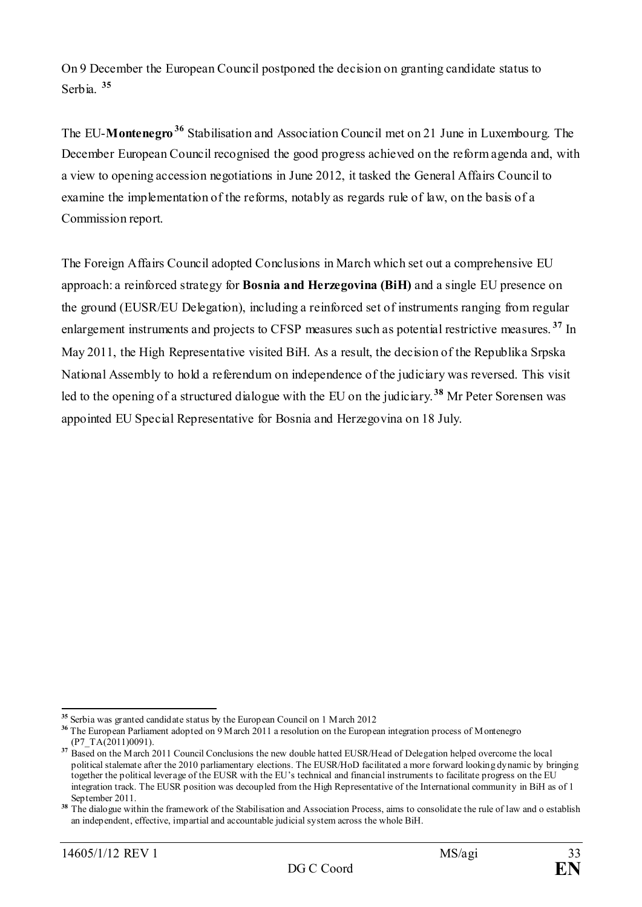On 9 December the European Council postponed the decision on granting candidate status to Serbia. **[35](#page-32-0)**

The EU-**Montenegro[36](#page-32-1)** Stabilisation and Association Council met on 21 June in Luxembourg. The December European Council recognised the good progress achieved on the reform agenda and, with a view to opening accession negotiations in June 2012, it tasked the General Affairs Council to examine the implementation of the reforms, notably as regards rule of law, on the basis of a Commission report.

The Foreign Affairs Council adopted Conclusions in March which set out a comprehensive EU approach: a reinforced strategy for **Bosnia and Herzegovina (BiH)** and a single EU presence on the ground (EUSR/EU Delegation), including a reinforced set of instruments ranging from regular enlargement instruments and projects to CFSP measures such as potential restrictive measures. **[37](#page-32-2)** In May 2011, the High Representative visited BiH. As a result, the decision of the Republika Srpska National Assembly to hold a referendum on independence of the judiciary was reversed. This visit led to the opening of a structured dialogue with the EU on the judiciary.**[38](#page-32-3)** Mr Peter Sorensen was appointed EU Special Representative for Bosnia and Herzegovina on 18 July.

<span id="page-32-0"></span>**<sup>35</sup>** Serbia was granted candidate status by the European Council on 1 March 2012

<span id="page-32-1"></span>**<sup>36</sup>** The European Parliament adopted on 9 March 2011 a resolution on the European integration process of Montenegro  $(P7 TA(2011)0091)$ .

<span id="page-32-2"></span><sup>&</sup>lt;sup>37</sup> Based on the March 2011 Council Conclusions the new double hatted EUSR/Head of Delegation helped overcome the local political stalemate after the 2010 parliamentary elections. The EUSR/HoD facilitated a more forward looking dynamic by bringing together the political leverage of the EUSR with the EU's technical and financial instruments to facilitate progress on the EU integration track. The EUSR position was decoupled from the High Representative of the International community in BiH as of 1 September 2011.

<span id="page-32-3"></span><sup>&</sup>lt;sup>38</sup> The dialogue within the framework of the Stabilisation and Association Process, aims to consolidate the rule of law and o establish an independent, effective, impartial and accountable judicial system across the whole BiH.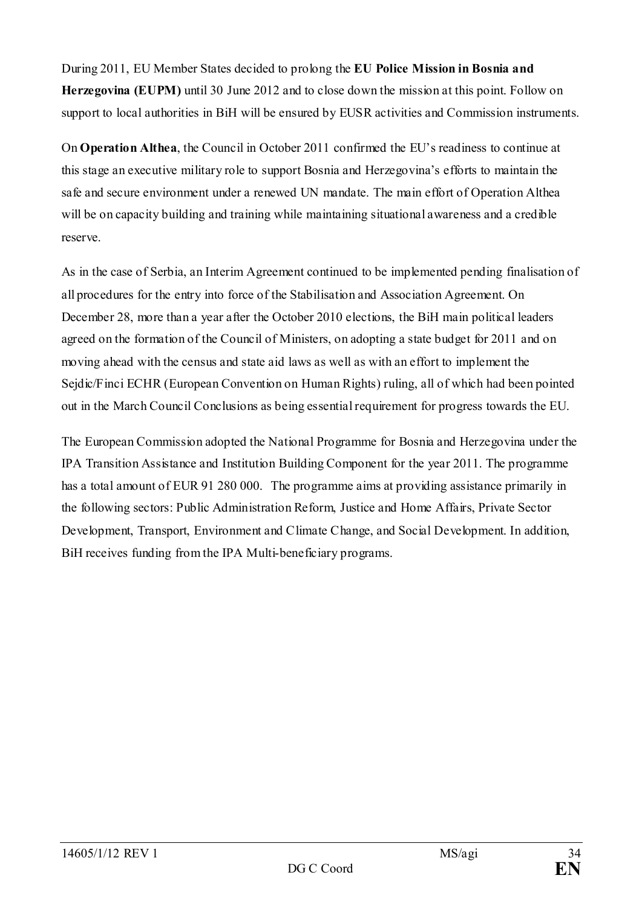During 2011, EU Member States decided to prolong the **EU Police Mission in Bosnia and Herzegovina (EUPM)** until 30 June 2012 and to close down the mission at this point. Follow on support to local authorities in BiH will be ensured by EUSR activities and Commission instruments.

On **Operation Althea**, the Council in October 2011 confirmed the EU's readiness to continue at this stage an executive military role to support Bosnia and Herzegovina's efforts to maintain the safe and secure environment under a renewed UN mandate. The main effort of Operation Althea will be on capacity building and training while maintaining situational awareness and a credible reserve.

As in the case of Serbia, an Interim Agreement continued to be implemented pending finalisation of all procedures for the entry into force of the Stabilisation and Association Agreement. On December 28, more than a year after the October 2010 elections, the BiH main political leaders agreed on the formation of the Council of Ministers, on adopting a state budget for 2011 and on moving ahead with the census and state aid laws as well as with an effort to implement the Sejdic/Finci ECHR (European Convention on Human Rights) ruling, all of which had been pointed out in the March Council Conclusions as being essential requirement for progress towards the EU.

The European Commission adopted the National Programme for Bosnia and Herzegovina under the IPA Transition Assistance and Institution Building Component for the year 2011. The programme has a total amount of EUR 91 280 000. The programme aims at providing assistance primarily in the following sectors: Public Administration Reform, Justice and Home Affairs, Private Sector Development, Transport, Environment and Climate Change, and Social Development. In addition, BiH receives funding from the IPA Multi-beneficiary programs.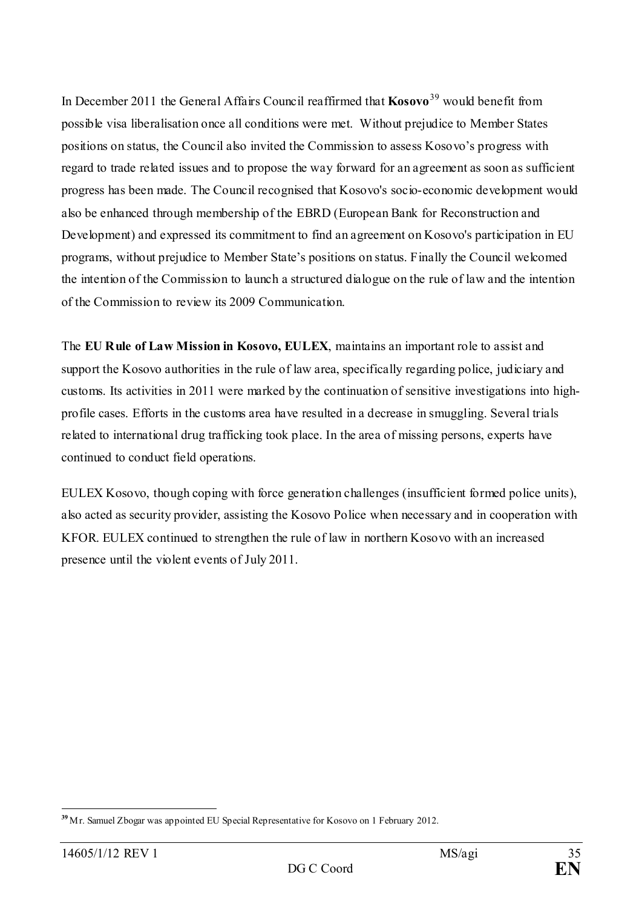In December 2011 the General Affairs Council reaffirmed that **Kosovo**[39](#page-34-0) would benefit from possible visa liberalisation once all conditions were met. Without prejudice to Member States positions on status, the Council also invited the Commission to assess Kosovo's progress with regard to trade related issues and to propose the way forward for an agreement as soon as sufficient progress has been made. The Council recognised that Kosovo's socio-economic development would also be enhanced through membership of the EBRD (European Bank for Reconstruction and Development) and expressed its commitment to find an agreement on Kosovo's participation in EU programs, without prejudice to Member State's positions on status. Finally the Council welcomed the intention of the Commission to launch a structured dialogue on the rule of law and the intention of the Commission to review its 2009 Communication.

The **EU Rule of Law Mission in Kosovo, EULEX**, maintains an important role to assist and support the Kosovo authorities in the rule of law area, specifically regarding police, judiciary and customs. Its activities in 2011 were marked by the continuation of sensitive investigations into highprofile cases. Efforts in the customs area have resulted in a decrease in smuggling. Several trials related to international drug trafficking took place. In the area of missing persons, experts have continued to conduct field operations.

EULEX Kosovo, though coping with force generation challenges (insufficient formed police units), also acted as security provider, assisting the Kosovo Police when necessary and in cooperation with KFOR. EULEX continued to strengthen the rule of law in northern Kosovo with an increased presence until the violent events of July 2011.

<span id="page-34-0"></span><sup>-</sup>**<sup>39</sup>** Mr. Samuel Zbogar was appointed EU Special Representative for Kosovo on 1 February 2012.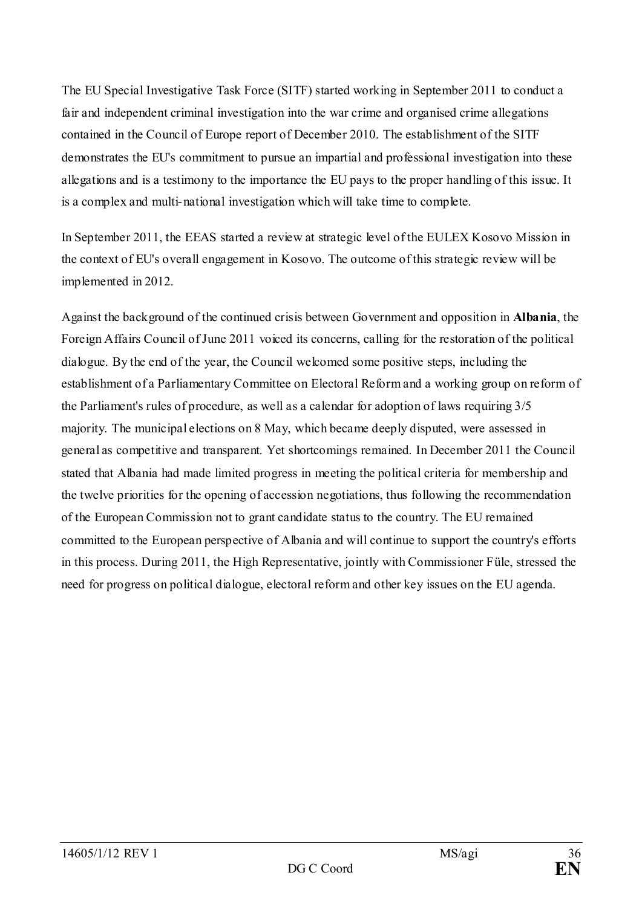The EU Special Investigative Task Force (SITF) started working in September 2011 to conduct a fair and independent criminal investigation into the war crime and organised crime allegations contained in the Council of Europe report of December 2010. The establishment of the SITF demonstrates the EU's commitment to pursue an impartial and professional investigation into these allegations and is a testimony to the importance the EU pays to the proper handling of this issue. It is a complex and multi-national investigation which will take time to complete.

In September 2011, the EEAS started a review at strategic level of the EULEX Kosovo Mission in the context of EU's overall engagement in Kosovo. The outcome of this strategic review will be implemented in 2012.

Against the background of the continued crisis between Government and opposition in **Albania**, the Foreign Affairs Council of June 2011 voiced its concerns, calling for the restoration of the political dialogue. By the end of the year, the Council welcomed some positive steps, including the establishment of a Parliamentary Committee on Electoral Reform and a working group on reform of the Parliament's rules of procedure, as well as a calendar for adoption of laws requiring 3/5 majority. The municipal elections on 8 May, which became deeply disputed, were assessed in general as competitive and transparent. Yet shortcomings remained. In December 2011 the Council stated that Albania had made limited progress in meeting the political criteria for membership and the twelve priorities for the opening of accession negotiations, thus following the recommendation of the European Commission not to grant candidate status to the country. The EU remained committed to the European perspective of Albania and will continue to support the country's efforts in this process. During 2011, the High Representative, jointly with Commissioner Füle, stressed the need for progress on political dialogue, electoral reform and other key issues on the EU agenda.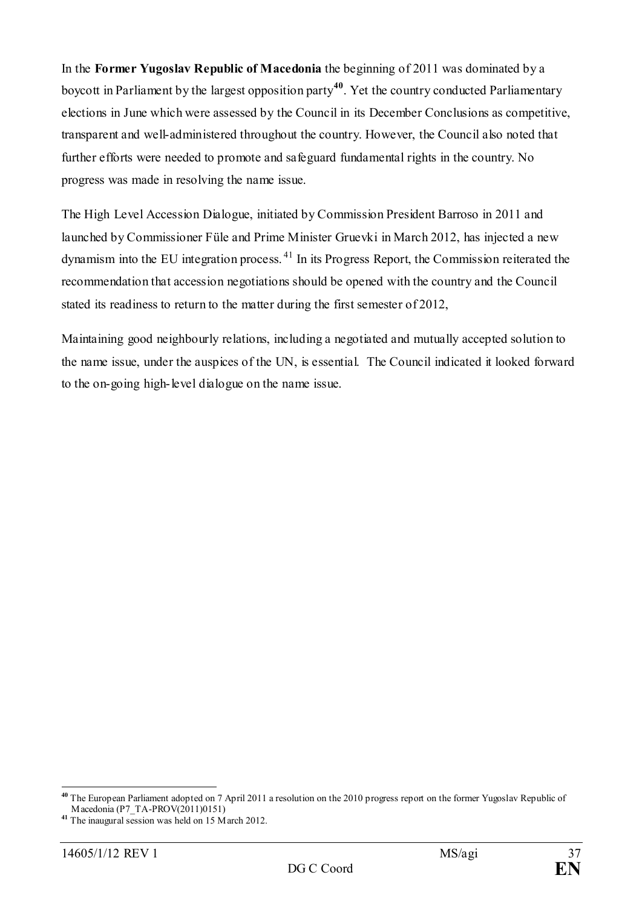In the **Former Yugoslav Republic of Macedonia** the beginning of 2011 was dominated by a boycott in Parliament by the largest opposition party**[40](#page-36-0)**. Yet the country conducted Parliamentary elections in June which were assessed by the Council in its December Conclusions as competitive, transparent and well-administered throughout the country. However, the Council also noted that further efforts were needed to promote and safeguard fundamental rights in the country. No progress was made in resolving the name issue.

The High Level Accession Dialogue, initiated by Commission President Barroso in 2011 and launched by Commissioner Füle and Prime Minister Gruevki in March 2012, has injected a new dynamism into the EU integration process.  $41$  In its Progress Report, the Commission reiterated the recommendation that accession negotiations should be opened with the country and the Council stated its readiness to return to the matter during the first semester of 2012,

Maintaining good neighbourly relations, including a negotiated and mutually accepted solution to the name issue, under the auspices of the UN, is essential. The Council indicated it looked forward to the on-going high-level dialogue on the name issue.

<span id="page-36-0"></span>**<sup>40</sup>** The European Parliament adopted on 7 April 2011 a resolution on the 2010 progress report on the former Yugoslav Republic of Macedonia (P7\_TA-PROV(2011)0151)

<span id="page-36-1"></span>**<sup>41</sup>** The inaugural session was held on 15 March 2012.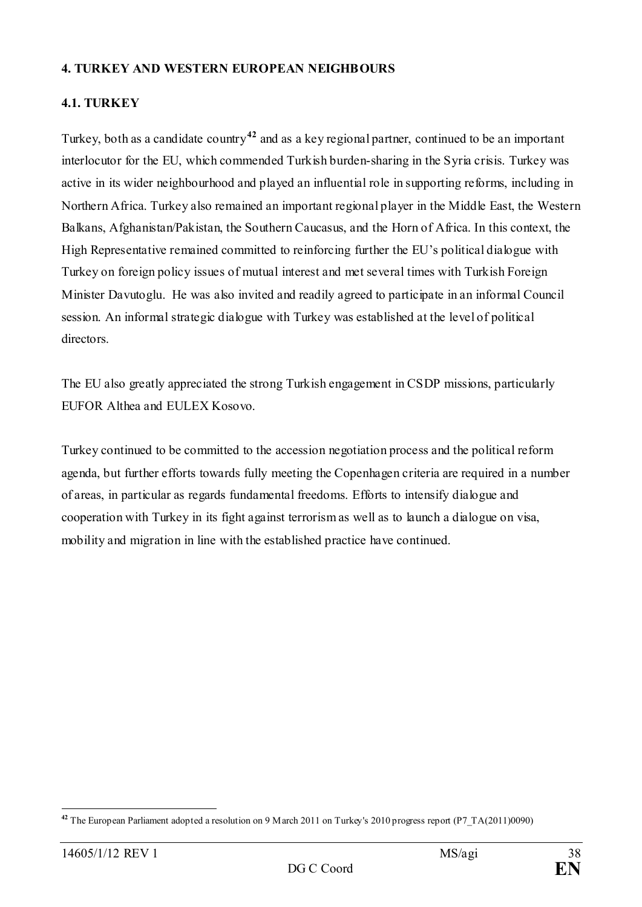#### **4. TURKEY AND WESTERN EUROPEAN NEIGHBOURS**

## **4.1. TURKEY**

Turkey, both as a candidate country**[42](#page-37-0)** and as a key regional partner, continued to be an important interlocutor for the EU, which commended Turkish burden-sharing in the Syria crisis. Turkey was active in its wider neighbourhood and played an influential role in supporting reforms, including in Northern Africa. Turkey also remained an important regional player in the Middle East, the Western Balkans, Afghanistan/Pakistan, the Southern Caucasus, and the Horn of Africa. In this context, the High Representative remained committed to reinforcing further the EU's political dialogue with Turkey on foreign policy issues of mutual interest and met several times with Turkish Foreign Minister Davutoglu. He was also invited and readily agreed to participate in an informal Council session. An informal strategic dialogue with Turkey was established at the level of political directors.

The EU also greatly appreciated the strong Turkish engagement in CSDP missions, particularly EUFOR Althea and EULEX Kosovo.

Turkey continued to be committed to the accession negotiation process and the political reform agenda, but further efforts towards fully meeting the Copenhagen criteria are required in a number of areas, in particular as regards fundamental freedoms. Efforts to intensify dialogue and cooperation with Turkey in its fight against terrorism as well as to launch a dialogue on visa, mobility and migration in line with the established practice have continued.

<span id="page-37-0"></span><sup>-</sup>**<sup>42</sup>** The European Parliament adopted a resolution on 9 March 2011 on Turkey's 2010 progress report (P7\_TA(2011)0090)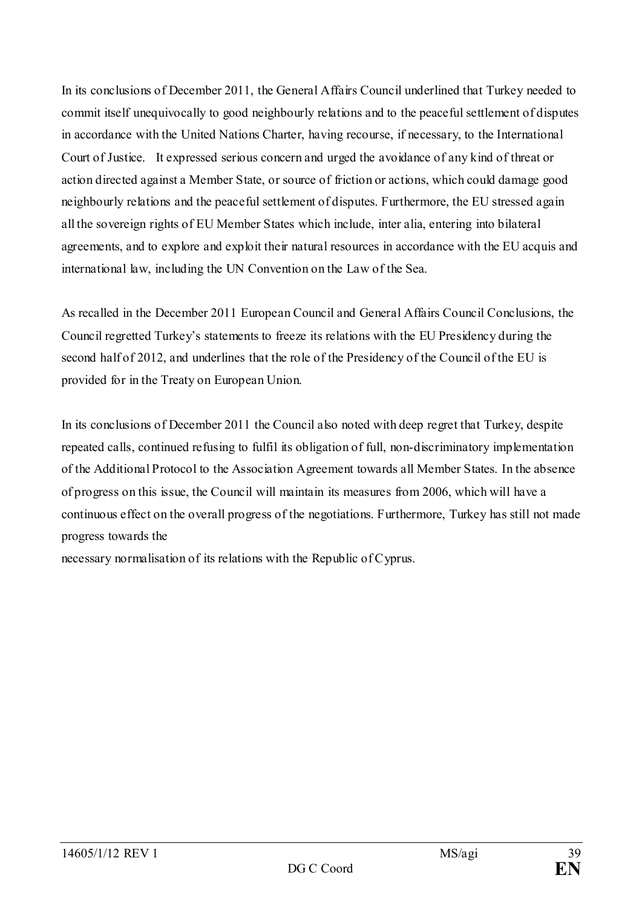In its conclusions of December 2011, the General Affairs Council underlined that Turkey needed to commit itself unequivocally to good neighbourly relations and to the peaceful settlement of disputes in accordance with the United Nations Charter, having recourse, if necessary, to the International Court of Justice. It expressed serious concern and urged the avoidance of any kind of threat or action directed against a Member State, or source of friction or actions, which could damage good neighbourly relations and the peaceful settlement of disputes. Furthermore, the EU stressed again all the sovereign rights of EU Member States which include, inter alia, entering into bilateral agreements, and to explore and exploit their natural resources in accordance with the EU acquis and international law, including the UN Convention on the Law of the Sea.

As recalled in the December 2011 European Council and General Affairs Council Conclusions, the Council regretted Turkey's statements to freeze its relations with the EU Presidency during the second half of 2012, and underlines that the role of the Presidency of the Council of the EU is provided for in the Treaty on European Union.

In its conclusions of December 2011 the Council also noted with deep regret that Turkey, despite repeated calls, continued refusing to fulfil its obligation of full, non-discriminatory implementation of the Additional Protocol to the Association Agreement towards all Member States. In the absence of progress on this issue, the Council will maintain its measures from 2006, which will have a continuous effect on the overall progress of the negotiations. Furthermore, Turkey has still not made progress towards the

necessary normalisation of its relations with the Republic of Cyprus.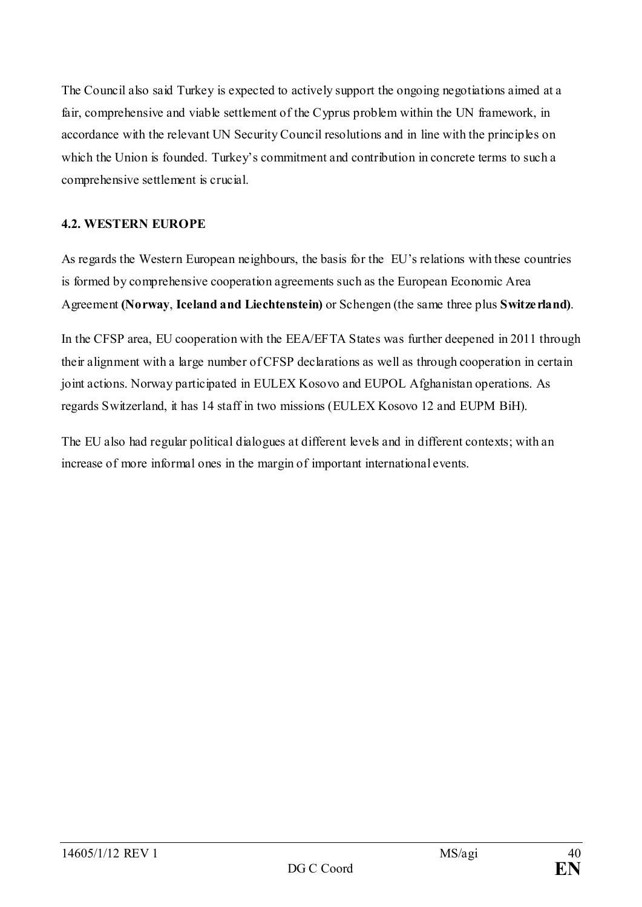The Council also said Turkey is expected to actively support the ongoing negotiations aimed at a fair, comprehensive and viable settlement of the Cyprus problem within the UN framework, in accordance with the relevant UN Security Council resolutions and in line with the principles on which the Union is founded. Turkey's commitment and contribution in concrete terms to such a comprehensive settlement is crucial.

## **4.2. WESTERN EUROPE**

As regards the Western European neighbours, the basis for the EU's relations with these countries is formed by comprehensive cooperation agreements such as the European Economic Area Agreement **(Norway**, **Iceland and Liechtenstein)** or Schengen (the same three plus **Switzerland)**.

In the CFSP area, EU cooperation with the EEA/EFTA States was further deepened in 2011 through their alignment with a large number of CFSP declarations as well as through cooperation in certain joint actions. Norway participated in EULEX Kosovo and EUPOL Afghanistan operations. As regards Switzerland, it has 14 staff in two missions (EULEX Kosovo 12 and EUPM BiH).

The EU also had regular political dialogues at different levels and in different contexts; with an increase of more informal ones in the margin of important international events.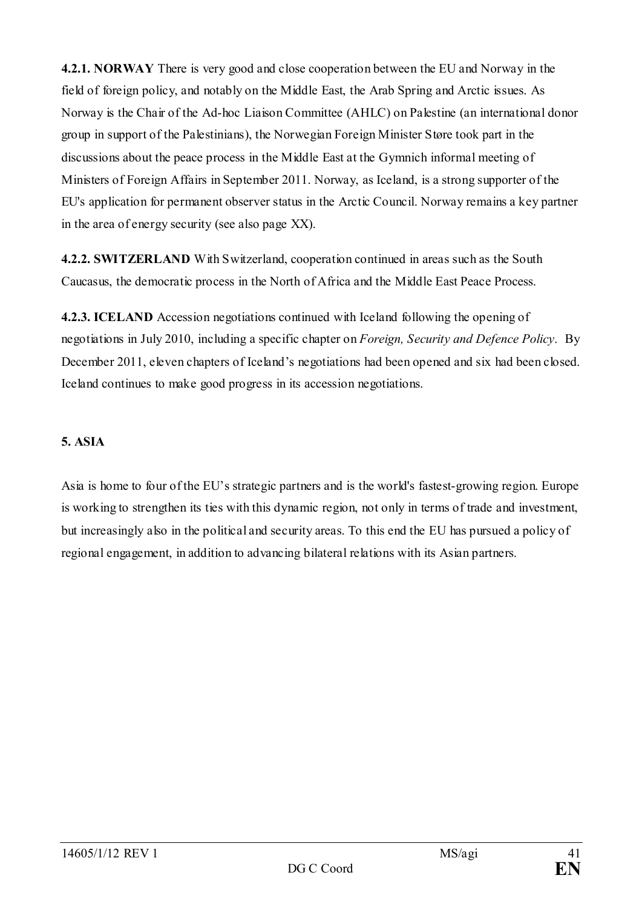**4.2.1. NORWAY** There is very good and close cooperation between the EU and Norway in the field of foreign policy, and notably on the Middle East, the Arab Spring and Arctic issues. As Norway is the Chair of the Ad-hoc Liaison Committee (AHLC) on Palestine (an international donor group in support of the Palestinians), the Norwegian Foreign Minister Støre took part in the discussions about the peace process in the Middle East at the Gymnich informal meeting of Ministers of Foreign Affairs in September 2011. Norway, as Iceland, is a strong supporter of the EU's application for permanent observer status in the Arctic Council. Norway remains a key partner in the area of energy security (see also page XX).

**4.2.2. SWITZERLAND** With Switzerland, cooperation continued in areas such as the South Caucasus, the democratic process in the North of Africa and the Middle East Peace Process.

**4.2.3. ICELAND** Accession negotiations continued with Iceland following the opening of negotiations in July 2010, including a specific chapter on *Foreign, Security and Defence Policy*. By December 2011, eleven chapters of Iceland's negotiations had been opened and six had been closed. Iceland continues to make good progress in its accession negotiations.

## **5. ASIA**

Asia is home to four of the EU's strategic partners and is the world's fastest-growing region. Europe is working to strengthen its ties with this dynamic region, not only in terms of trade and investment, but increasingly also in the political and security areas. To this end the EU has pursued a policy of regional engagement, in addition to advancing bilateral relations with its Asian partners.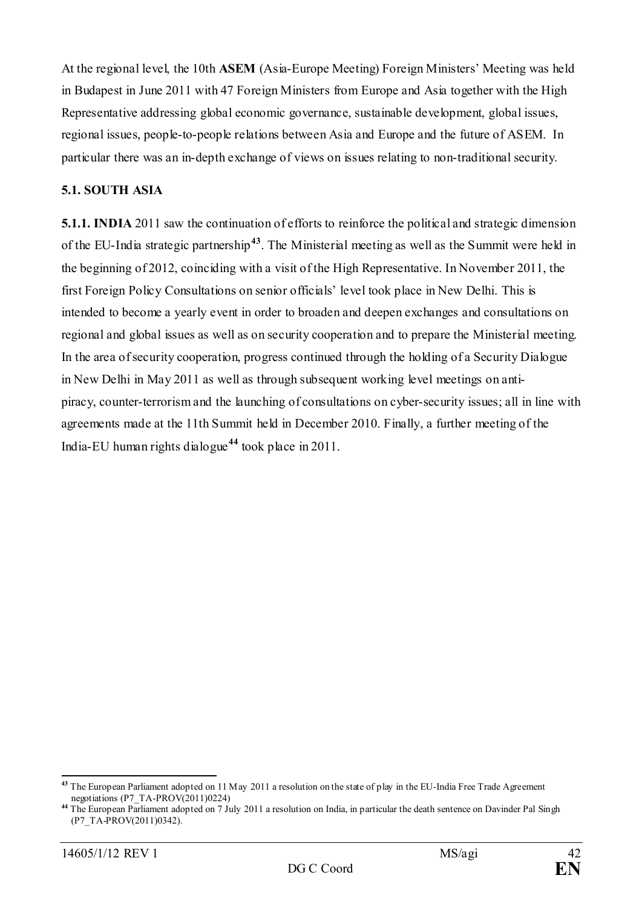At the regional level, the 10th **ASEM** (Asia-Europe Meeting) Foreign Ministers' Meeting was held in Budapest in June 2011 with 47 Foreign Ministers from Europe and Asia together with the High Representative addressing global economic governance, sustainable development, global issues, regional issues, people-to-people relations between Asia and Europe and the future of ASEM. In particular there was an in-depth exchange of views on issues relating to non-traditional security.

## **5.1. SOUTH ASIA**

**5.1.1. INDIA** 2011 saw the continuation of efforts to reinforce the political and strategic dimension of the EU-India strategic partnership**[43](#page-41-0)**. The Ministerial meeting as well as the Summit were held in the beginning of 2012, coinciding with a visit of the High Representative. In November 2011, the first Foreign Policy Consultations on senior officials' level took place in New Delhi. This is intended to become a yearly event in order to broaden and deepen exchanges and consultations on regional and global issues as well as on security cooperation and to prepare the Ministerial meeting. In the area of security cooperation, progress continued through the holding of a Security Dialogue in New Delhi in May 2011 as well as through subsequent working level meetings on antipiracy, counter-terrorism and the launching of consultations on cyber-security issues; all in line with agreements made at the 11th Summit held in December 2010. Finally, a further meeting of the India-EU human rights dialogue**[44](#page-41-1)** took place in 2011.

<span id="page-41-0"></span>**<sup>43</sup>** The European Parliament adopted on 11 May 2011 a resolution on the state of play in the EU-India Free Trade Agreement negotiations (P7\_TA-PROV(2011)0224)

<span id="page-41-1"></span>**<sup>44</sup>** The European Parliament adopted on 7 July 2011 a resolution on India, in particular the death sentence on Davinder Pal Singh (P7\_TA-PROV(2011)0342).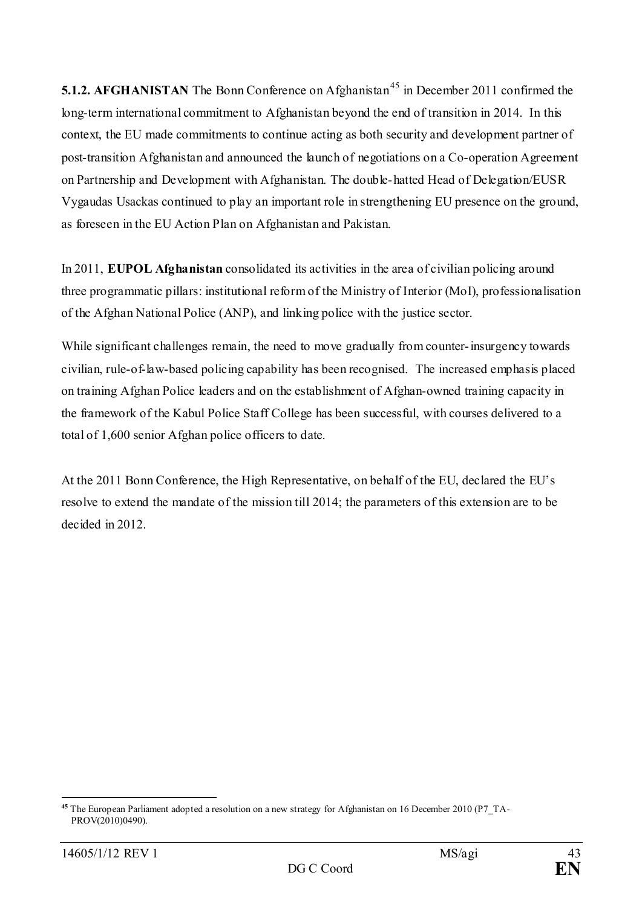**5.1.2. AFGHANISTAN** The Bonn Conference on Afghanistan<sup>[45](#page-42-0)</sup> in December 2011 confirmed the long-term international commitment to Afghanistan beyond the end of transition in 2014. In this context, the EU made commitments to continue acting as both security and development partner of post-transition Afghanistan and announced the launch of negotiations on a Co-operation Agreement on Partnership and Development with Afghanistan. The double-hatted Head of Delegation/EUSR Vygaudas Usackas continued to play an important role in strengthening EU presence on the ground, as foreseen in the EU Action Plan on Afghanistan and Pakistan.

In 2011, **EUPOL Afghanistan** consolidated its activities in the area of civilian policing around three programmatic pillars: institutional reform of the Ministry of Interior (MoI), professionalisation of the Afghan National Police (ANP), and linking police with the justice sector.

While significant challenges remain, the need to move gradually from counter-insurgency towards civilian, rule-of-law-based policing capability has been recognised. The increased emphasis placed on training Afghan Police leaders and on the establishment of Afghan-owned training capacity in the framework of the Kabul Police Staff College has been successful, with courses delivered to a total of 1,600 senior Afghan police officers to date.

At the 2011 Bonn Conference, the High Representative, on behalf of the EU, declared the EU's resolve to extend the mandate of the mission till 2014; the parameters of this extension are to be decided in 2012.

<span id="page-42-0"></span><sup>&</sup>lt;u>.</u> **<sup>45</sup>** The European Parliament adopted a resolution on a new strategy for Afghanistan on 16 December 2010 (P7\_TA-PROV(2010)0490).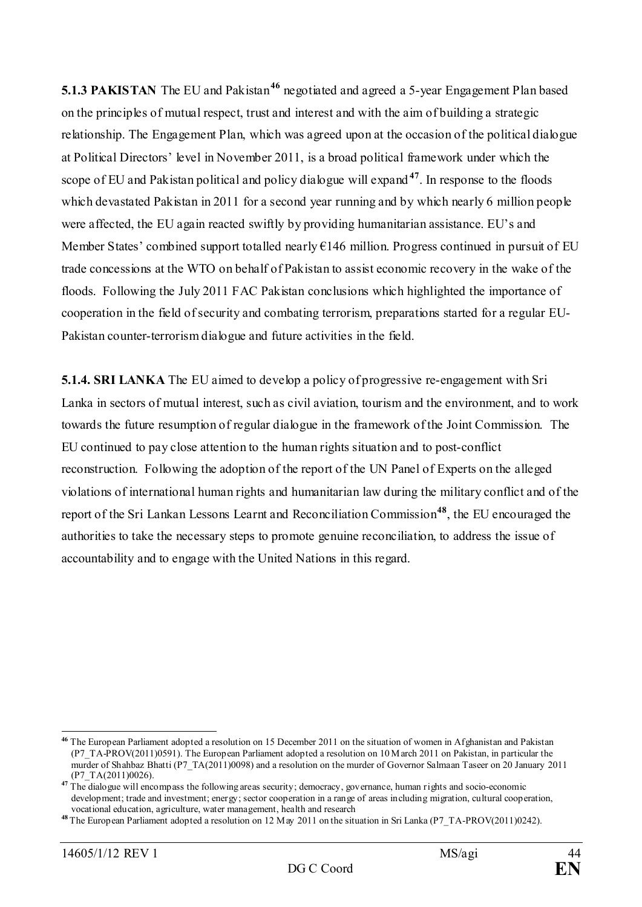**5.1.3 PAKISTAN** The EU and Pakistan<sup>[46](#page-43-0)</sup> negotiated and agreed a 5-year Engagement Plan based on the principles of mutual respect, trust and interest and with the aim of building a strategic relationship. The Engagement Plan, which was agreed upon at the occasion of the political dialogue at Political Directors' level in November 2011, is a broad political framework under which the scope of EU and Pakistan political and policy dialogue will expand **[47](#page-43-1)**. In response to the floods which devastated Pakistan in 2011 for a second year running and by which nearly 6 million people were affected, the EU again reacted swiftly by providing humanitarian assistance. EU's and Member States' combined support totalled nearly €146 million. Progress continued in pursuit of EU trade concessions at the WTO on behalf of Pakistan to assist economic recovery in the wake of the floods. Following the July 2011 FAC Pakistan conclusions which highlighted the importance of cooperation in the field of security and combating terrorism, preparations started for a regular EU-Pakistan counter-terrorism dialogue and future activities in the field.

**5.1.4. SRI LANKA** The EU aimed to develop a policy of progressive re-engagement with Sri Lanka in sectors of mutual interest, such as civil aviation, tourism and the environment, and to work towards the future resumption of regular dialogue in the framework of the Joint Commission. The EU continued to pay close attention to the human rights situation and to post-conflict reconstruction. Following the adoption of the report of the UN Panel of Experts on the alleged violations of international human rights and humanitarian law during the military conflict and of the report of the Sri Lankan Lessons Learnt and Reconciliation Commission**[48](#page-43-2)**, the EU encouraged the authorities to take the necessary steps to promote genuine reconciliation, to address the issue of accountability and to engage with the United Nations in this regard.

<span id="page-43-0"></span>**<sup>46</sup>** The European Parliament adopted a resolution on 15 December 2011 on the situation of women in Afghanistan and Pakistan (P7\_TA-PROV(2011)0591). The European Parliament adopted a resolution on 10 March 2011 on Pakistan, in particular the murder of Shahbaz Bhatti (P7\_TA(2011)0098) and a resolution on the murder of Governor Salmaan Taseer on 20 January 2011 (P7\_TA(2011)0026).

<span id="page-43-1"></span>**<sup>47</sup>** The dialogue will encompass the following areas security; democracy, governance, human rights and socio-economic development; trade and investment; energy; sector cooperation in a range of areas including migration, cultural cooperation, vocational education, agriculture, water management, health and research

<span id="page-43-2"></span>**<sup>48</sup>** The European Parliament adopted a resolution on 12 May 2011 on the situation in Sri Lanka (P7\_TA-PROV(2011)0242).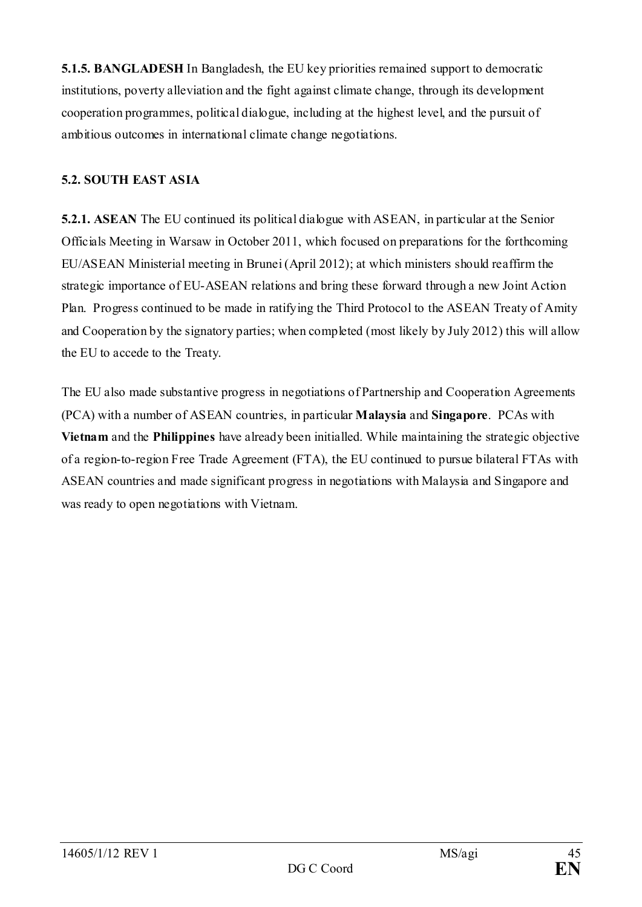**5.1.5. BANGLADESH** In Bangladesh, the EU key priorities remained support to democratic institutions, poverty alleviation and the fight against climate change, through its development cooperation programmes, political dialogue, including at the highest level, and the pursuit of ambitious outcomes in international climate change negotiations.

## **5.2. SOUTH EAST ASIA**

**5.2.1. ASEAN** The EU continued its political dialogue with ASEAN, in particular at the Senior Officials Meeting in Warsaw in October 2011, which focused on preparations for the forthcoming EU/ASEAN Ministerial meeting in Brunei (April 2012); at which ministers should reaffirm the strategic importance of EU-ASEAN relations and bring these forward through a new Joint Action Plan. Progress continued to be made in ratifying the Third Protocol to the ASEAN Treaty of Amity and Cooperation by the signatory parties; when completed (most likely by July 2012) this will allow the EU to accede to the Treaty.

The EU also made substantive progress in negotiations of Partnership and Cooperation Agreements (PCA) with a number of ASEAN countries, in particular **Malaysia** and **Singapore**. PCAs with **Vietnam** and the **Philippines** have already been initialled. While maintaining the strategic objective of a region-to-region Free Trade Agreement (FTA), the EU continued to pursue bilateral FTAs with ASEAN countries and made significant progress in negotiations with Malaysia and Singapore and was ready to open negotiations with Vietnam.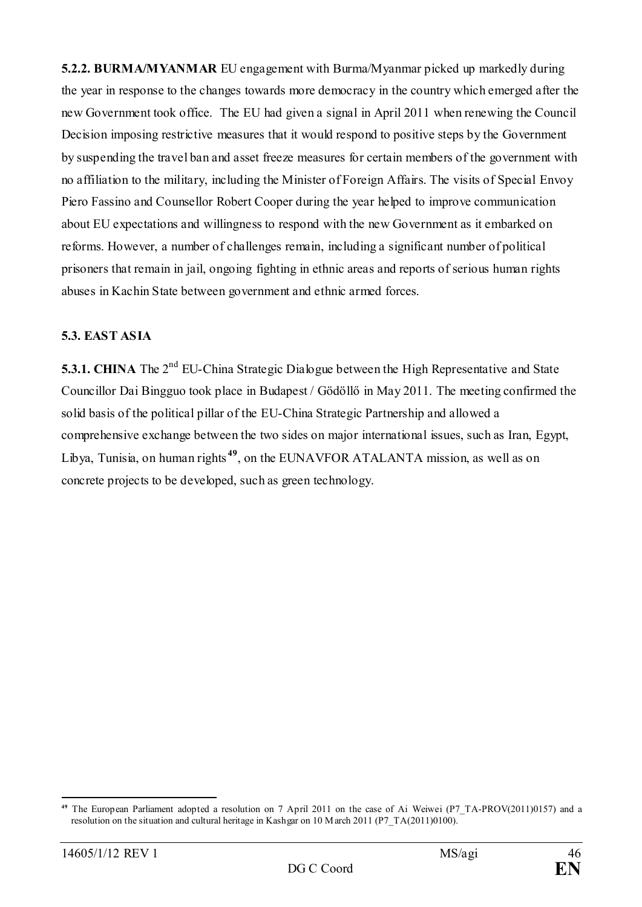**5.2.2. BURMA/MYANMAR** EU engagement with Burma/Myanmar picked up markedly during the year in response to the changes towards more democracy in the country which emerged after the new Government took office. The EU had given a signal in April 2011 when renewing the Council Decision imposing restrictive measures that it would respond to positive steps by the Government by suspending the travel ban and asset freeze measures for certain members of the government with no affiliation to the military, including the Minister of Foreign Affairs. The visits of Special Envoy Piero Fassino and Counsellor Robert Cooper during the year helped to improve communication about EU expectations and willingness to respond with the new Government as it embarked on reforms. However, a number of challenges remain, including a significant number of political prisoners that remain in jail, ongoing fighting in ethnic areas and reports of serious human rights abuses in Kachin State between government and ethnic armed forces.

#### **5.3. EAST ASIA**

**5.3.1. CHINA** The 2<sup>nd</sup> EU-China Strategic Dialogue between the High Representative and State Councillor Dai Bingguo took place in Budapest / Gödöllő in May 2011. The meeting confirmed the solid basis of the political pillar of the EU-China Strategic Partnership and allowed a comprehensive exchange between the two sides on major international issues, such as Iran, Egypt, Libya, Tunisia, on human rights **[49](#page-45-0)**, on the EUNAVFOR ATALANTA mission, as well as on concrete projects to be developed, such as green technology.

<span id="page-45-0"></span><sup>&</sup>lt;u>.</u> The European Parliament adopted a resolution on 7 April 2011 on the case of Ai Weiwei (P7\_TA-PROV(2011)0157) and a resolution on the situation and cultural heritage in Kashgar on 10 March 2011 (P7\_TA(2011)0100).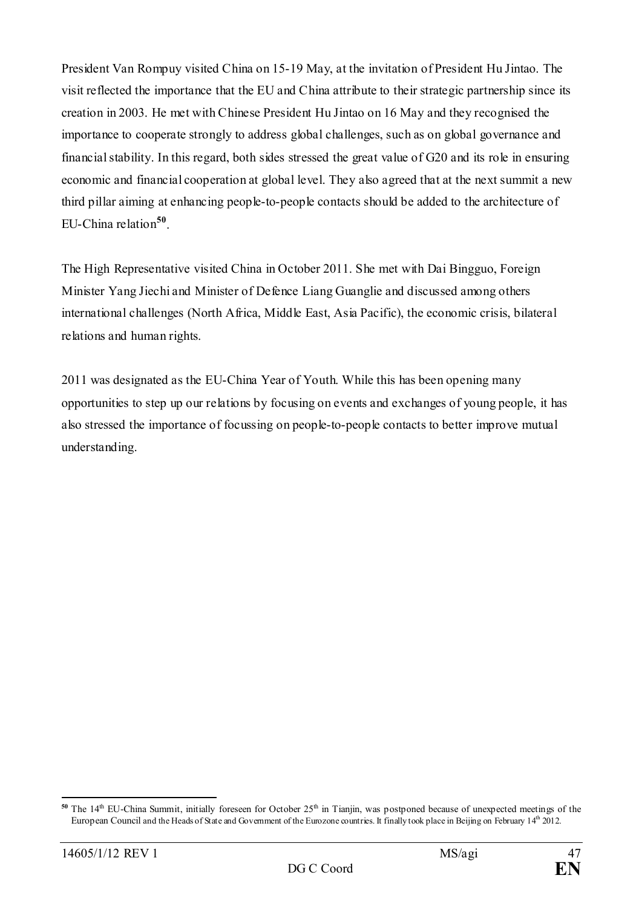President Van Rompuy visited China on 15-19 May, at the invitation of President Hu Jintao. The visit reflected the importance that the EU and China attribute to their strategic partnership since its creation in 2003. He met with Chinese President Hu Jintao on 16 May and they recognised the importance to cooperate strongly to address global challenges, such as on global governance and financial stability. In this regard, both sides stressed the great value of G20 and its role in ensuring economic and financial cooperation at global level. They also agreed that at the next summit a new third pillar aiming at enhancing people-to-people contacts should be added to the architecture of EU-China relation**[50](#page-46-0)**.

The High Representative visited China in October 2011. She met with Dai Bingguo, Foreign Minister Yang Jiechi and Minister of Defence Liang Guanglie and discussed among others international challenges (North Africa, Middle East, Asia Pacific), the economic crisis, bilateral relations and human rights.

2011 was designated as the EU-China Year of Youth. While this has been opening many opportunities to step up our relations by focusing on events and exchanges of young people, it has also stressed the importance of focussing on people-to-people contacts to better improve mutual understanding.

<span id="page-46-0"></span><sup>&</sup>lt;u>.</u> <sup>50</sup> The 14<sup>th</sup> EU-China Summit, initially foreseen for October  $25<sup>th</sup>$  in Tianjin, was postponed because of unexpected meetings of the European Council and the Heads of State and Government of the Eurozone countries. It finally took place in Beijing on February 14<sup>th</sup> 2012.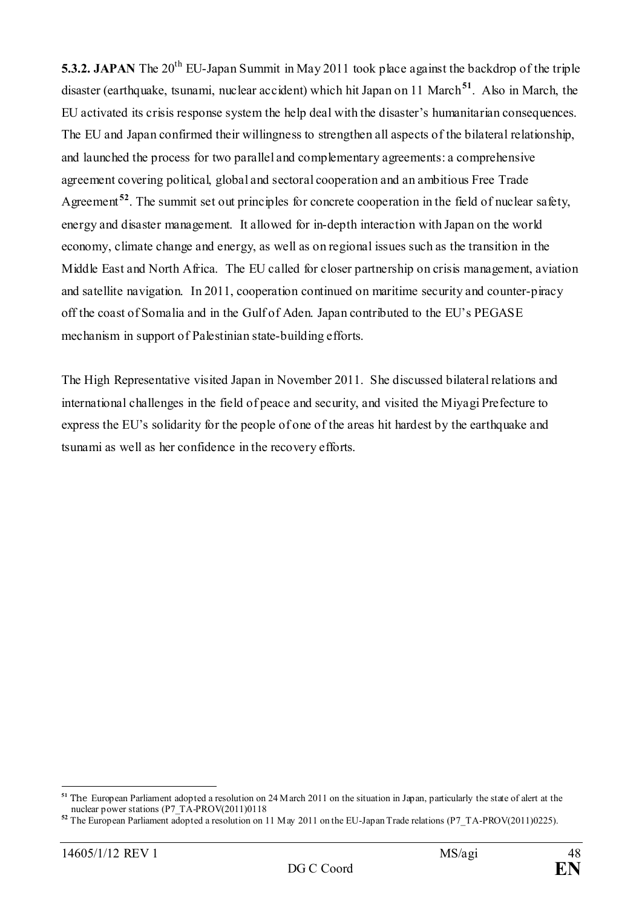**5.3.2. JAPAN** The 20<sup>th</sup> EU-Japan Summit in May 2011 took place against the backdrop of the triple disaster (earthquake, tsunami, nuclear accident) which hit Japan on 11 March<sup>[51](#page-47-0)</sup>. Also in March, the EU activated its crisis response system the help deal with the disaster's humanitarian consequences. The EU and Japan confirmed their willingness to strengthen all aspects of the bilateral relationship, and launched the process for two parallel and complementary agreements: a comprehensive agreement covering political, global and sectoral cooperation and an ambitious Free Trade Agreement **[52](#page-47-1)**. The summit set out principles for concrete cooperation in the field of nuclear safety, energy and disaster management. It allowed for in-depth interaction with Japan on the world economy, climate change and energy, as well as on regional issues such as the transition in the Middle East and North Africa. The EU called for closer partnership on crisis management, aviation and satellite navigation. In 2011, cooperation continued on maritime security and counter-piracy off the coast of Somalia and in the Gulf of Aden. Japan contributed to the EU's PEGASE mechanism in support of Palestinian state-building efforts.

The High Representative visited Japan in November 2011. She discussed bilateral relations and international challenges in the field of peace and security, and visited the Miyagi Prefecture to express the EU's solidarity for the people of one of the areas hit hardest by the earthquake and tsunami as well as her confidence in the recovery efforts.

<u>.</u>

<span id="page-47-0"></span>**<sup>51</sup>** The European Parliament adopted a resolution on 24 March 2011 on the situation in Japan, particularly the state of alert at the nuclear power stations (P7\_TA-PROV(2011)0118

<span id="page-47-1"></span><sup>&</sup>lt;sup>52</sup> The European Parliament adopted a resolution on 11 May 2011 on the EU-Japan Trade relations (P7\_TA-PROV(2011)0225).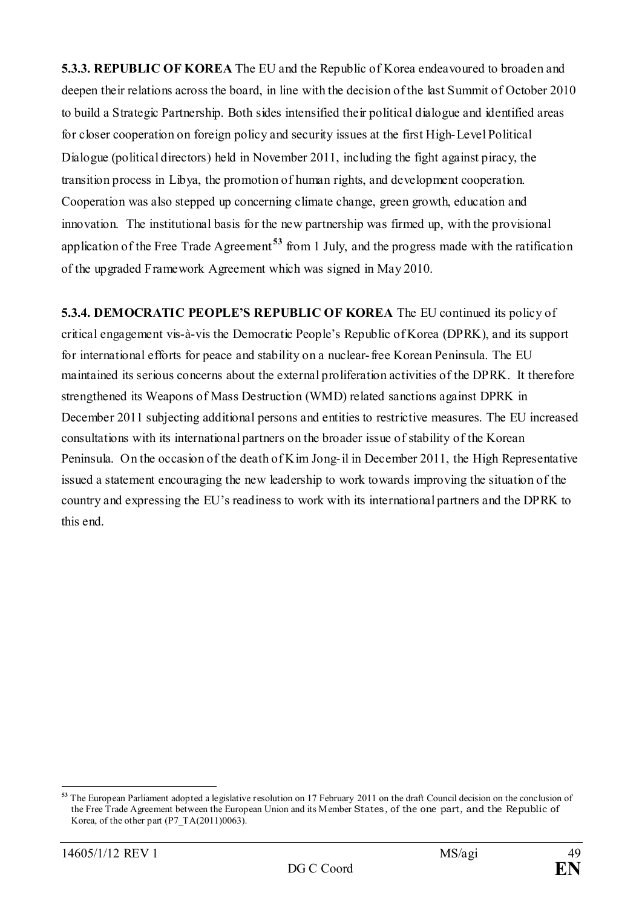**5.3.3. REPUBLIC OF KOREA** The EU and the Republic of Korea endeavoured to broaden and deepen their relations across the board, in line with the decision of the last Summit of October 2010 to build a Strategic Partnership. Both sides intensified their political dialogue and identified areas for closer cooperation on foreign policy and security issues at the first High-Level Political Dialogue (political directors) held in November 2011, including the fight against piracy, the transition process in Libya, the promotion of human rights, and development cooperation. Cooperation was also stepped up concerning climate change, green growth, education and innovation. The institutional basis for the new partnership was firmed up, with the provisional application of the Free Trade Agreement **[53](#page-48-0)** from 1 July, and the progress made with the ratification of the upgraded Framework Agreement which was signed in May 2010.

**5.3.4. DEMOCRATIC PEOPLE'S REPUBLIC OF KOREA** The EU continued its policy of critical engagement vis-à-vis the Democratic People's Republic of Korea (DPRK), and its support for international efforts for peace and stability on a nuclear-free Korean Peninsula. The EU maintained its serious concerns about the external proliferation activities of the DPRK. It therefore strengthened its Weapons of Mass Destruction (WMD) related sanctions against DPRK in December 2011 subjecting additional persons and entities to restrictive measures. The EU increased consultations with its international partners on the broader issue of stability of the Korean Peninsula. On the occasion of the death of Kim Jong-il in December 2011, the High Representative issued a statement encouraging the new leadership to work towards improving the situation of the country and expressing the EU's readiness to work with its international partners and the DPRK to this end.

<span id="page-48-0"></span><sup>&</sup>lt;u>.</u> **<sup>53</sup>** The European Parliament adopted a legislative resolution on 17 February 2011 on the draft Council decision on the conclusion of the Free Trade Agreement between the European Union and its Member States, of the one part, and the Republic of Korea, of the other part  $(P7 T A(2011)0063)$ .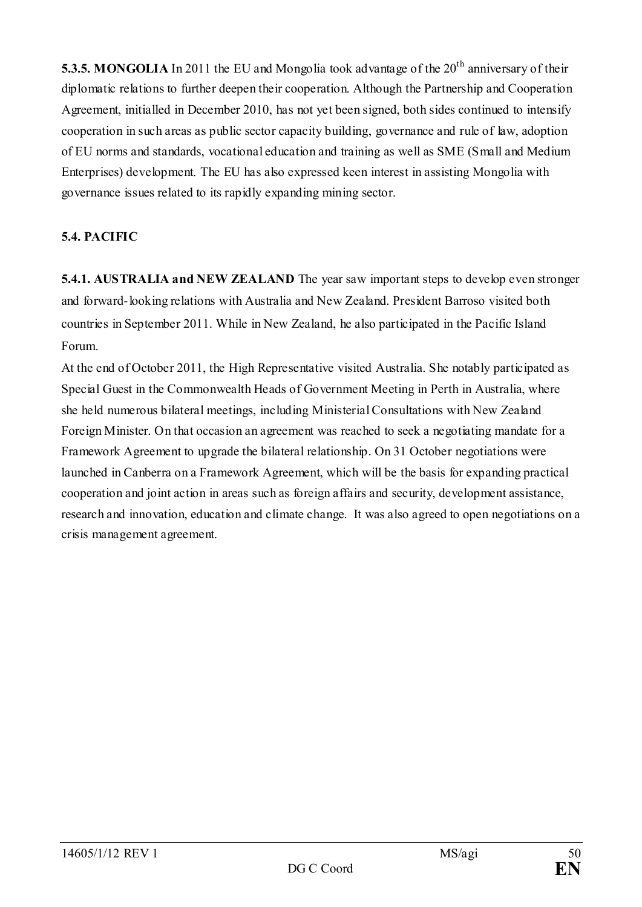**5.3.5. MONGOLIA** In 2011 the EU and Mongolia took advantage of the 20<sup>th</sup> anniversary of their diplomatic relations to further deepen their cooperation. Although the Partnership and Cooperation Agreement, initialled in December 2010, has not yet been signed, both sides continued to intensify cooperation in such areas as public sector capacity building, governance and rule of law, adoption of EU norms and standards, vocational education and training as well as SME (Small and Medium Enterprises) development. The EU has also expressed keen interest in assisting Mongolia with governance issues related to its rapidly expanding mining sector.

# **5.4. PACIFIC**

**5.4.1. AUSTRALIA and NEW ZEALAND** The year saw important steps to develop even stronger and forward-looking relations with Australia and New Zealand. President Barroso visited both countries in September 2011. While in New Zealand, he also participated in the Pacific Island Forum.

At the end of October 2011, the High Representative visited Australia. She notably participated as Special Guest in the Commonwealth Heads of Government Meeting in Perth in Australia, where she held numerous bilateral meetings, including Ministerial Consultations with New Zealand Foreign Minister. On that occasion an agreement was reached to seek a negotiating mandate for a Framework Agreement to upgrade the bilateral relationship. On 31 October negotiations were launched in Canberra on a Framework Agreement, which will be the basis for expanding practical cooperation and joint action in areas such as foreign affairs and security, development assistance, research and innovation, education and climate change. It was also agreed to open negotiations on a crisis management agreement.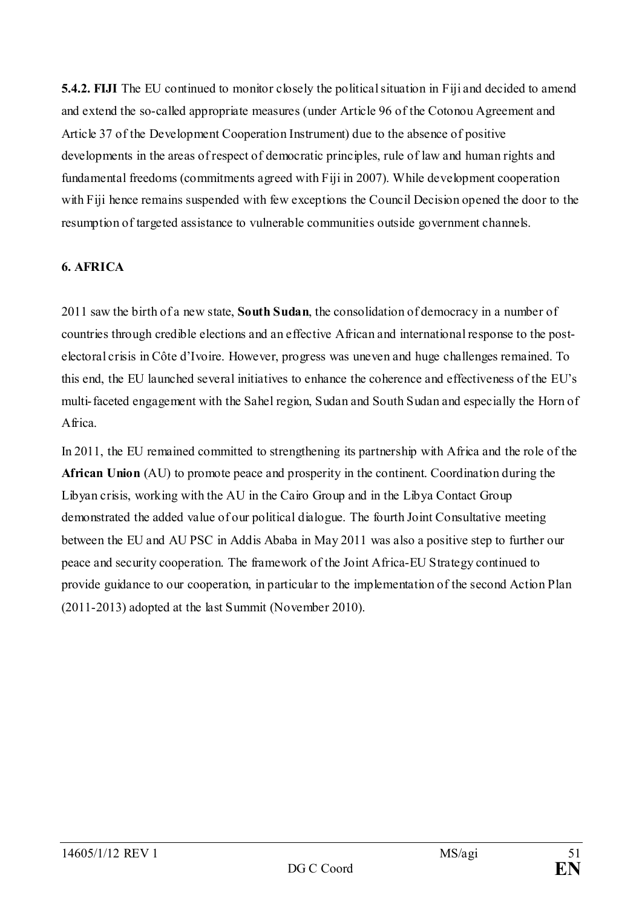**5.4.2. FIJI** The EU continued to monitor closely the political situation in Fiji and decided to amend and extend the so-called appropriate measures (under Article 96 of the Cotonou Agreement and Article 37 of the Development Cooperation Instrument) due to the absence of positive developments in the areas of respect of democratic principles, rule of law and human rights and fundamental freedoms (commitments agreed with Fiji in 2007). While development cooperation with Fiji hence remains suspended with few exceptions the Council Decision opened the door to the resumption of targeted assistance to vulnerable communities outside government channels.

## **6. AFRICA**

2011 saw the birth of a new state, **South Sudan**, the consolidation of democracy in a number of countries through credible elections and an effective African and international response to the postelectoral crisis in Côte d'Ivoire. However, progress was uneven and huge challenges remained. To this end, the EU launched several initiatives to enhance the coherence and effectiveness of the EU's multi-faceted engagement with the Sahel region, Sudan and South Sudan and especially the Horn of Africa.

In 2011, the EU remained committed to strengthening its partnership with Africa and the role of the **African Union** (AU) to promote peace and prosperity in the continent. Coordination during the Libyan crisis, working with the AU in the Cairo Group and in the Libya Contact Group demonstrated the added value of our political dialogue. The fourth Joint Consultative meeting between the EU and AU PSC in Addis Ababa in May 2011 was also a positive step to further our peace and security cooperation. The framework of the Joint Africa-EU Strategy continued to provide guidance to our cooperation, in particular to the implementation of the second Action Plan (2011-2013) adopted at the last Summit (November 2010).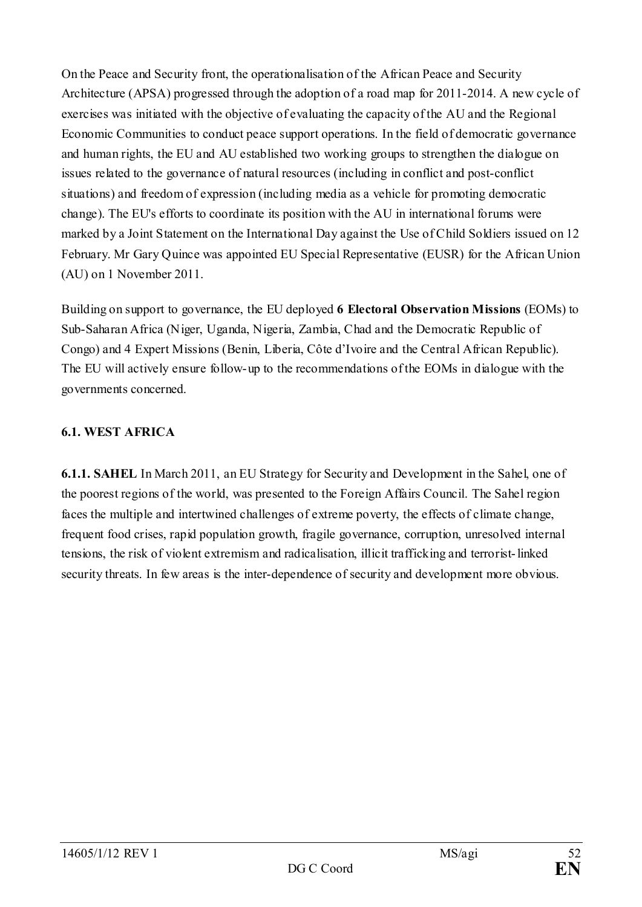On the Peace and Security front, the operationalisation of the African Peace and Security Architecture (APSA) progressed through the adoption of a road map for 2011-2014. A new cycle of exercises was initiated with the objective of evaluating the capacity of the AU and the Regional Economic Communities to conduct peace support operations. In the field of democratic governance and human rights, the EU and AU established two working groups to strengthen the dialogue on issues related to the governance of natural resources (including in conflict and post-conflict situations) and freedom of expression (including media as a vehicle for promoting democratic change). The EU's efforts to coordinate its position with the AU in international forums were marked by a Joint Statement on the International Day against the Use of Child Soldiers issued on 12 February. Mr Gary Quince was appointed EU Special Representative (EUSR) for the African Union (AU) on 1 November 2011.

Building on support to governance, the EU deployed **6 Electoral Observation Missions** (EOMs) to Sub-Saharan Africa (Niger, Uganda, Nigeria, Zambia, Chad and the Democratic Republic of Congo) and 4 Expert Missions (Benin, Liberia, Côte d'Ivoire and the Central African Republic). The EU will actively ensure follow-up to the recommendations of the EOMs in dialogue with the governments concerned.

# **6.1. WEST AFRICA**

**6.1.1. SAHEL** In March 2011, an EU Strategy for Security and Development in the Sahel, one of the poorest regions of the world, was presented to the Foreign Affairs Council. The Sahel region faces the multiple and intertwined challenges of extreme poverty, the effects of climate change, frequent food crises, rapid population growth, fragile governance, corruption, unresolved internal tensions, the risk of violent extremism and radicalisation, illicit trafficking and terrorist-linked security threats. In few areas is the inter-dependence of security and development more obvious.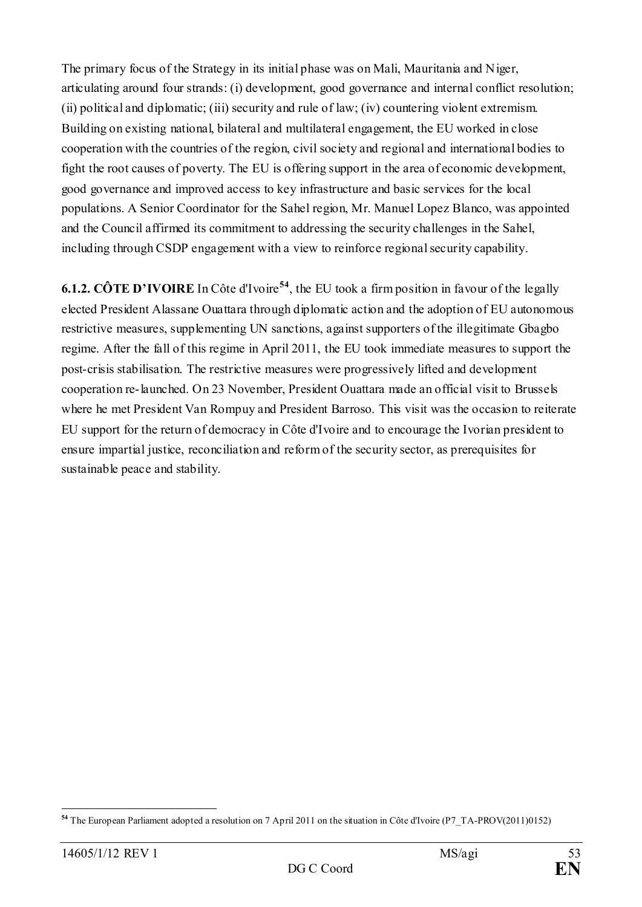The primary focus of the Strategy in its initial phase was on Mali, Mauritania and Niger, articulating around four strands: (i) development, good governance and internal conflict resolution; (ii) political and diplomatic; (iii) security and rule of law; (iv) countering violent extremism. Building on existing national, bilateral and multilateral engagement, the EU worked in close cooperation with the countries of the region, civil society and regional and international bodies to fight the root causes of poverty. The EU is offering support in the area of economic development, good governance and improved access to key infrastructure and basic services for the local populations. A Senior Coordinator for the Sahel region, Mr. Manuel Lopez Blanco, was appointed and the Council affirmed its commitment to addressing the security challenges in the Sahel, including through CSDP engagement with a view to reinforce regional security capability.

**6.1.2. CÔTE D'IVOIRE** In Côte d'Ivoire**[54](#page-52-0)**, the EU took a firm position in favour of the legally elected President Alassane Ouattara through diplomatic action and the adoption of EU autonomous restrictive measures, supplementing UN sanctions, against supporters of the illegitimate Gbagbo regime. After the fall of this regime in April 2011, the EU took immediate measures to support the post-crisis stabilisation. The restrictive measures were progressively lifted and development cooperation re-launched. On 23 November, President Ouattara made an official visit to Brussels where he met President Van Rompuy and President Barroso. This visit was the occasion to reiterate EU support for the return of democracy in Côte d'Ivoire and to encourage the Ivorian president to ensure impartial justice, reconciliation and reform of the security sector, as prerequisites for sustainable peace and stability.

<span id="page-52-0"></span><sup>-</sup>**<sup>54</sup>** The European Parliament adopted a resolution on 7 April 2011 on the situation in Côte d'Ivoire (P7\_TA-PROV(2011)0152)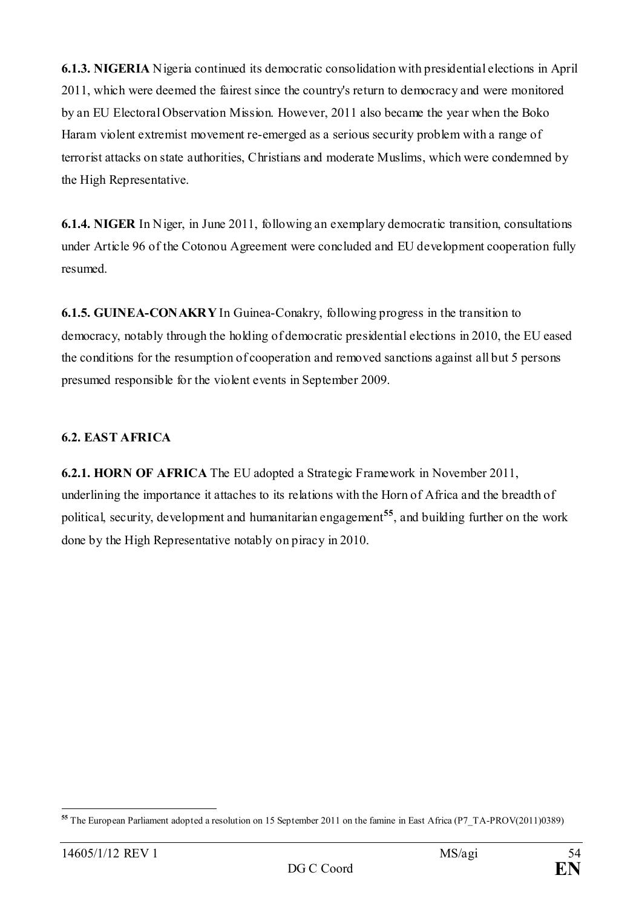**6.1.3. NIGERIA** Nigeria continued its democratic consolidation with presidential elections in April 2011, which were deemed the fairest since the country's return to democracy and were monitored by an EU Electoral Observation Mission. However, 2011 also became the year when the Boko Haram violent extremist movement re-emerged as a serious security problem with a range of terrorist attacks on state authorities, Christians and moderate Muslims, which were condemned by the High Representative.

**6.1.4. NIGER** In Niger, in June 2011, following an exemplary democratic transition, consultations under Article 96 of the Cotonou Agreement were concluded and EU development cooperation fully resumed.

**6.1.5. GUINEA-CONAKRY** In Guinea-Conakry, following progress in the transition to democracy, notably through the holding of democratic presidential elections in 2010, the EU eased the conditions for the resumption of cooperation and removed sanctions against all but 5 persons presumed responsible for the violent events in September 2009.

## **6.2. EAST AFRICA**

**6.2.1. HORN OF AFRICA** The EU adopted a Strategic Framework in November 2011, underlining the importance it attaches to its relations with the Horn of Africa and the breadth of political, security, development and humanitarian engagement**[55](#page-53-0)**, and building further on the work done by the High Representative notably on piracy in 2010.

<span id="page-53-0"></span><sup>-</sup>**<sup>55</sup>** The European Parliament adopted a resolution on 15 September 2011 on the famine in East Africa (P7\_TA-PROV(2011)0389)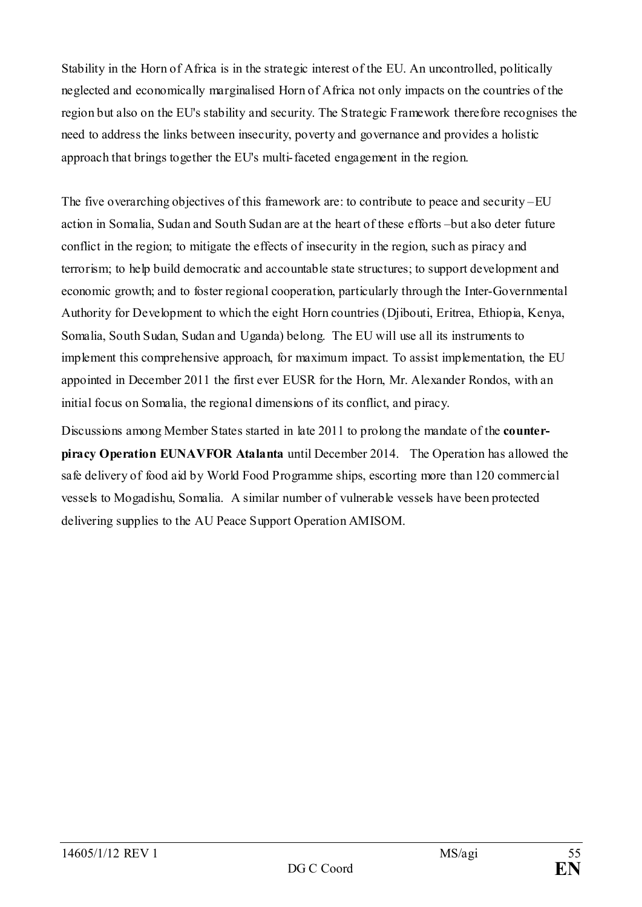Stability in the Horn of Africa is in the strategic interest of the EU. An uncontrolled, politically neglected and economically marginalised Horn of Africa not only impacts on the countries of the region but also on the EU's stability and security. The Strategic Framework therefore recognises the need to address the links between insecurity, poverty and governance and provides a holistic approach that brings together the EU's multi-faceted engagement in the region.

The five overarching objectives of this framework are: to contribute to peace and security –EU action in Somalia, Sudan and South Sudan are at the heart of these efforts –but also deter future conflict in the region; to mitigate the effects of insecurity in the region, such as piracy and terrorism; to help build democratic and accountable state structures; to support development and economic growth; and to foster regional cooperation, particularly through the Inter-Governmental Authority for Development to which the eight Horn countries (Djibouti, Eritrea, Ethiopia, Kenya, Somalia, South Sudan, Sudan and Uganda) belong. The EU will use all its instruments to implement this comprehensive approach, for maximum impact. To assist implementation, the EU appointed in December 2011 the first ever EUSR for the Horn, Mr. Alexander Rondos, with an initial focus on Somalia, the regional dimensions of its conflict, and piracy.

Discussions among Member States started in late 2011 to prolong the mandate of the **counterpiracy Operation EUNAVFOR Atalanta** until December 2014. The Operation has allowed the safe delivery of food aid by World Food Programme ships, escorting more than 120 commercial vessels to Mogadishu, Somalia. A similar number of vulnerable vessels have been protected delivering supplies to the AU Peace Support Operation AMISOM.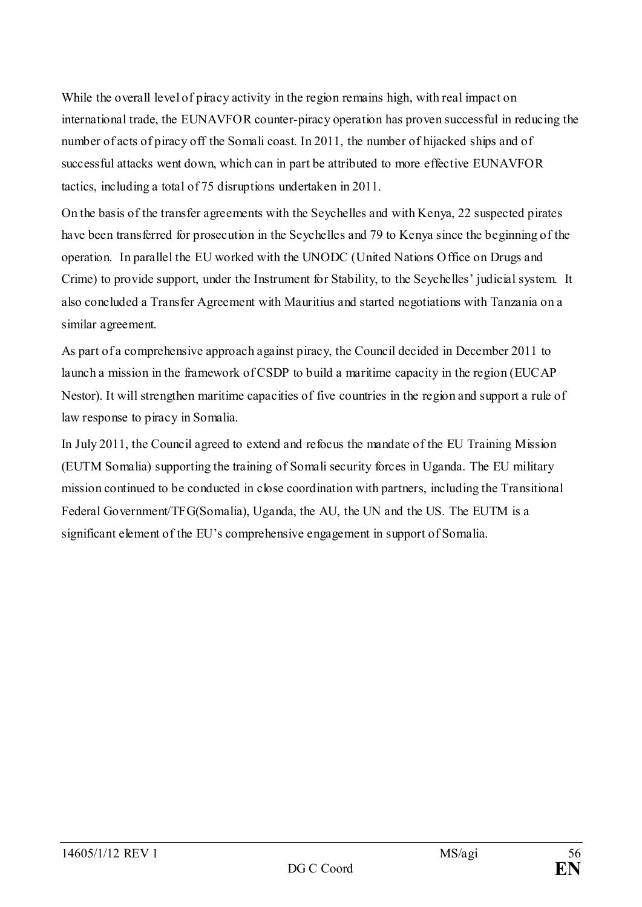While the overall level of piracy activity in the region remains high, with real impact on international trade, the EUNAVFOR counter-piracy operation has proven successful in reducing the number of acts of piracy off the Somali coast. In 2011, the number of hijacked ships and of successful attacks went down, which can in part be attributed to more effective EUNAVFOR tactics, including a total of 75 disruptions undertaken in 2011.

On the basis of the transfer agreements with the Seychelles and with Kenya, 22 suspected pirates have been transferred for prosecution in the Seychelles and 79 to Kenya since the beginning of the operation. In parallel the EU worked with the UNODC (United Nations Office on Drugs and Crime) to provide support, under the Instrument for Stability, to the Seychelles' judicial system. It also concluded a Transfer Agreement with Mauritius and started negotiations with Tanzania on a similar agreement.

As part of a comprehensive approach against piracy, the Council decided in December 2011 to launch a mission in the framework of CSDP to build a maritime capacity in the region (EUCAP Nestor). It will strengthen maritime capacities of five countries in the region and support a rule of law response to piracy in Somalia.

In July 2011, the Council agreed to extend and refocus the mandate of the EU Training Mission (EUTM Somalia) supporting the training of Somali security forces in Uganda. The EU military mission continued to be conducted in close coordination with partners, including the Transitional Federal Government/TFG(Somalia), Uganda, the AU, the UN and the US. The EUTM is a significant element of the EU's comprehensive engagement in support of Somalia.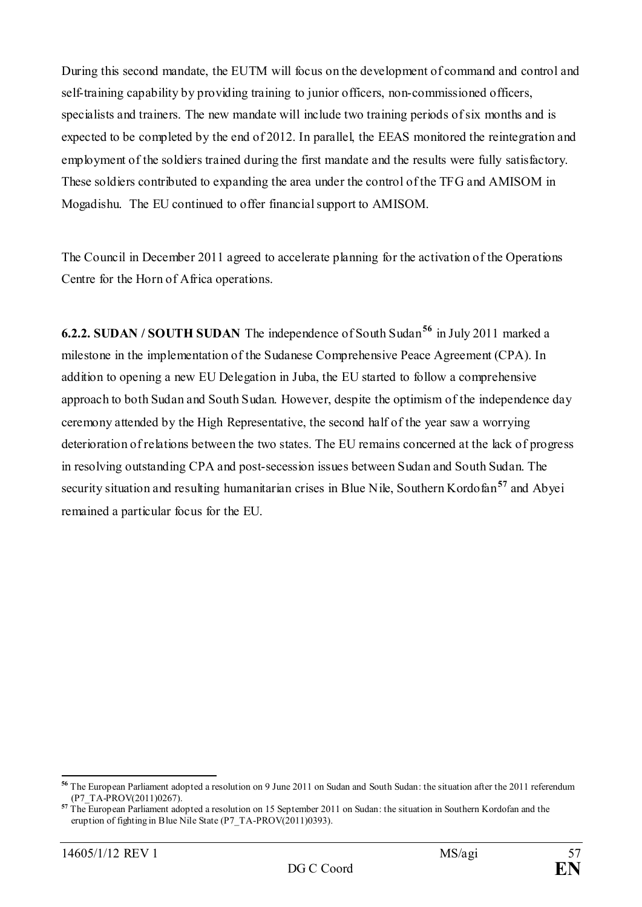During this second mandate, the EUTM will focus on the development of command and control and self-training capability by providing training to junior officers, non-commissioned officers, specialists and trainers. The new mandate will include two training periods of six months and is expected to be completed by the end of 2012. In parallel, the EEAS monitored the reintegration and employment of the soldiers trained during the first mandate and the results were fully satisfactory. These soldiers contributed to expanding the area under the control of the TFG and AMISOM in Mogadishu. The EU continued to offer financial support to AMISOM.

The Council in December 2011 agreed to accelerate planning for the activation of the Operations Centre for the Horn of Africa operations.

**6.2.2. SUDAN / SOUTH SUDAN** The independence of South Sudan**[56](#page-56-0)** in July 2011 marked a milestone in the implementation of the Sudanese Comprehensive Peace Agreement (CPA). In addition to opening a new EU Delegation in Juba, the EU started to follow a comprehensive approach to both Sudan and South Sudan. However, despite the optimism of the independence day ceremony attended by the High Representative, the second half of the year saw a worrying deterioration of relations between the two states. The EU remains concerned at the lack of progress in resolving outstanding CPA and post-secession issues between Sudan and South Sudan. The security situation and resulting humanitarian crises in Blue Nile, Southern Kordofan**[57](#page-56-1)** and Abyei remained a particular focus for the EU.

<span id="page-56-0"></span>**<sup>56</sup>** The European Parliament adopted a resolution on 9 June 2011 on Sudan and South Sudan: the situation after the 2011 referendum (P7\_TA-PROV(2011)0267).

<span id="page-56-1"></span>**<sup>57</sup>** The European Parliament adopted a resolution on 15 September 2011 on Sudan: the situation in Southern Kordofan and the eruption of fighting in Blue Nile State (P7\_TA-PROV(2011)0393).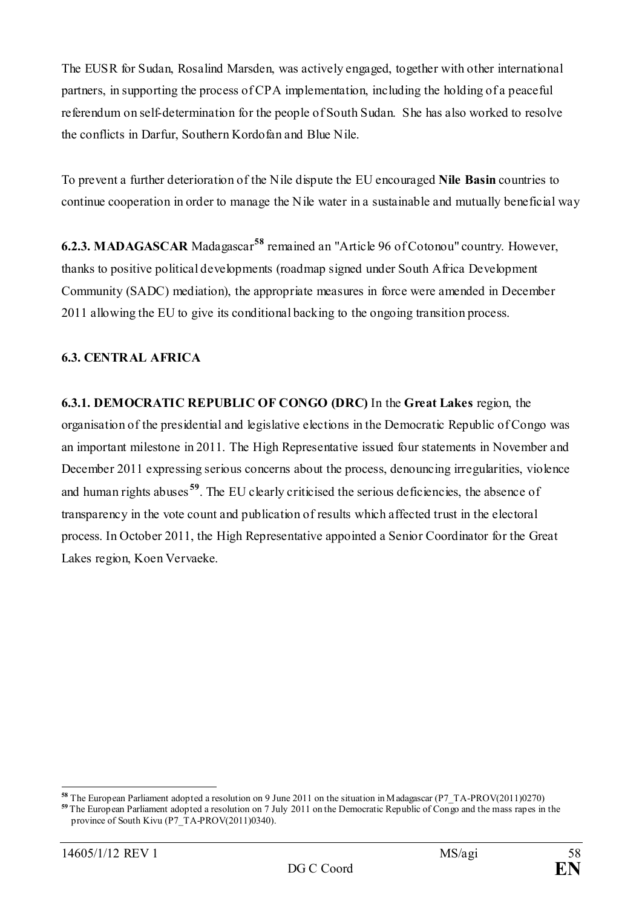The EUSR for Sudan, Rosalind Marsden, was actively engaged, together with other international partners, in supporting the process of CPA implementation, including the holding of a peaceful referendum on self-determination for the people of South Sudan. She has also worked to resolve the conflicts in Darfur, Southern Kordofan and Blue Nile.

To prevent a further deterioration of the Nile dispute the EU encouraged **Nile Basin** countries to continue cooperation in order to manage the Nile water in a sustainable and mutually beneficial way

**6.2.3. MADAGASCAR** Madagascar**[58](#page-57-0)** remained an "Article 96 of Cotonou" country. However, thanks to positive political developments (roadmap signed under South Africa Development Community (SADC) mediation), the appropriate measures in force were amended in December 2011 allowing the EU to give its conditional backing to the ongoing transition process.

#### **6.3. CENTRAL AFRICA**

**6.3.1. DEMOCRATIC REPUBLIC OF CONGO (DRC)** In the **Great Lakes** region, the organisation of the presidential and legislative elections in the Democratic Republic of Congo was an important milestone in 2011. The High Representative issued four statements in November and December 2011 expressing serious concerns about the process, denouncing irregularities, violence and human rights abuses<sup>[59](#page-57-1)</sup>. The EU clearly criticised the serious deficiencies, the absence of transparency in the vote count and publication of results which affected trust in the electoral process. In October 2011, the High Representative appointed a Senior Coordinator for the Great Lakes region, Koen Vervaeke.

<span id="page-57-1"></span><span id="page-57-0"></span>**<sup>58</sup>** The European Parliament adopted a resolution on 9 June 2011 on the situation in Madagascar (P7\_TA-PROV(2011)0270) <sup>59</sup> The European Parliament adopted a resolution on 7 July 2011 on the Democratic Republic of Congo and the mass rapes in the province of South Kivu (P7\_TA-PROV(2011)0340).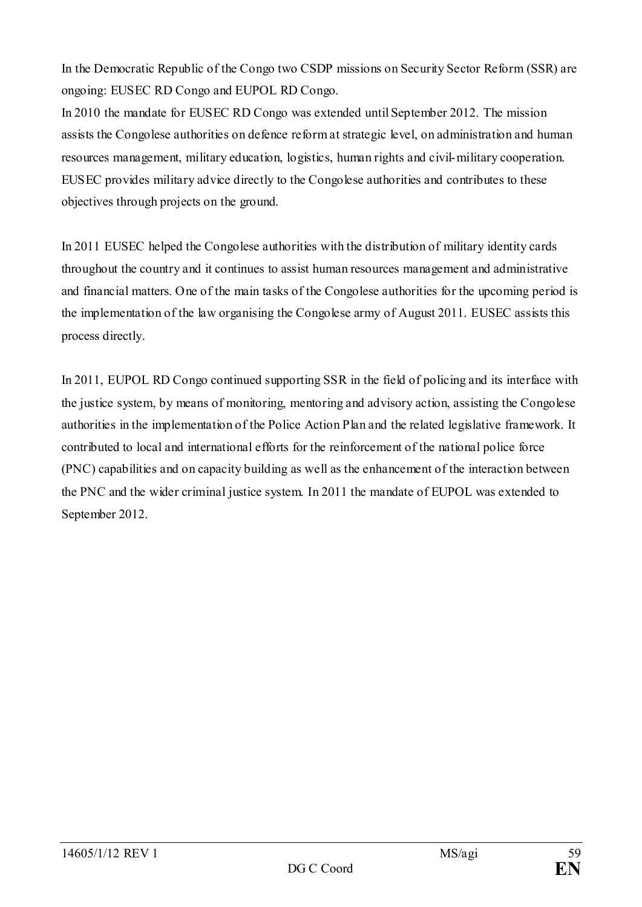In the Democratic Republic of the Congo two CSDP missions on Security Sector Reform (SSR) are ongoing: EUSEC RD Congo and EUPOL RD Congo.

In 2010 the mandate for EUSEC RD Congo was extended until September 2012. The mission assists the Congolese authorities on defence reform at strategic level, on administration and human resources management, military education, logistics, human rights and civil-military cooperation. EUSEC provides military advice directly to the Congolese authorities and contributes to these objectives through projects on the ground.

In 2011 EUSEC helped the Congolese authorities with the distribution of military identity cards throughout the country and it continues to assist human resources management and administrative and financial matters. One of the main tasks of the Congolese authorities for the upcoming period is the implementation of the law organising the Congolese army of August 2011. EUSEC assists this process directly.

In 2011, EUPOL RD Congo continued supporting SSR in the field of policing and its interface with the justice system, by means of monitoring, mentoring and advisory action, assisting the Congolese authorities in the implementation of the Police Action Plan and the related legislative framework. It contributed to local and international efforts for the reinforcement of the national police force (PNC) capabilities and on capacity building as well as the enhancement of the interaction between the PNC and the wider criminal justice system. In 2011 the mandate of EUPOL was extended to September 2012.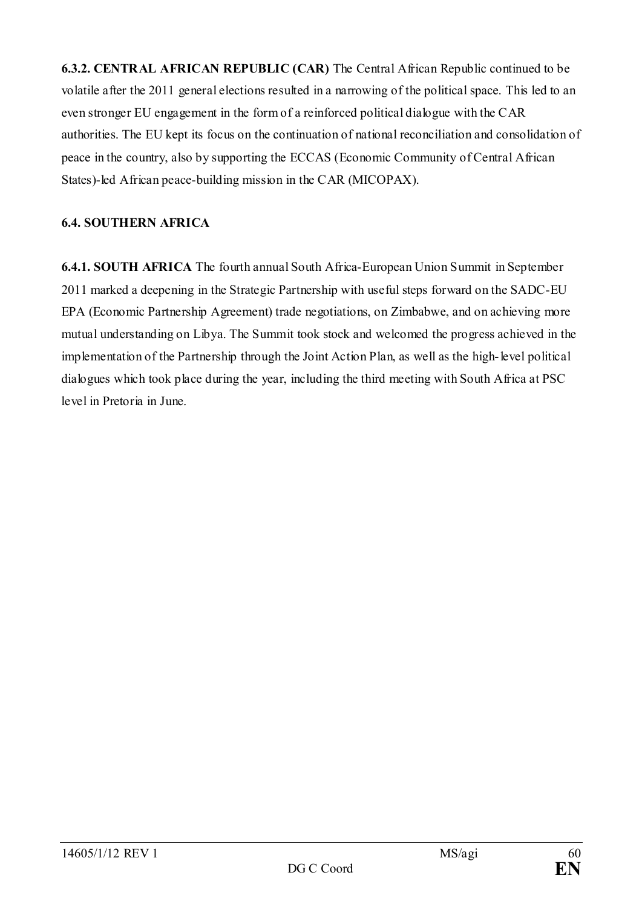**6.3.2. CENTRAL AFRICAN REPUBLIC (CAR)** The Central African Republic continued to be volatile after the 2011 general elections resulted in a narrowing of the political space. This led to an even stronger EU engagement in the form of a reinforced political dialogue with the CAR authorities. The EU kept its focus on the continuation of national reconciliation and consolidation of peace in the country, also by supporting the ECCAS (Economic Community of Central African States)-led African peace-building mission in the CAR (MICOPAX).

#### **6.4. SOUTHERN AFRICA**

**6.4.1. SOUTH AFRICA** The fourth annual South Africa-European Union Summit in September 2011 marked a deepening in the Strategic Partnership with useful steps forward on the SADC-EU EPA (Economic Partnership Agreement) trade negotiations, on Zimbabwe, and on achieving more mutual understanding on Libya. The Summit took stock and welcomed the progress achieved in the implementation of the Partnership through the Joint Action Plan, as well as the high-level political dialogues which took place during the year, including the third meeting with South Africa at PSC level in Pretoria in June.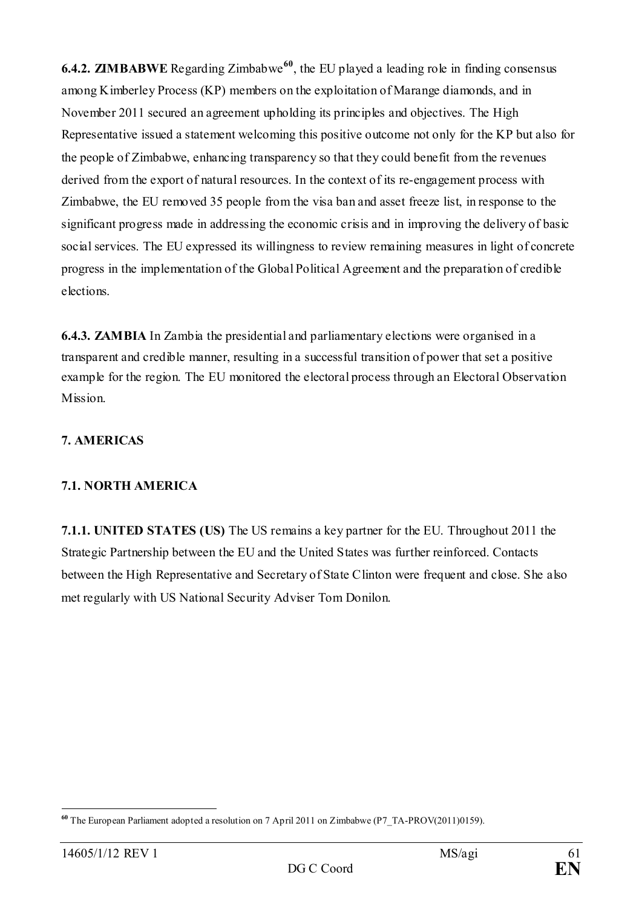**6.4.2. ZIMBABWE** Regarding Zimbabwe<sup>[60](#page-60-0)</sup>, the EU played a leading role in finding consensus among Kimberley Process (KP) members on the exploitation of Marange diamonds, and in November 2011 secured an agreement upholding its principles and objectives. The High Representative issued a statement welcoming this positive outcome not only for the KP but also for the people of Zimbabwe, enhancing transparency so that they could benefit from the revenues derived from the export of natural resources. In the context of its re-engagement process with Zimbabwe, the EU removed 35 people from the visa ban and asset freeze list, in response to the significant progress made in addressing the economic crisis and in improving the delivery of basic social services. The EU expressed its willingness to review remaining measures in light of concrete progress in the implementation of the Global Political Agreement and the preparation of credible elections.

**6.4.3. ZAMBIA** In Zambia the presidential and parliamentary elections were organised in a transparent and credible manner, resulting in a successful transition of power that set a positive example for the region. The EU monitored the electoral process through an Electoral Observation Mission.

# **7. AMERICAS**

#### **7.1. NORTH AMERICA**

**7.1.1. UNITED STATES (US)** The US remains a key partner for the EU. Throughout 2011 the Strategic Partnership between the EU and the United States was further reinforced. Contacts between the High Representative and Secretary of State Clinton were frequent and close. She also met regularly with US National Security Adviser Tom Donilon.

<span id="page-60-0"></span><sup>-</sup>**<sup>60</sup>** The European Parliament adopted a resolution on 7 April 2011 on Zimbabwe (P7\_TA-PROV(2011)0159).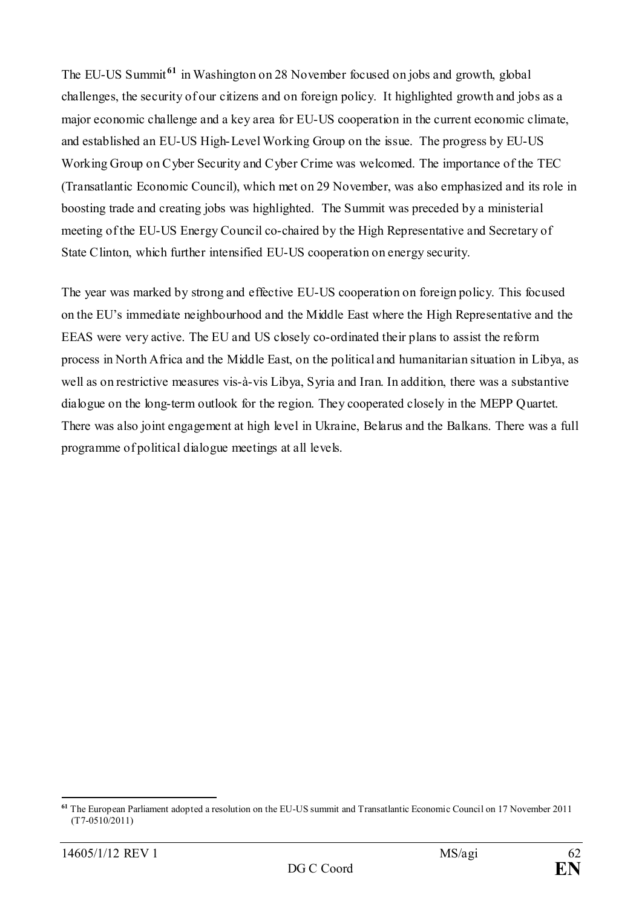The EU-US Summit **[61](#page-61-0)** in Washington on 28 November focused on jobs and growth, global challenges, the security of our citizens and on foreign policy. It highlighted growth and jobs as a major economic challenge and a key area for EU-US cooperation in the current economic climate, and established an EU-US High-Level Working Group on the issue. The progress by EU-US Working Group on Cyber Security and Cyber Crime was welcomed. The importance of the TEC (Transatlantic Economic Council), which met on 29 November, was also emphasized and its role in boosting trade and creating jobs was highlighted. The Summit was preceded by a ministerial meeting of the EU-US Energy Council co-chaired by the High Representative and Secretary of State Clinton, which further intensified EU-US cooperation on energy security.

The year was marked by strong and effective EU-US cooperation on foreign policy. This focused on the EU's immediate neighbourhood and the Middle East where the High Representative and the EEAS were very active. The EU and US closely co-ordinated their plans to assist the reform process in North Africa and the Middle East, on the political and humanitarian situation in Libya, as well as on restrictive measures vis-à-vis Libya, Syria and Iran. In addition, there was a substantive dialogue on the long-term outlook for the region. They cooperated closely in the MEPP Quartet. There was also joint engagement at high level in Ukraine, Belarus and the Balkans. There was a full programme of political dialogue meetings at all levels.

<span id="page-61-0"></span><sup>&</sup>lt;u>.</u> **<sup>61</sup>** The European Parliament adopted a resolution on the EU-US summit and Transatlantic Economic Council on 17 November 2011 (T7-0510/2011)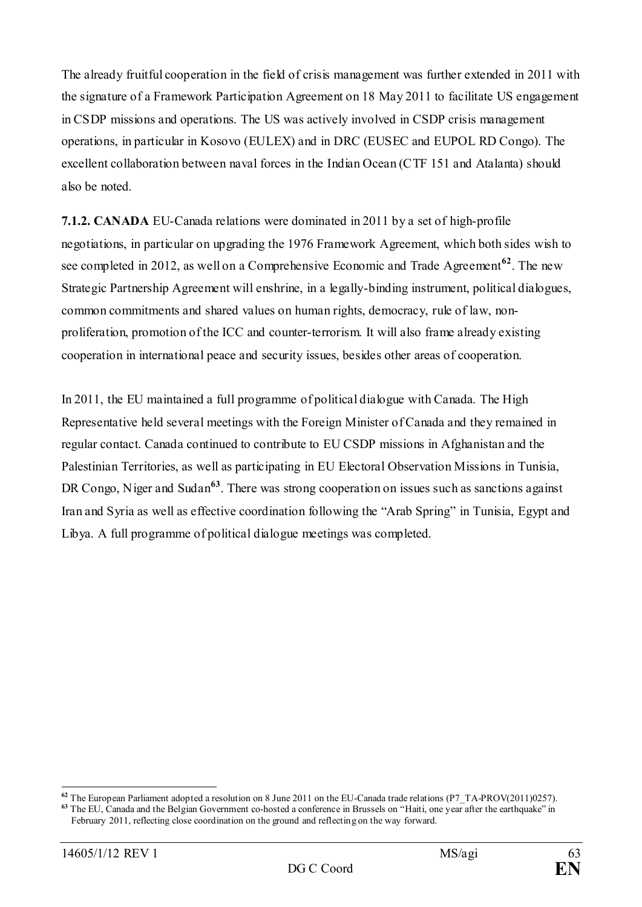The already fruitful cooperation in the field of crisis management was further extended in 2011 with the signature of a Framework Participation Agreement on 18 May 2011 to facilitate US engagement in CSDP missions and operations. The US was actively involved in CSDP crisis management operations, in particular in Kosovo (EULEX) and in DRC (EUSEC and EUPOL RD Congo). The excellent collaboration between naval forces in the Indian Ocean (CTF 151 and Atalanta) should also be noted.

**7.1.2. CANADA** EU-Canada relations were dominated in 2011 by a set of high-profile negotiations, in particular on upgrading the 1976 Framework Agreement, which both sides wish to see completed in 2012, as well on a Comprehensive Economic and Trade Agreement**[62](#page-62-0)**. The new Strategic Partnership Agreement will enshrine, in a legally-binding instrument, political dialogues, common commitments and shared values on human rights, democracy, rule of law, nonproliferation, promotion of the ICC and counter-terrorism. It will also frame already existing cooperation in international peace and security issues, besides other areas of cooperation.

In 2011, the EU maintained a full programme of political dialogue with Canada. The High Representative held several meetings with the Foreign Minister of Canada and they remained in regular contact. Canada continued to contribute to EU CSDP missions in Afghanistan and the Palestinian Territories, as well as participating in EU Electoral Observation Missions in Tunisia, DR Congo, Niger and Sudan<sup>[63](#page-62-1)</sup>. There was strong cooperation on issues such as sanctions against Iran and Syria as well as effective coordination following the "Arab Spring" in Tunisia, Egypt and Libya. A full programme of political dialogue meetings was completed.

<span id="page-62-0"></span>**<sup>62</sup>** The European Parliament adopted a resolution on 8 June 2011 on the EU-Canada trade relations (P7\_TA-PROV(2011)0257).

<span id="page-62-1"></span><sup>&</sup>lt;sup>63</sup> The EU, Canada and the Belgian Government co-hosted a conference in Brussels on "Haiti, one year after the earthquake" in February 2011, reflecting close coordination on the ground and reflecting on the way forward.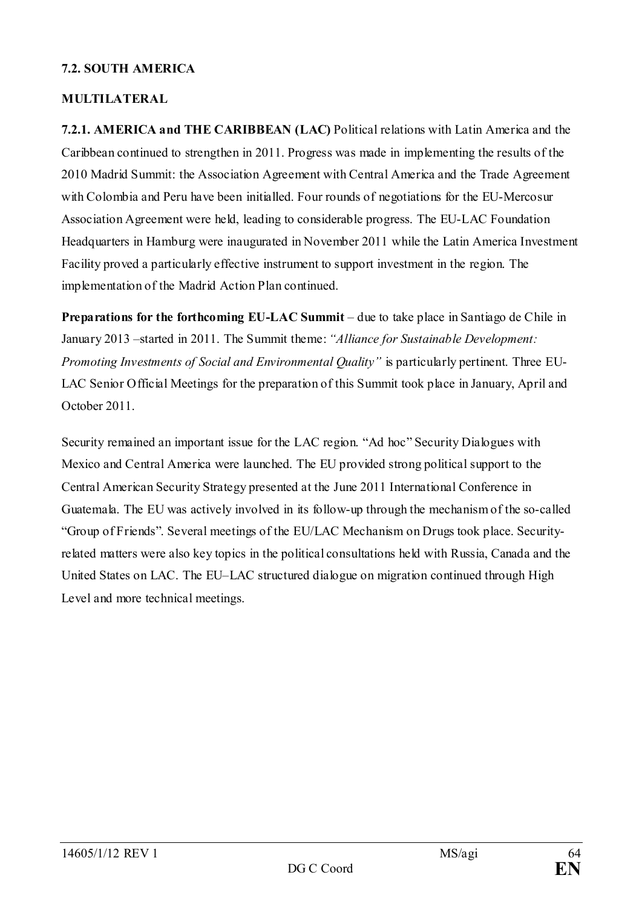#### **7.2. SOUTH AMERICA**

#### **MULTILATERAL**

**7.2.1. AMERICA and THE CARIBBEAN (LAC)** Political relations with Latin America and the Caribbean continued to strengthen in 2011. Progress was made in implementing the results of the 2010 Madrid Summit: the Association Agreement with Central America and the Trade Agreement with Colombia and Peru have been initialled. Four rounds of negotiations for the EU-Mercosur Association Agreement were held, leading to considerable progress. The EU-LAC Foundation Headquarters in Hamburg were inaugurated in November 2011 while the Latin America Investment Facility proved a particularly effective instrument to support investment in the region. The implementation of the Madrid Action Plan continued.

**Preparations for the forthcoming EU-LAC Summit** – due to take place in Santiago de Chile in January 2013 –started in 2011. The Summit theme: *"Alliance for Sustainable Development: Promoting Investments of Social and Environmental Quality"* is particularly pertinent. Three EU-LAC Senior Official Meetings for the preparation of this Summit took place in January, April and October 2011.

Security remained an important issue for the LAC region. "Ad hoc" Security Dialogues with Mexico and Central America were launched. The EU provided strong political support to the Central American Security Strategy presented at the June 2011 International Conference in Guatemala. The EU was actively involved in its follow-up through the mechanism of the so-called "Group of Friends". Several meetings of the EU/LAC Mechanism on Drugs took place. Securityrelated matters were also key topics in the political consultations held with Russia, Canada and the United States on LAC. The EU–LAC structured dialogue on migration continued through High Level and more technical meetings.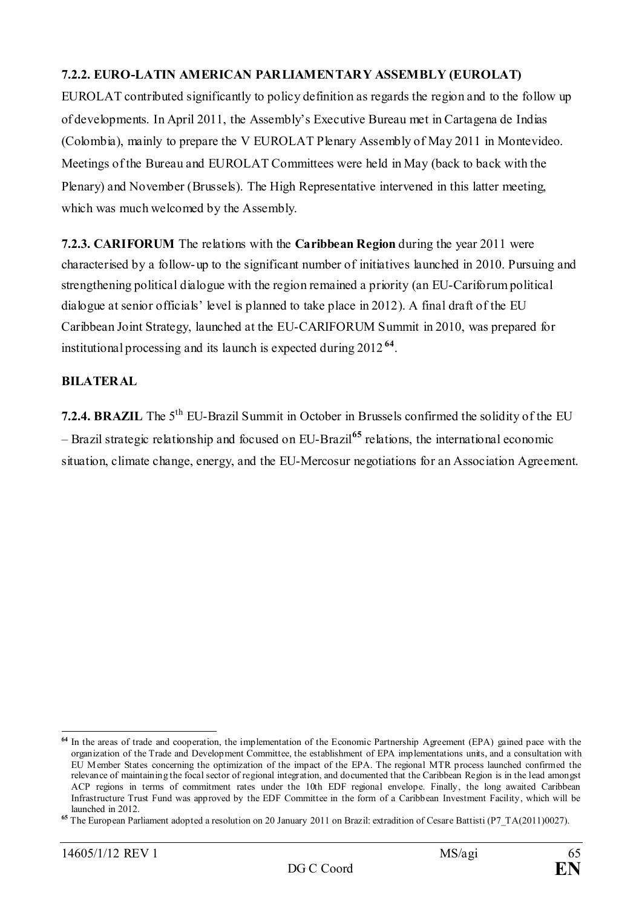## **7.2.2. EURO-LATIN AMERICAN PARLIAMENTARY ASSEMBLY (EUROLAT)**

EUROLAT contributed significantly to policy definition as regards the region and to the follow up of developments. In April 2011, the Assembly's Executive Bureau met in Cartagena de Indias (Colombia), mainly to prepare the V EUROLAT Plenary Assembly of May 2011 in Montevideo. Meetings of the Bureau and EUROLAT Committees were held in May (back to back with the Plenary) and November (Brussels). The High Representative intervened in this latter meeting, which was much welcomed by the Assembly.

**7.2.3. CARIFORUM** The relations with the **Caribbean Region** during the year 2011 were characterised by a follow-up to the significant number of initiatives launched in 2010. Pursuing and strengthening political dialogue with the region remained a priority (an EU-Cariforum political dialogue at senior officials' level is planned to take place in 2012). A final draft of the EU Caribbean Joint Strategy, launched at the EU-CARIFORUM Summit in 2010, was prepared for institutional processing and its launch is expected during 2012 **[64](#page-64-0)**.

#### **BILATERAL**

**7.2.4. BRAZIL** The 5<sup>th</sup> EU-Brazil Summit in October in Brussels confirmed the solidity of the EU – Brazil strategic relationship and focused on EU-Brazil**[65](#page-64-1)** relations, the international economic situation, climate change, energy, and the EU-Mercosur negotiations for an Association Agreement.

<span id="page-64-0"></span>**<sup>64</sup>** In the areas of trade and cooperation, the implementation of the Economic Partnership Agreement (EPA) gained pace with the organization of the Trade and Development Committee, the establishment of EPA implementations units, and a consultation with EU Member States concerning the optimization of the impact of the EPA. The regional MTR process launched confirmed the relevance of maintaining the focal sector of regional integration, and documented that the Caribbean Region is in the lead amongst ACP regions in terms of commitment rates under the 10th EDF regional envelope. Finally, the long awaited Caribbean Infrastructure Trust Fund was approved by the EDF Committee in the form of a Caribbean Investment Facility, which will be launched in 2012.

<span id="page-64-1"></span>**<sup>65</sup>** The European Parliament adopted a resolution on 20 January 2011 on Brazil: extradition of Cesare Battisti (P7\_TA(2011)0027).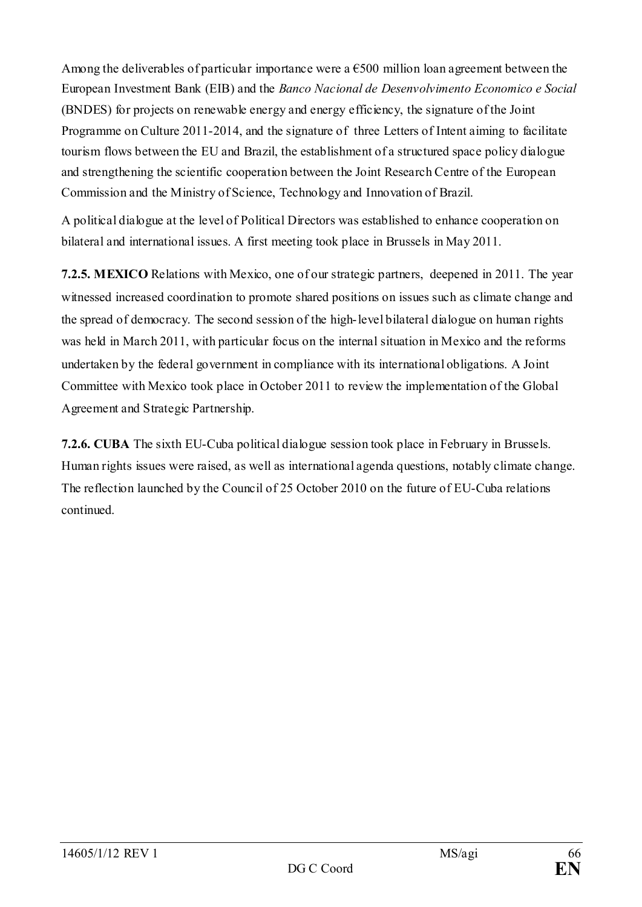Among the deliverables of particular importance were a  $\epsilon$ 500 million loan agreement between the European Investment Bank (EIB) and the *Banco Nacional de Desenvolvimento Economico e Social*  (BNDES) for projects on renewable energy and energy efficiency, the signature of the Joint Programme on Culture 2011-2014, and the signature of three Letters of Intent aiming to facilitate tourism flows between the EU and Brazil, the establishment of a structured space policy dialogue and strengthening the scientific cooperation between the Joint Research Centre of the European Commission and the Ministry of Science, Technology and Innovation of Brazil.

A political dialogue at the level of Political Directors was established to enhance cooperation on bilateral and international issues. A first meeting took place in Brussels in May 2011.

**7.2.5. MEXICO** Relations with Mexico, one of our strategic partners, deepened in 2011. The year witnessed increased coordination to promote shared positions on issues such as climate change and the spread of democracy. The second session of the high-level bilateral dialogue on human rights was held in March 2011, with particular focus on the internal situation in Mexico and the reforms undertaken by the federal government in compliance with its international obligations. A Joint Committee with Mexico took place in October 2011 to review the implementation of the Global Agreement and Strategic Partnership.

**7.2.6. CUBA** The sixth EU-Cuba political dialogue session took place in February in Brussels. Human rights issues were raised, as well as international agenda questions, notably climate change. The reflection launched by the Council of 25 October 2010 on the future of EU-Cuba relations continued.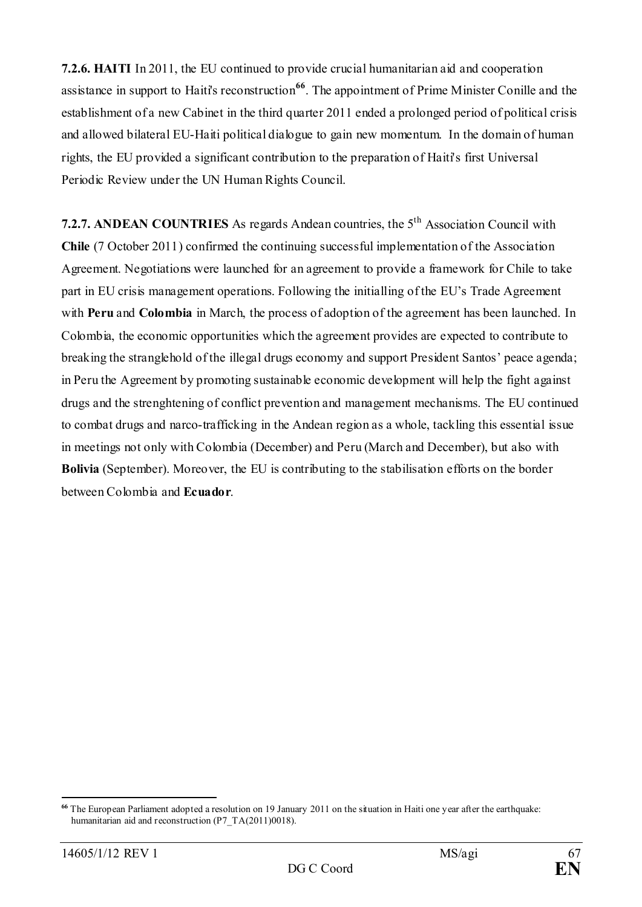**7.2.6. HAITI** In 2011, the EU continued to provide crucial humanitarian aid and cooperation assistance in support to Haiti's reconstruction**[66](#page-66-0)**. The appointment of Prime Minister Conille and the establishment of a new Cabinet in the third quarter 2011 ended a prolonged period of political crisis and allowed bilateral EU-Haiti political dialogue to gain new momentum. In the domain of human rights, the EU provided a significant contribution to the preparation of Haiti's first Universal Periodic Review under the UN Human Rights Council.

**7.2.7. ANDEAN COUNTRIES** As regards Andean countries, the 5th Association Council with **Chile** (7 October 2011) confirmed the continuing successful implementation of the Association Agreement. Negotiations were launched for an agreement to provide a framework for Chile to take part in EU crisis management operations. Following the initialling of the EU's Trade Agreement with **Peru** and **Colombia** in March, the process of adoption of the agreement has been launched. In Colombia, the economic opportunities which the agreement provides are expected to contribute to breaking the stranglehold of the illegal drugs economy and support President Santos' peace agenda; in Peru the Agreement by promoting sustainable economic development will help the fight against drugs and the strenghtening of conflict prevention and management mechanisms. The EU continued to combat drugs and narco-trafficking in the Andean region as a whole, tackling this essential issue in meetings not only with Colombia (December) and Peru (March and December), but also with **Bolivia** (September). Moreover, the EU is contributing to the stabilisation efforts on the border between Colombia and **Ecuador**.

<span id="page-66-0"></span><sup>&</sup>lt;u>.</u> **<sup>66</sup>** The European Parliament adopted a resolution on 19 January 2011 on the situation in Haiti one year after the earthquake: humanitarian aid and reconstruction (P7\_TA(2011)0018).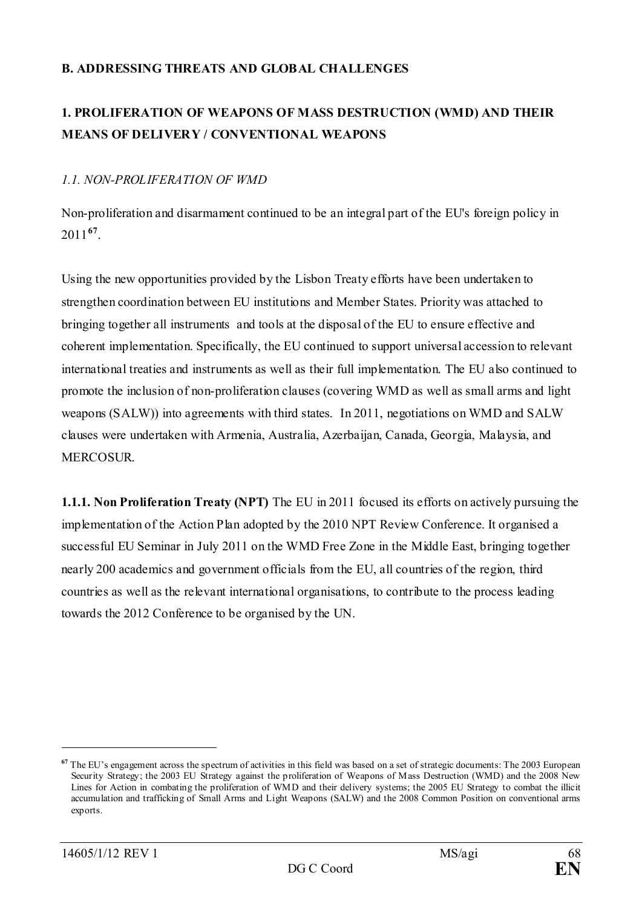## **B. ADDRESSING THREATS AND GLOBAL CHALLENGES**

# **1. PROLIFERATION OF WEAPONS OF MASS DESTRUCTION (WMD) AND THEIR MEANS OF DELIVERY / CONVENTIONAL WEAPONS**

## *1.1. NON-PROLIFERATION OF WMD*

Non-proliferation and disarmament continued to be an integral part of the EU's foreign policy in 2011**[67](#page-67-0)**.

Using the new opportunities provided by the Lisbon Treaty efforts have been undertaken to strengthen coordination between EU institutions and Member States. Priority was attached to bringing together all instruments and tools at the disposal of the EU to ensure effective and coherent implementation. Specifically, the EU continued to support universal accession to relevant international treaties and instruments as well as their full implementation. The EU also continued to promote the inclusion of non-proliferation clauses (covering WMD as well as small arms and light weapons (SALW)) into agreements with third states. In 2011, negotiations on WMD and SALW clauses were undertaken with Armenia, Australia, Azerbaijan, Canada, Georgia, Malaysia, and MERCOSUR.

**1.1.1. Non Proliferation Treaty (NPT)** The EU in 2011 focused its efforts on actively pursuing the implementation of the Action Plan adopted by the 2010 NPT Review Conference. It organised a successful EU Seminar in July 2011 on the WMD Free Zone in the Middle East, bringing together nearly 200 academics and government officials from the EU, all countries of the region, third countries as well as the relevant international organisations, to contribute to the process leading towards the 2012 Conference to be organised by the UN.

<u>.</u>

<span id="page-67-0"></span><sup>&</sup>lt;sup>67</sup> The EU's engagement across the spectrum of activities in this field was based on a set of strategic documents: The 2003 European Security Strategy; the 2003 EU Strategy against the proliferation of Weapons of Mass Destruction (WMD) and the 2008 New Lines for Action in combating the proliferation of WMD and their delivery systems; the 2005 EU Strategy to combat the illicit accumulation and trafficking of Small Arms and Light Weapons (SALW) and the 2008 Common Position on conventional arms exports.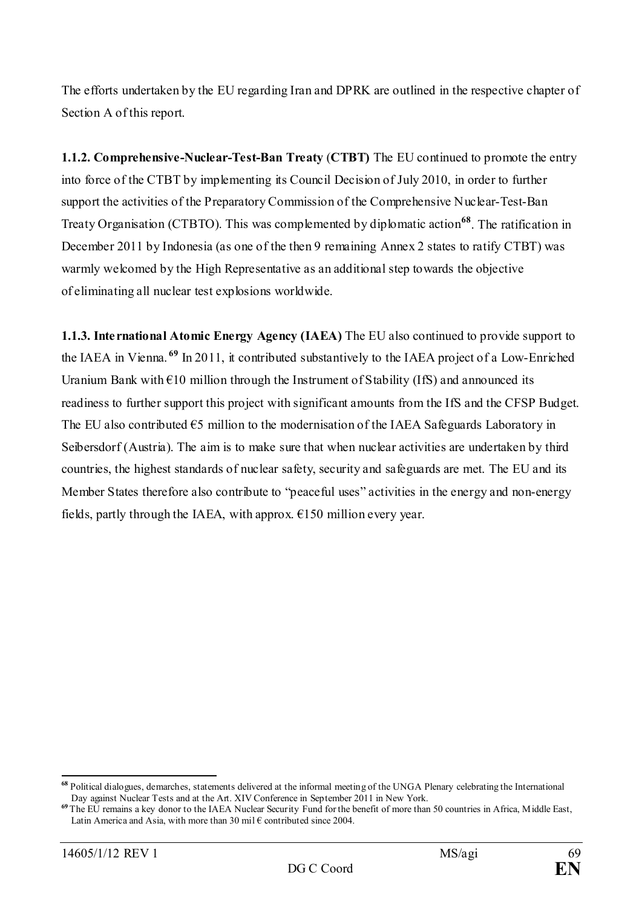The efforts undertaken by the EU regarding Iran and DPRK are outlined in the respective chapter of Section A of this report.

**1.1.2. Comprehensive-Nuclear-Test-Ban Treaty** (**CTBT)** The EU continued to promote the entry into force of the CTBT by implementing its Council Decision of July 2010, in order to further support the activities of the Preparatory Commission of the Comprehensive Nuclear-Test-Ban Treaty Organisation (CTBTO). This was complemented by diplomatic action**[68](#page-68-0)**. The ratification in December 2011 by Indonesia (as one of the then 9 remaining Annex 2 states to ratify CTBT) was warmly welcomed by the High Representative as an additional step towards the objective of eliminating all nuclear test explosions worldwide.

**1.1.3. International Atomic Energy Agency (IAEA)** The EU also continued to provide support to the IAEA in Vienna. **[69](#page-68-1)** In 2011, it contributed substantively to the IAEA project of a Low-Enriched Uranium Bank with  $\epsilon$ 10 million through the Instrument of Stability (IfS) and announced its readiness to further support this project with significant amounts from the IfS and the CFSP Budget. The EU also contributed  $\epsilon$ 5 million to the modernisation of the IAEA Safeguards Laboratory in Seibersdorf (Austria). The aim is to make sure that when nuclear activities are undertaken by third countries, the highest standards of nuclear safety, security and safeguards are met. The EU and its Member States therefore also contribute to "peaceful uses" activities in the energy and non-energy fields, partly through the IAEA, with approx.  $\epsilon$ 150 million every year.

<span id="page-68-0"></span>**<sup>68</sup>** Political dialogues, demarches, statements delivered at the informal meeting of the UNGA Plenary celebrating the International Day against Nuclear Tests and at the Art. XIV Conference in September 2011 in New York.

<span id="page-68-1"></span><sup>&</sup>lt;sup>69</sup> The EU remains a key donor to the IAEA Nuclear Security Fund for the benefit of more than 50 countries in Africa, Middle East, Latin America and Asia, with more than 30 mil  $\epsilon$  contributed since 2004.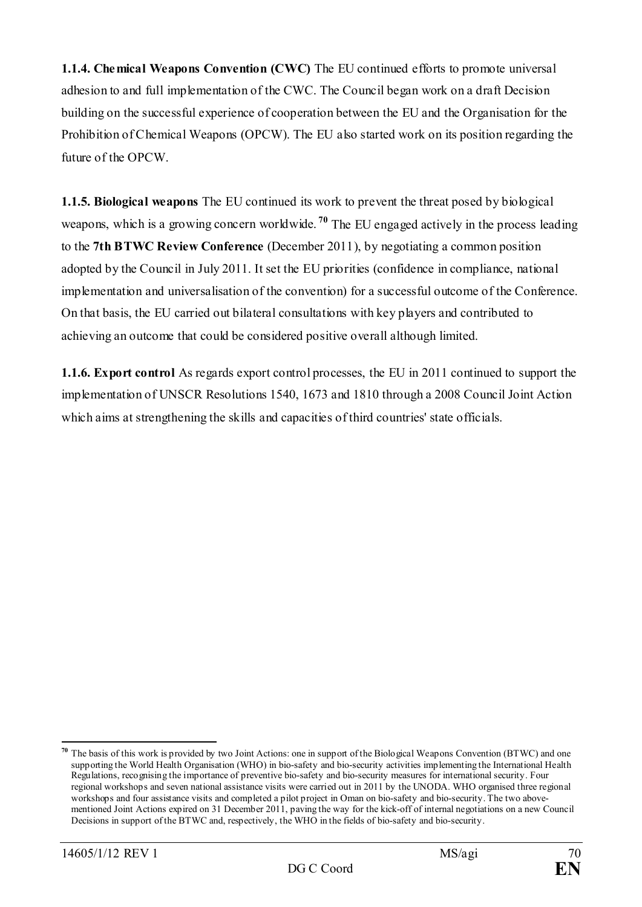**1.1.4. Chemical Weapons Convention (CWC)** The EU continued efforts to promote universal adhesion to and full implementation of the CWC. The Council began work on a draft Decision building on the successful experience of cooperation between the EU and the Organisation for the Prohibition of Chemical Weapons (OPCW). The EU also started work on its position regarding the future of the OPCW.

**1.1.5. Biological weapons** The EU continued its work to prevent the threat posed by biological weapons, which is a growing concern worldwide. **[70](#page-69-0)** The EU engaged actively in the process leading to the **7th BTWC Review Conference** (December 2011), by negotiating a common position adopted by the Council in July 2011. It set the EU priorities (confidence in compliance, national implementation and universalisation of the convention) for a successful outcome of the Conference. On that basis, the EU carried out bilateral consultations with key players and contributed to achieving an outcome that could be considered positive overall although limited.

**1.1.6. Export control** As regards export control processes, the EU in 2011 continued to support the implementation of UNSCR Resolutions 1540, 1673 and 1810 through a 2008 Council Joint Action which aims at strengthening the skills and capacities of third countries' state officials.

<u>.</u>

<span id="page-69-0"></span>**<sup>70</sup>** The basis of this work is provided by two Joint Actions: one in support of the Biological Weapons Convention (BTWC) and one supporting the World Health Organisation (WHO) in bio-safety and bio-security activities implementing the International Health Regulations, recognising the importance of preventive bio-safety and bio-security measures for international security. Four regional workshops and seven national assistance visits were carried out in 2011 by the UNODA. WHO organised three regional workshops and four assistance visits and completed a pilot project in Oman on bio-safety and bio-security. The two abovementioned Joint Actions expired on 31 December 2011, paving the way for the kick-off of internal negotiations on a new Council Decisions in support of the BTWC and, respectively, the WHO in the fields of bio-safety and bio-security.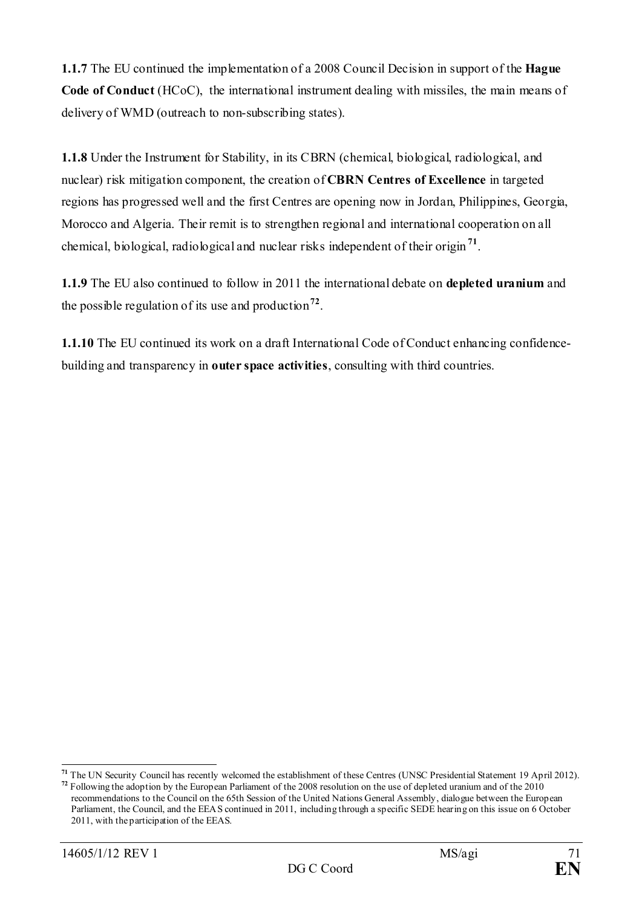**1.1.7** The EU continued the implementation of a 2008 Council Decision in support of the **Hague Code of Conduct** (HCoC), the international instrument dealing with missiles, the main means of delivery of WMD (outreach to non-subscribing states).

**1.1.8** Under the Instrument for Stability, in its CBRN (chemical, biological, radiological, and nuclear) risk mitigation component, the creation of **CBRN Centres of Excellence** in targeted regions has progressed well and the first Centres are opening now in Jordan, Philippines, Georgia, Morocco and Algeria. Their remit is to strengthen regional and international cooperation on all chemical, biological, radiological and nuclear risks independent of their origin **[71](#page-70-0)**.

**1.1.9** The EU also continued to follow in 2011 the international debate on **depleted uranium** and the possible regulation of its use and production**[72](#page-70-1)**.

**1.1.10** The EU continued its work on a draft International Code of Conduct enhancing confidencebuilding and transparency in **outer space activities**, consulting with third countries.

<span id="page-70-0"></span>**<sup>71</sup>** The UN Security Council has recently welcomed the establishment of these Centres (UNSC Presidential Statement 19 April 2012).

<span id="page-70-1"></span>**<sup>72</sup>** Following the adoption by the European Parliament of the 2008 resolution on the use of depleted uranium and of the 2010 recommendations to the Council on the 65th Session of the United Nations General Assembly, dialogue between the European Parliament, the Council, and the EEAS continued in 2011, including through a specific SEDE hearing on this issue on 6 October 2011, with the participation of the EEAS.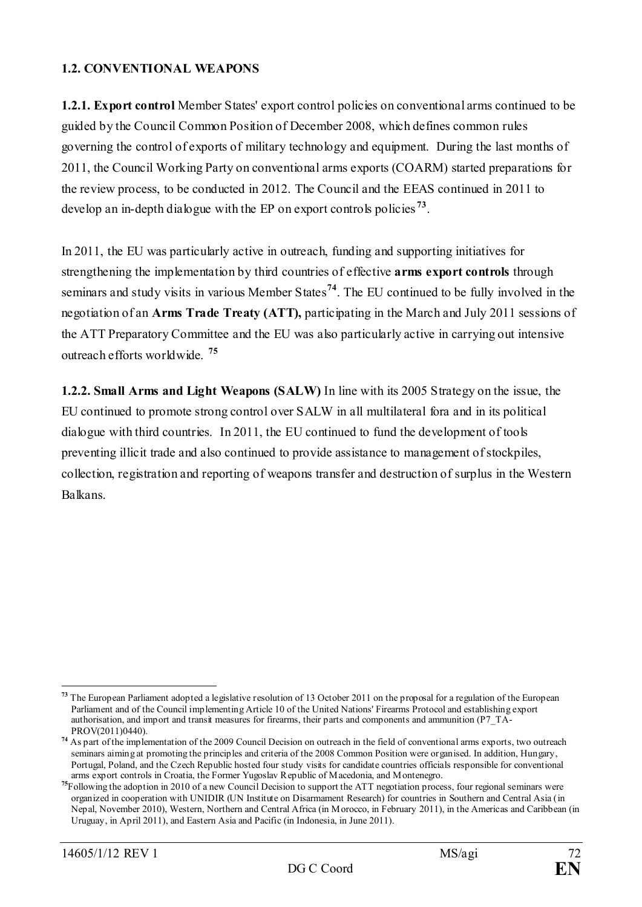#### **1.2. CONVENTIONAL WEAPONS**

**1.2.1. Export control** Member States' export control policies on conventional arms continued to be guided by the Council Common Position of December 2008, which defines common rules governing the control of exports of military technology and equipment. During the last months of 2011, the Council Working Party on conventional arms exports (COARM) started preparations for the review process, to be conducted in 2012. The Council and the EEAS continued in 2011 to develop an in-depth dialogue with the EP on export controls policies **[73](#page-71-0)**.

In 2011, the EU was particularly active in outreach, funding and supporting initiatives for strengthening the implementation by third countries of effective **arms export controls** through seminars and study visits in various Member States**[74](#page-71-1)**. The EU continued to be fully involved in the negotiation of an **Arms Trade Treaty (ATT),** participating in the March and July 2011 sessions of the ATT Preparatory Committee and the EU was also particularly active in carrying out intensive outreach efforts worldwide. **[75](#page-71-2)**

**1.2.2. Small Arms and Light Weapons (SALW)** In line with its 2005 Strategy on the issue, the EU continued to promote strong control over SALW in all multilateral fora and in its political dialogue with third countries. In 2011, the EU continued to fund the development of tools preventing illicit trade and also continued to provide assistance to management of stockpiles, collection, registration and reporting of weapons transfer and destruction of surplus in the Western Balkans.

<span id="page-71-0"></span><sup>&</sup>lt;u>.</u> **<sup>73</sup>** The European Parliament adopted a legislative resolution of 13 October 2011 on the proposal for a regulation of the European Parliament and of the Council implementing Article 10 of the United Nations' Firearms Protocol and establishing export authorisation, and import and transit measures for firearms, their parts and components and ammunition (P7\_TA-PROV(2011)0440).

<span id="page-71-1"></span><sup>&</sup>lt;sup>74</sup> As part of the implementation of the 2009 Council Decision on outreach in the field of conventional arms exports, two outreach seminars aiming at promoting the principles and criteria of the 2008 Common Position were organised. In addition, Hungary, Portugal, Poland, and the Czech Republic hosted four study visits for candidate countries officials responsible for conventional arms export controls in Croatia, the Former Yugoslav Republic of Macedonia, and Montenegro.

<span id="page-71-2"></span><sup>&</sup>lt;sup>75</sup>Following the adoption in 2010 of a new Council Decision to support the ATT negotiation process, four regional seminars were organized in cooperation with UNIDIR (UN Institute on Disarmament Research) for countries in Southern and Central Asia (in Nepal, November 2010), Western, Northern and Central Africa (in Morocco, in February 2011), in the Americas and Caribbean (in Uruguay, in April 2011), and Eastern Asia and Pacific (in Indonesia, in June 2011).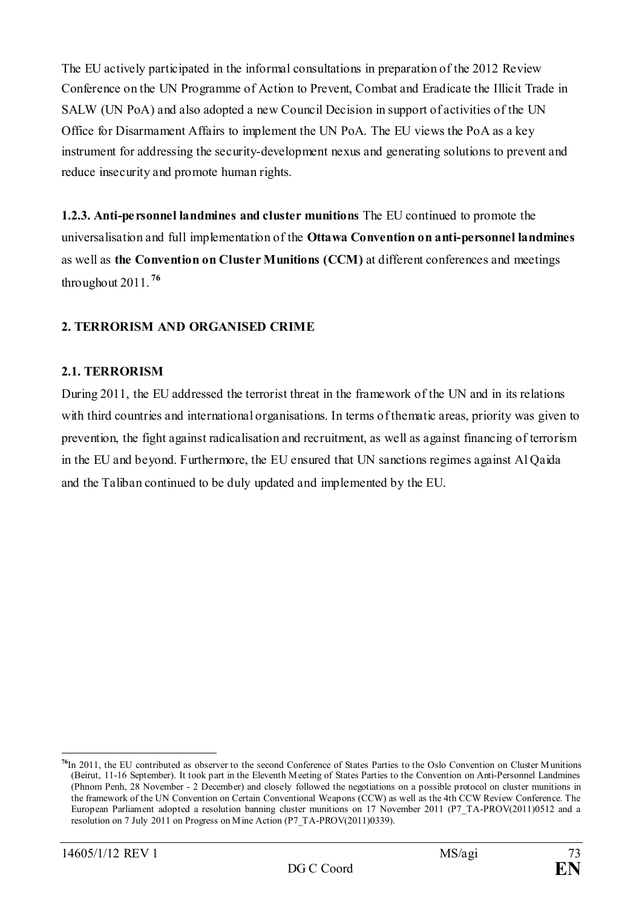The EU actively participated in the informal consultations in preparation of the 2012 Review Conference on the UN Programme of Action to Prevent, Combat and Eradicate the Illicit Trade in SALW (UN PoA) and also adopted a new Council Decision in support of activities of the UN Office for Disarmament Affairs to implement the UN PoA. The EU views the PoA as a key instrument for addressing the security-development nexus and generating solutions to prevent and reduce insecurity and promote human rights.

**1.2.3. Anti-personnel landmines and cluster munitions** The EU continued to promote the universalisation and full implementation of the **Ottawa Convention on anti-personnel landmines**  as well as **the Convention on Cluster Munitions (CCM)** at different conferences and meetings throughout 2011. **[76](#page-72-0)**

## **2. TERRORISM AND ORGANISED CRIME**

### **2.1. TERRORISM**

During 2011, the EU addressed the terrorist threat in the framework of the UN and in its relations with third countries and international organisations. In terms of thematic areas, priority was given to prevention, the fight against radicalisation and recruitment, as well as against financing of terrorism in the EU and beyond. Furthermore, the EU ensured that UN sanctions regimes against Al Qaida and the Taliban continued to be duly updated and implemented by the EU.

-

<span id="page-72-0"></span>**<sup>76</sup>**In 2011, the EU contributed as observer to the second Conference of States Parties to the Oslo Convention on Cluster Munitions (Beirut, 11-16 September). It took part in the Eleventh Meeting of States Parties to the Convention on Anti-Personnel Landmines (Phnom Penh, 28 November - 2 December) and closely followed the negotiations on a possible protocol on cluster munitions in the framework of the UN Convention on Certain Conventional Weapons (CCW) as well as the 4th CCW Review Conference. The European Parliament adopted a resolution banning cluster munitions on 17 November 2011 (P7\_TA-PROV(2011)0512 and a resolution on 7 July 2011 on Progress on Mine Action (P7\_TA-PROV(2011)0339).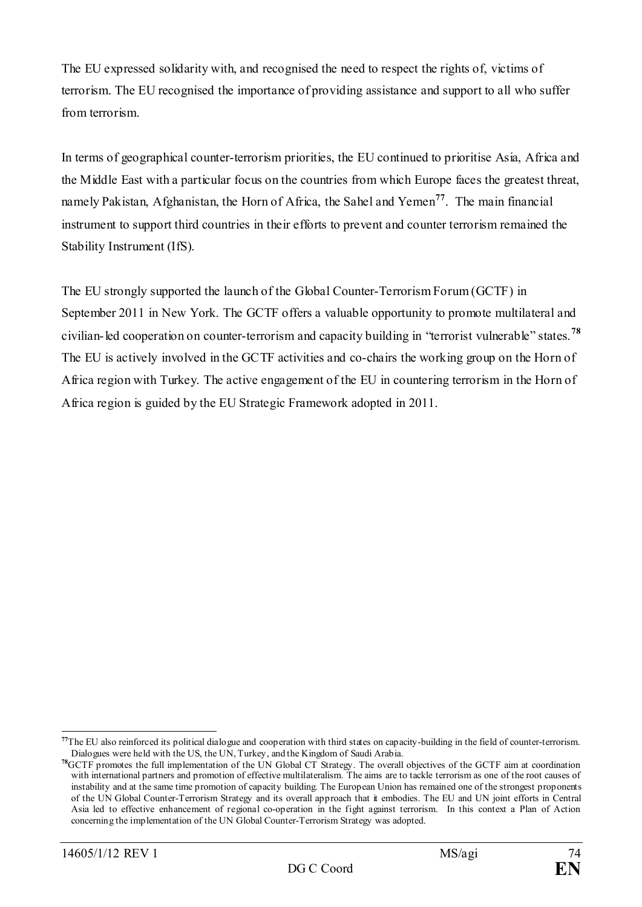The EU expressed solidarity with, and recognised the need to respect the rights of, victims of terrorism. The EU recognised the importance of providing assistance and support to all who suffer from terrorism.

In terms of geographical counter-terrorism priorities, the EU continued to prioritise Asia, Africa and the Middle East with a particular focus on the countries from which Europe faces the greatest threat, namely Pakistan, Afghanistan, the Horn of Africa, the Sahel and Yemen**[77](#page-73-0)**. The main financial instrument to support third countries in their efforts to prevent and counter terrorism remained the Stability Instrument (IfS).

The EU strongly supported the launch of the Global Counter-Terrorism Forum (GCTF) in September 2011 in New York. The GCTF offers a valuable opportunity to promote multilateral and civilian-led cooperation on counter-terrorism and capacity building in "terrorist vulnerable" states.**[78](#page-73-1)** The EU is actively involved in the GCTF activities and co-chairs the working group on the Horn of Africa region with Turkey. The active engagement of the EU in countering terrorism in the Horn of Africa region is guided by the EU Strategic Framework adopted in 2011.

<span id="page-73-0"></span><sup>&</sup>lt;sup>77</sup>The EU also reinforced its political dialogue and cooperation with third states on capacity-building in the field of counter-terrorism. Dialogues were held with the US, the UN, Turkey, and the Kingdom of Saudi Arabia.

<span id="page-73-1"></span>**<sup>78</sup>**GCTF promotes the full implementation of the UN Global CT Strategy. The overall objectives of the GCTF aim at coordination with international partners and promotion of effective multilateralism. The aims are to tackle terrorism as one of the root causes of instability and at the same time promotion of capacity building. The European Union has remained one of the strongest proponents of the UN Global Counter-Terrorism Strategy and its overall approach that it embodies. The EU and UN joint efforts in Central Asia led to effective enhancement of regional co-operation in the fight against terrorism. In this context a Plan of Action concerning the implementation of the UN Global Counter-Terrorism Strategy was adopted.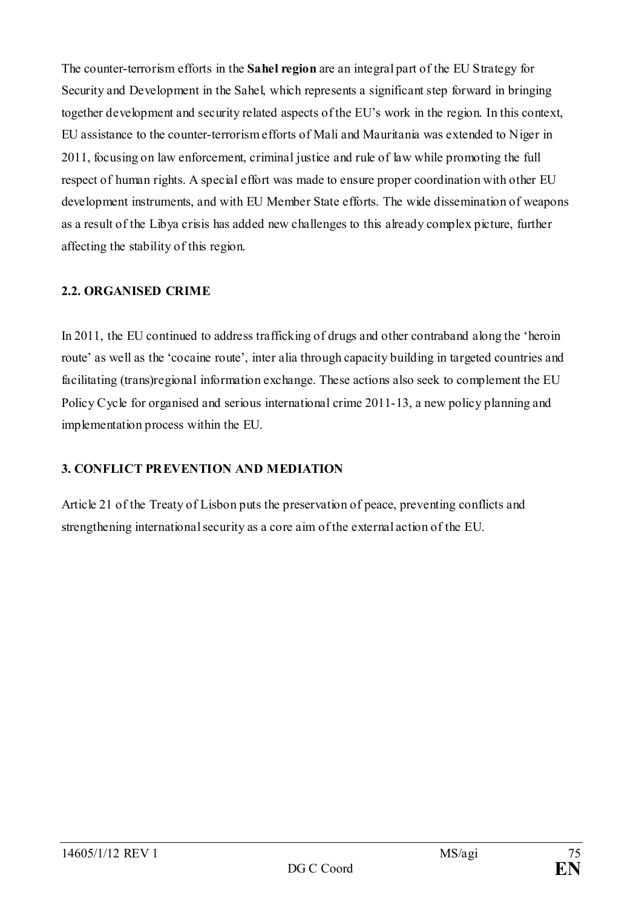The counter-terrorism efforts in the **Sahel region** are an integral part of the EU Strategy for Security and Development in the Sahel, which represents a significant step forward in bringing together development and security related aspects of the EU's work in the region. In this context, EU assistance to the counter-terrorism efforts of Mali and Mauritania was extended to Niger in 2011, focusing on law enforcement, criminal justice and rule of law while promoting the full respect of human rights. A special effort was made to ensure proper coordination with other EU development instruments, and with EU Member State efforts. The wide dissemination of weapons as a result of the Libya crisis has added new challenges to this already complex picture, further affecting the stability of this region.

### **2.2. ORGANISED CRIME**

In 2011, the EU continued to address trafficking of drugs and other contraband along the 'heroin route' as well as the 'cocaine route', inter alia through capacity building in targeted countries and facilitating (trans)regional information exchange. These actions also seek to complement the EU Policy Cycle for organised and serious international crime 2011-13, a new policy planning and implementation process within the EU.

# **3. CONFLICT PREVENTION AND MEDIATION**

Article 21 of the Treaty of Lisbon puts the preservation of peace, preventing conflicts and strengthening international security as a core aim of the external action of the EU.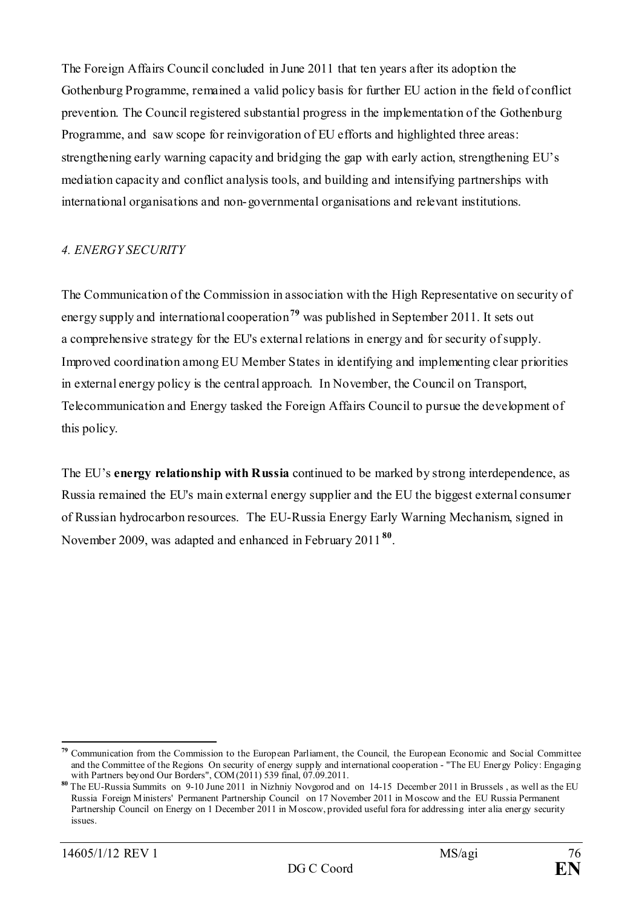The Foreign Affairs Council concluded in June 2011 that ten years after its adoption the Gothenburg Programme, remained a valid policy basis for further EU action in the field of conflict prevention. The Council registered substantial progress in the implementation of the Gothenburg Programme, and saw scope for reinvigoration of EU efforts and highlighted three areas: strengthening early warning capacity and bridging the gap with early action, strengthening EU's mediation capacity and conflict analysis tools, and building and intensifying partnerships with international organisations and non-governmental organisations and relevant institutions.

### *4. ENERGY SECURITY*

The Communication of the Commission in association with the High Representative on security of energy supply and international cooperation**[79](#page-75-0)** was published in September 2011. It sets out a comprehensive strategy for the EU's external relations in energy and for security of supply. Improved coordination among EU Member States in identifying and implementing clear priorities in external energy policy is the central approach. In November, the Council on Transport, Telecommunication and Energy tasked the Foreign Affairs Council to pursue the development of this policy.

The EU's **energy relationship with Russia** continued to be marked by strong interdependence, as Russia remained the EU's main external energy supplier and the EU the biggest external consumer of Russian hydrocarbon resources. The EU-Russia Energy Early Warning Mechanism, signed in November 2009, was adapted and enhanced in February 2011 **[80](#page-75-1)**.

<span id="page-75-0"></span><sup>&</sup>lt;u>.</u> **<sup>79</sup>** Communication from the Commission to the European Parliament, the Council, the European Economic and Social Committee and the Committee of the Regions On security of energy supply and international cooperation - "The EU Energy Policy: Engaging with Partners beyond Our Borders", COM(2011) 539 final, 07.09.2011.

<span id="page-75-1"></span>**<sup>80</sup>** The EU-Russia Summits on 9-10 June 2011 in Nizhniy Novgorod and on 14-15 December 2011 in Brussels , as well as the EU Russia Foreign Ministers' Permanent Partnership Council on 17 November 2011 in Moscow and the EU Russia Permanent Partnership Council on Energy on 1 December 2011 in Moscow, provided useful fora for addressing inter alia energy security issues.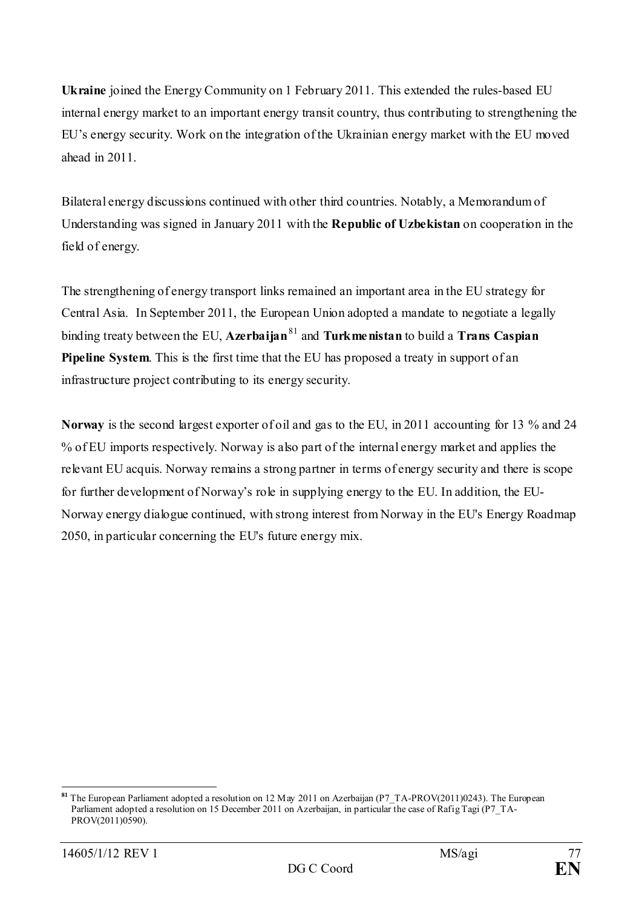**Ukraine** joined the Energy Community on 1 February 2011. This extended the rules-based EU internal energy market to an important energy transit country, thus contributing to strengthening the EU's energy security. Work on the integration of the Ukrainian energy market with the EU moved ahead in 2011.

Bilateral energy discussions continued with other third countries. Notably, a Memorandum of Understanding was signed in January 2011 with the **Republic of Uzbekistan** on cooperation in the field of energy.

The strengthening of energy transport links remained an important area in the EU strategy for Central Asia. In September 2011, the European Union adopted a mandate to negotiate a legally binding treaty between the EU, **Azerbaijan**[81](#page-76-0) and **Turkmenistan** to build a **Trans Caspian Pipeline System**. This is the first time that the EU has proposed a treaty in support of an infrastructure project contributing to its energy security.

**Norway** is the second largest exporter of oil and gas to the EU, in 2011 accounting for 13 % and 24 % of EU imports respectively. Norway is also part of the internal energy market and applies the relevant EU acquis. Norway remains a strong partner in terms of energy security and there is scope for further development of Norway's role in supplying energy to the EU. In addition, the EU-Norway energy dialogue continued, with strong interest from Norway in the EU's Energy Roadmap 2050, in particular concerning the EU's future energy mix.

<span id="page-76-0"></span>**<sup>81</sup>** The European Parliament adopted a resolution on 12 May 2011 on Azerbaijan (P7\_TA-PROV(2011)0243). The European Parliament adopted a resolution on 15 December 2011 on Azerbaijan, in particular the case of Rafig Tagi (P7\_TA-PROV(2011)0590).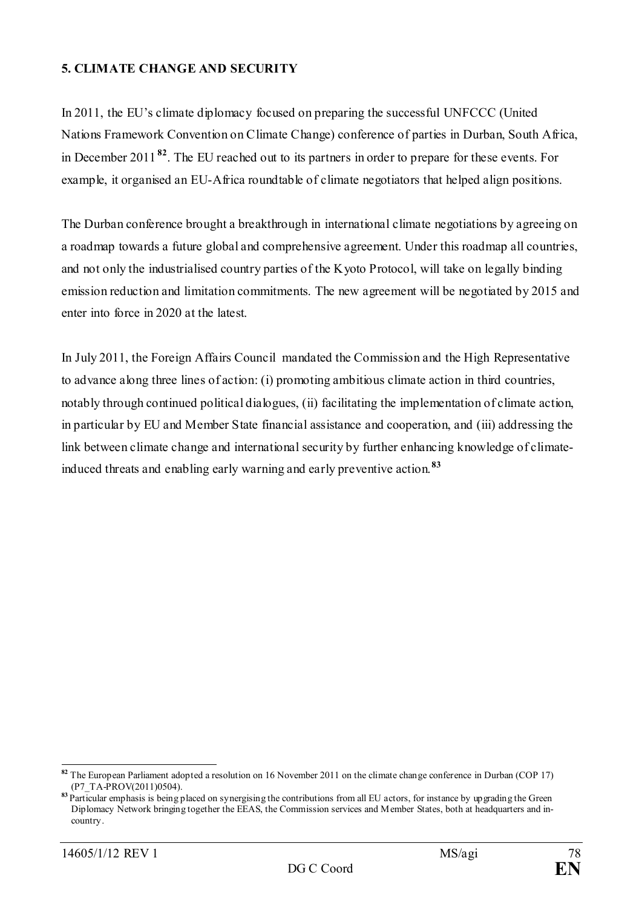### **5. CLIMATE CHANGE AND SECURITY**

In 2011, the EU's climate diplomacy focused on preparing the successful UNFCCC (United Nations Framework Convention on Climate Change) conference of parties in Durban, South Africa, in December 2011 **[82](#page-77-0)**. The EU reached out to its partners in order to prepare for these events. For example, it organised an EU-Africa roundtable of climate negotiators that helped align positions.

The Durban conference brought a breakthrough in international climate negotiations by agreeing on a roadmap towards a future global and comprehensive agreement. Under this roadmap all countries, and not only the industrialised country parties of the Kyoto Protocol, will take on legally binding emission reduction and limitation commitments. The new agreement will be negotiated by 2015 and enter into force in 2020 at the latest.

In July 2011, the Foreign Affairs Council mandated the Commission and the High Representative to advance along three lines of action: (i) promoting ambitious climate action in third countries, notably through continued political dialogues, (ii) facilitating the implementation of climate action, in particular by EU and Member State financial assistance and cooperation, and (iii) addressing the link between climate change and international security by further enhancing knowledge of climateinduced threats and enabling early warning and early preventive action.**[83](#page-77-1)**

<span id="page-77-0"></span>**<sup>82</sup>** The European Parliament adopted a resolution on 16 November 2011 on the climate change conference in Durban (COP 17) (P7\_TA-PROV(2011)0504).

<span id="page-77-1"></span><sup>83</sup> Particular emphasis is being placed on synergising the contributions from all EU actors, for instance by upgrading the Green Diplomacy Network bringing together the EEAS, the Commission services and Member States, both at headquarters and incountry.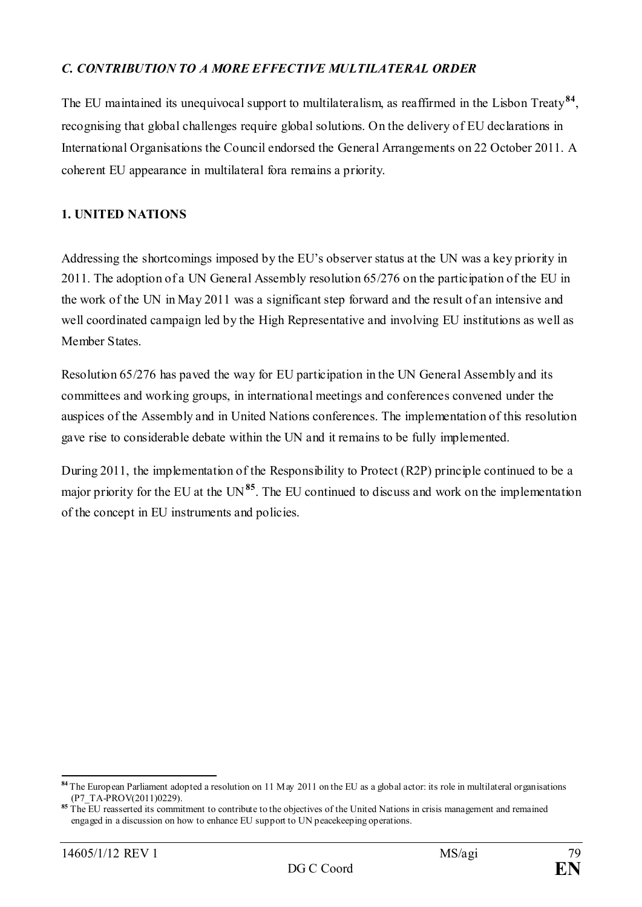### *C. CONTRIBUTION TO A MORE EFFECTIVE MULTILATERAL ORDER*

The EU maintained its unequivocal support to multilateralism, as reaffirmed in the Lisbon Treaty**[84](#page-78-0)**, recognising that global challenges require global solutions. On the delivery of EU declarations in International Organisations the Council endorsed the General Arrangements on 22 October 2011. A coherent EU appearance in multilateral fora remains a priority.

### **1. UNITED NATIONS**

Addressing the shortcomings imposed by the EU's observer status at the UN was a key priority in 2011. The adoption of a UN General Assembly resolution 65/276 on the participation of the EU in the work of the UN in May 2011 was a significant step forward and the result of an intensive and well coordinated campaign led by the High Representative and involving EU institutions as well as Member States.

Resolution 65/276 has paved the way for EU participation in the UN General Assembly and its committees and working groups, in international meetings and conferences convened under the auspices of the Assembly and in United Nations conferences. The implementation of this resolution gave rise to considerable debate within the UN and it remains to be fully implemented.

During 2011, the implementation of the Responsibility to Protect (R2P) principle continued to be a major priority for the EU at the UN**[85](#page-78-1)**. The EU continued to discuss and work on the implementation of the concept in EU instruments and policies.

<span id="page-78-0"></span>**<sup>84</sup>** The European Parliament adopted a resolution on 11 May 2011 on the EU as a global actor: its role in multilateral organisations (P7\_TA-PROV(2011)0229).

<span id="page-78-1"></span>**<sup>85</sup>** The EU reasserted its commitment to contribute to the objectives of the United Nations in crisis management and remained engaged in a discussion on how to enhance EU support to UN peacekeeping operations.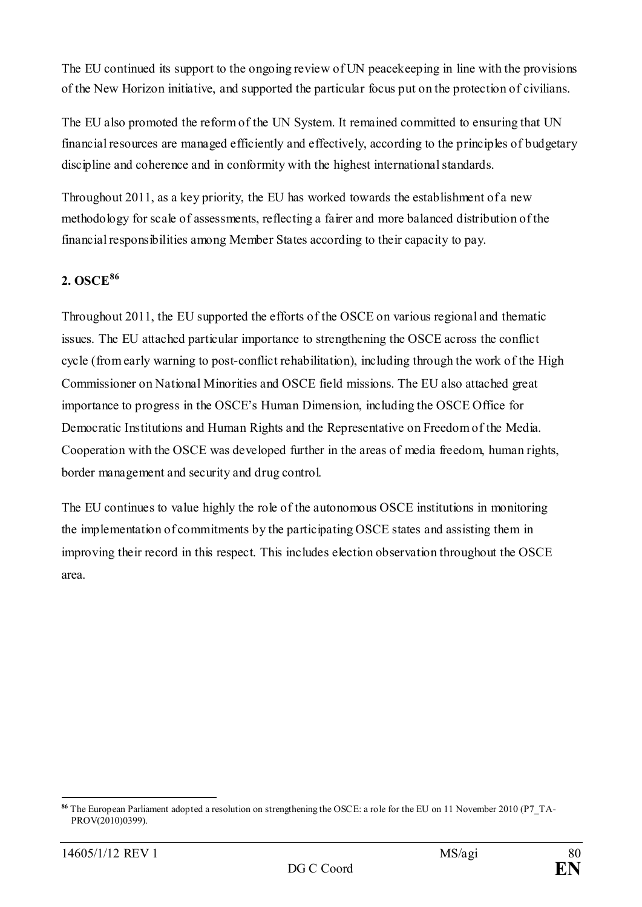The EU continued its support to the ongoing review of UN peacekeeping in line with the provisions of the New Horizon initiative, and supported the particular focus put on the protection of civilians.

The EU also promoted the reform of the UN System. It remained committed to ensuring that UN financial resources are managed efficiently and effectively, according to the principles of budgetary discipline and coherence and in conformity with the highest international standards.

Throughout 2011, as a key priority, the EU has worked towards the establishment of a new methodology for scale of assessments, reflecting a fairer and more balanced distribution of the financial responsibilities among Member States according to their capacity to pay.

## **2. OSCE[86](#page-79-0)**

Throughout 2011, the EU supported the efforts of the OSCE on various regional and thematic issues. The EU attached particular importance to strengthening the OSCE across the conflict cycle (from early warning to post-conflict rehabilitation), including through the work of the High Commissioner on National Minorities and OSCE field missions. The EU also attached great importance to progress in the OSCE's Human Dimension, including the OSCE Office for Democratic Institutions and Human Rights and the Representative on Freedom of the Media. Cooperation with the OSCE was developed further in the areas of media freedom, human rights, border management and security and drug control.

The EU continues to value highly the role of the autonomous OSCE institutions in monitoring the implementation of commitments by the participating OSCE states and assisting them in improving their record in this respect. This includes election observation throughout the OSCE area.

<span id="page-79-0"></span><sup>&</sup>lt;u>.</u> **<sup>86</sup>** The European Parliament adopted a resolution on strengthening the OSCE: a role for the EU on 11 November 2010 (P7\_TA-PROV(2010)0399).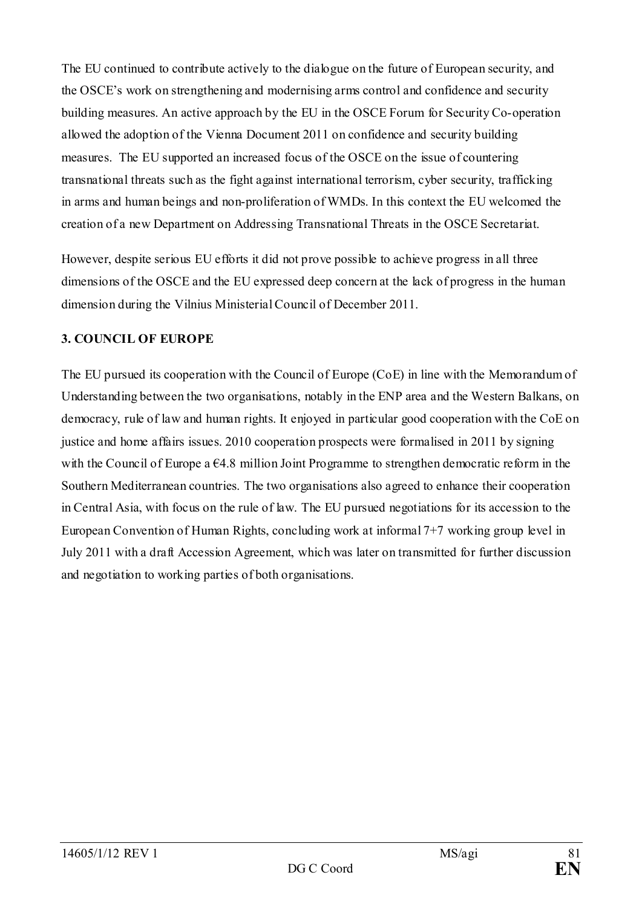The EU continued to contribute actively to the dialogue on the future of European security, and the OSCE's work on strengthening and modernising arms control and confidence and security building measures. An active approach by the EU in the OSCE Forum for Security Co-operation allowed the adoption of the Vienna Document 2011 on confidence and security building measures. The EU supported an increased focus of the OSCE on the issue of countering transnational threats such as the fight against international terrorism, cyber security, trafficking in arms and human beings and non-proliferation of WMDs. In this context the EU welcomed the creation of a new Department on Addressing Transnational Threats in the OSCE Secretariat.

However, despite serious EU efforts it did not prove possible to achieve progress in all three dimensions of the OSCE and the EU expressed deep concern at the lack of progress in the human dimension during the Vilnius Ministerial Council of December 2011.

## **3. COUNCIL OF EUROPE**

The EU pursued its cooperation with the Council of Europe (CoE) in line with the Memorandum of Understanding between the two organisations, notably in the ENP area and the Western Balkans, on democracy, rule of law and human rights. It enjoyed in particular good cooperation with the CoE on justice and home affairs issues. 2010 cooperation prospects were formalised in 2011 by signing with the Council of Europe a  $64.8$  million Joint Programme to strengthen democratic reform in the Southern Mediterranean countries. The two organisations also agreed to enhance their cooperation in Central Asia, with focus on the rule of law. The EU pursued negotiations for its accession to the European Convention of Human Rights, concluding work at informal 7+7 working group level in July 2011 with a draft Accession Agreement, which was later on transmitted for further discussion and negotiation to working parties of both organisations.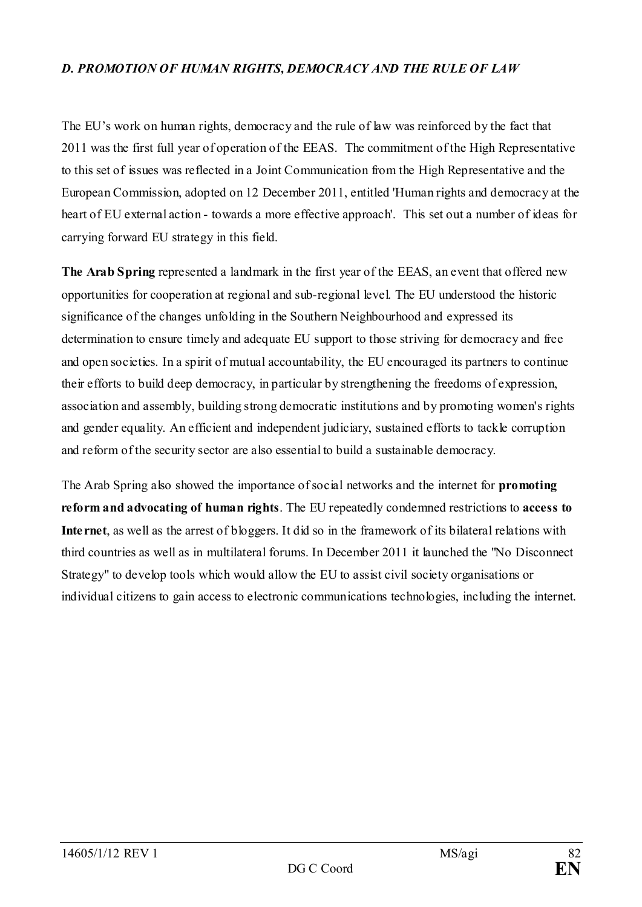### *D. PROMOTION OF HUMAN RIGHTS, DEMOCRACY AND THE RULE OF LAW*

The EU's work on human rights, democracy and the rule of law was reinforced by the fact that 2011 was the first full year of operation of the EEAS. The commitment of the High Representative to this set of issues was reflected in a Joint Communication from the High Representative and the European Commission, adopted on 12 December 2011, entitled 'Human rights and democracy at the heart of EU external action - towards a more effective approach'. This set out a number of ideas for carrying forward EU strategy in this field.

**The Arab Spring** represented a landmark in the first year of the EEAS, an event that offered new opportunities for cooperation at regional and sub-regional level. The EU understood the historic significance of the changes unfolding in the Southern Neighbourhood and expressed its determination to ensure timely and adequate EU support to those striving for democracy and free and open societies. In a spirit of mutual accountability, the EU encouraged its partners to continue their efforts to build deep democracy, in particular by strengthening the freedoms of expression, association and assembly, building strong democratic institutions and by promoting women's rights and gender equality. An efficient and independent judiciary, sustained efforts to tackle corruption and reform of the security sector are also essential to build a sustainable democracy.

The Arab Spring also showed the importance of social networks and the internet for **promoting reform and advocating of human rights**. The EU repeatedly condemned restrictions to **access to Internet**, as well as the arrest of bloggers. It did so in the framework of its bilateral relations with third countries as well as in multilateral forums. In December 2011 it launched the "No Disconnect Strategy" to develop tools which would allow the EU to assist civil society organisations or individual citizens to gain access to electronic communications technologies, including the internet.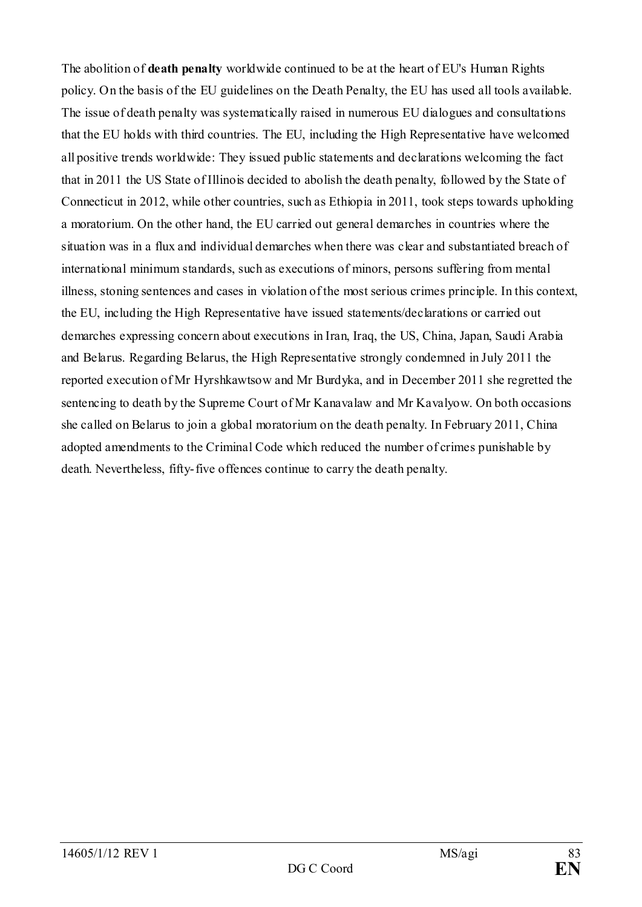The abolition of **death penalty** worldwide continued to be at the heart of EU's Human Rights policy. On the basis of the EU guidelines on the Death Penalty, the EU has used all tools available. The issue of death penalty was systematically raised in numerous EU dialogues and consultations that the EU holds with third countries. The EU, including the High Representative have welcomed all positive trends worldwide: They issued public statements and declarations welcoming the fact that in 2011 the US State of Illinois decided to abolish the death penalty, followed by the State of Connecticut in 2012, while other countries, such as Ethiopia in 2011, took steps towards upholding a moratorium. On the other hand, the EU carried out general demarches in countries where the situation was in a flux and individual demarches when there was clear and substantiated breach of international minimum standards, such as executions of minors, persons suffering from mental illness, stoning sentences and cases in violation of the most serious crimes principle. In this context, the EU, including the High Representative have issued statements/declarations or carried out demarches expressing concern about executions in Iran, Iraq, the US, China, Japan, Saudi Arabia and Belarus. Regarding Belarus, the High Representative strongly condemned in July 2011 the reported execution of Mr Hyrshkawtsow and Mr Burdyka, and in December 2011 she regretted the sentencing to death by the Supreme Court of Mr Kanavalaw and Mr Kavalyow. On both occasions she called on Belarus to join a global moratorium on the death penalty. In February 2011, China adopted amendments to the Criminal Code which reduced the number of crimes punishable by death. Nevertheless, fifty-five offences continue to carry the death penalty.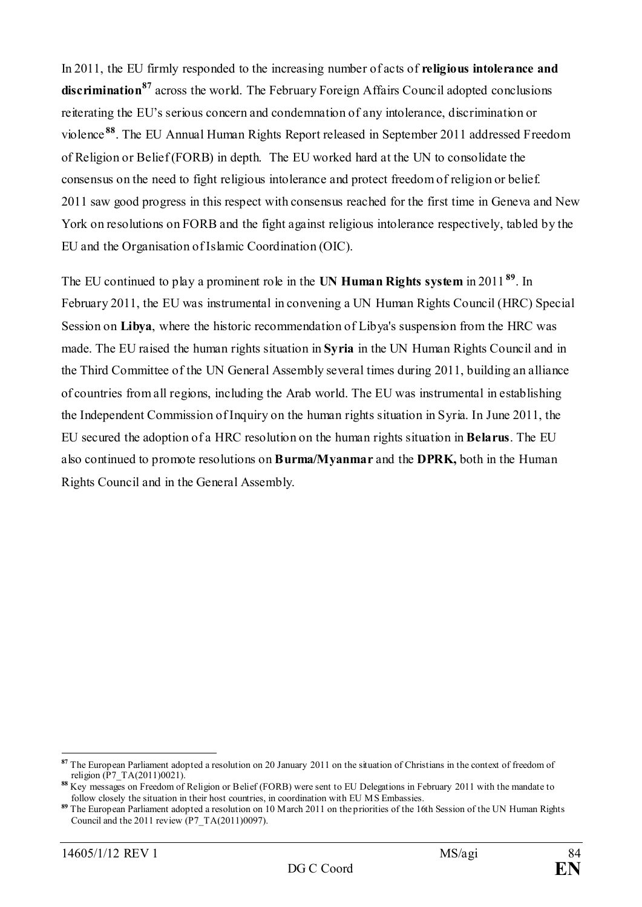In 2011, the EU firmly responded to the increasing number of acts of **religious intolerance and discrimination[87](#page-83-0)** across the world. The February Foreign Affairs Council adopted conclusions reiterating the EU's serious concern and condemnation of any intolerance, discrimination or violence **[88](#page-83-1)**. The EU Annual Human Rights Report released in September 2011 addressed Freedom of Religion or Belief (FORB) in depth. The EU worked hard at the UN to consolidate the consensus on the need to fight religious intolerance and protect freedom of religion or belief. 2011 saw good progress in this respect with consensus reached for the first time in Geneva and New York on resolutions on FORB and the fight against religious intolerance respectively, tabled by the EU and the Organisation of Islamic Coordination (OIC).

The EU continued to play a prominent role in the **UN Human Rights system** in 2011 **[89](#page-83-2)**. In February 2011, the EU was instrumental in convening a UN Human Rights Council (HRC) Special Session on **Libya**, where the historic recommendation of Libya's suspension from the HRC was made. The EU raised the human rights situation in **Syria** in the UN Human Rights Council and in the Third Committee of the UN General Assembly several times during 2011, building an alliance of countries from all regions, including the Arab world. The EU was instrumental in establishing the Independent Commission of Inquiry on the human rights situation in Syria. In June 2011, the EU secured the adoption of a HRC resolution on the human rights situation in **Belarus**. The EU also continued to promote resolutions on **Burma/Myanmar** and the **DPRK,** both in the Human Rights Council and in the General Assembly.

<span id="page-83-0"></span><sup>-</sup>**<sup>87</sup>** The European Parliament adopted a resolution on 20 January 2011 on the situation of Christians in the context of freedom of religion ( $\vec{P}$ 7 TA(2011)0021).

<span id="page-83-1"></span>**<sup>88</sup>** Key messages on Freedom of Religion or Belief (FORB) were sent to EU Delegations in February 2011 with the mandate to follow closely the situation in their host countries, in coordination with EU MS Embassies.

<span id="page-83-2"></span>**<sup>89</sup>** The European Parliament adopted a resolution on 10 March 2011 on the priorities of the 16th Session of the UN Human Rights Council and the 2011 review (P7\_TA(2011)0097).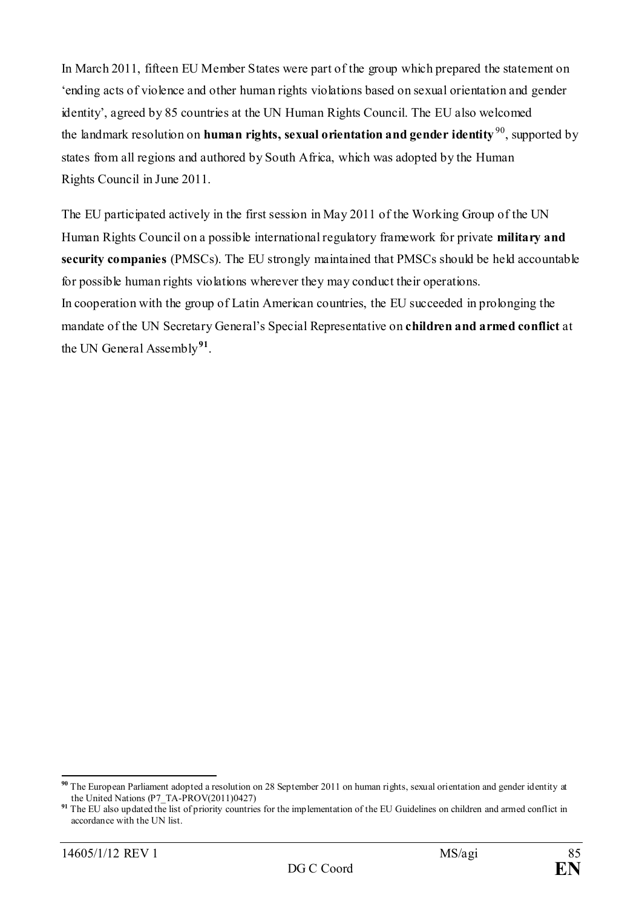In March 2011, fifteen EU Member States were part of the group which prepared the statement on 'ending acts of violence and other human rights violations based on sexual orientation and gender identity', agreed by 85 countries at the UN Human Rights Council. The EU also welcomed the landmark resolution on **human rights, sexual orientation and gender identity** [90,](#page-84-0) supported by states from all regions and authored by South Africa, which was adopted by the Human Rights Council in June 2011.

The EU participated actively in the first session in May 2011 of the Working Group of the UN Human Rights Council on a possible international regulatory framework for private **military and security companies** (PMSCs). The EU strongly maintained that PMSCs should be held accountable for possible human rights violations wherever they may conduct their operations. In cooperation with the group of Latin American countries, the EU succeeded in prolonging the mandate of the UN Secretary General's Special Representative on **children and armed conflict** at the UN General Assembly**[91](#page-84-1)**.

<span id="page-84-0"></span>**<sup>90</sup>** The European Parliament adopted a resolution on 28 September 2011 on human rights, sexual orientation and gender identity at the United Nations (P7\_TA-PROV(2011)0427)

<span id="page-84-1"></span>**<sup>91</sup>** The EU also updated the list of priority countries for the implementation of the EU Guidelines on children and armed conflict in accordance with the UN list.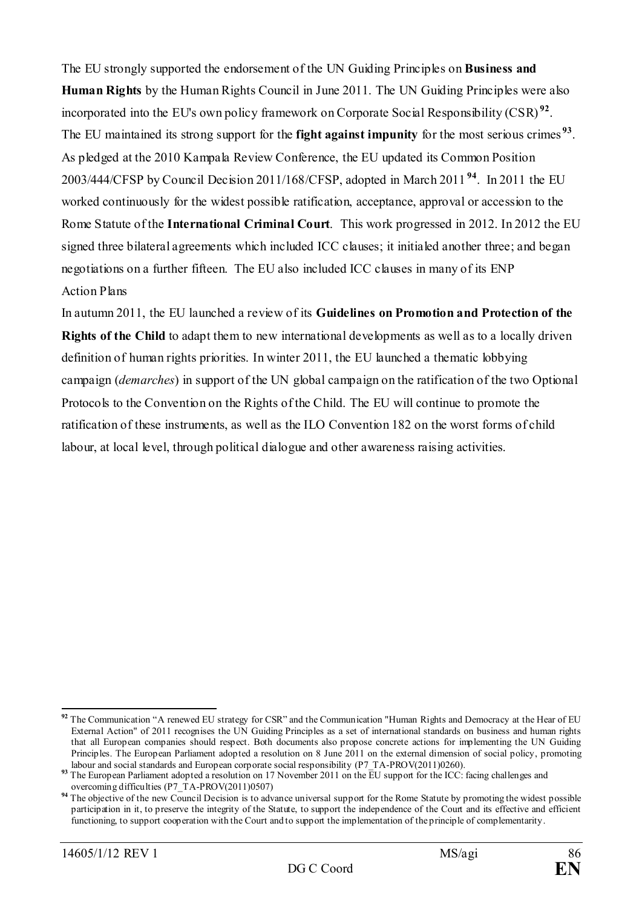The EU strongly supported the endorsement of the UN Guiding Principles on **Business and Human Rights** by the Human Rights Council in June 2011. The UN Guiding Principles were also incorporated into the EU's own policy framework on Corporate Social Responsibility (CSR) **[92](#page-85-0)**. The EU maintained its strong support for the **fight against impunity** for the most serious crimes **[93](#page-85-1)**. As pledged at the 2010 Kampala Review Conference, the EU updated its Common Position 2003/444/CFSP by Council Decision 2011/168/CFSP, adopted in March 2011 **[94](#page-85-2)**. In 2011 the EU worked continuously for the widest possible ratification, acceptance, approval or accession to the Rome Statute of the **International Criminal Court**. This work progressed in 2012. In 2012 the EU signed three bilateral agreements which included ICC clauses; it initialed another three; and began negotiations on a further fifteen. The EU also included ICC clauses in many of its ENP Action Plans

In autumn 2011, the EU launched a review of its **Guidelines on Promotion and Protection of the Rights of the Child** to adapt them to new international developments as well as to a locally driven definition of human rights priorities. In winter 2011, the EU launched a thematic lobbying campaign (*demarches*) in support of the UN global campaign on the ratification of the two Optional Protocols to the Convention on the Rights of the Child. The EU will continue to promote the ratification of these instruments, as well as the ILO Convention 182 on the worst forms of child labour, at local level, through political dialogue and other awareness raising activities.

<span id="page-85-0"></span><sup>&</sup>lt;sup>92</sup> The Communication "A renewed EU strategy for CSR" and the Communication "Human Rights and Democracy at the Hear of EU External Action" of 2011 recognises the UN Guiding Principles as a set of international standards on business and human rights that all European companies should respect. Both documents also propose concrete actions for implementing the UN Guiding Principles. The European Parliament adopted a resolution on 8 June 2011 on the external dimension of social policy, promoting

<span id="page-85-1"></span>labour and social standards and European corporate social responsibility (P7\_TA-PROV(2011)0260). **<sup>93</sup>** The European Parliament adopted a resolution on 17 November 2011 on the EU support for the ICC: facing challenges and overcoming difficulties (P7\_TA-PROV(2011)0507)

<span id="page-85-2"></span><sup>&</sup>lt;sup>94</sup> The objective of the new Council Decision is to advance universal support for the Rome Statute by promoting the widest possible participation in it, to preserve the integrity of the Statute, to support the independence of the Court and its effective and efficient functioning, to support cooperation with the Court and to support the implementation of the principle of complementarity.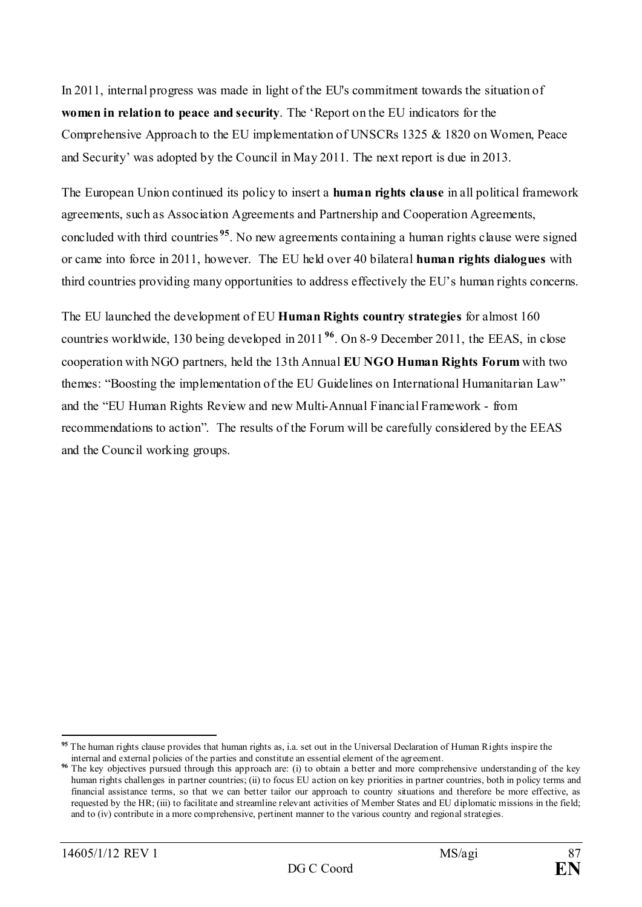In 2011, internal progress was made in light of the EU's commitment towards the situation of **women in relation to peace and security**. The 'Report on the EU indicators for the Comprehensive Approach to the EU implementation of UNSCRs 1325 & 1820 on Women, Peace and Security' was adopted by the Council in May 2011. The next report is due in 2013.

The European Union continued its policy to insert a **human rights clause** in all political framework agreements, such as Association Agreements and Partnership and Cooperation Agreements, concluded with third countries **[95](#page-86-0)**. No new agreements containing a human rights clause were signed or came into force in 2011, however. The EU held over 40 bilateral **human rights dialogues** with third countries providing many opportunities to address effectively the EU's human rights concerns.

The EU launched the development of EU **Human Rights country strategies** for almost 160 countries worldwide, 130 being developed in 2011 **[96](#page-86-1)**. On 8-9 December 2011, the EEAS, in close cooperation with NGO partners, held the 13th Annual **EU NGO Human Rights Forum** with two themes: "Boosting the implementation of the EU Guidelines on International Humanitarian Law" and the "EU Human Rights Review and new Multi-Annual Financial Framework - from recommendations to action". The results of the Forum will be carefully considered by the EEAS and the Council working groups.

<span id="page-86-0"></span><sup>&</sup>lt;u>.</u> **<sup>95</sup>** The human rights clause provides that human rights as, i.a. set out in the Universal Declaration of Human Rights inspire the

<span id="page-86-1"></span>internal and external policies of the parties and constitute an essential element of the agreement.<br><sup>96</sup> The key objectives pursued through this approach are: (i) to obtain a better and more comprehensive understanding of human rights challenges in partner countries; (ii) to focus EU action on key priorities in partner countries, both in policy terms and financial assistance terms, so that we can better tailor our approach to country situations and therefore be more effective, as requested by the HR; (iii) to facilitate and streamline relevant activities of Member States and EU diplomatic missions in the field; and to (iv) contribute in a more comprehensive, pertinent manner to the various country and regional strategies.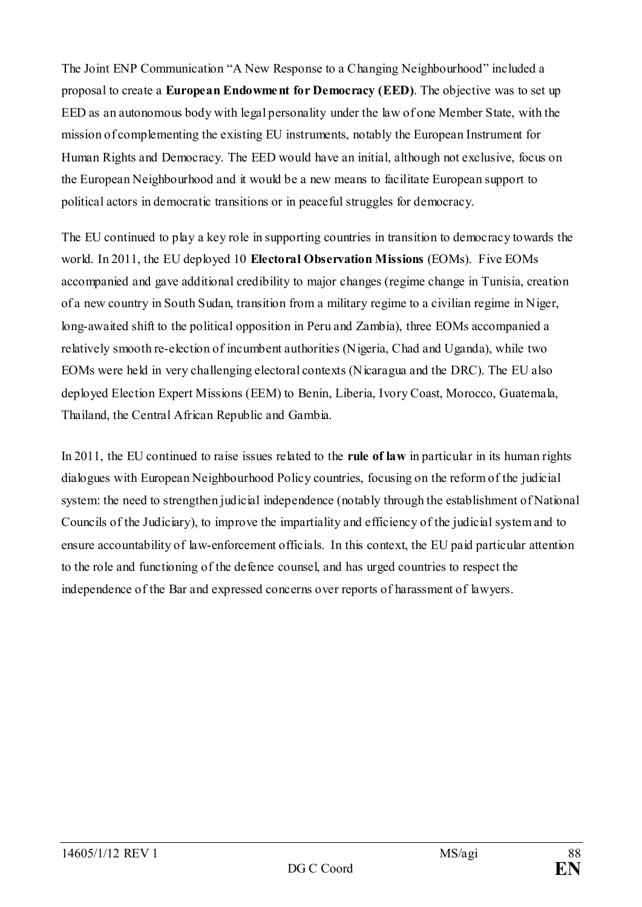The Joint ENP Communication "A New Response to a Changing Neighbourhood" included a proposal to create a **European Endowment for Democracy (EED)**. The objective was to set up EED as an autonomous body with legal personality under the law of one Member State, with the mission of complementing the existing EU instruments, notably the European Instrument for Human Rights and Democracy. The EED would have an initial, although not exclusive, focus on the European Neighbourhood and it would be a new means to facilitate European support to political actors in democratic transitions or in peaceful struggles for democracy.

The EU continued to play a key role in supporting countries in transition to democracy towards the world. In 2011, the EU deployed 10 **Electoral Observation Missions** (EOMs). Five EOMs accompanied and gave additional credibility to major changes (regime change in Tunisia, creation of a new country in South Sudan, transition from a military regime to a civilian regime in Niger, long-awaited shift to the political opposition in Peru and Zambia), three EOMs accompanied a relatively smooth re-election of incumbent authorities (Nigeria, Chad and Uganda), while two EOMs were held in very challenging electoral contexts (Nicaragua and the DRC). The EU also deployed Election Expert Missions (EEM) to Benin, Liberia, Ivory Coast, Morocco, Guatemala, Thailand, the Central African Republic and Gambia.

In 2011, the EU continued to raise issues related to the **rule of law** in particular in its human rights dialogues with European Neighbourhood Policy countries, focusing on the reform of the judicial system: the need to strengthen judicial independence (notably through the establishment of National Councils of the Judiciary), to improve the impartiality and efficiency of the judicial system and to ensure accountability of law-enforcement officials. In this context, the EU paid particular attention to the role and functioning of the defence counsel, and has urged countries to respect the independence of the Bar and expressed concerns over reports of harassment of lawyers.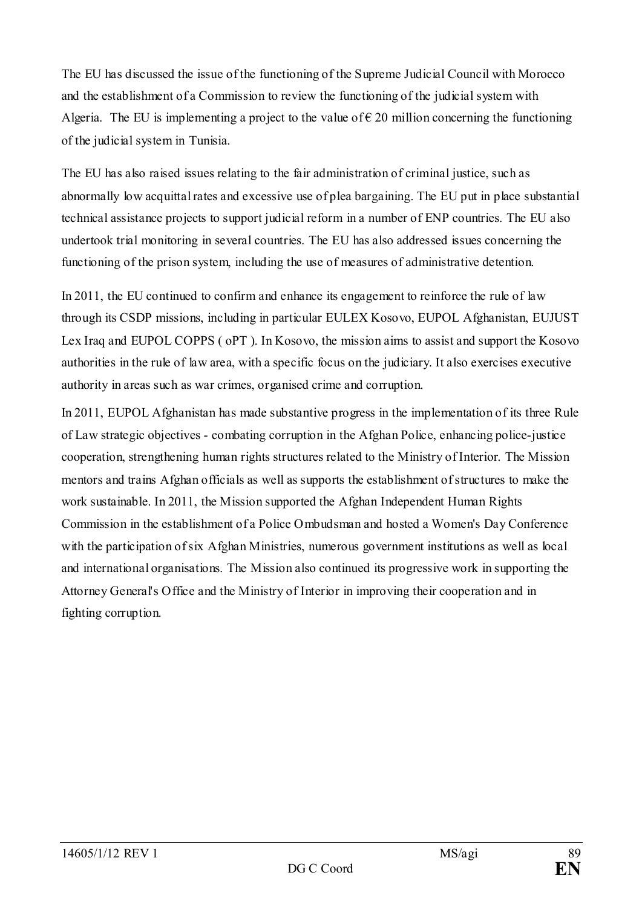The EU has discussed the issue of the functioning of the Supreme Judicial Council with Morocco and the establishment of a Commission to review the functioning of the judicial system with Algeria. The EU is implementing a project to the value of  $\epsilon$  20 million concerning the functioning of the judicial system in Tunisia.

The EU has also raised issues relating to the fair administration of criminal justice, such as abnormally low acquittal rates and excessive use of plea bargaining. The EU put in place substantial technical assistance projects to support judicial reform in a number of ENP countries. The EU also undertook trial monitoring in several countries. The EU has also addressed issues concerning the functioning of the prison system, including the use of measures of administrative detention.

In 2011, the EU continued to confirm and enhance its engagement to reinforce the rule of law through its CSDP missions, including in particular EULEX Kosovo, EUPOL Afghanistan, EUJUST Lex Iraq and EUPOL COPPS ( oPT ). In Kosovo, the mission aims to assist and support the Kosovo authorities in the rule of law area, with a specific focus on the judiciary. It also exercises executive authority in areas such as war crimes, organised crime and corruption.

In 2011, EUPOL Afghanistan has made substantive progress in the implementation of its three Rule of Law strategic objectives - combating corruption in the Afghan Police, enhancing police-justice cooperation, strengthening human rights structures related to the Ministry of Interior. The Mission mentors and trains Afghan officials as well as supports the establishment of structures to make the work sustainable. In 2011, the Mission supported the Afghan Independent Human Rights Commission in the establishment of a Police Ombudsman and hosted a Women's Day Conference with the participation of six Afghan Ministries, numerous government institutions as well as local and international organisations. The Mission also continued its progressive work in supporting the Attorney General's Office and the Ministry of Interior in improving their cooperation and in fighting corruption.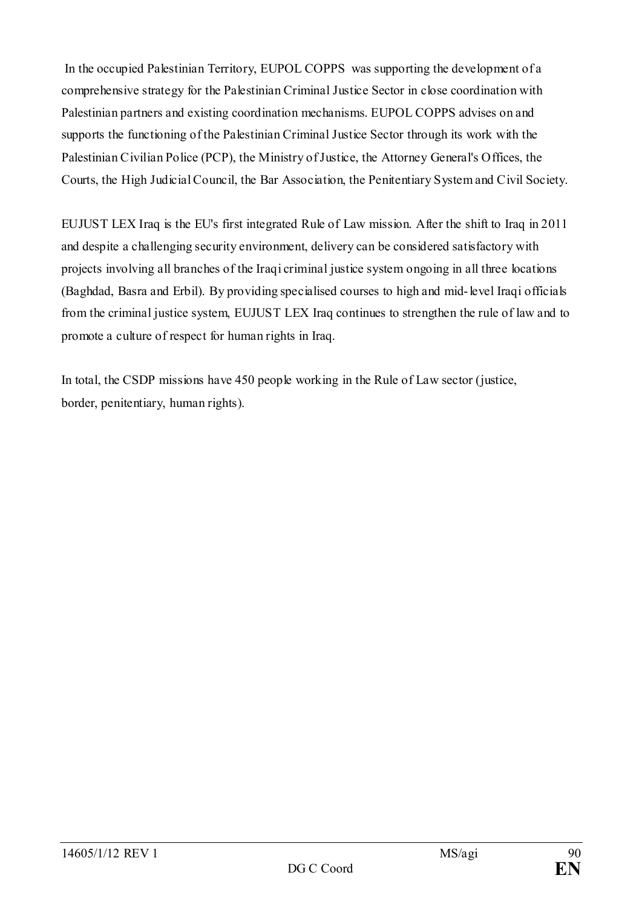In the occupied Palestinian Territory, EUPOL COPPS was supporting the development of a comprehensive strategy for the Palestinian Criminal Justice Sector in close coordination with Palestinian partners and existing coordination mechanisms. EUPOL COPPS advises on and supports the functioning of the Palestinian Criminal Justice Sector through its work with the Palestinian Civilian Police (PCP), the Ministry of Justice, the Attorney General's Offices, the Courts, the High Judicial Council, the Bar Association, the Penitentiary System and Civil Society.

EUJUST LEX Iraq is the EU's first integrated Rule of Law mission. After the shift to Iraq in 2011 and despite a challenging security environment, delivery can be considered satisfactory with projects involving all branches of the Iraqi criminal justice system ongoing in all three locations (Baghdad, Basra and Erbil). By providing specialised courses to high and mid-level Iraqi officials from the criminal justice system, EUJUST LEX Iraq continues to strengthen the rule of law and to promote a culture of respect for human rights in Iraq.

In total, the CSDP missions have 450 people working in the Rule of Law sector (justice, border, penitentiary, human rights).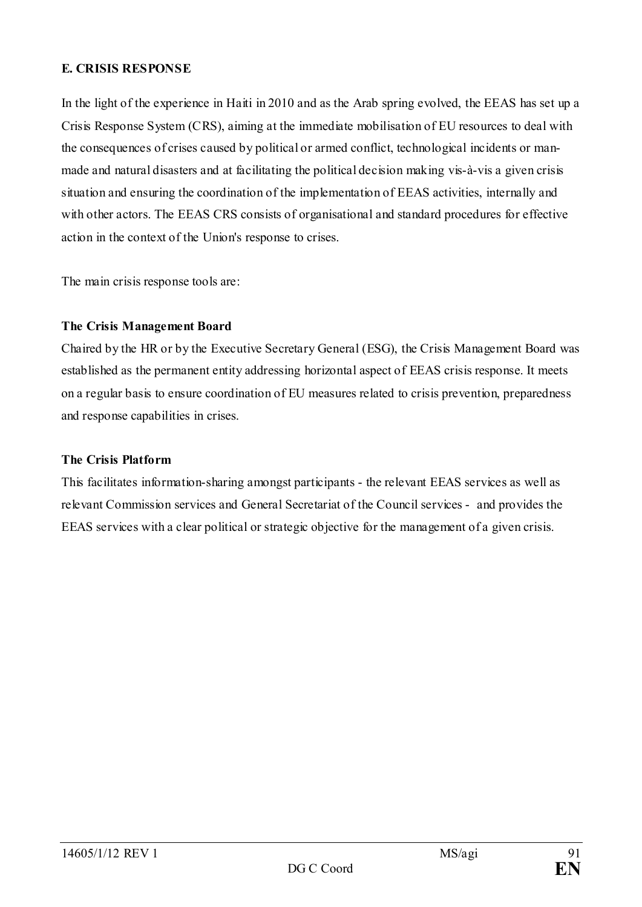### **E. CRISIS RESPONSE**

In the light of the experience in Haiti in 2010 and as the Arab spring evolved, the EEAS has set up a Crisis Response System (CRS), aiming at the immediate mobilisation of EU resources to deal with the consequences of crises caused by political or armed conflict, technological incidents or manmade and natural disasters and at facilitating the political decision making vis-à-vis a given crisis situation and ensuring the coordination of the implementation of EEAS activities, internally and with other actors. The EEAS CRS consists of organisational and standard procedures for effective action in the context of the Union's response to crises.

The main crisis response tools are:

### **The Crisis Management Board**

Chaired by the HR or by the Executive Secretary General (ESG), the Crisis Management Board was established as the permanent entity addressing horizontal aspect of EEAS crisis response. It meets on a regular basis to ensure coordination of EU measures related to crisis prevention, preparedness and response capabilities in crises.

### **The Crisis Platform**

This facilitates information-sharing amongst participants - the relevant EEAS services as well as relevant Commission services and General Secretariat of the Council services - and provides the EEAS services with a clear political or strategic objective for the management of a given crisis.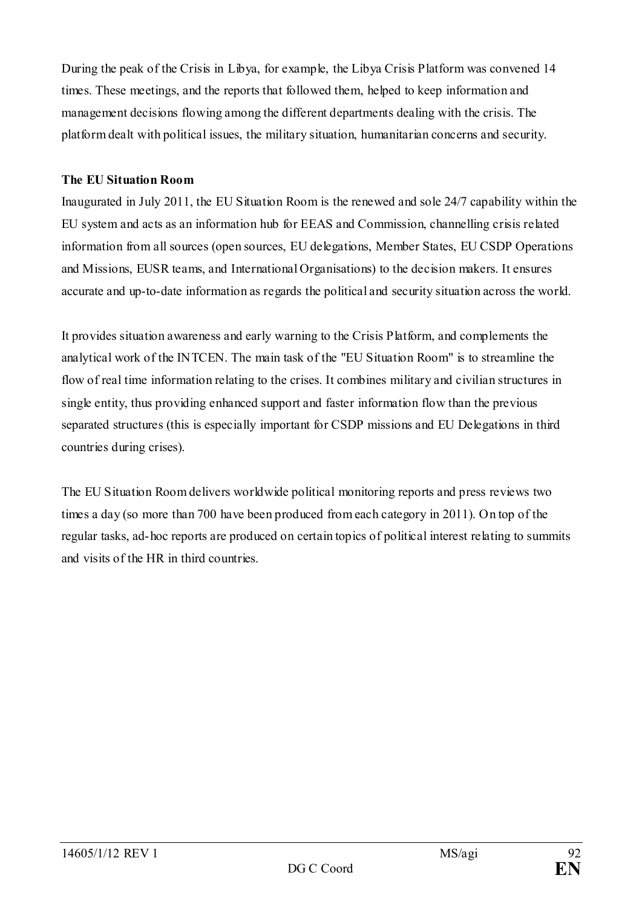During the peak of the Crisis in Libya, for example, the Libya Crisis Platform was convened 14 times. These meetings, and the reports that followed them, helped to keep information and management decisions flowing among the different departments dealing with the crisis. The platform dealt with political issues, the military situation, humanitarian concerns and security.

### **The EU Situation Room**

Inaugurated in July 2011, the EU Situation Room is the renewed and sole 24/7 capability within the EU system and acts as an information hub for EEAS and Commission, channelling crisis related information from all sources (open sources, EU delegations, Member States, EU CSDP Operations and Missions, EUSR teams, and International Organisations) to the decision makers. It ensures accurate and up-to-date information as regards the political and security situation across the world.

It provides situation awareness and early warning to the Crisis Platform, and complements the analytical work of the INTCEN. The main task of the "EU Situation Room" is to streamline the flow of real time information relating to the crises. It combines military and civilian structures in single entity, thus providing enhanced support and faster information flow than the previous separated structures (this is especially important for CSDP missions and EU Delegations in third countries during crises).

The EU Situation Room delivers worldwide political monitoring reports and press reviews two times a day (so more than 700 have been produced from each category in 2011). On top of the regular tasks, ad-hoc reports are produced on certain topics of political interest relating to summits and visits of the HR in third countries.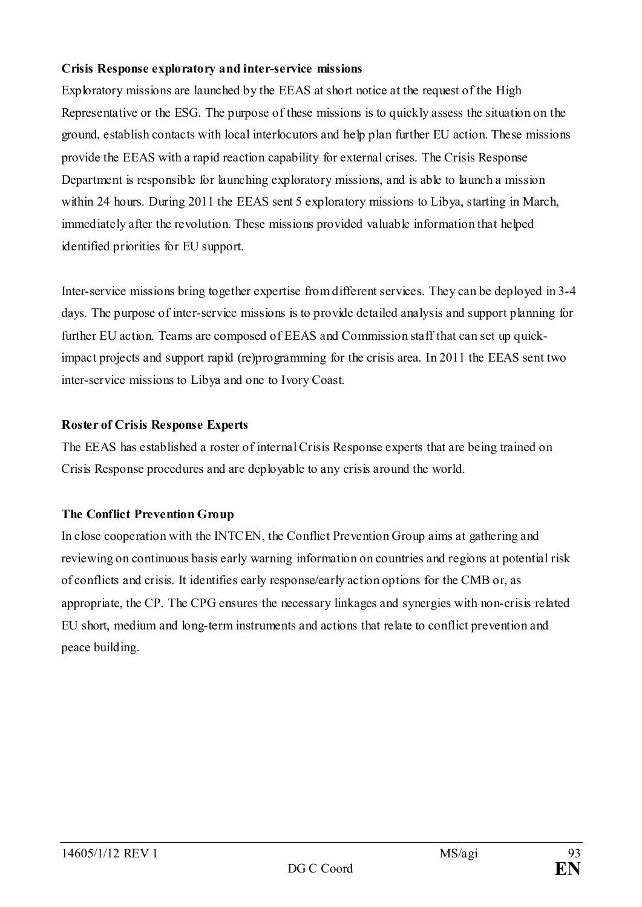### **Crisis Response exploratory and inter-service missions**

Exploratory missions are launched by the EEAS at short notice at the request of the High Representative or the ESG. The purpose of these missions is to quickly assess the situation on the ground, establish contacts with local interlocutors and help plan further EU action. These missions provide the EEAS with a rapid reaction capability for external crises. The Crisis Response Department is responsible for launching exploratory missions, and is able to launch a mission within 24 hours. During 2011 the EEAS sent 5 exploratory missions to Libya, starting in March, immediately after the revolution. These missions provided valuable information that helped identified priorities for EU support.

Inter-service missions bring together expertise from different services. They can be deployed in 3-4 days. The purpose of inter-service missions is to provide detailed analysis and support planning for further EU action. Teams are composed of EEAS and Commission staff that can set up quickimpact projects and support rapid (re)programming for the crisis area. In 2011 the EEAS sent two inter-service missions to Libya and one to Ivory Coast.

### **Roster of Crisis Response Experts**

The EEAS has established a roster of internal Crisis Response experts that are being trained on Crisis Response procedures and are deployable to any crisis around the world.

### **The Conflict Prevention Group**

In close cooperation with the INTCEN, the Conflict Prevention Group aims at gathering and reviewing on continuous basis early warning information on countries and regions at potential risk of conflicts and crisis. It identifies early response/early action options for the CMB or, as appropriate, the CP. The CPG ensures the necessary linkages and synergies with non-crisis related EU short, medium and long-term instruments and actions that relate to conflict prevention and peace building.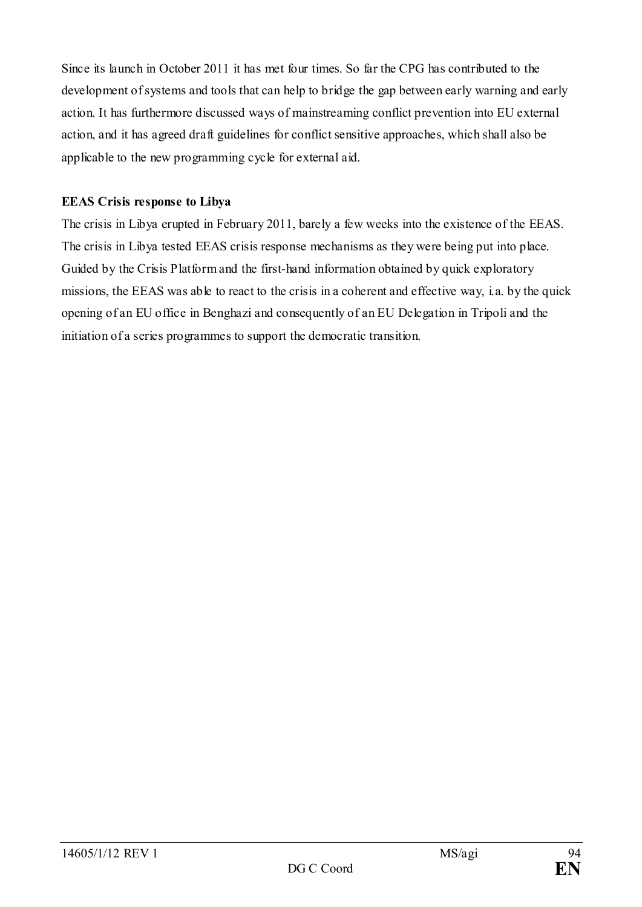Since its launch in October 2011 it has met four times. So far the CPG has contributed to the development of systems and tools that can help to bridge the gap between early warning and early action. It has furthermore discussed ways of mainstreaming conflict prevention into EU external action, and it has agreed draft guidelines for conflict sensitive approaches, which shall also be applicable to the new programming cycle for external aid.

### **EEAS Crisis response to Libya**

The crisis in Libya erupted in February 2011, barely a few weeks into the existence of the EEAS. The crisis in Libya tested EEAS crisis response mechanisms as they were being put into place. Guided by the Crisis Platform and the first-hand information obtained by quick exploratory missions, the EEAS was able to react to the crisis in a coherent and effective way, i.a. by the quick opening of an EU office in Benghazi and consequently of an EU Delegation in Tripoli and the initiation of a series programmes to support the democratic transition.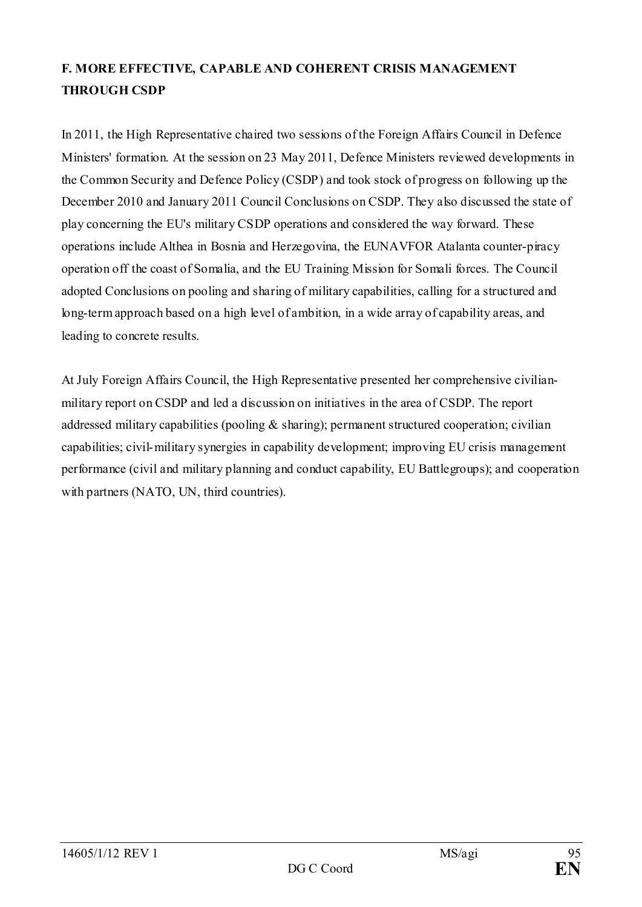# **F. MORE EFFECTIVE, CAPABLE AND COHERENT CRISIS MANAGEMENT THROUGH CSDP**

In 2011, the High Representative chaired two sessions of the Foreign Affairs Council in Defence Ministers' formation. At the session on 23 May 2011, Defence Ministers reviewed developments in the Common Security and Defence Policy (CSDP) and took stock of progress on following up the December 2010 and January 2011 Council Conclusions on CSDP. They also discussed the state of play concerning the EU's military CSDP operations and considered the way forward. These operations include Althea in Bosnia and Herzegovina, the EUNAVFOR Atalanta counter-piracy operation off the coast of Somalia, and the EU Training Mission for Somali forces. The Council adopted Conclusions on pooling and sharing of military capabilities, calling for a structured and long-term approach based on a high level of ambition, in a wide array of capability areas, and leading to concrete results.

At July Foreign Affairs Council, the High Representative presented her comprehensive civilianmilitary report on CSDP and led a discussion on initiatives in the area of CSDP. The report addressed military capabilities (pooling  $\&$  sharing); permanent structured cooperation; civilian capabilities; civil-military synergies in capability development; improving EU crisis management performance (civil and military planning and conduct capability, EU Battlegroups); and cooperation with partners (NATO, UN, third countries).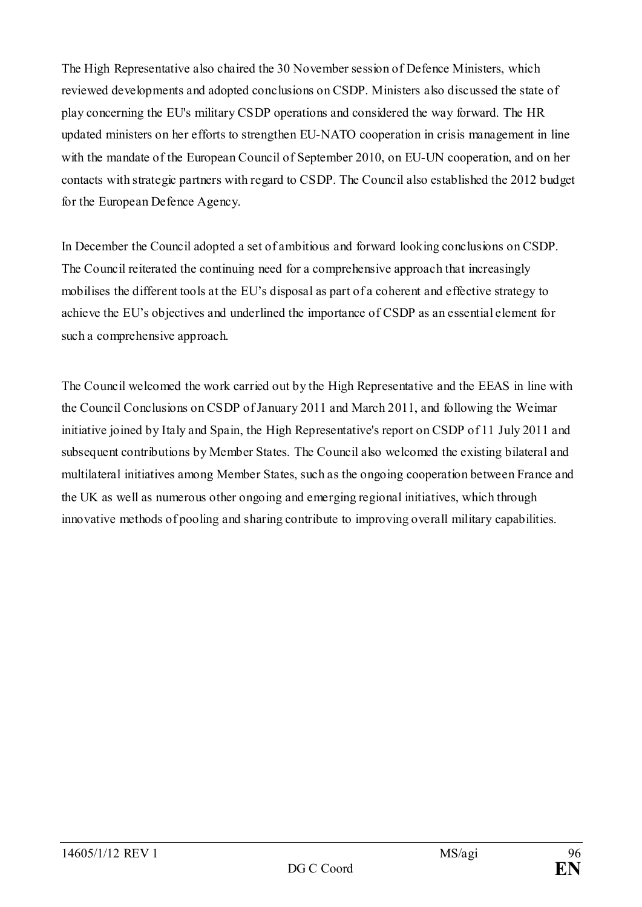The High Representative also chaired the 30 November session of Defence Ministers, which reviewed developments and adopted conclusions on CSDP. Ministers also discussed the state of play concerning the EU's military CSDP operations and considered the way forward. The HR updated ministers on her efforts to strengthen EU-NATO cooperation in crisis management in line with the mandate of the European Council of September 2010, on EU-UN cooperation, and on her contacts with strategic partners with regard to CSDP. The Council also established the 2012 budget for the European Defence Agency.

In December the Council adopted a set of ambitious and forward looking conclusions on CSDP. The Council reiterated the continuing need for a comprehensive approach that increasingly mobilises the different tools at the EU's disposal as part of a coherent and effective strategy to achieve the EU's objectives and underlined the importance of CSDP as an essential element for such a comprehensive approach.

The Council welcomed the work carried out by the High Representative and the EEAS in line with the Council Conclusions on CSDP of January 2011 and March 2011, and following the Weimar initiative joined by Italy and Spain, the High Representative's report on CSDP of 11 July 2011 and subsequent contributions by Member States. The Council also welcomed the existing bilateral and multilateral initiatives among Member States, such as the ongoing cooperation between France and the UK as well as numerous other ongoing and emerging regional initiatives, which through innovative methods of pooling and sharing contribute to improving overall military capabilities.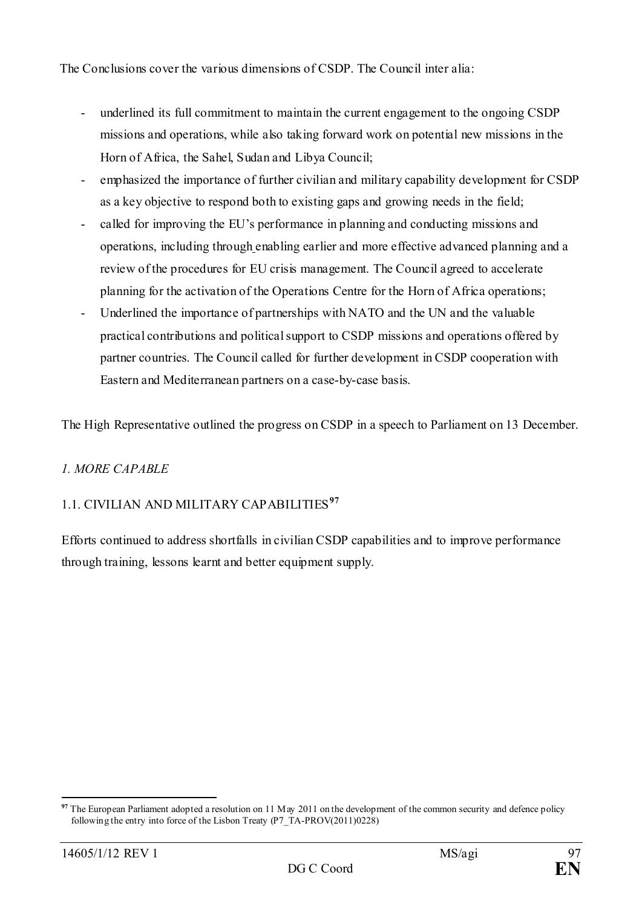The Conclusions cover the various dimensions of CSDP. The Council inter alia:

- underlined its full commitment to maintain the current engagement to the ongoing CSDP missions and operations, while also taking forward work on potential new missions in the Horn of Africa, the Sahel, Sudan and Libya Council;
- emphasized the importance of further civilian and military capability development for CSDP as a key objective to respond both to existing gaps and growing needs in the field;
- called for improving the EU's performance in planning and conducting missions and operations, including through enabling earlier and more effective advanced planning and a review of the procedures for EU crisis management. The Council agreed to accelerate planning for the activation of the Operations Centre for the Horn of Africa operations;
- Underlined the importance of partnerships with NATO and the UN and the valuable practical contributions and political support to CSDP missions and operations offered by partner countries. The Council called for further development in CSDP cooperation with Eastern and Mediterranean partners on a case-by-case basis.

The High Representative outlined the progress on CSDP in a speech to Parliament on 13 December.

## *1. MORE CAPABLE*

# 1.1. CIVILIAN AND MILITARY CAPABILITIES**[97](#page-96-0)**

Efforts continued to address shortfalls in civilian CSDP capabilities and to improve performance through training, lessons learnt and better equipment supply.

<span id="page-96-0"></span><sup>&</sup>lt;u>.</u> The European Parliament adopted a resolution on 11 May 2011 on the development of the common security and defence policy following the entry into force of the Lisbon Treaty (P7\_TA-PROV(2011)0228)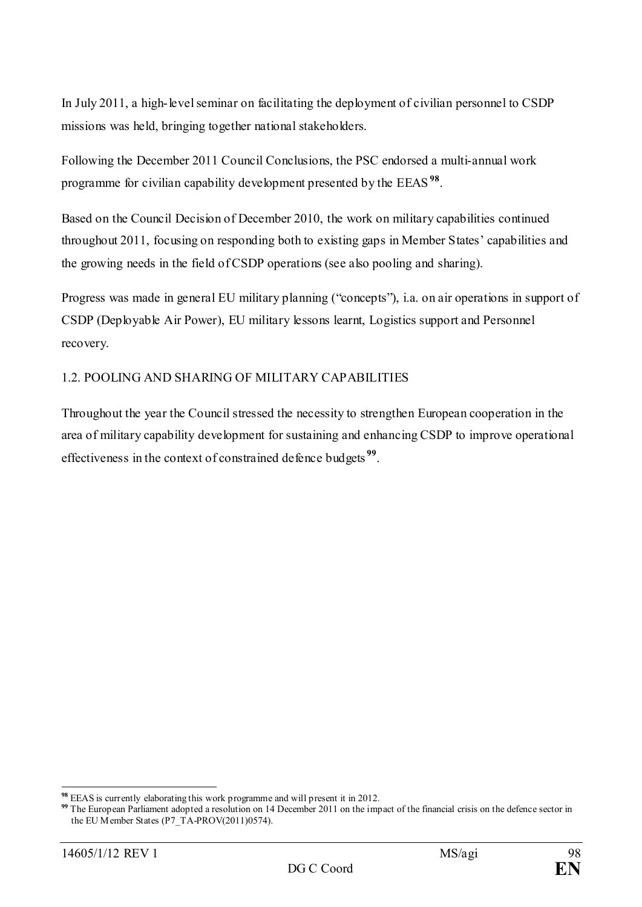In July 2011, a high-level seminar on facilitating the deployment of civilian personnel to CSDP missions was held, bringing together national stakeholders.

Following the December 2011 Council Conclusions, the PSC endorsed a multi-annual work programme for civilian capability development presented by the EEAS **[98](#page-97-0)**.

Based on the Council Decision of December 2010, the work on military capabilities continued throughout 2011, focusing on responding both to existing gaps in Member States' capabilities and the growing needs in the field of CSDP operations (see also pooling and sharing).

Progress was made in general EU military planning ("concepts"), i.a. on air operations in support of CSDP (Deployable Air Power), EU military lessons learnt, Logistics support and Personnel recovery.

## 1.2. POOLING AND SHARING OF MILITARY CAPABILITIES

Throughout the year the Council stressed the necessity to strengthen European cooperation in the area of military capability development for sustaining and enhancing CSDP to improve operational effectiveness in the context of constrained defence budgets **[99](#page-97-1)**.

<span id="page-97-0"></span>**<sup>98</sup>** EEAS is currently elaborating this work programme and will present it in 2012.

<span id="page-97-1"></span><sup>&</sup>lt;sup>99</sup> The European Parliament adopted a resolution on 14 December 2011 on the impact of the financial crisis on the defence sector in the EU Member States (P7\_TA-PROV(2011)0574).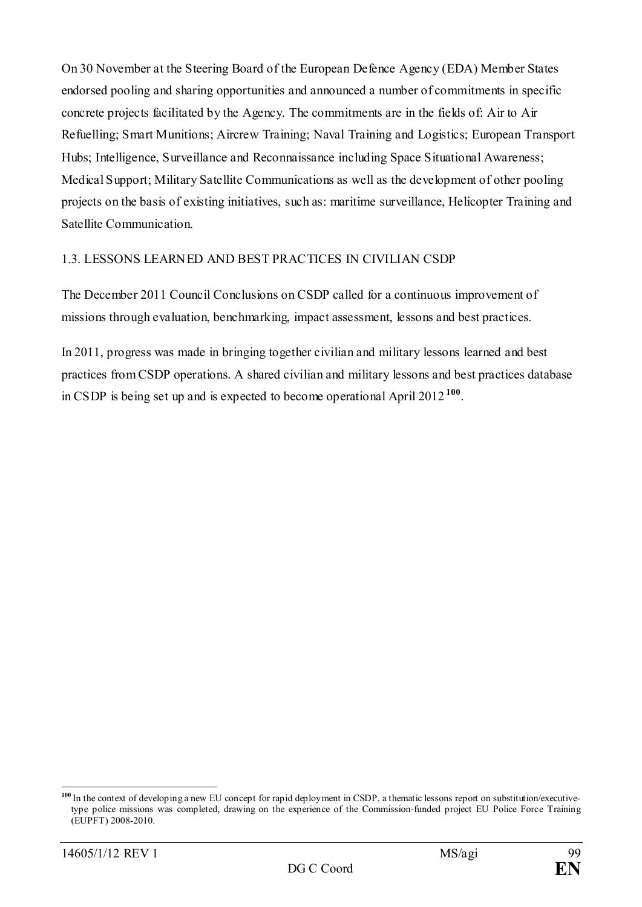On 30 November at the Steering Board of the European Defence Agency (EDA) Member States endorsed pooling and sharing opportunities and announced a number of commitments in specific concrete projects facilitated by the Agency. The commitments are in the fields of: Air to Air Refuelling; Smart Munitions; Aircrew Training; Naval Training and Logistics; European Transport Hubs; Intelligence, Surveillance and Reconnaissance including Space Situational Awareness; Medical Support; Military Satellite Communications as well as the development of other pooling projects on the basis of existing initiatives, such as: maritime surveillance, Helicopter Training and Satellite Communication.

### 1.3. LESSONS LEARNED AND BEST PRACTICES IN CIVILIAN CSDP

The December 2011 Council Conclusions on CSDP called for a continuous improvement of missions through evaluation, benchmarking, impact assessment, lessons and best practices.

In 2011, progress was made in bringing together civilian and military lessons learned and best practices from CSDP operations. A shared civilian and military lessons and best practices database in CSDP is being set up and is expected to become operational April 2012 **[100](#page-98-0)**.

<span id="page-98-0"></span><sup>&</sup>lt;sup>100</sup> In the context of developing a new EU concept for rapid deployment in CSDP, a thematic lessons report on substitution/executivetype police missions was completed, drawing on the experience of the Commission-funded project EU Police Force Training (EUPFT) 2008-2010.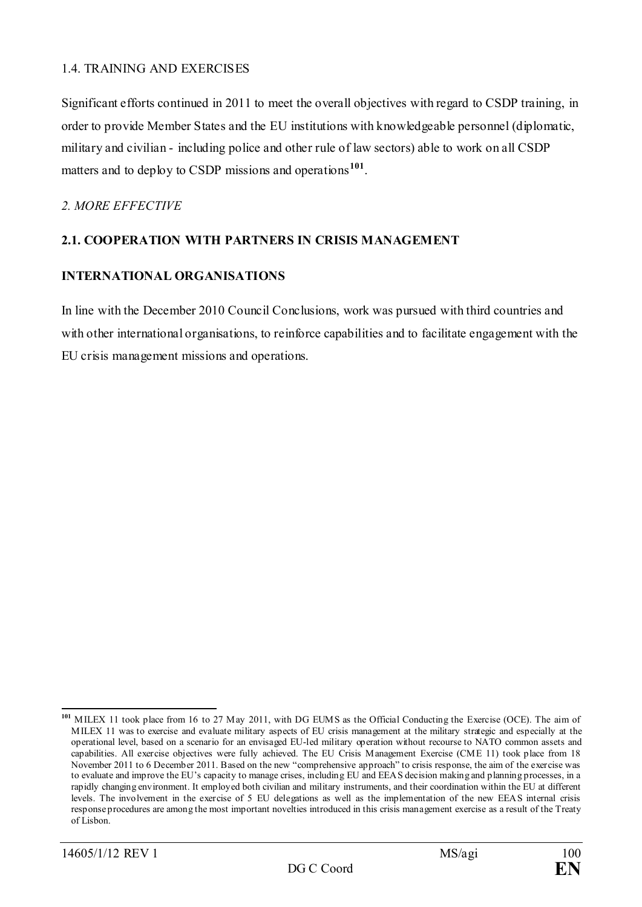### 1.4. TRAINING AND EXERCISES

Significant efforts continued in 2011 to meet the overall objectives with regard to CSDP training, in order to provide Member States and the EU institutions with knowledgeable personnel (diplomatic, military and civilian - including police and other rule of law sectors) able to work on all CSDP matters and to deploy to CSDP missions and operations**[101](#page-99-0)**.

### *2. MORE EFFECTIVE*

### **2.1. COOPERATION WITH PARTNERS IN CRISIS MANAGEMENT**

### **INTERNATIONAL ORGANISATIONS**

In line with the December 2010 Council Conclusions, work was pursued with third countries and with other international organisations, to reinforce capabilities and to facilitate engagement with the EU crisis management missions and operations.

<span id="page-99-0"></span>**<sup>101</sup>** MILEX 11 took place from 16 to 27 May 2011, with DG EUMS as the Official Conducting the Exercise (OCE). The aim of MILEX 11 was to exercise and evaluate military aspects of EU crisis management at the military strategic and especially at the operational level, based on a scenario for an envisaged EU-led military operation without recourse to NATO common assets and capabilities. All exercise objectives were fully achieved. The EU Crisis Management Exercise (CME 11) took place from 18 November 2011 to 6 December 2011. Based on the new "comprehensive approach" to crisis response, the aim of the exercise was to evaluate and improve the EU's capacity to manage crises, including EU and EEAS decision making and planning processes, in a rapidly changing environment. It employed both civilian and military instruments, and their coordination within the EU at different levels. The involvement in the exercise of 5 EU delegations as well as the implementation of the new EEAS internal crisis response procedures are among the most important novelties introduced in this crisis management exercise as a result of the Treaty of Lisbon.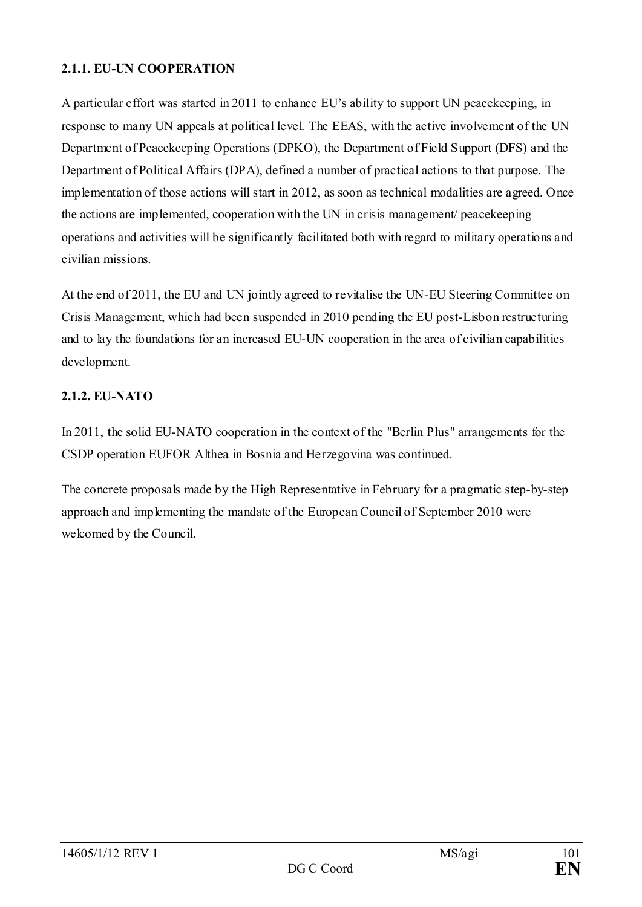### **2.1.1. EU-UN COOPERATION**

A particular effort was started in 2011 to enhance EU's ability to support UN peacekeeping, in response to many UN appeals at political level. The EEAS, with the active involvement of the UN Department of Peacekeeping Operations (DPKO), the Department of Field Support (DFS) and the Department of Political Affairs (DPA), defined a number of practical actions to that purpose. The implementation of those actions will start in 2012, as soon as technical modalities are agreed. Once the actions are implemented, cooperation with the UN in crisis management/ peacekeeping operations and activities will be significantly facilitated both with regard to military operations and civilian missions.

At the end of 2011, the EU and UN jointly agreed to revitalise the UN-EU Steering Committee on Crisis Management, which had been suspended in 2010 pending the EU post-Lisbon restructuring and to lay the foundations for an increased EU-UN cooperation in the area of civilian capabilities development.

### **2.1.2. EU-NATO**

In 2011, the solid EU-NATO cooperation in the context of the "Berlin Plus" arrangements for the CSDP operation EUFOR Althea in Bosnia and Herzegovina was continued.

The concrete proposals made by the High Representative in February for a pragmatic step-by-step approach and implementing the mandate of the European Council of September 2010 were welcomed by the Council.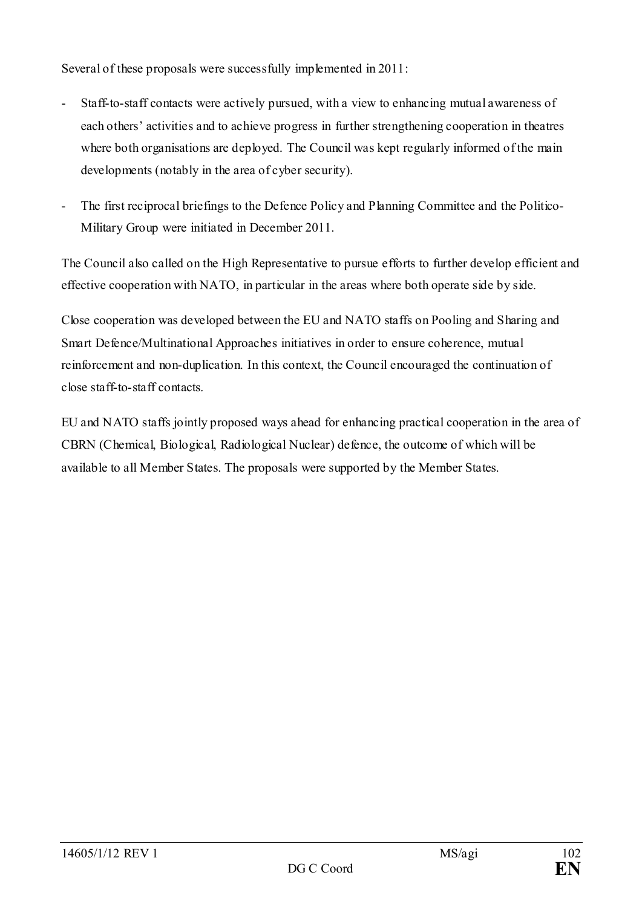Several of these proposals were successfully implemented in 2011:

- Staff-to-staff contacts were actively pursued, with a view to enhancing mutual awareness of each others' activities and to achieve progress in further strengthening cooperation in theatres where both organisations are deployed. The Council was kept regularly informed of the main developments (notably in the area of cyber security).
- The first reciprocal briefings to the Defence Policy and Planning Committee and the Politico-Military Group were initiated in December 2011.

The Council also called on the High Representative to pursue efforts to further develop efficient and effective cooperation with NATO, in particular in the areas where both operate side by side.

Close cooperation was developed between the EU and NATO staffs on Pooling and Sharing and Smart Defence/Multinational Approaches initiatives in order to ensure coherence, mutual reinforcement and non-duplication. In this context, the Council encouraged the continuation of close staff-to-staff contacts.

EU and NATO staffs jointly proposed ways ahead for enhancing practical cooperation in the area of CBRN (Chemical, Biological, Radiological Nuclear) defence, the outcome of which will be available to all Member States. The proposals were supported by the Member States.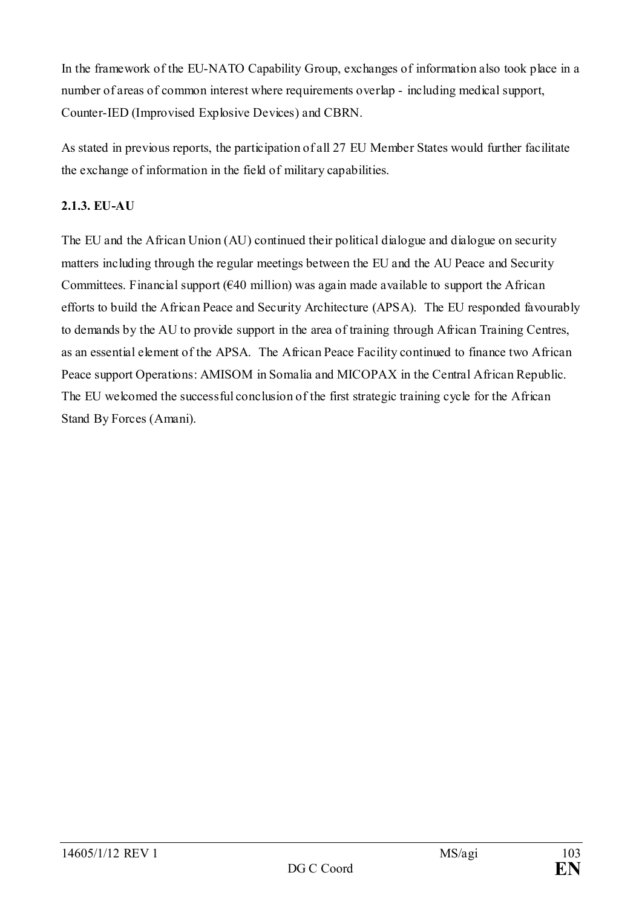In the framework of the EU-NATO Capability Group, exchanges of information also took place in a number of areas of common interest where requirements overlap - including medical support, Counter-IED (Improvised Explosive Devices) and CBRN.

As stated in previous reports, the participation of all 27 EU Member States would further facilitate the exchange of information in the field of military capabilities.

## **2.1.3. EU-AU**

The EU and the African Union (AU) continued their political dialogue and dialogue on security matters including through the regular meetings between the EU and the AU Peace and Security Committees. Financial support  $(640 \text{ million})$  was again made available to support the African efforts to build the African Peace and Security Architecture (APSA). The EU responded favourably to demands by the AU to provide support in the area of training through African Training Centres, as an essential element of the APSA. The African Peace Facility continued to finance two African Peace support Operations: AMISOM in Somalia and MICOPAX in the Central African Republic. The EU welcomed the successful conclusion of the first strategic training cycle for the African Stand By Forces (Amani).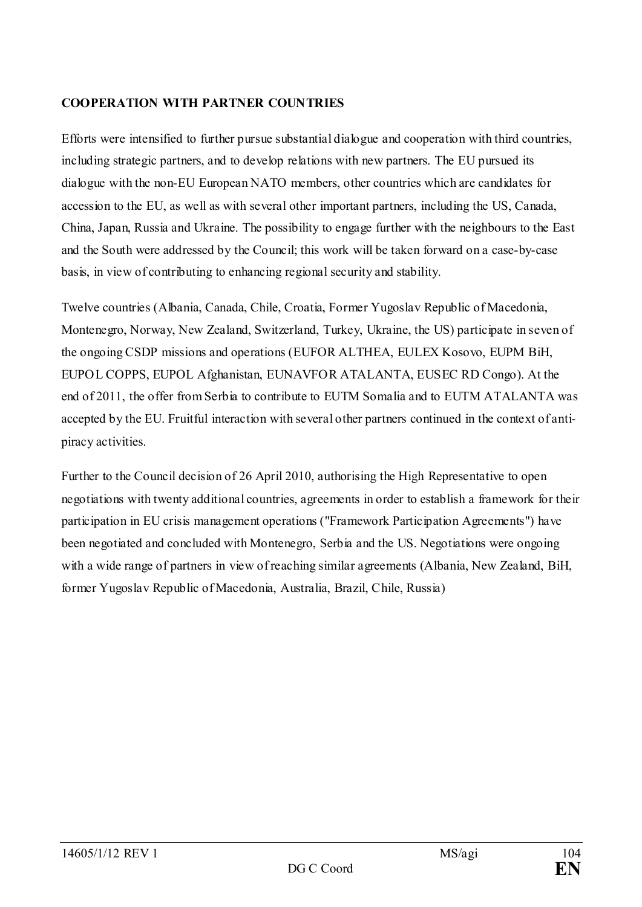### **COOPERATION WITH PARTNER COUNTRIES**

Efforts were intensified to further pursue substantial dialogue and cooperation with third countries, including strategic partners, and to develop relations with new partners. The EU pursued its dialogue with the non-EU European NATO members, other countries which are candidates for accession to the EU, as well as with several other important partners, including the US, Canada, China, Japan, Russia and Ukraine. The possibility to engage further with the neighbours to the East and the South were addressed by the Council; this work will be taken forward on a case-by-case basis, in view of contributing to enhancing regional security and stability.

Twelve countries (Albania, Canada, Chile, Croatia, Former Yugoslav Republic of Macedonia, Montenegro, Norway, New Zealand, Switzerland, Turkey, Ukraine, the US) participate in seven of the ongoing CSDP missions and operations (EUFOR ALTHEA, EULEX Kosovo, EUPM BiH, EUPOL COPPS, EUPOL Afghanistan, EUNAVFOR ATALANTA, EUSEC RD Congo). At the end of 2011, the offer from Serbia to contribute to EUTM Somalia and to EUTM ATALANTA was accepted by the EU. Fruitful interaction with several other partners continued in the context of antipiracy activities.

Further to the Council decision of 26 April 2010, authorising the High Representative to open negotiations with twenty additional countries, agreements in order to establish a framework for their participation in EU crisis management operations ("Framework Participation Agreements") have been negotiated and concluded with Montenegro, Serbia and the US. Negotiations were ongoing with a wide range of partners in view of reaching similar agreements (Albania, New Zealand, BiH, former Yugoslav Republic of Macedonia, Australia, Brazil, Chile, Russia)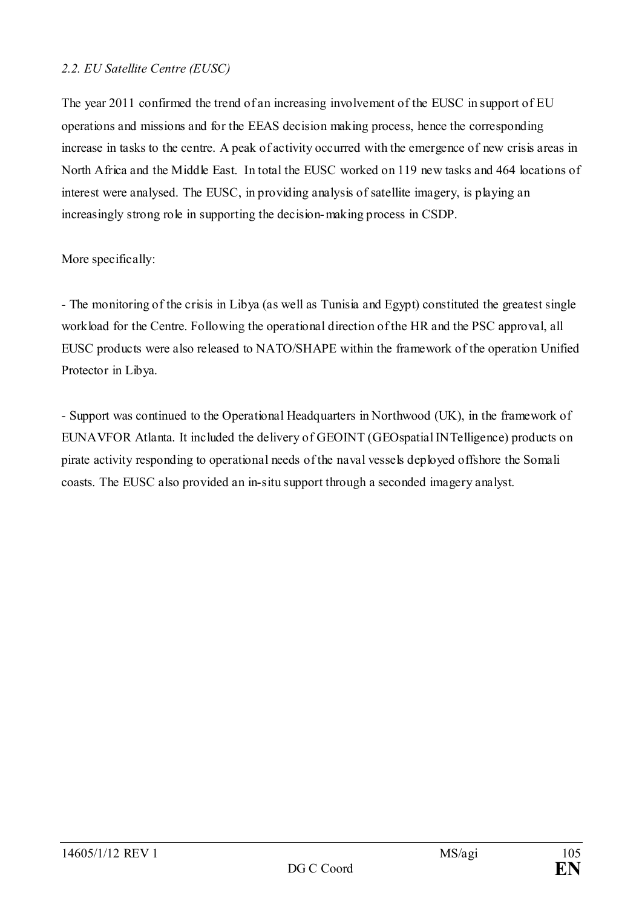### *2.2. EU Satellite Centre (EUSC)*

The year 2011 confirmed the trend of an increasing involvement of the EUSC in support of EU operations and missions and for the EEAS decision making process, hence the corresponding increase in tasks to the centre. A peak of activity occurred with the emergence of new crisis areas in North Africa and the Middle East. In total the EUSC worked on 119 new tasks and 464 locations of interest were analysed. The EUSC, in providing analysis of satellite imagery, is playing an increasingly strong role in supporting the decision-making process in CSDP.

### More specifically:

- The monitoring of the crisis in Libya (as well as Tunisia and Egypt) constituted the greatest single workload for the Centre. Following the operational direction of the HR and the PSC approval, all EUSC products were also released to NATO/SHAPE within the framework of the operation Unified Protector in Libya.

- Support was continued to the Operational Headquarters in Northwood (UK), in the framework of EUNAVFOR Atlanta. It included the delivery of GEOINT (GEOspatial INTelligence) products on pirate activity responding to operational needs of the naval vessels deployed offshore the Somali coasts. The EUSC also provided an in-situ support through a seconded imagery analyst.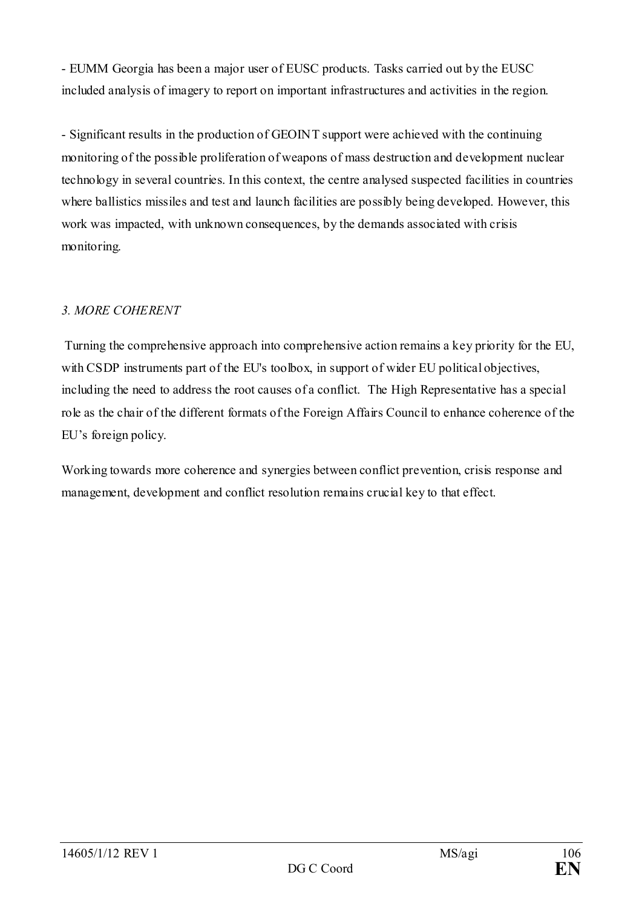- EUMM Georgia has been a major user of EUSC products. Tasks carried out by the EUSC included analysis of imagery to report on important infrastructures and activities in the region.

- Significant results in the production of GEOINT support were achieved with the continuing monitoring of the possible proliferation of weapons of mass destruction and development nuclear technology in several countries. In this context, the centre analysed suspected facilities in countries where ballistics missiles and test and launch facilities are possibly being developed. However, this work was impacted, with unknown consequences, by the demands associated with crisis monitoring.

## *3. MORE COHERENT*

Turning the comprehensive approach into comprehensive action remains a key priority for the EU, with CSDP instruments part of the EU's toolbox, in support of wider EU political objectives, including the need to address the root causes of a conflict. The High Representative has a special role as the chair of the different formats of the Foreign Affairs Council to enhance coherence of the EU's foreign policy.

Working towards more coherence and synergies between conflict prevention, crisis response and management, development and conflict resolution remains crucial key to that effect.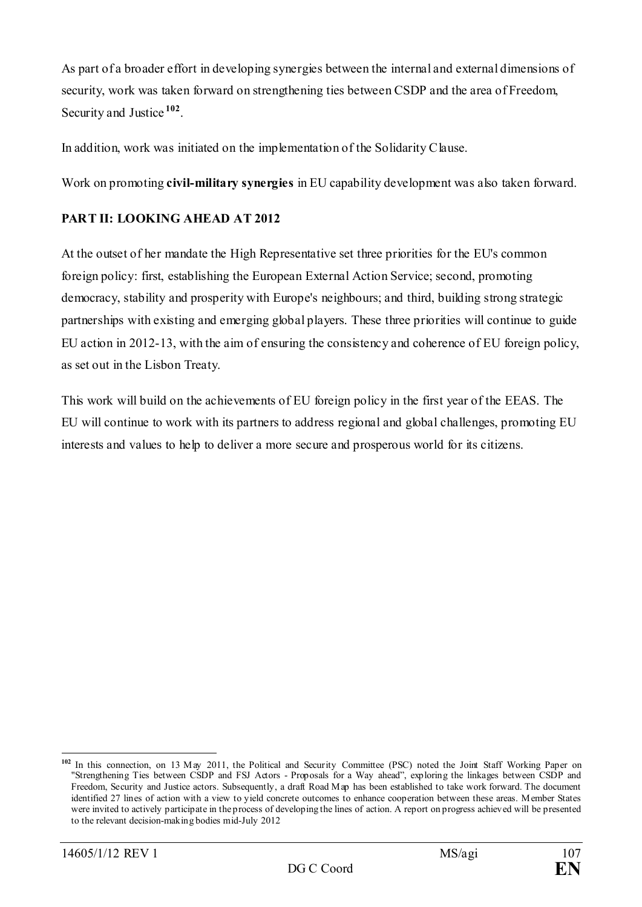As part of a broader effort in developing synergies between the internal and external dimensions of security, work was taken forward on strengthening ties between CSDP and the area of Freedom, Security and Justice **[102](#page-106-0)**.

In addition, work was initiated on the implementation of the Solidarity Clause.

Work on promoting **civil-military synergies** in EU capability development was also taken forward.

## **PART II: LOOKING AHEAD AT 2012**

At the outset of her mandate the High Representative set three priorities for the EU's common foreign policy: first, establishing the European External Action Service; second, promoting democracy, stability and prosperity with Europe's neighbours; and third, building strong strategic partnerships with existing and emerging global players. These three priorities will continue to guide EU action in 2012-13, with the aim of ensuring the consistency and coherence of EU foreign policy, as set out in the Lisbon Treaty.

This work will build on the achievements of EU foreign policy in the first year of the EEAS. The EU will continue to work with its partners to address regional and global challenges, promoting EU interests and values to help to deliver a more secure and prosperous world for its citizens.

<span id="page-106-0"></span><sup>-</sup>**<sup>102</sup>** In this connection, on 13 May 2011, the Political and Security Committee (PSC) noted the Joint Staff Working Paper on "Strengthening Ties between CSDP and FSJ Actors - Proposals for a Way ahead", exploring the linkages between CSDP and Freedom, Security and Justice actors. Subsequently, a draft Road Map has been established to take work forward. The document identified 27 lines of action with a view to yield concrete outcomes to enhance cooperation between these areas. Member States were invited to actively participate in the process of developing the lines of action. A report on progress achieved will be presented to the relevant decision-making bodies mid-July 2012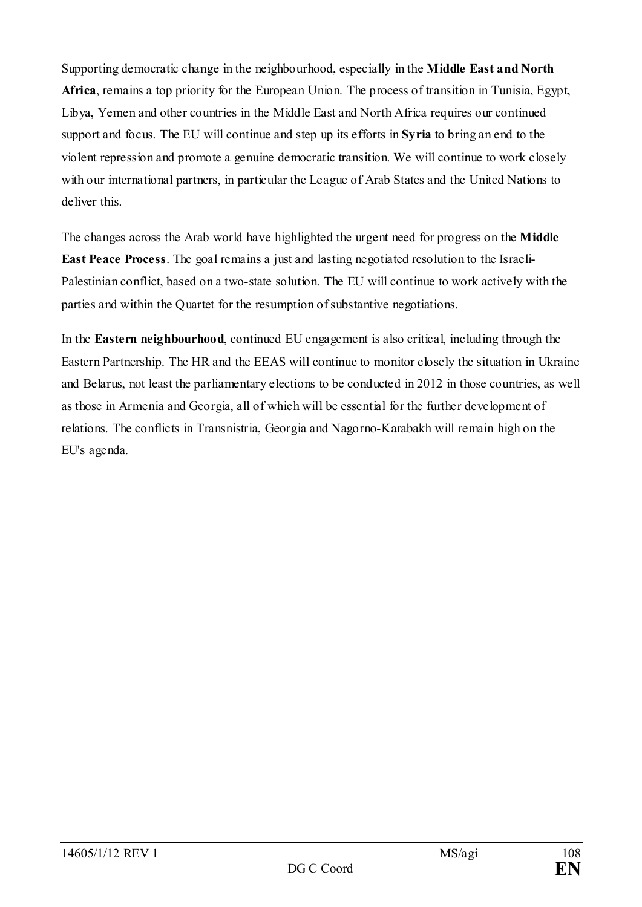Supporting democratic change in the neighbourhood, especially in the **Middle East and North Africa**, remains a top priority for the European Union. The process of transition in Tunisia, Egypt, Libya, Yemen and other countries in the Middle East and North Africa requires our continued support and focus. The EU will continue and step up its efforts in **Syria** to bring an end to the violent repression and promote a genuine democratic transition. We will continue to work closely with our international partners, in particular the League of Arab States and the United Nations to deliver this.

The changes across the Arab world have highlighted the urgent need for progress on the **Middle East Peace Process**. The goal remains a just and lasting negotiated resolution to the Israeli-Palestinian conflict, based on a two-state solution. The EU will continue to work actively with the parties and within the Quartet for the resumption of substantive negotiations.

In the **Eastern neighbourhood**, continued EU engagement is also critical, including through the Eastern Partnership. The HR and the EEAS will continue to monitor closely the situation in Ukraine and Belarus, not least the parliamentary elections to be conducted in 2012 in those countries, as well as those in Armenia and Georgia, all of which will be essential for the further development of relations. The conflicts in Transnistria, Georgia and Nagorno-Karabakh will remain high on the EU's agenda.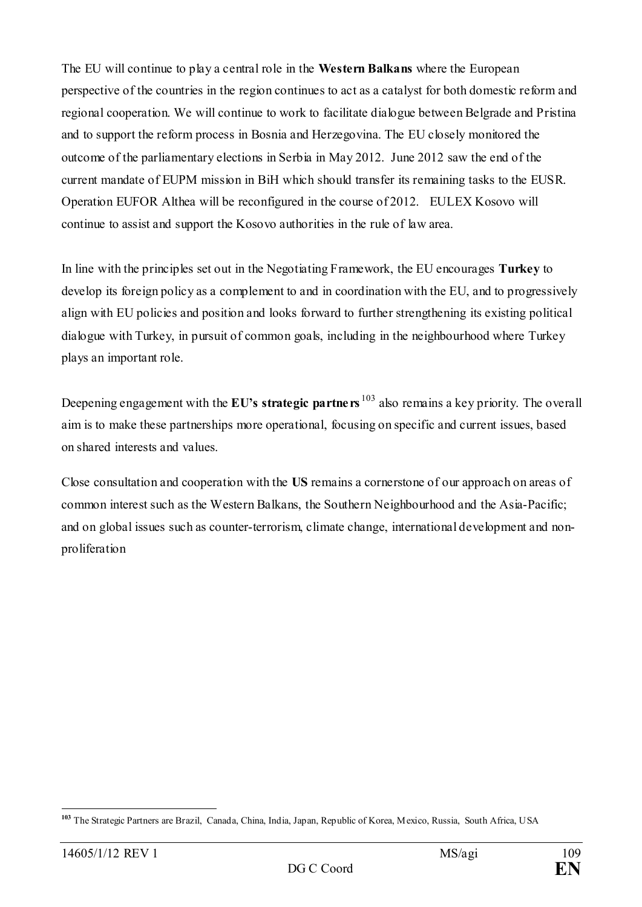The EU will continue to play a central role in the **Western Balkans** where the European perspective of the countries in the region continues to act as a catalyst for both domestic reform and regional cooperation. We will continue to work to facilitate dialogue between Belgrade and Pristina and to support the reform process in Bosnia and Herzegovina. The EU closely monitored the outcome of the parliamentary elections in Serbia in May 2012. June 2012 saw the end of the current mandate of EUPM mission in BiH which should transfer its remaining tasks to the EUSR. Operation EUFOR Althea will be reconfigured in the course of 2012. EULEX Kosovo will continue to assist and support the Kosovo authorities in the rule of law area.

In line with the principles set out in the Negotiating Framework, the EU encourages **Turkey** to develop its foreign policy as a complement to and in coordination with the EU, and to progressively align with EU policies and position and looks forward to further strengthening its existing political dialogue with Turkey, in pursuit of common goals, including in the neighbourhood where Turkey plays an important role.

Deepening engagement with the **EU's strategic partners** <sup>[103](#page-108-0)</sup> also remains a key priority. The overall aim is to make these partnerships more operational, focusing on specific and current issues, based on shared interests and values.

Close consultation and cooperation with the **US** remains a cornerstone of our approach on areas of common interest such as the Western Balkans, the Southern Neighbourhood and the Asia-Pacific; and on global issues such as counter-terrorism, climate change, international development and nonproliferation

<span id="page-108-0"></span><sup>-</sup>**<sup>103</sup>** The Strategic Partners are Brazil, Canada, China, India, Japan, Republic of Korea, Mexico, Russia, South Africa, USA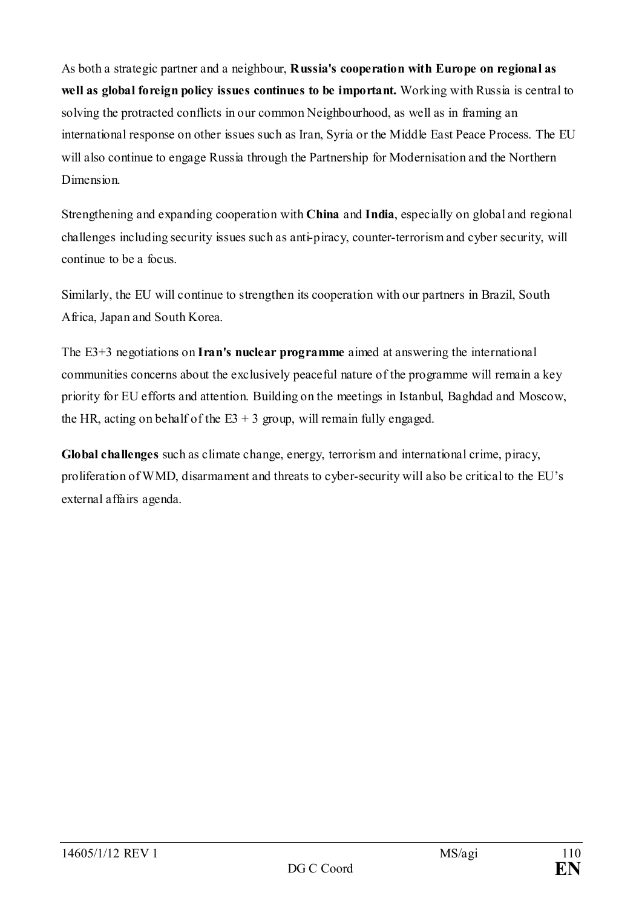As both a strategic partner and a neighbour, **Russia's cooperation with Europe on regional as well as global foreign policy issues continues to be important.** Working with Russia is central to solving the protracted conflicts in our common Neighbourhood, as well as in framing an international response on other issues such as Iran, Syria or the Middle East Peace Process. The EU will also continue to engage Russia through the Partnership for Modernisation and the Northern Dimension.

Strengthening and expanding cooperation with **China** and **India**, especially on global and regional challenges including security issues such as anti-piracy, counter-terrorism and cyber security, will continue to be a focus.

Similarly, the EU will continue to strengthen its cooperation with our partners in Brazil, South Africa, Japan and South Korea.

The E3+3 negotiations on **Iran's nuclear programme** aimed at answering the international communities concerns about the exclusively peaceful nature of the programme will remain a key priority for EU efforts and attention. Building on the meetings in Istanbul, Baghdad and Moscow, the HR, acting on behalf of the  $E3 + 3$  group, will remain fully engaged.

**Global challenges** such as climate change, energy, terrorism and international crime, piracy, proliferation of WMD, disarmament and threats to cyber-security will also be critical to the EU's external affairs agenda.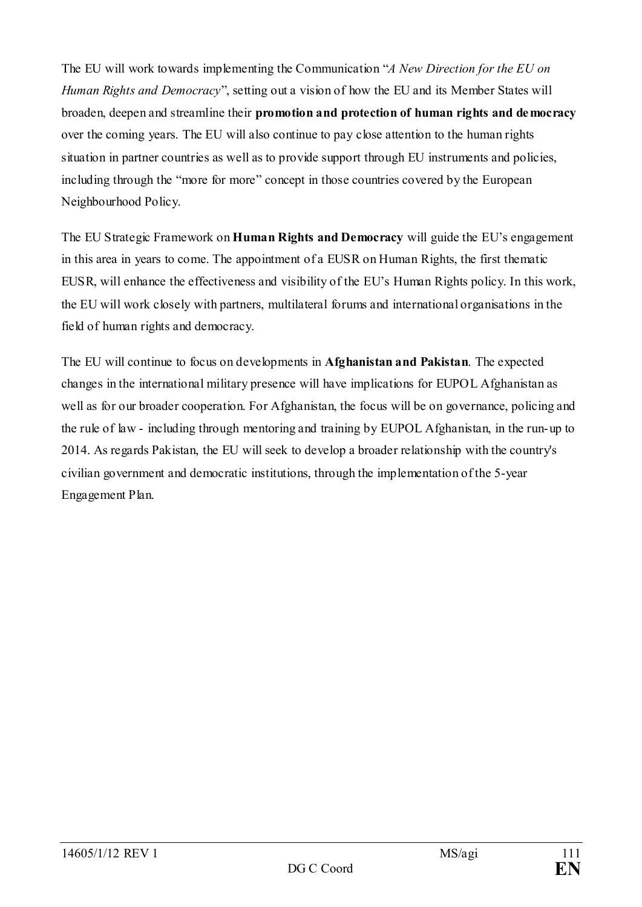The EU will work towards implementing the Communication "*A New Direction for the EU on Human Rights and Democracy*", setting out a vision of how the EU and its Member States will broaden, deepen and streamline their **promotion and protection of human rights and democracy** over the coming years. The EU will also continue to pay close attention to the human rights situation in partner countries as well as to provide support through EU instruments and policies, including through the "more for more" concept in those countries covered by the European Neighbourhood Policy.

The EU Strategic Framework on **Human Rights and Democracy** will guide the EU's engagement in this area in years to come. The appointment of a EUSR on Human Rights, the first thematic EUSR, will enhance the effectiveness and visibility of the EU's Human Rights policy. In this work, the EU will work closely with partners, multilateral forums and international organisations in the field of human rights and democracy.

The EU will continue to focus on developments in **Afghanistan and Pakistan**. The expected changes in the international military presence will have implications for EUPOL Afghanistan as well as for our broader cooperation. For Afghanistan, the focus will be on governance, policing and the rule of law - including through mentoring and training by EUPOL Afghanistan, in the run-up to 2014. As regards Pakistan, the EU will seek to develop a broader relationship with the country's civilian government and democratic institutions, through the implementation of the 5-year Engagement Plan.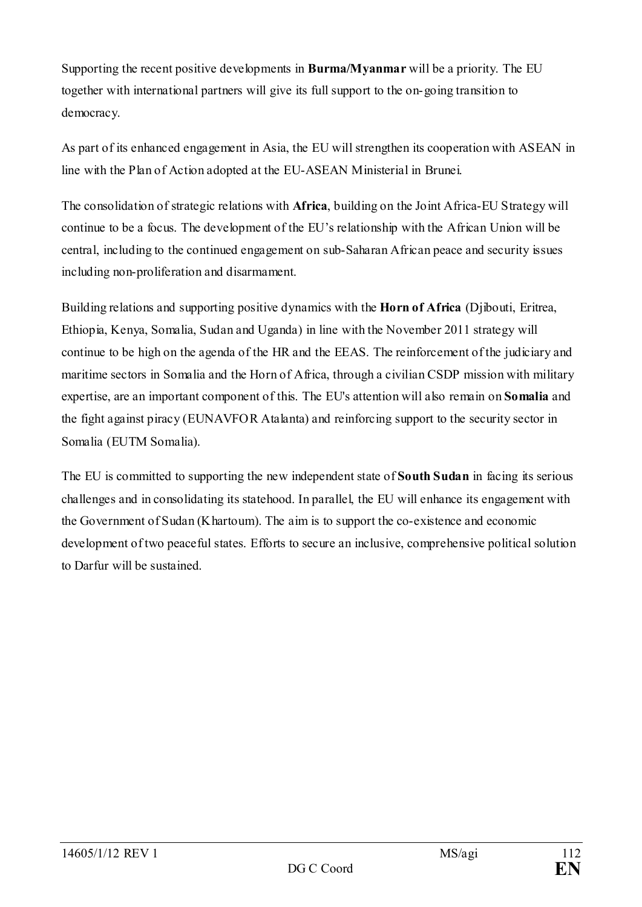Supporting the recent positive developments in **Burma/Myanmar** will be a priority. The EU together with international partners will give its full support to the on-going transition to democracy.

As part of its enhanced engagement in Asia, the EU will strengthen its cooperation with ASEAN in line with the Plan of Action adopted at the EU-ASEAN Ministerial in Brunei.

The consolidation of strategic relations with **Africa**, building on the Joint Africa-EU Strategy will continue to be a focus. The development of the EU's relationship with the African Union will be central, including to the continued engagement on sub-Saharan African peace and security issues including non-proliferation and disarmament.

Building relations and supporting positive dynamics with the **Horn of Africa** (Djibouti, Eritrea, Ethiopia, Kenya, Somalia, Sudan and Uganda) in line with the November 2011 strategy will continue to be high on the agenda of the HR and the EEAS. The reinforcement of the judiciary and maritime sectors in Somalia and the Horn of Africa, through a civilian CSDP mission with military expertise, are an important component of this. The EU's attention will also remain on **Somalia** and the fight against piracy (EUNAVFOR Atalanta) and reinforcing support to the security sector in Somalia (EUTM Somalia).

The EU is committed to supporting the new independent state of **South Sudan** in facing its serious challenges and in consolidating its statehood. In parallel, the EU will enhance its engagement with the Government of Sudan (Khartoum). The aim is to support the co-existence and economic development of two peaceful states. Efforts to secure an inclusive, comprehensive political solution to Darfur will be sustained.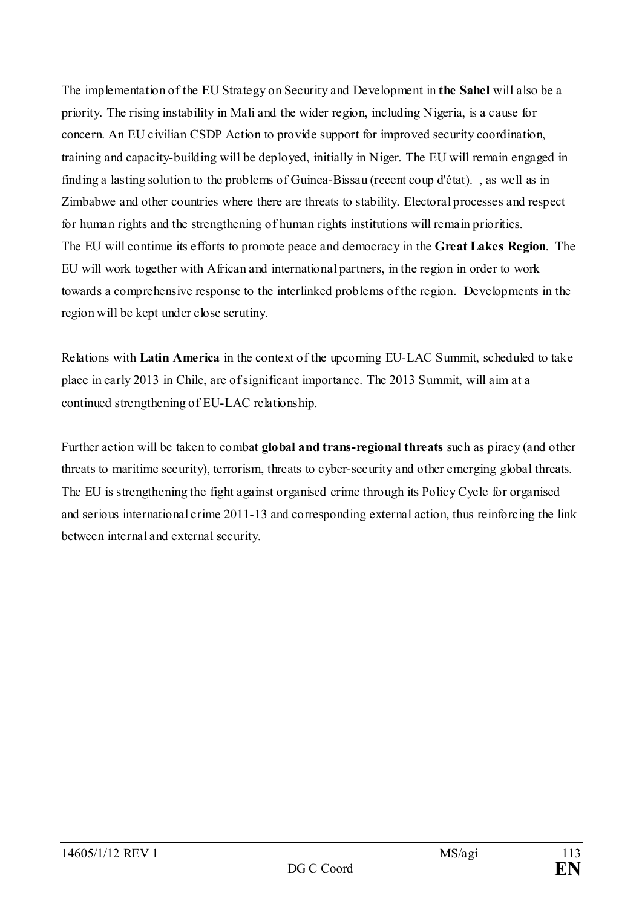The implementation of the EU Strategy on Security and Development in **the Sahel** will also be a priority. The rising instability in Mali and the wider region, including Nigeria, is a cause for concern. An EU civilian CSDP Action to provide support for improved security coordination, training and capacity-building will be deployed, initially in Niger. The EU will remain engaged in finding a lasting solution to the problems of Guinea-Bissau (recent coup d'état). , as well as in Zimbabwe and other countries where there are threats to stability. Electoral processes and respect for human rights and the strengthening of human rights institutions will remain priorities. The EU will continue its efforts to promote peace and democracy in the **Great Lakes Region**. The EU will work together with African and international partners, in the region in order to work towards a comprehensive response to the interlinked problems of the region. Developments in the region will be kept under close scrutiny.

Relations with **Latin America** in the context of the upcoming EU-LAC Summit, scheduled to take place in early 2013 in Chile, are of significant importance. The 2013 Summit, will aim at a continued strengthening of EU-LAC relationship.

Further action will be taken to combat **global and trans-regional threats** such as piracy (and other threats to maritime security), terrorism, threats to cyber-security and other emerging global threats. The EU is strengthening the fight against organised crime through its Policy Cycle for organised and serious international crime 2011-13 and corresponding external action, thus reinforcing the link between internal and external security.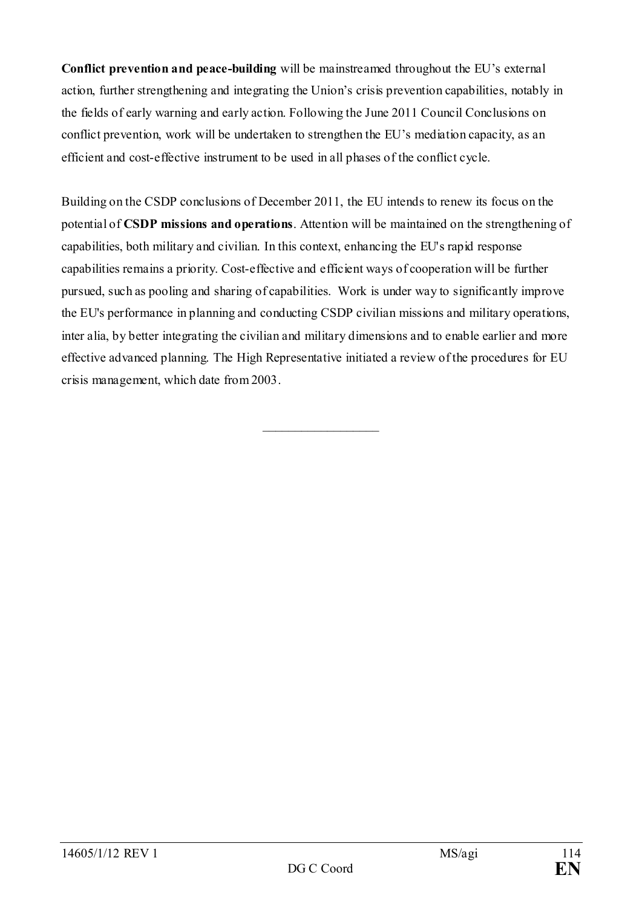**Conflict prevention and peace-building** will be mainstreamed throughout the EU's external action, further strengthening and integrating the Union's crisis prevention capabilities, notably in the fields of early warning and early action. Following the June 2011 Council Conclusions on conflict prevention, work will be undertaken to strengthen the EU's mediation capacity, as an efficient and cost-effective instrument to be used in all phases of the conflict cycle.

Building on the CSDP conclusions of December 2011, the EU intends to renew its focus on the potential of **CSDP missions and operations**. Attention will be maintained on the strengthening of capabilities, both military and civilian. In this context, enhancing the EU's rapid response capabilities remains a priority. Cost-effective and efficient ways of cooperation will be further pursued, such as pooling and sharing of capabilities. Work is under way to significantly improve the EU's performance in planning and conducting CSDP civilian missions and military operations, inter alia, by better integrating the civilian and military dimensions and to enable earlier and more effective advanced planning. The High Representative initiated a review of the procedures for EU crisis management, which date from 2003.

\_\_\_\_\_\_\_\_\_\_\_\_\_\_\_\_\_\_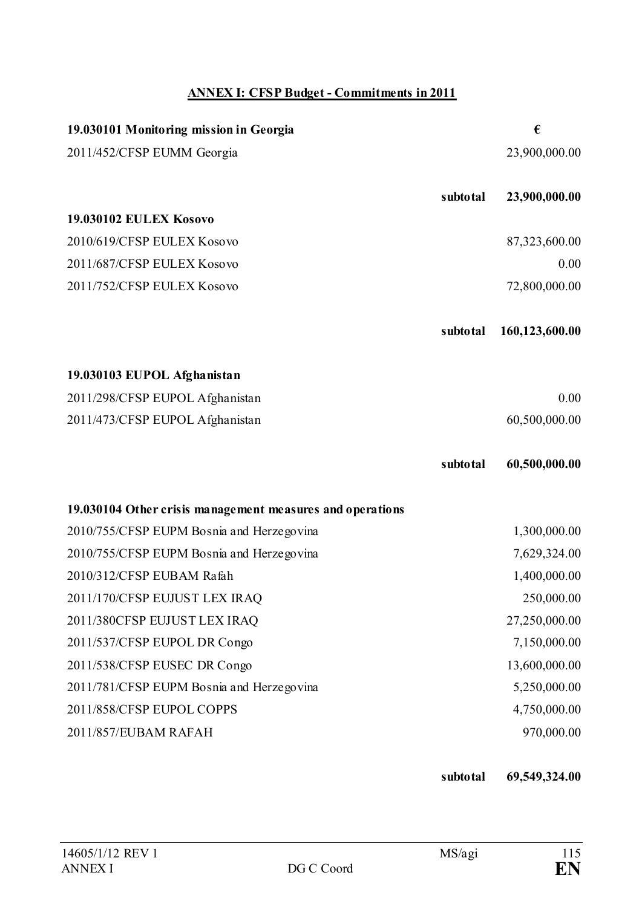# **ANNEX I: CFSP Budget - Commitments in 2011**

| 19.030101 Monitoring mission in Georgia                   |          | €              |
|-----------------------------------------------------------|----------|----------------|
| 2011/452/CFSP EUMM Georgia                                |          | 23,900,000.00  |
|                                                           |          |                |
|                                                           | subtotal | 23,900,000.00  |
| <b>19.030102 EULEX Kosovo</b>                             |          |                |
| 2010/619/CFSP EULEX Kosovo                                |          | 87,323,600.00  |
| 2011/687/CFSP EULEX Kosovo                                |          | 0.00           |
| 2011/752/CFSP EULEX Kosovo                                |          | 72,800,000.00  |
|                                                           | subtotal | 160,123,600.00 |
| 19.030103 EUPOL Afghanistan                               |          |                |
| 2011/298/CFSP EUPOL Afghanistan                           |          | 0.00           |
| 2011/473/CFSP EUPOL Afghanistan                           |          | 60,500,000.00  |
|                                                           | subtotal | 60,500,000.00  |
| 19.030104 Other crisis management measures and operations |          |                |
| 2010/755/CFSP EUPM Bosnia and Herzegovina                 |          | 1,300,000.00   |
| 2010/755/CFSP EUPM Bosnia and Herzegovina                 |          | 7,629,324.00   |
| 2010/312/CFSP EUBAM Rafah                                 |          | 1,400,000.00   |
| 2011/170/CFSP EUJUST LEX IRAQ                             |          | 250,000.00     |
| 2011/380CFSP EUJUST LEX IRAQ                              |          | 27,250,000.00  |
| 2011/537/CFSP EUPOL DR Congo                              |          | 7,150,000.00   |
| 2011/538/CFSP EUSEC DR Congo                              |          | 13,600,000.00  |
| 2011/781/CFSP EUPM Bosnia and Herzegovina                 |          | 5,250,000.00   |
| 2011/858/CFSP EUPOL COPPS                                 |          | 4,750,000.00   |
| 2011/857/EUBAM RAFAH                                      |          | 970,000.00     |

**subtotal 69,549,324.00**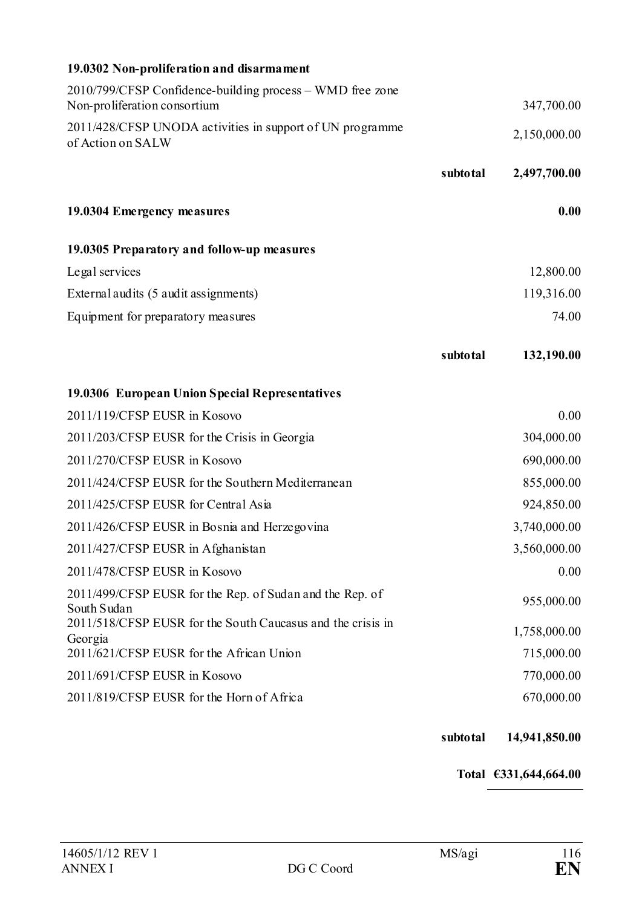| 19.0302 Non-proliferation and disarmament                                                 |          |              |
|-------------------------------------------------------------------------------------------|----------|--------------|
| 2010/799/CFSP Confidence-building process – WMD free zone<br>Non-proliferation consortium |          | 347,700.00   |
| 2011/428/CFSP UNODA activities in support of UN programme<br>of Action on SALW            |          | 2,150,000.00 |
|                                                                                           | subtotal | 2,497,700.00 |
| 19.0304 Emergency measures                                                                |          | 0.00         |
| 19.0305 Preparatory and follow-up measures                                                |          |              |
| Legal services                                                                            |          | 12,800.00    |
| External audits (5 audit assignments)                                                     |          | 119,316.00   |
| Equipment for preparatory measures                                                        |          | 74.00        |
|                                                                                           | subtotal | 132,190.00   |
| 19.0306 European Union Special Representatives                                            |          |              |
| 2011/119/CFSP EUSR in Kosovo                                                              |          | 0.00         |
| 2011/203/CFSP EUSR for the Crisis in Georgia                                              |          | 304,000.00   |
| 2011/270/CFSP EUSR in Kosovo                                                              |          | 690,000.00   |
| 2011/424/CFSP EUSR for the Southern Mediterranean                                         |          | 855,000.00   |
| 2011/425/CFSP EUSR for Central Asia                                                       |          | 924,850.00   |
| 2011/426/CFSP EUSR in Bosnia and Herzegovina                                              |          | 3,740,000.00 |
| 2011/427/CFSP EUSR in Afghanistan                                                         |          | 3,560,000.00 |
| 2011/478/CFSP EUSR in Kosovo                                                              |          | 0.00         |
| 2011/499/CFSP EUSR for the Rep. of Sudan and the Rep. of<br>South Sudan                   |          | 955,000.00   |
| 2011/518/CFSP EUSR for the South Caucasus and the crisis in<br>Georgia                    |          | 1,758,000.00 |
| 2011/621/CFSP EUSR for the African Union                                                  |          | 715,000.00   |
| 2011/691/CFSP EUSR in Kosovo                                                              |          | 770,000.00   |
| 2011/819/CFSP EUSR for the Horn of Africa                                                 |          | 670,000.00   |

#### **subtotal 14,941,850.00**

**Total €331,644,664.00**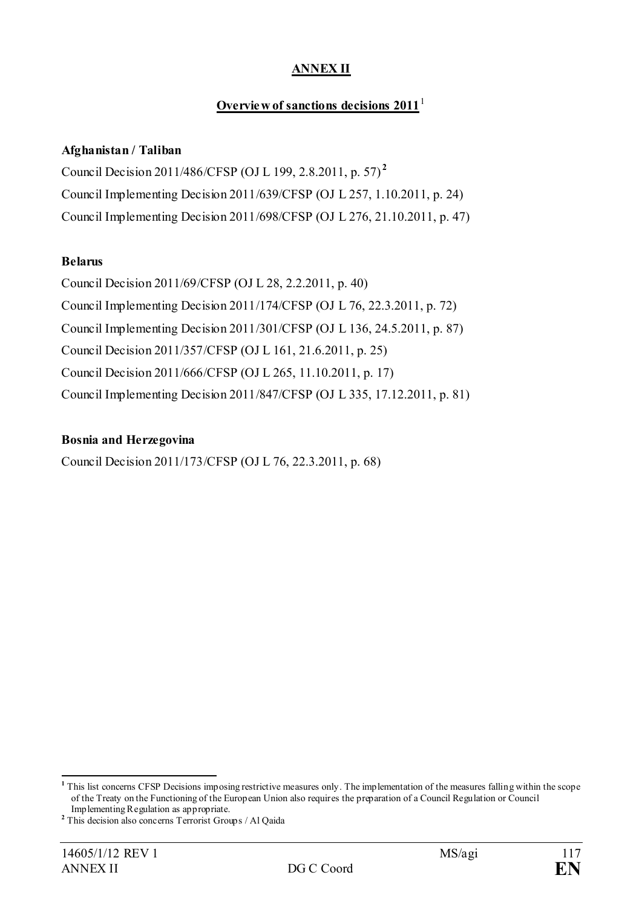### **ANNEX II**

### **Overview of sanctions decisions 20[1](#page-116-0)1**

#### **Afghanistan / Taliban**

Council Decision 2011/486/CFSP (OJ L 199, 2.8.2011, p. 57) **[2](#page-116-1)** Council Implementing Decision 2011/639/CFSP (OJ L 257, 1.10.2011, p. 24) Council Implementing Decision 2011/698/CFSP (OJ L 276, 21.10.2011, p. 47)

#### **Belarus**

Council Decision 2011/69/CFSP (OJ L 28, 2.2.2011, p. 40) Council Implementing Decision 2011/174/CFSP (OJ L 76, 22.3.2011, p. 72) Council Implementing Decision 2011/301/CFSP (OJ L 136, 24.5.2011, p. 87) Council Decision 2011/357/CFSP (OJ L 161, 21.6.2011, p. 25) Council Decision 2011/666/CFSP (OJ L 265, 11.10.2011, p. 17) Council Implementing Decision 2011/847/CFSP (OJ L 335, 17.12.2011, p. 81)

#### **Bosnia and Herzegovina**

Council Decision 2011/173/CFSP (OJ L 76, 22.3.2011, p. 68)

<span id="page-116-0"></span>**<sup>1</sup>** This list concerns CFSP Decisions imposing restrictive measures only. The implementation of the measures falling within the scope of the Treaty on the Functioning of the European Union also requires the preparation of a Council Regulation or Council Implementing Regulation as appropriate.

<span id="page-116-1"></span>**<sup>2</sup>** This decision also concerns Terrorist Groups / Al Qaida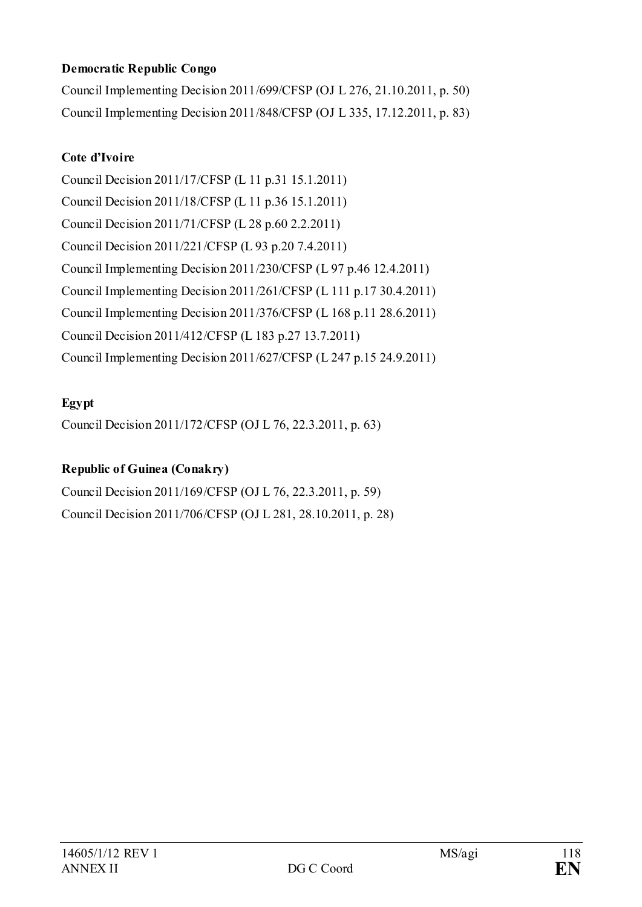### **Democratic Republic Congo**

Council Implementing Decision 2011/699/CFSP (OJ L 276, 21.10.2011, p. 50) Council Implementing Decision 2011/848/CFSP (OJ L 335, 17.12.2011, p. 83)

### **Cote d'Ivoire**

Council Decision 2011/17/CFSP (L 11 p.31 15.1.2011) Council Decision 2011/18/CFSP (L 11 p.36 15.1.2011) Council Decision 2011/71/CFSP (L 28 p.60 2.2.2011) Council Decision 2011/221/CFSP (L 93 p.20 7.4.2011) Council Implementing Decision 2011/230/CFSP (L 97 p.46 12.4.2011) Council Implementing Decision 2011/261/CFSP (L 111 p.17 30.4.2011) Council Implementing Decision 2011/376/CFSP (L 168 p.11 28.6.2011) Council Decision 2011/412/CFSP (L 183 p.27 13.7.2011) Council Implementing Decision 2011/627/CFSP (L 247 p.15 24.9.2011)

### **Egypt**

Council Decision 2011/172/CFSP (OJ L 76, 22.3.2011, p. 63)

### **Republic of Guinea (Conakry)**

Council Decision 2011/169/CFSP (OJ L 76, 22.3.2011, p. 59) Council Decision 2011/706/CFSP (OJ L 281, 28.10.2011, p. 28)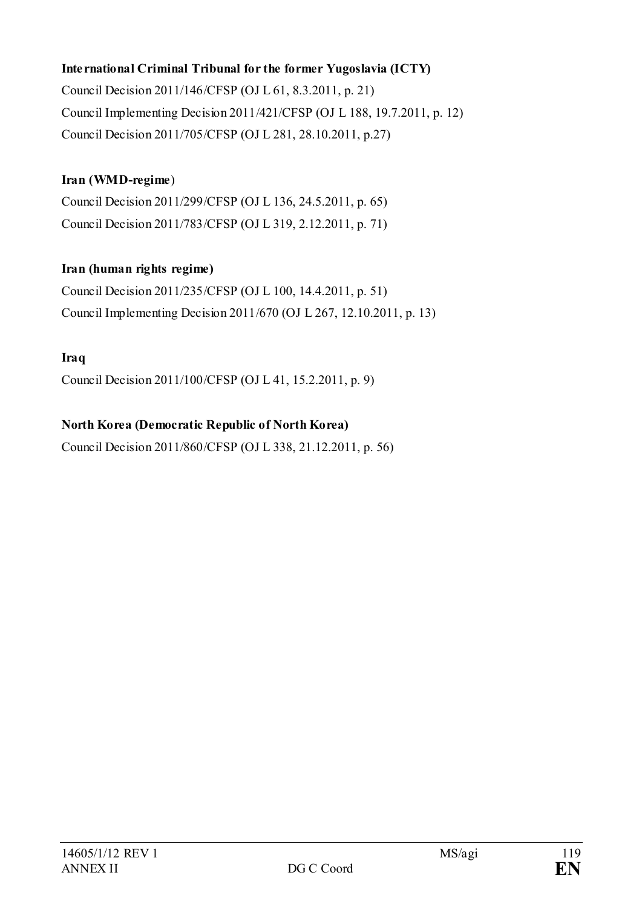### **International Criminal Tribunal for the former Yugoslavia (ICTY)**

Council Decision 2011/146/CFSP (OJ L 61, 8.3.2011, p. 21) Council Implementing Decision 2011/421/CFSP (OJ L 188, 19.7.2011, p. 12) Council Decision 2011/705/CFSP (OJ L 281, 28.10.2011, p.27)

### **Iran (WMD-regime**)

Council Decision 2011/299/CFSP (OJ L 136, 24.5.2011, p. 65) Council Decision 2011/783/CFSP (OJ L 319, 2.12.2011, p. 71)

### **Iran (human rights regime)**

Council Decision 2011/235/CFSP (OJ L 100, 14.4.2011, p. 51) Council Implementing Decision 2011/670 (OJ L 267, 12.10.2011, p. 13)

### **Iraq**

Council Decision 2011/100/CFSP (OJ L 41, 15.2.2011, p. 9)

### **North Korea (Democratic Republic of North Korea)**

Council Decision 2011/860/CFSP (OJ L 338, 21.12.2011, p. 56)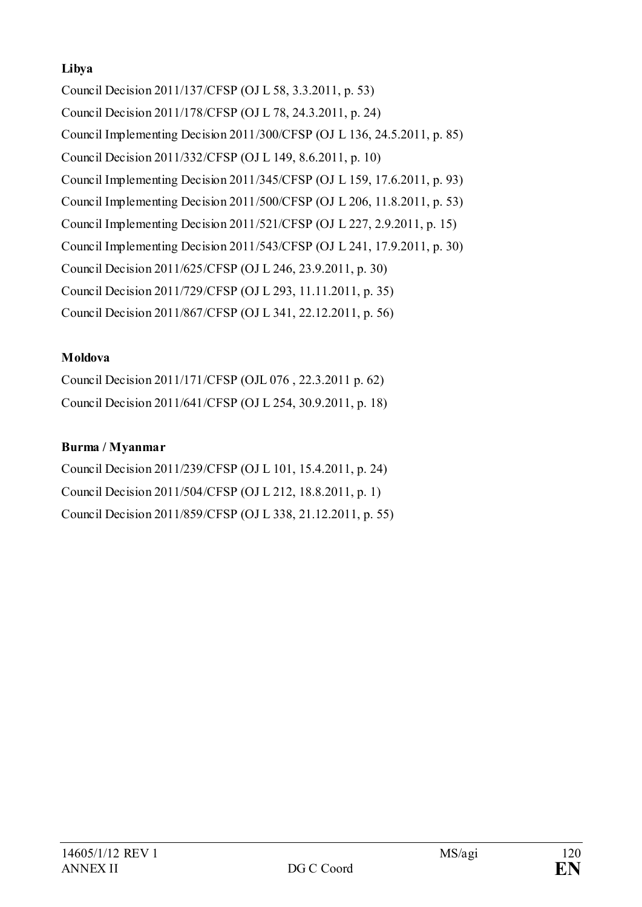### **Libya**

Council Decision 2011/137/CFSP (OJ L 58, 3.3.2011, p. 53) Council Decision 2011/178/CFSP (OJ L 78, 24.3.2011, p. 24) Council Implementing Decision 2011/300/CFSP (OJ L 136, 24.5.2011, p. 85) Council Decision 2011/332/CFSP (OJ L 149, 8.6.2011, p. 10) Council Implementing Decision 2011/345/CFSP (OJ L 159, 17.6.2011, p. 93) Council Implementing Decision 2011/500/CFSP (OJ L 206, 11.8.2011, p. 53) Council Implementing Decision 2011/521/CFSP (OJ L 227, 2.9.2011, p. 15) Council Implementing Decision 2011/543/CFSP (OJ L 241, 17.9.2011, p. 30) Council Decision 2011/625/CFSP (OJ L 246, 23.9.2011, p. 30) Council Decision 2011/729/CFSP (OJ L 293, 11.11.2011, p. 35) Council Decision 2011/867/CFSP (OJ L 341, 22.12.2011, p. 56)

# **Moldova**

Council Decision 2011/171/CFSP (OJL 076 , 22.3.2011 p. 62) Council Decision 2011/641/CFSP (OJ L 254, 30.9.2011, p. 18)

# **Burma / Myanmar**

Council Decision 2011/239/CFSP (OJ L 101, 15.4.2011, p. 24) Council Decision 2011/504/CFSP (OJ L 212, 18.8.2011, p. 1) Council Decision 2011/859/CFSP (OJ L 338, 21.12.2011, p. 55)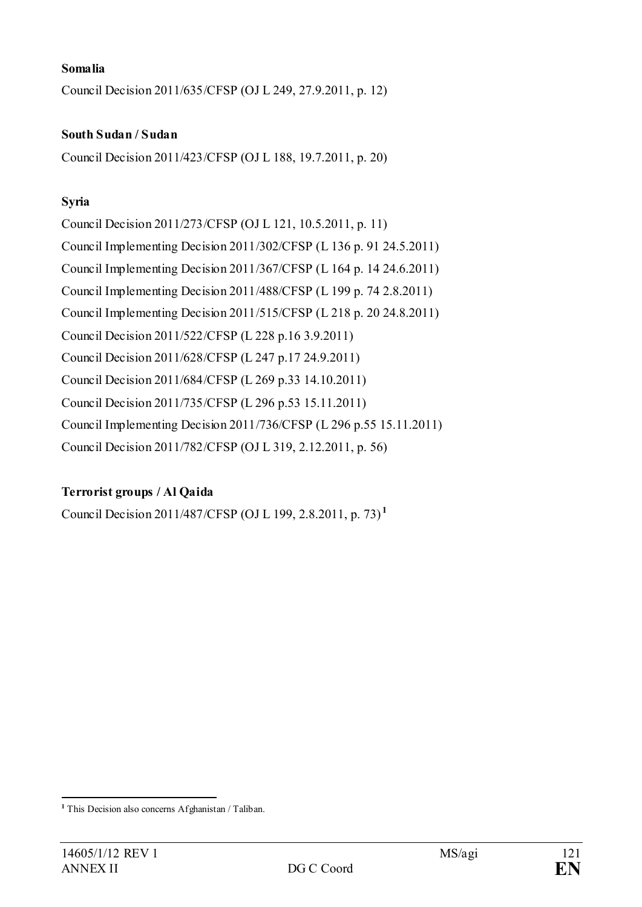#### **Somalia**

Council Decision 2011/635/CFSP (OJ L 249, 27.9.2011, p. 12)

#### **South Sudan / Sudan**

Council Decision 2011/423/CFSP (OJ L 188, 19.7.2011, p. 20)

#### **Syria**

Council Decision 2011/273/CFSP (OJ L 121, 10.5.2011, p. 11) Council Implementing Decision 2011/302/CFSP (L 136 p. 91 24.5.2011) Council Implementing Decision 2011/367/CFSP (L 164 p. 14 24.6.2011) Council Implementing Decision 2011/488/CFSP (L 199 p. 74 2.8.2011) Council Implementing Decision 2011/515/CFSP (L 218 p. 20 24.8.2011) Council Decision 2011/522/CFSP (L 228 p.16 3.9.2011) Council Decision 2011/628/CFSP (L 247 p.17 24.9.2011) Council Decision 2011/684/CFSP (L 269 p.33 14.10.2011) Council Decision 2011/735/CFSP (L 296 p.53 15.11.2011) Council Implementing Decision 2011/736/CFSP (L 296 p.55 15.11.2011) Council Decision 2011/782/CFSP (OJ L 319, 2.12.2011, p. 56)

#### **Terrorist groups / Al Qaida**

Council Decision 2011/487/CFSP (OJ L 199, 2.8.2011, p. 73) **[1](#page-120-0)**

<u>.</u>

<span id="page-120-0"></span>**<sup>1</sup>** This Decision also concerns Afghanistan / Taliban.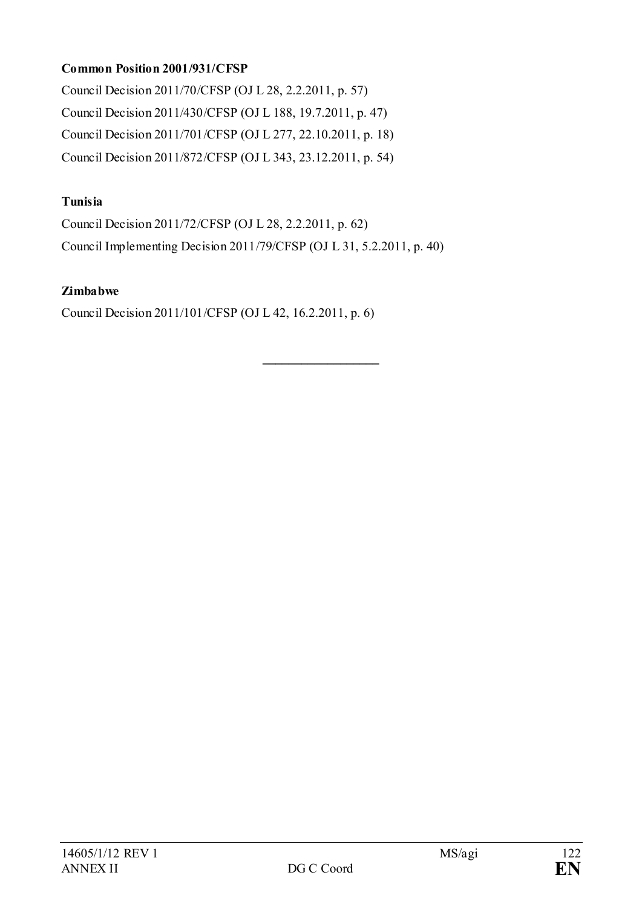### **Common Position 2001/931/CFSP**

Council Decision 2011/70/CFSP (OJ L 28, 2.2.2011, p. 57) Council Decision 2011/430/CFSP (OJ L 188, 19.7.2011, p. 47) Council Decision 2011/701/CFSP (OJ L 277, 22.10.2011, p. 18) Council Decision 2011/872/CFSP (OJ L 343, 23.12.2011, p. 54)

#### **Tunisia**

Council Decision 2011/72/CFSP (OJ L 28, 2.2.2011, p. 62) Council Implementing Decision 2011/79/CFSP (OJ L 31, 5.2.2011, p. 40)

**\_\_\_\_\_\_\_\_\_\_\_\_\_\_\_\_\_\_**

#### **Zimbabwe**

Council Decision 2011/101/CFSP (OJ L 42, 16.2.2011, p. 6)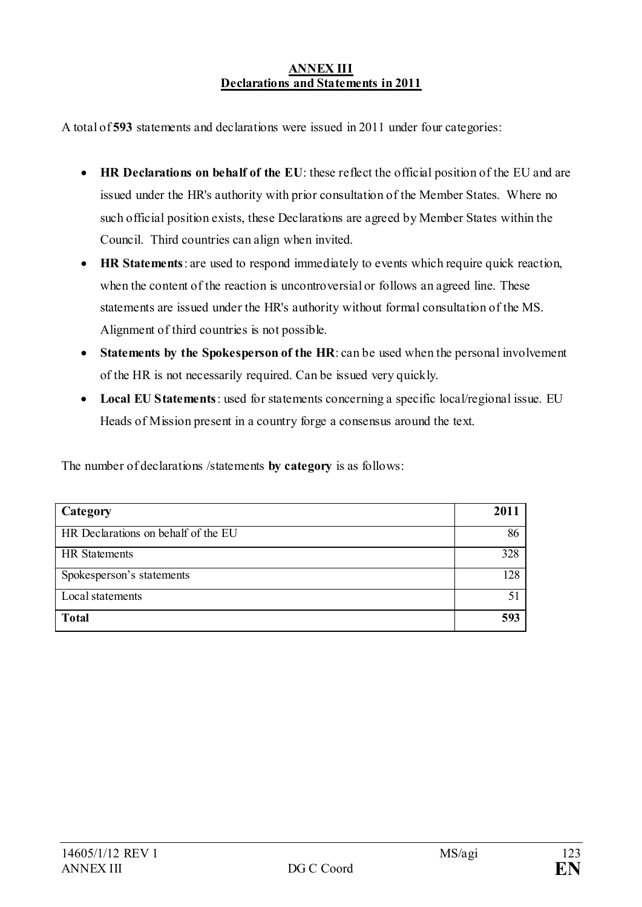#### **ANNEX III Declarations and Statements in 2011**

A total of **593** statements and declarations were issued in 2011 under four categories:

- **HR Declarations on behalf of the EU**: these reflect the official position of the EU and are issued under the HR's authority with prior consultation of the Member States. Where no such official position exists, these Declarations are agreed by Member States within the Council.Third countries can align when invited.
- **HR Statements**: are used to respond immediately to events which require quick reaction, when the content of the reaction is uncontroversial or follows an agreed line. These statements are issued under the HR's authority without formal consultation of the MS. Alignment of third countries is not possible.
- **Statements by the Spokesperson of the HR**: can be used when the personal involvement of the HR is not necessarily required. Can be issued very quickly.
- **Local EU Statements**: used for statements concerning a specific local/regional issue. EU Heads of Mission present in a country forge a consensus around the text.

The number of declarations /statements **by category** is as follows:

| Category                            | <b>201</b> |
|-------------------------------------|------------|
| HR Declarations on behalf of the EU | 86         |
| <b>HR</b> Statements                | 328        |
| Spokesperson's statements           | 128        |
| Local statements                    |            |
| <b>Total</b>                        | 593        |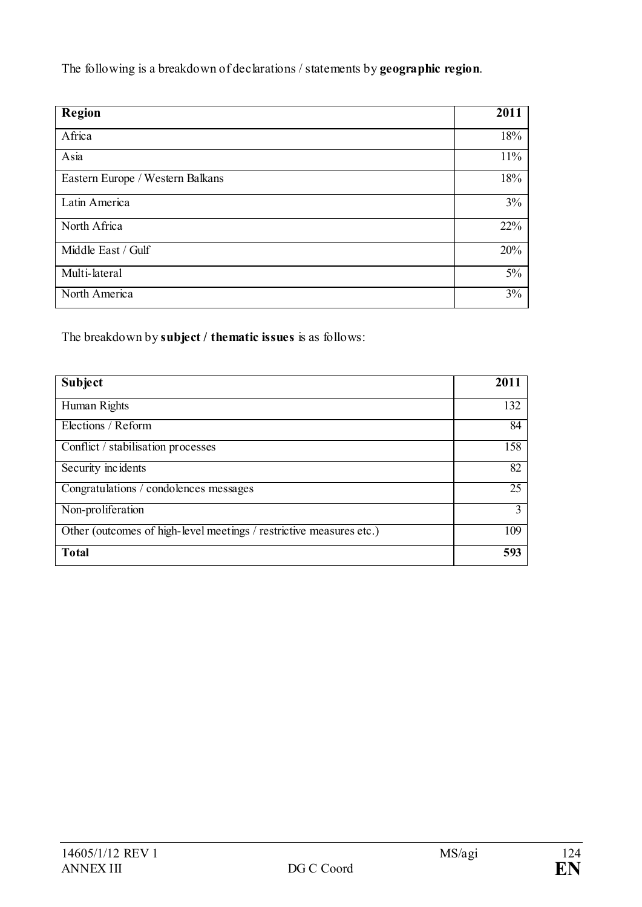The following is a breakdown of declarations / statements by **geographic region**.

| <b>Region</b>                    | 2011 |
|----------------------------------|------|
| Africa                           | 18%  |
| Asia                             | 11%  |
| Eastern Europe / Western Balkans | 18%  |
| Latin America                    | 3%   |
| North Africa                     | 22%  |
| Middle East / Gulf               | 20%  |
| Multi-lateral                    | 5%   |
| North America                    | 3%   |

The breakdown by **subject / thematic issues** is as follows:

| Subject                                                             | 2011 |
|---------------------------------------------------------------------|------|
| Human Rights                                                        | 132  |
| Elections / Reform                                                  | 84   |
| Conflict / stabilisation processes                                  | 158  |
| Security incidents                                                  | 82   |
| Congratulations / condolences messages                              | 25   |
| Non-proliferation                                                   | 3    |
| Other (outcomes of high-level meetings / restrictive measures etc.) | 109  |
| <b>Total</b>                                                        | 593  |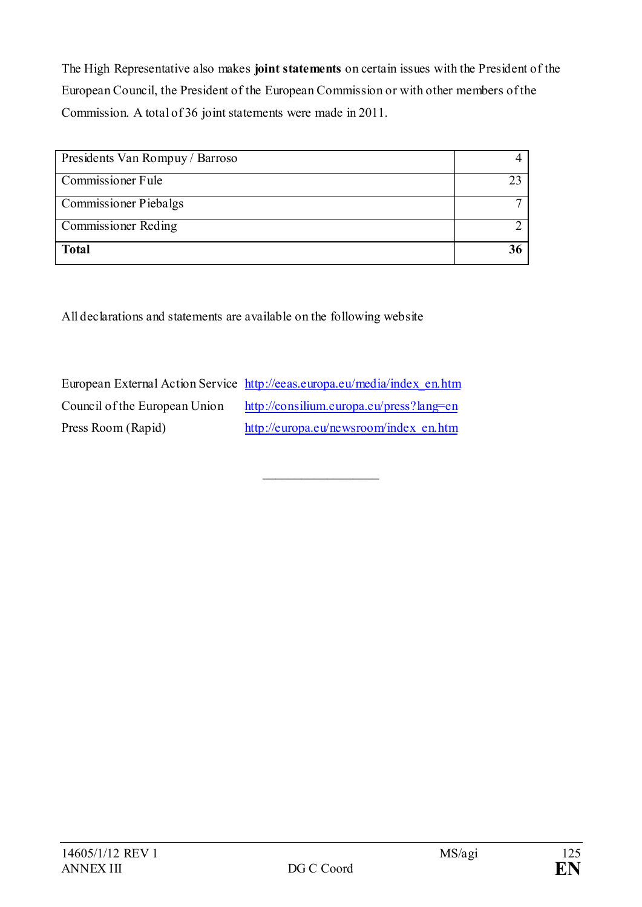The High Representative also makes **joint statements** on certain issues with the President of the European Council, the President of the European Commission or with other members of the Commission. A total of 36 joint statements were made in 2011.

| Presidents Van Rompuy / Barroso |   |
|---------------------------------|---|
| Commissioner Fule               |   |
| <b>Commissioner Piebalgs</b>    | ⇁ |
| <b>Commissioner Reding</b>      |   |
| <b>Total</b>                    |   |

All declarations and statements are available on the following website

European External Action Service [http://eeas.europa.eu/media/index\\_en.htm](http://eeas.europa.eu/media/index_en.htm) Council of the European Union <http://consilium.europa.eu/press?lang=en> Press Room (Rapid) [http://europa.eu/newsroom/index\\_en.htm](http://europa.eu/newsroom/index_en.htm)

\_\_\_\_\_\_\_\_\_\_\_\_\_\_\_\_\_\_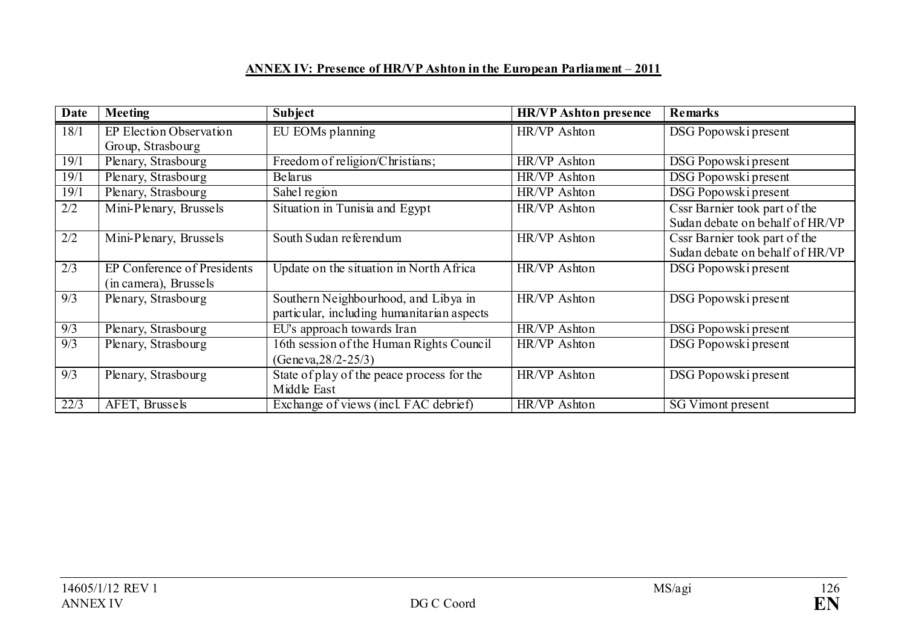# **ANNEX IV: Presence of HR/VP Ashton in the European Parliament** – **2011**

| Date             | <b>Meeting</b>              | Subject                                    | <b>HR/VP</b> Ashton presence | <b>Remarks</b>                  |
|------------------|-----------------------------|--------------------------------------------|------------------------------|---------------------------------|
| 18/1             | EP Election Observation     | EU EOMs planning                           | HR/VP Ashton                 | DSG Popowski present            |
|                  | Group, Strasbourg           |                                            |                              |                                 |
| 19/1             | Plenary, Strasbourg         | Freedom of religion/Christians;            | HR/VP Ashton                 | DSG Popowski present            |
| 19/1             | Plenary, Strasbourg         | Belarus                                    | HR/VP Ashton                 | DSG Popowski present            |
| 19/1             | Plenary, Strasbourg         | Sahel region                               | HR/VP Ashton                 | DSG Popowski present            |
| 2/2              | Mini-Plenary, Brussels      | Situation in Tunisia and Egypt             | HR/VP Ashton                 | Cssr Barnier took part of the   |
|                  |                             |                                            |                              | Sudan debate on behalf of HR/VP |
| 2/2              | Mini-Plenary, Brussels      | South Sudan referendum                     | HR/VP Ashton                 | Cssr Barnier took part of the   |
|                  |                             |                                            |                              | Sudan debate on behalf of HR/VP |
| $\overline{2/3}$ | EP Conference of Presidents | Update on the situation in North Africa    | HR/VP Ashton                 | DSG Popowski present            |
|                  | (in camera), Brussels       |                                            |                              |                                 |
| 9/3              | Plenary, Strasbourg         | Southern Neighbourhood, and Libya in       | HR/VP Ashton                 | DSG Popowski present            |
|                  |                             | particular, including humanitarian aspects |                              |                                 |
| 9/3              | Plenary, Strasbourg         | EU's approach towards Iran                 | HR/VP Ashton                 | DSG Popowski present            |
| $\overline{9/3}$ | Plenary, Strasbourg         | 16th session of the Human Rights Council   | HR/VP Ashton                 | DSG Popowski present            |
|                  |                             | (Geneva, $28/2 - 25/3$ )                   |                              |                                 |
| 9/3              | Plenary, Strasbourg         | State of play of the peace process for the | HR/VP Ashton                 | DSG Popowski present            |
|                  |                             | Middle East                                |                              |                                 |
| 22/3             | AFET, Brussels              | Exchange of views (incl. FAC debrief)      | HR/VP Ashton                 | SG Vimont present               |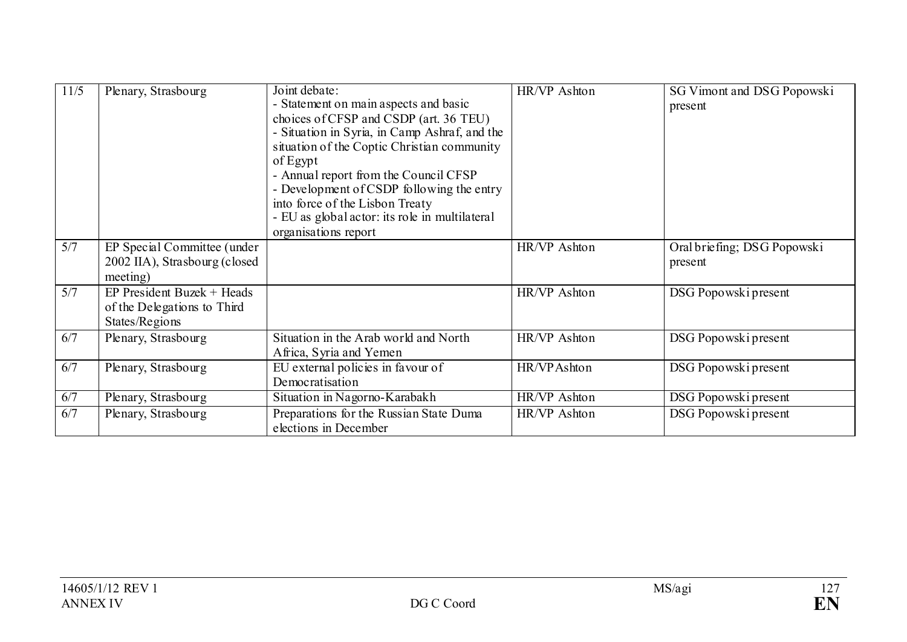| 11/5 | Plenary, Strasbourg                                                           | Joint debate:<br>- Statement on main aspects and basic<br>choices of CFSP and CSDP (art. 36 TEU)<br>- Situation in Syria, in Camp Ashraf, and the<br>situation of the Coptic Christian community<br>of Egypt<br>- Annual report from the Council CFSP<br>- Development of CSDP following the entry<br>into force of the Lisbon Treaty<br>- EU as global actor: its role in multilateral<br>organisations report | HR/VP Ashton | SG Vimont and DSG Popowski<br>present  |
|------|-------------------------------------------------------------------------------|-----------------------------------------------------------------------------------------------------------------------------------------------------------------------------------------------------------------------------------------------------------------------------------------------------------------------------------------------------------------------------------------------------------------|--------------|----------------------------------------|
| 5/7  | EP Special Committee (under<br>2002 IIA), Strasbourg (closed<br>meeting)      |                                                                                                                                                                                                                                                                                                                                                                                                                 | HR/VP Ashton | Oral briefing; DSG Popowski<br>present |
| 5/7  | $EP$ President Buzek + Heads<br>of the Delegations to Third<br>States/Regions |                                                                                                                                                                                                                                                                                                                                                                                                                 | HR/VP Ashton | DSG Popowski present                   |
| 6/7  | Plenary, Strasbourg                                                           | Situation in the Arab world and North<br>Africa, Syria and Yemen                                                                                                                                                                                                                                                                                                                                                | HR/VP Ashton | DSG Popowski present                   |
| 6/7  | Plenary, Strasbourg                                                           | EU external policies in favour of<br>Democratisation                                                                                                                                                                                                                                                                                                                                                            | HR/VPAshton  | DSG Popowski present                   |
| 6/7  | Plenary, Strasbourg                                                           | Situation in Nagorno-Karabakh                                                                                                                                                                                                                                                                                                                                                                                   | HR/VP Ashton | DSG Popowski present                   |
| 6/7  | Plenary, Strasbourg                                                           | Preparations for the Russian State Duma<br>elections in December                                                                                                                                                                                                                                                                                                                                                | HR/VP Ashton | DSG Popowski present                   |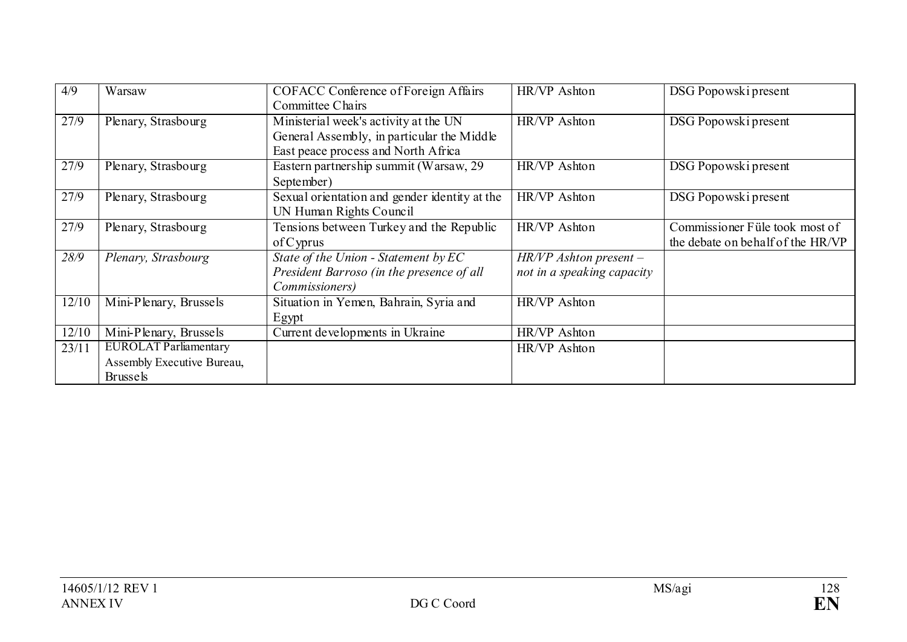| 4/9   | Warsaw                                                                        | <b>COFACC Conference of Foreign Affairs</b><br>Committee Chairs                                                            | HR/VP Ashton                                           | DSG Popowski present                                                |
|-------|-------------------------------------------------------------------------------|----------------------------------------------------------------------------------------------------------------------------|--------------------------------------------------------|---------------------------------------------------------------------|
| 27/9  | Plenary, Strasbourg                                                           | Ministerial week's activity at the UN<br>General Assembly, in particular the Middle<br>East peace process and North Africa | HR/VP Ashton                                           | DSG Popowski present                                                |
| 27/9  | Plenary, Strasbourg                                                           | Eastern partnership summit (Warsaw, 29)<br>September)                                                                      | HR/VP Ashton                                           | DSG Popowski present                                                |
| 27/9  | Plenary, Strasbourg                                                           | Sexual orientation and gender identity at the<br>UN Human Rights Council                                                   | HR/VP Ashton                                           | DSG Popowski present                                                |
| 27/9  | Plenary, Strasbourg                                                           | Tensions between Turkey and the Republic<br>$of C$ yprus                                                                   | HR/VP Ashton                                           | Commissioner Füle took most of<br>the debate on behalf of the HR/VP |
| 28/9  | Plenary, Strasbourg                                                           | State of the Union - Statement by EC<br>President Barroso (in the presence of all<br><i>Commissioners</i> )                | $HR/VP$ Ashton present -<br>not in a speaking capacity |                                                                     |
| 12/10 | Mini-Plenary, Brussels                                                        | Situation in Yemen, Bahrain, Syria and<br>Egypt                                                                            | HR/VP Ashton                                           |                                                                     |
| 12/10 | Mini-Plenary, Brussels                                                        | Current developments in Ukraine                                                                                            | HR/VP Ashton                                           |                                                                     |
| 23/11 | <b>EUROLAT Parliamentary</b><br>Assembly Executive Bureau,<br><b>Brussels</b> |                                                                                                                            | HR/VP Ashton                                           |                                                                     |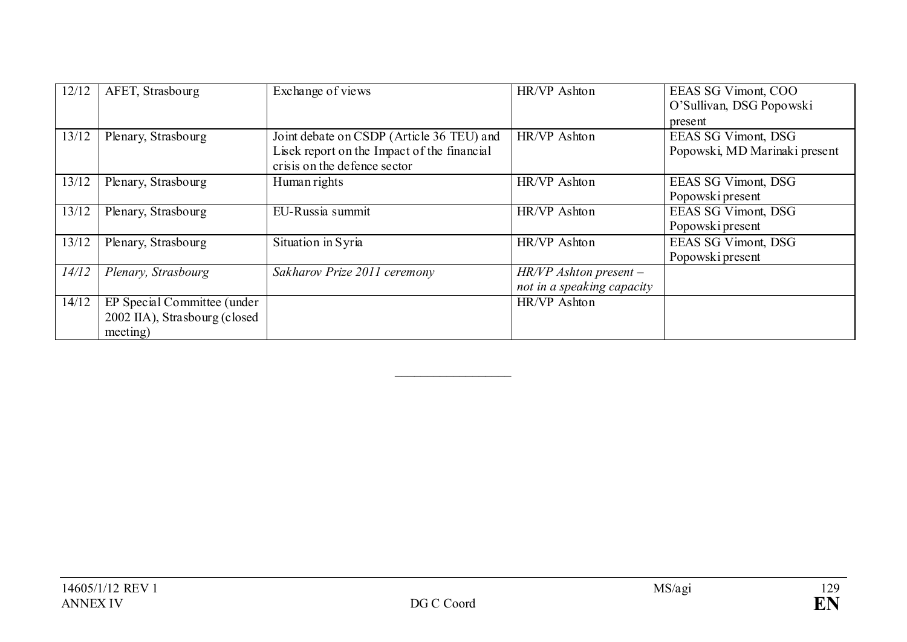| 12/12 | AFET, Strasbourg              | Exchange of views                           | HR/VP Ashton               | EEAS SG Vimont, COO           |
|-------|-------------------------------|---------------------------------------------|----------------------------|-------------------------------|
|       |                               |                                             |                            | O'Sullivan, DSG Popowski      |
|       |                               |                                             |                            | present                       |
| 13/12 | Plenary, Strasbourg           | Joint debate on CSDP (Article 36 TEU) and   | HR/VP Ashton               | EEAS SG Vimont, DSG           |
|       |                               | Lisek report on the Impact of the financial |                            | Popowski, MD Marinaki present |
|       |                               | crisis on the defence sector                |                            |                               |
| 13/12 | Plenary, Strasbourg           | Human rights                                | HR/VP Ashton               | <b>EEAS SG Vimont, DSG</b>    |
|       |                               |                                             |                            | Popowski present              |
| 13/12 | Plenary, Strasbourg           | EU-Russia summit                            | HR/VP Ashton               | <b>EEAS SG Vimont, DSG</b>    |
|       |                               |                                             |                            | Popowski present              |
| 13/12 | Plenary, Strasbourg           | Situation in Syria                          | HR/VP Ashton               | EEAS SG Vimont, DSG           |
|       |                               |                                             |                            | Popowski present              |
| 14/12 | Plenary, Strasbourg           | Sakharov Prize 2011 ceremony                | $HR/VP$ Ashton present –   |                               |
|       |                               |                                             | not in a speaking capacity |                               |
| 14/12 | EP Special Committee (under   |                                             | HR/VP Ashton               |                               |
|       | 2002 IIA), Strasbourg (closed |                                             |                            |                               |
|       | meeting)                      |                                             |                            |                               |

 $\overline{\phantom{a}}$  , where  $\overline{\phantom{a}}$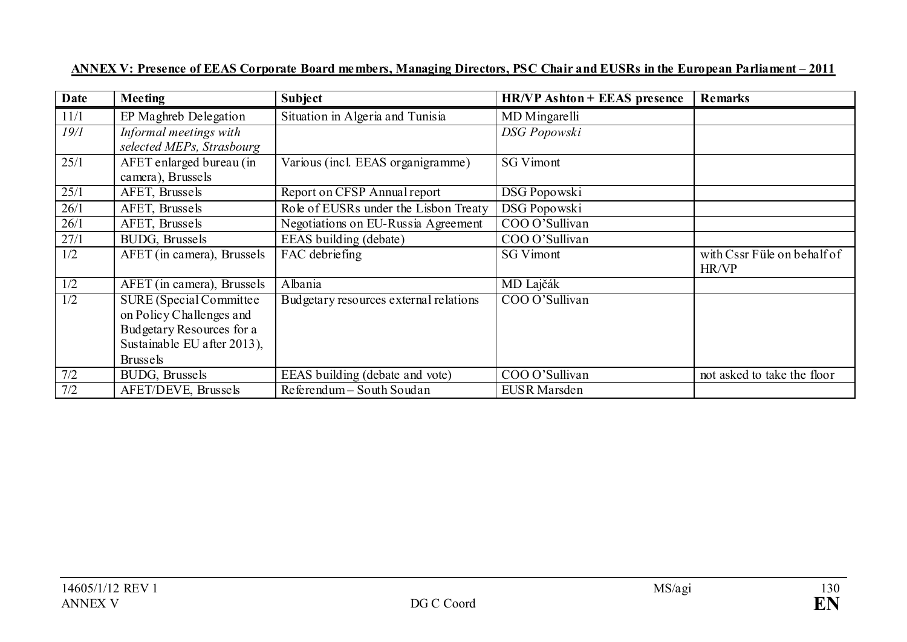| Date             | <b>Meeting</b>                                                                                                                             | Subject                                | <b>HR/VP Ashton + EEAS presence</b> | <b>Remarks</b>                       |
|------------------|--------------------------------------------------------------------------------------------------------------------------------------------|----------------------------------------|-------------------------------------|--------------------------------------|
| 11/1             | EP Maghreb Delegation                                                                                                                      | Situation in Algeria and Tunisia       | MD Mingarelli                       |                                      |
| 19/1             | Informal meetings with<br>selected MEPs, Strasbourg                                                                                        |                                        | <b>DSG</b> Popowski                 |                                      |
| 25/1             | AFET enlarged bureau (in<br>camera), Brussels                                                                                              | Various (incl. EEAS organigramme)      | <b>SG Vimont</b>                    |                                      |
| 25/1             | AFET, Brussels                                                                                                                             | Report on CFSP Annual report           | DSG Popowski                        |                                      |
| 26/1             | AFET, Brussels                                                                                                                             | Role of EUSRs under the Lisbon Treaty  | <b>DSG Popowski</b>                 |                                      |
| 26/1             | AFET, Brussels                                                                                                                             | Negotiations on EU-Russia Agreement    | COO O'Sullivan                      |                                      |
| 27/1             | BUDG, Brussels                                                                                                                             | EEAS building (debate)                 | COO O'Sullivan                      |                                      |
| 1/2              | AFET (in camera), Brussels                                                                                                                 | FAC debriefing                         | <b>SG Vimont</b>                    | with Cssr Füle on behalf of<br>HR/VP |
| 1/2              | AFET (in camera), Brussels                                                                                                                 | Albania                                | MD Lajčák                           |                                      |
| $\overline{1/2}$ | <b>SURE</b> (Special Committee)<br>on Policy Challenges and<br>Budgetary Resources for a<br>Sustainable EU after 2013),<br><b>Brussels</b> | Budgetary resources external relations | COO O'Sullivan                      |                                      |
| 7/2              | BUDG, Brussels                                                                                                                             | EEAS building (debate and vote)        | COO O'Sullivan                      | not asked to take the floor          |
| 7/2              | AFET/DEVE, Brussels                                                                                                                        | Referendum - South Soudan              | <b>EUSR</b> Marsden                 |                                      |

#### **ANNEX V: Presence of EEAS Corporate Board members, Managing Directors, PSC Chair and EUSRs in the European Parliament – 2011**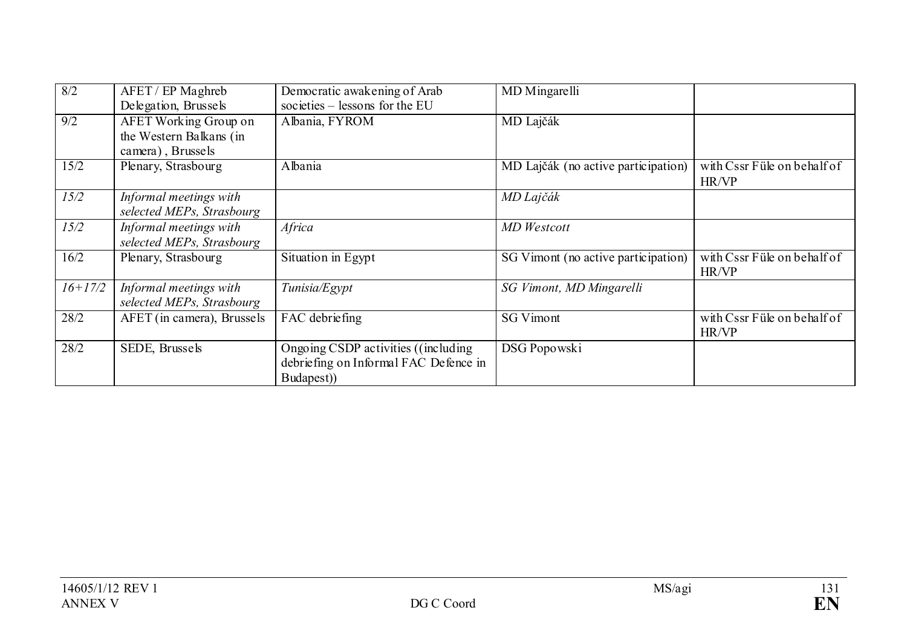| 8/2              | AFET / EP Maghreb<br>Delegation, Brussels                                    | Democratic awakening of Arab<br>societies - lessons for the EU                              | MD Mingarelli                       |                                      |
|------------------|------------------------------------------------------------------------------|---------------------------------------------------------------------------------------------|-------------------------------------|--------------------------------------|
| $\overline{9/2}$ | <b>AFET Working Group on</b><br>the Western Balkans (in<br>camera), Brussels | Albania, FYROM                                                                              | MD Lajčák                           |                                      |
| 15/2             | Plenary, Strasbourg                                                          | Albania                                                                                     | MD Lajčák (no active participation) | with Cssr Füle on behalf of<br>HR/VP |
| 15/2             | Informal meetings with<br>selected MEPs, Strasbourg                          |                                                                                             | MD Lajčák                           |                                      |
| 15/2             | Informal meetings with<br>selected MEPs, Strasbourg                          | Africa                                                                                      | MD Westcott                         |                                      |
| 16/2             | Plenary, Strasbourg                                                          | Situation in Egypt                                                                          | SG Vimont (no active participation) | with Cssr Füle on behalf of<br>HR/VP |
| $16+17/2$        | Informal meetings with<br>selected MEPs, Strasbourg                          | Tunisia/Egypt                                                                               | SG Vimont, MD Mingarelli            |                                      |
| 28/2             | AFET (in camera), Brussels                                                   | FAC debriefing                                                                              | <b>SG Vimont</b>                    | with Cssr Füle on behalf of<br>HR/VP |
| 28/2             | SEDE, Brussels                                                               | Ongoing CSDP activities ((including)<br>debriefing on Informal FAC Defence in<br>Budapest)) | DSG Popowski                        |                                      |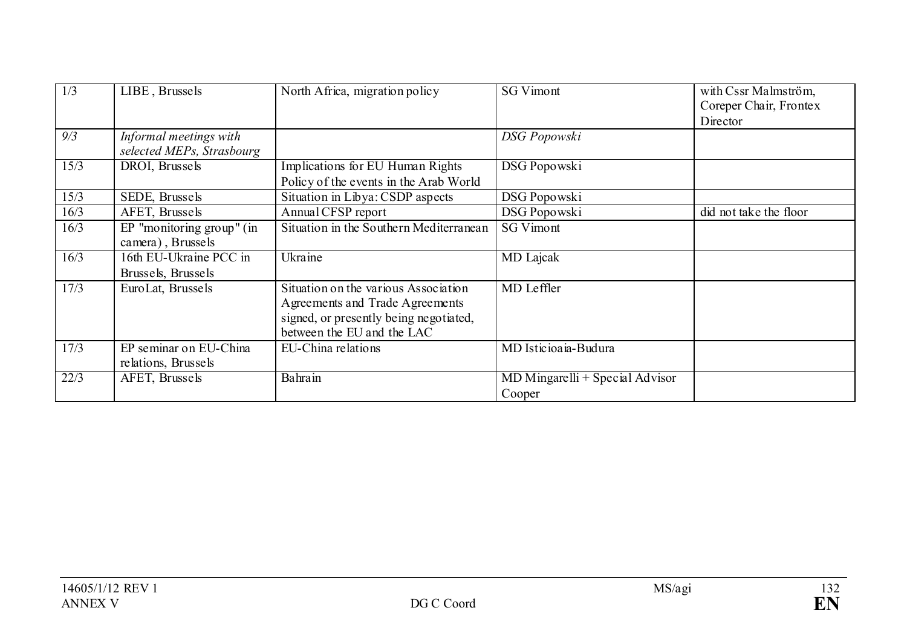| 1/3  | LIBE, Brussels                                      | North Africa, migration policy                                                                                                                  | <b>SG Vimont</b>                            | with Cssr Malmström,<br>Coreper Chair, Frontex |
|------|-----------------------------------------------------|-------------------------------------------------------------------------------------------------------------------------------------------------|---------------------------------------------|------------------------------------------------|
|      |                                                     |                                                                                                                                                 |                                             | Director                                       |
| 9/3  | Informal meetings with<br>selected MEPs, Strasbourg |                                                                                                                                                 | DSG Popowski                                |                                                |
| 15/3 | DROI, Brussels                                      | Implications for EU Human Rights<br>Policy of the events in the Arab World                                                                      | DSG Popowski                                |                                                |
| 15/3 | SEDE, Brussels                                      | Situation in Libya: CSDP aspects                                                                                                                | DSG Popowski                                |                                                |
| 16/3 | AFET, Brussels                                      | Annual CFSP report                                                                                                                              | DSG Popowski                                | did not take the floor                         |
| 16/3 | $EP$ "monitoring group" (in<br>camera), Brussels    | Situation in the Southern Mediterranean                                                                                                         | <b>SG Vimont</b>                            |                                                |
| 16/3 | 16th EU-Ukraine PCC in<br>Brussels, Brussels        | Ukraine                                                                                                                                         | <b>MD</b> Lajcak                            |                                                |
| 17/3 | Euro Lat, Brussels                                  | Situation on the various Association<br>Agreements and Trade Agreements<br>signed, or presently being negotiated,<br>between the EU and the LAC | MD Leffler                                  |                                                |
| 17/3 | EP seminar on EU-China<br>relations, Brussels       | EU-China relations                                                                                                                              | MD Isticioaia-Budura                        |                                                |
| 22/3 | AFET, Brussels                                      | Bahrain                                                                                                                                         | $MD$ Mingarelli + Special Advisor<br>Cooper |                                                |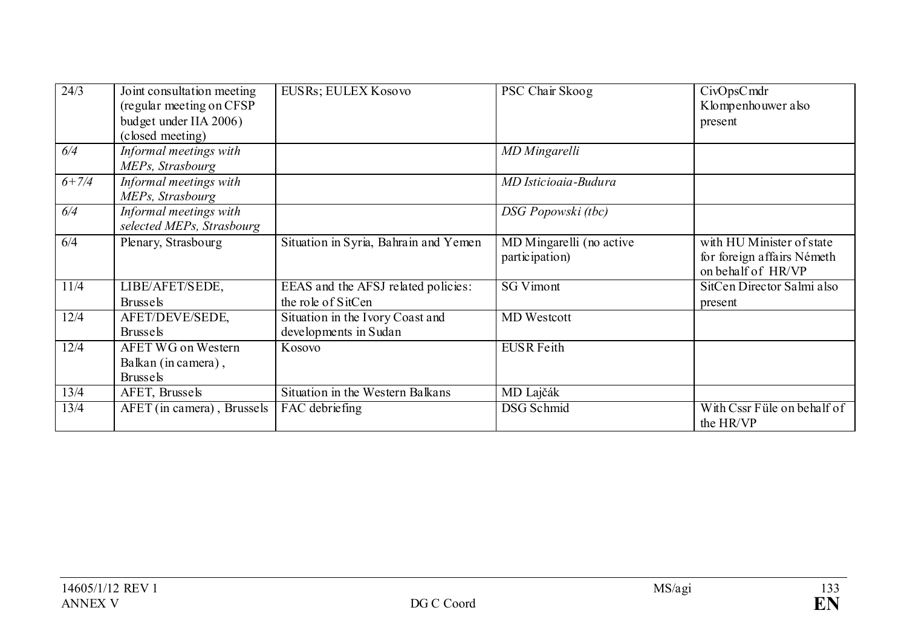| 24/3      | Joint consultation meeting<br>(regular meeting on CFSP)<br>budget under IIA 2006)<br>(closed meeting) | EUSRs; EULEX Kosovo                                       | PSC Chair Skoog                            | CivOpsCmdr<br>Klompenhouwer also<br>present                                   |
|-----------|-------------------------------------------------------------------------------------------------------|-----------------------------------------------------------|--------------------------------------------|-------------------------------------------------------------------------------|
| 6/4       | Informal meetings with<br>MEPs, Strasbourg                                                            |                                                           | MD Mingarelli                              |                                                                               |
| $6 + 7/4$ | Informal meetings with<br>MEPs, Strasbourg                                                            |                                                           | MD Isticioaia-Budura                       |                                                                               |
| 6/4       | Informal meetings with<br>selected MEPs, Strasbourg                                                   |                                                           | DSG Popowski (tbc)                         |                                                                               |
| 6/4       | Plenary, Strasbourg                                                                                   | Situation in Syria, Bahrain and Yemen                     | MD Mingarelli (no active<br>participation) | with HU Minister of state<br>for foreign affairs Németh<br>on behalf of HR/VP |
| 11/4      | LIBE/AFET/SEDE,<br><b>Brussels</b>                                                                    | EEAS and the AFSJ related policies:<br>the role of SitCen | <b>SG Vimont</b>                           | SitCen Director Salmi also<br>present                                         |
| 12/4      | AFET/DEVE/SEDE,<br><b>Brussels</b>                                                                    | Situation in the Ivory Coast and<br>developments in Sudan | <b>MD</b> Westcott                         |                                                                               |
| 12/4      | <b>AFET WG on Western</b><br>Balkan (in camera),<br><b>Brussels</b>                                   | Kosovo                                                    | <b>EUSR</b> Feith                          |                                                                               |
| 13/4      | AFET, Brussels                                                                                        | Situation in the Western Balkans                          | MD Lajčák                                  |                                                                               |
| 13/4      | AFET (in camera), Brussels                                                                            | FAC debriefing                                            | <b>DSG</b> Schmid                          | With Cssr Füle on behalf of<br>the HR/VP                                      |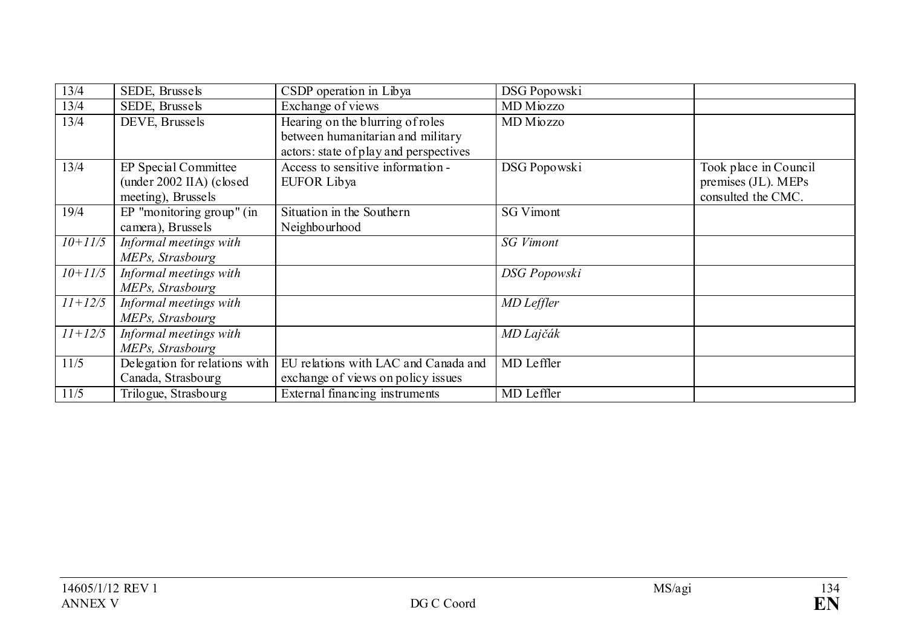| 13/4      | SEDE, Brussels                | CSDP operation in Libya                | DSG Popowski     |                       |
|-----------|-------------------------------|----------------------------------------|------------------|-----------------------|
| 13/4      | SEDE, Brussels                | Exchange of views                      | MD Miozzo        |                       |
| 13/4      | DEVE, Brussels                | Hearing on the blurring of roles       | MD Miozzo        |                       |
|           |                               | between humanitarian and military      |                  |                       |
|           |                               | actors: state of play and perspectives |                  |                       |
| 13/4      | EP Special Committee          | Access to sensitive information -      | DSG Popowski     | Took place in Council |
|           | (under 2002 IIA) (closed      | EUFOR Libya                            |                  | premises (JL). MEPs   |
|           | meeting), Brussels            |                                        |                  | consulted the CMC.    |
| 19/4      | EP "monitoring group" (in     | Situation in the Southern              | <b>SG Vimont</b> |                       |
|           | camera), Brussels             | Neighbourhood                          |                  |                       |
| $10+11/5$ | Informal meetings with        |                                        | <b>SG</b> Vimont |                       |
|           | MEPs, Strasbourg              |                                        |                  |                       |
| $10+11/5$ | Informal meetings with        |                                        | DSG Popowski     |                       |
|           | MEPs, Strasbourg              |                                        |                  |                       |
| $11+12/5$ | Informal meetings with        |                                        | MD Leffler       |                       |
|           | MEPs, Strasbourg              |                                        |                  |                       |
| $11+12/5$ | Informal meetings with        |                                        | MD Lajčák        |                       |
|           | MEPs, Strasbourg              |                                        |                  |                       |
| 11/5      | Delegation for relations with | EU relations with LAC and Canada and   | MD Leffler       |                       |
|           | Canada, Strasbourg            | exchange of views on policy issues     |                  |                       |
| 11/5      | Trilogue, Strasbourg          | External financing instruments         | MD Leffler       |                       |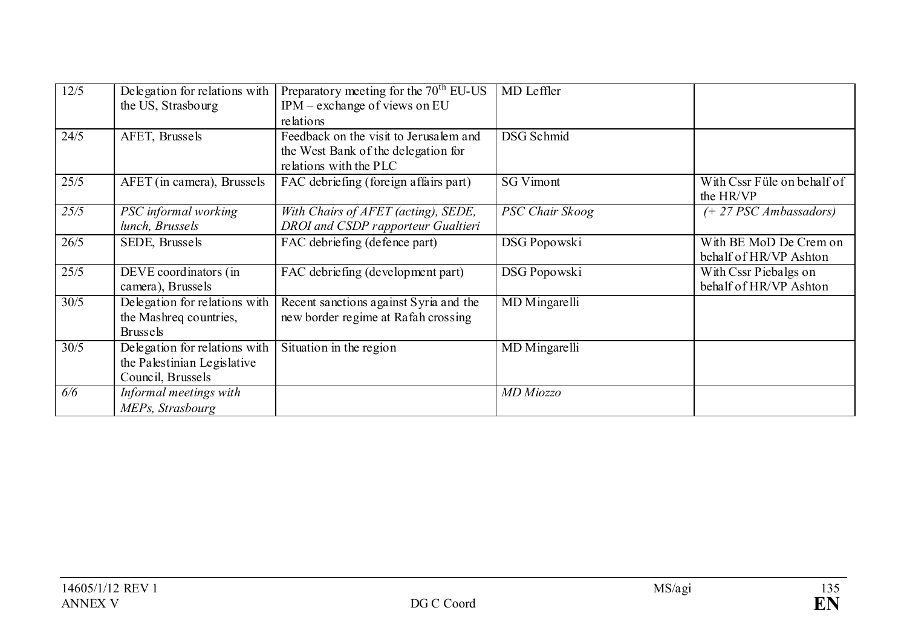| 12/5 | Delegation for relations with | Preparatory meeting for the $70th$ EU-US | MD Leffler             |                             |
|------|-------------------------------|------------------------------------------|------------------------|-----------------------------|
|      | the US, Strasbourg            | IPM – exchange of views on EU            |                        |                             |
|      |                               | relations                                |                        |                             |
| 24/5 | AFET, Brussels                | Feedback on the visit to Jerusalem and   | DSG Schmid             |                             |
|      |                               | the West Bank of the delegation for      |                        |                             |
|      |                               | relations with the PLC                   |                        |                             |
| 25/5 | AFET (in camera), Brussels    | FAC debriefing (foreign affairs part)    | <b>SG Vimont</b>       | With Cssr Füle on behalf of |
|      |                               |                                          |                        | the HR/VP                   |
| 25/5 | PSC informal working          | With Chairs of AFET (acting), SEDE,      | <b>PSC Chair Skoog</b> | $(+ 27 PSC Ambassadors)$    |
|      | lunch, Brussels               | DROI and CSDP rapporteur Gualtieri       |                        |                             |
| 26/5 | SEDE, Brussels                | FAC debriefing (defence part)            | DSG Popowski           | With BE MoD De Crem on      |
|      |                               |                                          |                        | behalf of HR/VP Ashton      |
| 25/5 | DEVE coordinators (in         | FAC debriefing (development part)        | DSG Popowski           | With Cssr Piebalgs on       |
|      | camera), Brussels             |                                          |                        | behalf of HR/VP Ashton      |
| 30/5 | Delegation for relations with | Recent sanctions against Syria and the   | MD Mingarelli          |                             |
|      | the Mashreq countries,        | new border regime at Rafah crossing      |                        |                             |
|      | <b>Brussels</b>               |                                          |                        |                             |
| 30/5 | Delegation for relations with | Situation in the region                  | MD Mingarelli          |                             |
|      | the Palestinian Legislative   |                                          |                        |                             |
|      | Council, Brussels             |                                          |                        |                             |
| 6/6  | Informal meetings with        |                                          | MD Miozzo              |                             |
|      | MEPs, Strasbourg              |                                          |                        |                             |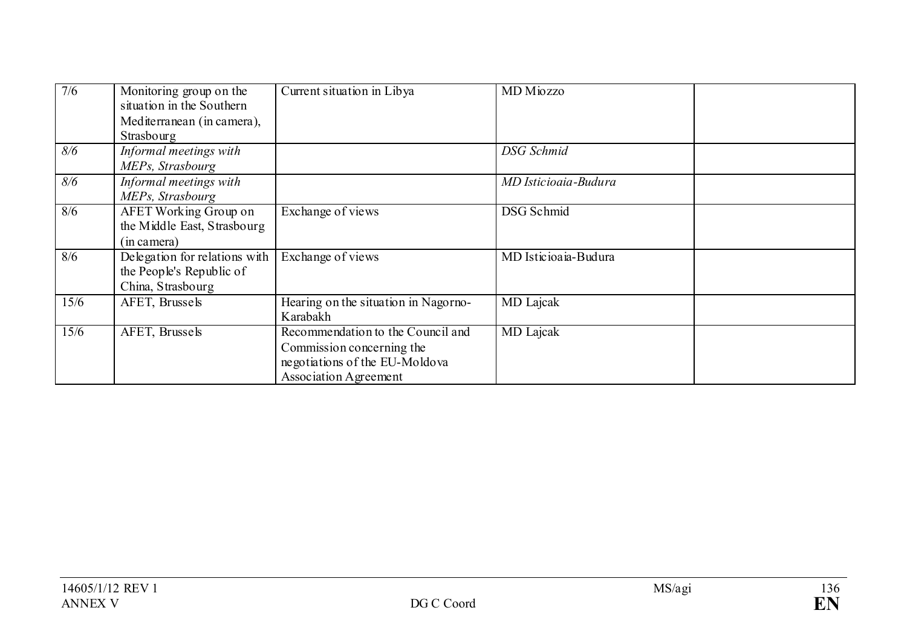| 7/6  | Monitoring group on the<br>situation in the Southern<br>Mediterranean (in camera),<br>Strasbourg | Current situation in Libya                                                                                                       | MD Miozzo            |  |
|------|--------------------------------------------------------------------------------------------------|----------------------------------------------------------------------------------------------------------------------------------|----------------------|--|
| 8/6  | Informal meetings with<br>MEPs, Strasbourg                                                       |                                                                                                                                  | DSG Schmid           |  |
| 8/6  | Informal meetings with<br>MEPs, Strasbourg                                                       |                                                                                                                                  | MD Isticioaia-Budura |  |
| 8/6  | <b>AFET Working Group on</b><br>the Middle East, Strasbourg<br>(in camera)                       | Exchange of views                                                                                                                | <b>DSG</b> Schmid    |  |
| 8/6  | Delegation for relations with<br>the People's Republic of<br>China, Strasbourg                   | Exchange of views                                                                                                                | MD Isticioaia-Budura |  |
| 15/6 | AFET, Brussels                                                                                   | Hearing on the situation in Nagorno-<br>Karabakh                                                                                 | MD Lajcak            |  |
| 15/6 | AFET, Brussels                                                                                   | Recommendation to the Council and<br>Commission concerning the<br>negotiations of the EU-Moldova<br><b>Association Agreement</b> | <b>MD</b> Lajcak     |  |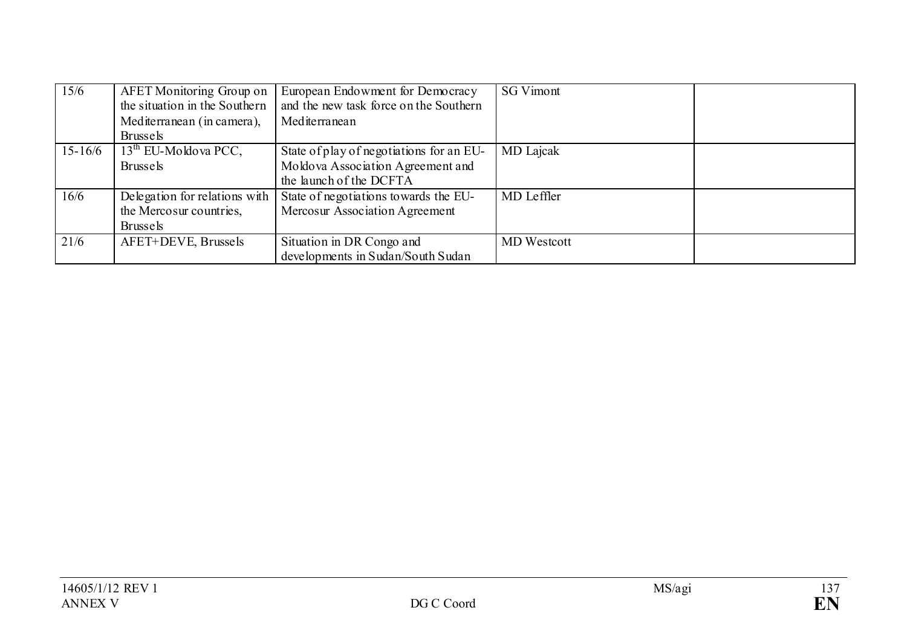| 15/6        | AFET Monitoring Group on<br>the situation in the Southern<br>Mediterranean (in camera),<br><b>Brussels</b> | European Endowment for Democracy<br>and the new task force on the Southern<br>Mediterranean              | <b>SG Vimont</b>   |  |
|-------------|------------------------------------------------------------------------------------------------------------|----------------------------------------------------------------------------------------------------------|--------------------|--|
| $15 - 16/6$ | $13th$ EU-Moldova PCC,<br><b>Brussels</b>                                                                  | State of play of negotiations for an EU-<br>Moldova Association Agreement and<br>the launch of the DCFTA | MD Lajcak          |  |
| 16/6        | Delegation for relations with<br>the Mercosur countries.<br><b>Brussels</b>                                | State of negotiations towards the EU-<br>Mercosur Association Agreement                                  | MD Leffler         |  |
| 21/6        | AFET+DEVE, Brussels                                                                                        | Situation in DR Congo and<br>developments in Sudan/South Sudan                                           | <b>MD</b> Westcott |  |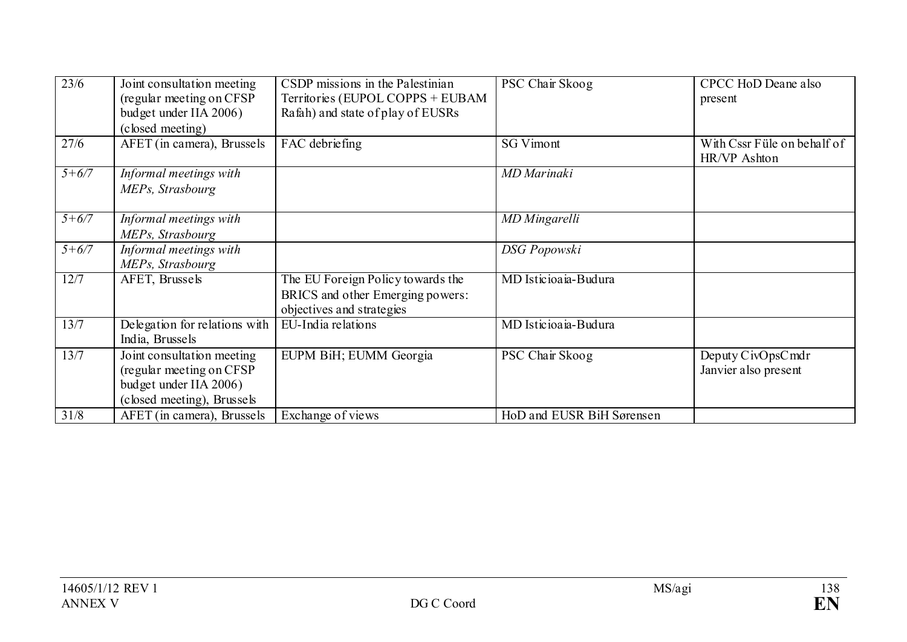| 23/6      | Joint consultation meeting<br>(regular meeting on CFSP<br>budget under IIA 2006)<br>(closed meeting)           | CSDP missions in the Palestinian<br>Territories (EUPOL COPPS + EUBAM<br>Rafah) and state of play of EUSRs | PSC Chair Skoog           | CPCC HoD Deane also<br>present              |
|-----------|----------------------------------------------------------------------------------------------------------------|-----------------------------------------------------------------------------------------------------------|---------------------------|---------------------------------------------|
| 27/6      | AFET (in camera), Brussels                                                                                     | FAC debriefing                                                                                            | <b>SG Vimont</b>          | With Cssr Füle on behalf of<br>HR/VP Ashton |
| $5 + 6/7$ | Informal meetings with<br>MEPs, Strasbourg                                                                     |                                                                                                           | MD Marinaki               |                                             |
| $5 + 6/7$ | Informal meetings with<br>MEPs, Strasbourg                                                                     |                                                                                                           | MD Mingarelli             |                                             |
| $5 + 6/7$ | Informal meetings with<br>MEPs, Strasbourg                                                                     |                                                                                                           | <b>DSG</b> Popowski       |                                             |
| 12/7      | AFET, Brussels                                                                                                 | The EU Foreign Policy towards the<br>BRICS and other Emerging powers:<br>objectives and strategies        | MD Isticioaia-Budura      |                                             |
| 13/7      | Delegation for relations with<br>India, Brussels                                                               | EU-India relations                                                                                        | MD Isticioaia-Budura      |                                             |
| 13/7      | Joint consultation meeting<br>(regular meeting on CFSP<br>budget under IIA 2006)<br>(closed meeting), Brussels | EUPM BiH; EUMM Georgia                                                                                    | PSC Chair Skoog           | Deputy CivOpsCmdr<br>Janvier also present   |
| 31/8      | AFET (in camera), Brussels                                                                                     | Exchange of views                                                                                         | HoD and EUSR BiH Sørensen |                                             |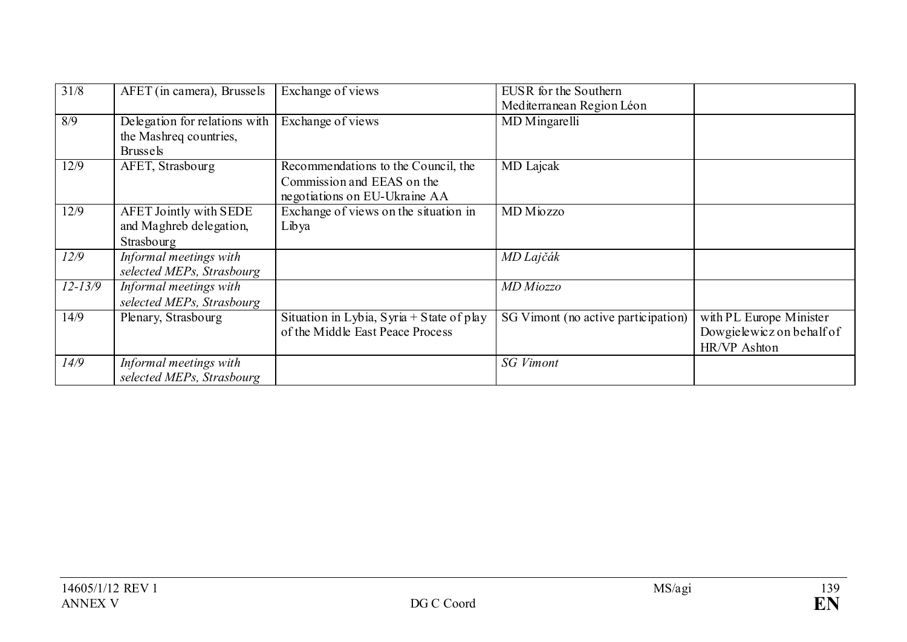| 31/8        | AFET (in camera), Brussels                                                 | Exchange of views                                                                                  | EUSR for the Southern<br>Mediterranean Region Léon |                                                                      |
|-------------|----------------------------------------------------------------------------|----------------------------------------------------------------------------------------------------|----------------------------------------------------|----------------------------------------------------------------------|
| 8/9         | Delegation for relations with<br>the Mashreq countries,<br><b>Brussels</b> | Exchange of views                                                                                  | MD Mingarelli                                      |                                                                      |
| 12/9        | AFET, Strasbourg                                                           | Recommendations to the Council, the<br>Commission and EEAS on the<br>negotiations on EU-Ukraine AA | MD Lajcak                                          |                                                                      |
| 12/9        | <b>AFET Jointly with SEDE</b><br>and Maghreb delegation,<br>Strasbourg     | Exchange of views on the situation in<br>Libya                                                     | MD Miozzo                                          |                                                                      |
| 12/9        | Informal meetings with<br>selected MEPs, Strasbourg                        |                                                                                                    | MD Lajčák                                          |                                                                      |
| $12 - 13/9$ | Informal meetings with<br>selected MEPs, Strasbourg                        |                                                                                                    | MD Miozzo                                          |                                                                      |
| 14/9        | Plenary, Strasbourg                                                        | Situation in Lybia, Syria + State of play<br>of the Middle East Peace Process                      | SG Vimont (no active participation)                | with PL Europe Minister<br>Dowgielewicz on behalf of<br>HR/VP Ashton |
| 14/9        | Informal meetings with<br>selected MEPs, Strasbourg                        |                                                                                                    | <b>SG Vimont</b>                                   |                                                                      |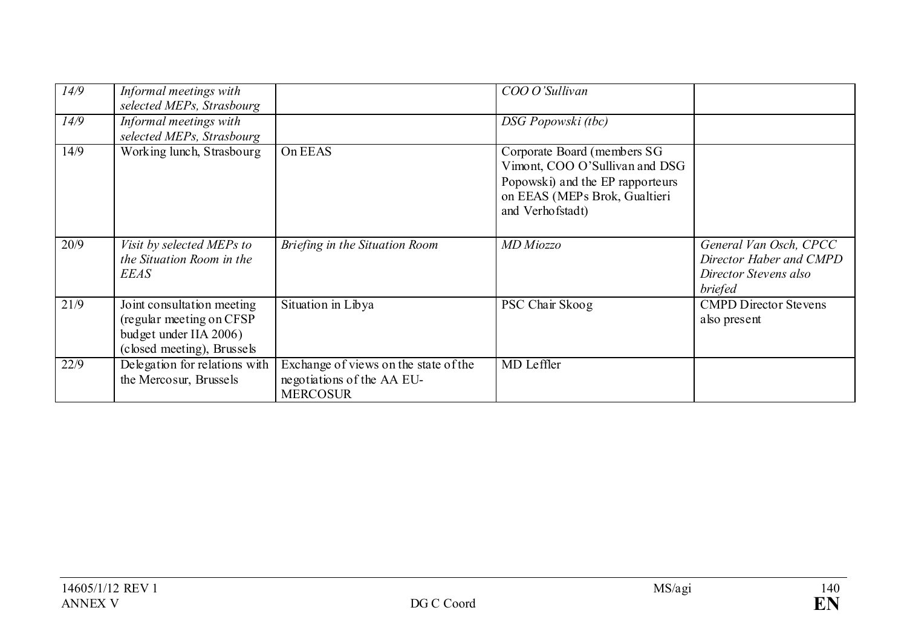| 14/9 | Informal meetings with<br>selected MEPs, Strasbourg                                                             |                                                                                        | COO O'Sullivan                                                                                                                                         |                                                                                              |
|------|-----------------------------------------------------------------------------------------------------------------|----------------------------------------------------------------------------------------|--------------------------------------------------------------------------------------------------------------------------------------------------------|----------------------------------------------------------------------------------------------|
| 14/9 | Informal meetings with<br>selected MEPs, Strasbourg                                                             |                                                                                        | DSG Popowski (tbc)                                                                                                                                     |                                                                                              |
| 14/9 | Working lunch, Strasbourg                                                                                       | On EEAS                                                                                | Corporate Board (members SG<br>Vimont, COO O'Sullivan and DSG<br>Popowski) and the EP rapporteurs<br>on EEAS (MEPs Brok, Gualtieri<br>and Verhofstadt) |                                                                                              |
| 20/9 | Visit by selected MEPs to<br>the Situation Room in the<br><b>EEAS</b>                                           | Briefing in the Situation Room                                                         | MD Miozzo                                                                                                                                              | General Van Osch, CPCC<br>Director Haber and CMPD<br>Director Stevens also<br><i>briefed</i> |
| 21/9 | Joint consultation meeting<br>(regular meeting on CFSP)<br>budget under IIA 2006)<br>(closed meeting), Brussels | Situation in Libya                                                                     | PSC Chair Skoog                                                                                                                                        | <b>CMPD Director Stevens</b><br>also present                                                 |
| 22/9 | Delegation for relations with<br>the Mercosur, Brussels                                                         | Exchange of views on the state of the<br>negotiations of the AA EU-<br><b>MERCOSUR</b> | MD Leffler                                                                                                                                             |                                                                                              |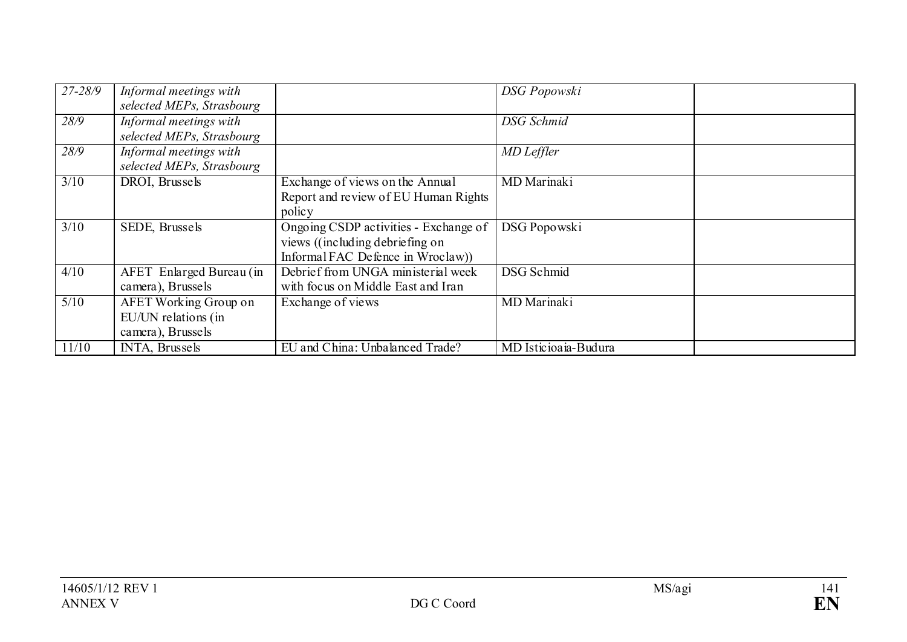| $27 - 28/9$       | Informal meetings with       |                                       | <b>DSG</b> Popowski  |  |
|-------------------|------------------------------|---------------------------------------|----------------------|--|
|                   | selected MEPs, Strasbourg    |                                       |                      |  |
| 28/9              | Informal meetings with       |                                       | DSG Schmid           |  |
|                   | selected MEPs, Strasbourg    |                                       |                      |  |
| 28/9              | Informal meetings with       |                                       | MD Leffler           |  |
|                   | selected MEPs, Strasbourg    |                                       |                      |  |
| 3/10              | DROI, Brussels               | Exchange of views on the Annual       | <b>MD</b> Marinaki   |  |
|                   |                              | Report and review of EU Human Rights  |                      |  |
|                   |                              | policy                                |                      |  |
| 3/10              | SEDE, Brussels               | Ongoing CSDP activities - Exchange of | DSG Popowski         |  |
|                   |                              | views ((including debriefing on       |                      |  |
|                   |                              | Informal FAC Defence in Wroclaw)      |                      |  |
| 4/10              | AFET Enlarged Bureau (in     | Debrief from UNGA ministerial week    | DSG Schmid           |  |
|                   | camera), Brussels            | with focus on Middle East and Iran    |                      |  |
| $\overline{5/10}$ | <b>AFET Working Group on</b> | Exchange of views                     | <b>MD</b> Marinaki   |  |
|                   |                              |                                       |                      |  |
|                   | EU/UN relations (in          |                                       |                      |  |
|                   | camera), Brussels            |                                       |                      |  |
| 11/10             | INTA, Brussels               | EU and China: Unbalanced Trade?       | MD Isticioaia-Budura |  |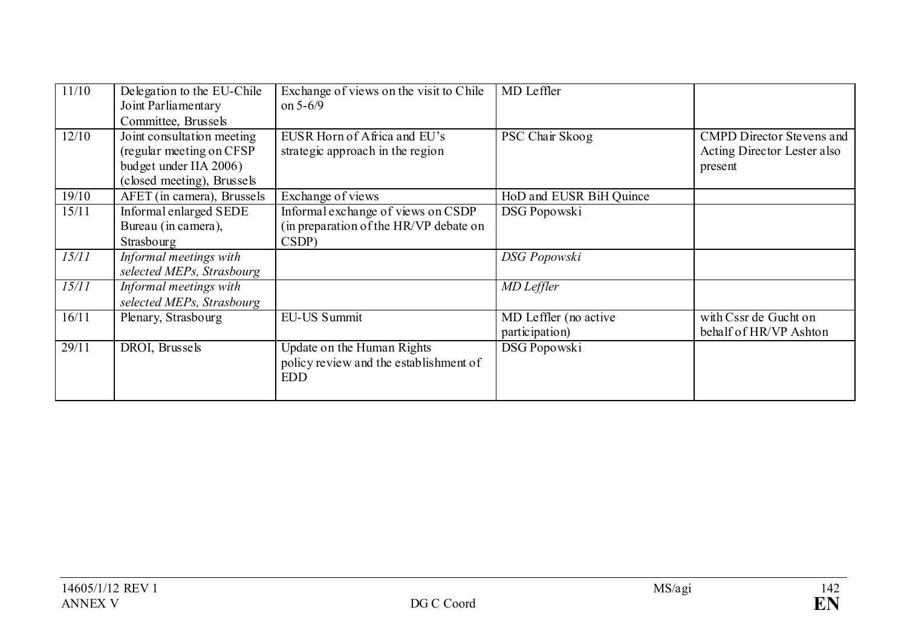| 11/10 | Delegation to the EU-Chile<br>Joint Parliamentary<br>Committee, Brussels                                        | Exchange of views on the visit to Chile<br>on $5 - 6/9$                               | MD Leffler                              |                                                                            |
|-------|-----------------------------------------------------------------------------------------------------------------|---------------------------------------------------------------------------------------|-----------------------------------------|----------------------------------------------------------------------------|
| 12/10 | Joint consultation meeting<br>(regular meeting on CFSP)<br>budget under IIA 2006)<br>(closed meeting), Brussels | EUSR Horn of Africa and EU's<br>strategic approach in the region                      | PSC Chair Skoog                         | <b>CMPD Director Stevens and</b><br>Acting Director Lester also<br>present |
| 19/10 | AFET (in camera), Brussels                                                                                      | Exchange of views                                                                     | HoD and EUSR BiH Quince                 |                                                                            |
| 15/11 | Informal enlarged SEDE<br>Bureau (in camera),<br>Strasbourg                                                     | Informal exchange of views on CSDP<br>(in preparation of the HR/VP debate on<br>CSDP) | DSG Popowski                            |                                                                            |
| 15/11 | Informal meetings with<br>selected MEPs, Strasbourg                                                             |                                                                                       | <b>DSG</b> Popowski                     |                                                                            |
| 15/11 | Informal meetings with<br>selected MEPs, Strasbourg                                                             |                                                                                       | MD Leffler                              |                                                                            |
| 16/11 | Plenary, Strasbourg                                                                                             | <b>EU-US Summit</b>                                                                   | MD Leffler (no active<br>participation) | with Cssr de Gucht on<br>behalf of HR/VP Ashton                            |
| 29/11 | DROI, Brussels                                                                                                  | Update on the Human Rights<br>policy review and the establishment of<br><b>EDD</b>    | DSG Popowski                            |                                                                            |